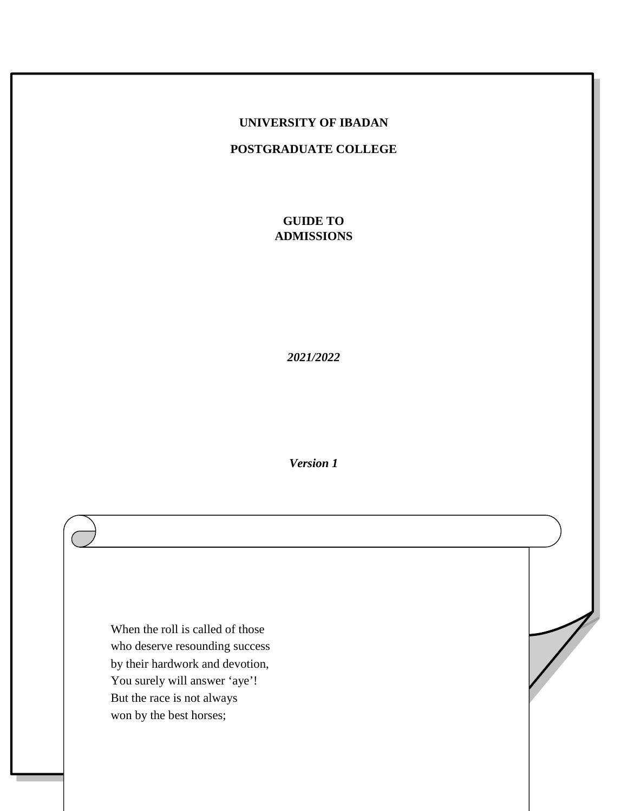#### **UNIVERSITY OF IBADAN**

**POSTGRADUATE COLLEGE**

**GUIDE TO ADMISSIONS**

*2021/2022* 

*Version 1* 

When the roll is called of those who deserve resounding success by their hardwork and devotion, You surely will answer 'aye'! But the race is not always won by the best horses;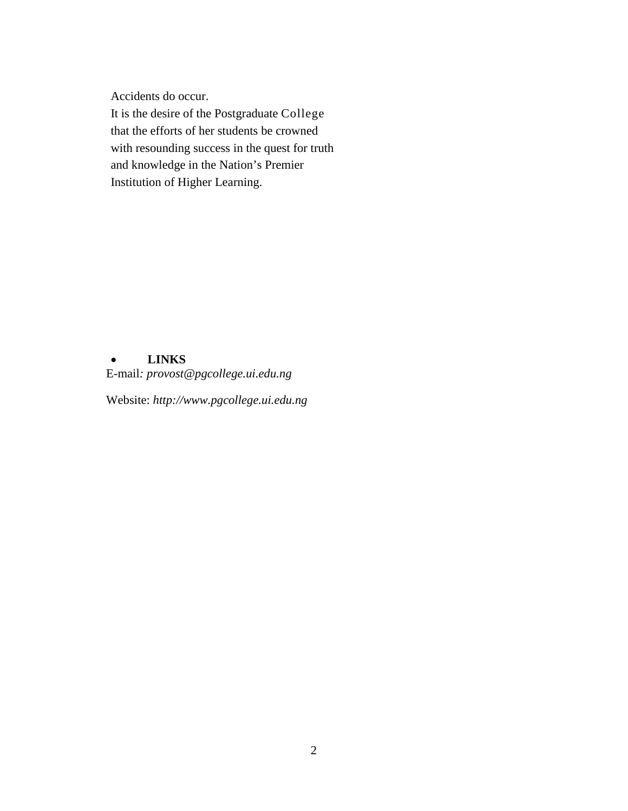Accidents do occur.

It is the desire of the Postgraduate College that the efforts of her students be crowned with resounding success in the quest for truth and knowledge in the Nation's Premier Institution of Higher Learning.

## • **LINKS**

E-mail*: provost@pgcollege.ui.edu.ng* 

Website: *http://www.pgcollege.ui.edu.ng*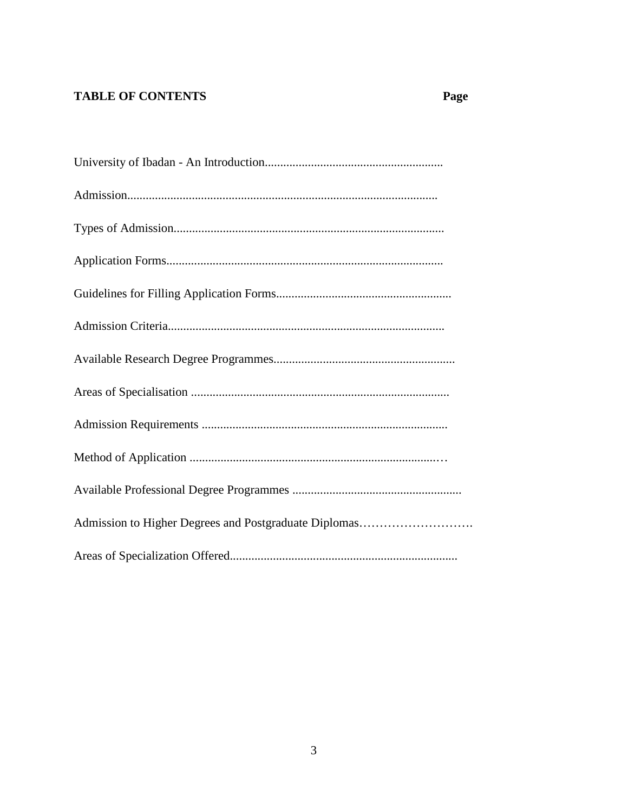# **TABLE OF CONTENTS**

# Page

| Admission to Higher Degrees and Postgraduate Diplomas |
|-------------------------------------------------------|
|                                                       |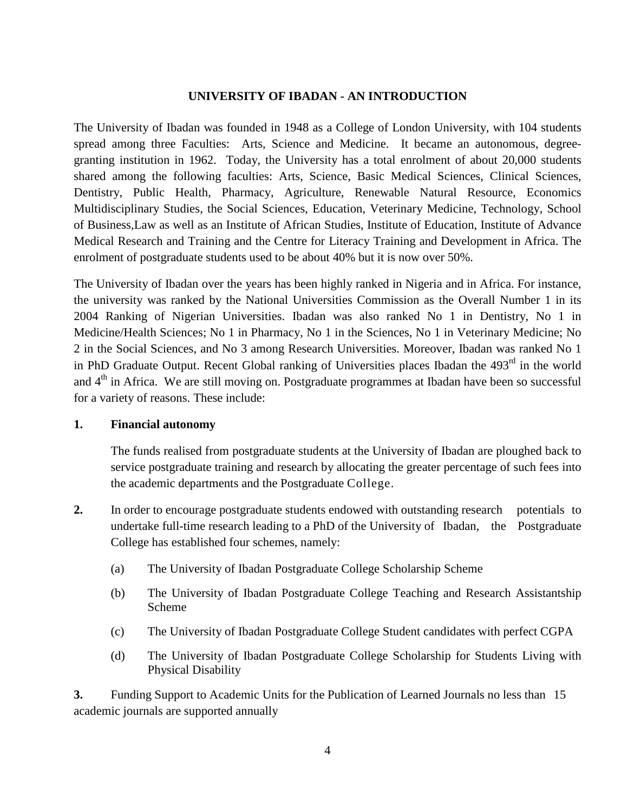## **UNIVERSITY OF IBADAN - AN INTRODUCTION**

The University of Ibadan was founded in 1948 as a College of London University, with 104 students spread among three Faculties: Arts, Science and Medicine. It became an autonomous, degreegranting institution in 1962. Today, the University has a total enrolment of about 20,000 students shared among the following faculties: Arts, Science, Basic Medical Sciences, Clinical Sciences, Dentistry, Public Health, Pharmacy, Agriculture, Renewable Natural Resource, Economics Multidisciplinary Studies, the Social Sciences, Education, Veterinary Medicine, Technology, School of Business,Law as well as an Institute of African Studies, Institute of Education, Institute of Advance Medical Research and Training and the Centre for Literacy Training and Development in Africa. The enrolment of postgraduate students used to be about 40% but it is now over 50%.

The University of Ibadan over the years has been highly ranked in Nigeria and in Africa. For instance, the university was ranked by the National Universities Commission as the Overall Number 1 in its 2004 Ranking of Nigerian Universities. Ibadan was also ranked No 1 in Dentistry, No 1 in Medicine/Health Sciences; No 1 in Pharmacy, No 1 in the Sciences, No 1 in Veterinary Medicine; No 2 in the Social Sciences, and No 3 among Research Universities. Moreover, Ibadan was ranked No 1 in PhD Graduate Output. Recent Global ranking of Universities places Ibadan the 493<sup>rd</sup> in the world and  $4<sup>th</sup>$  in Africa. We are still moving on. Postgraduate programmes at Ibadan have been so successful for a variety of reasons. These include:

## **1. Financial autonomy**

The funds realised from postgraduate students at the University of Ibadan are ploughed back to service postgraduate training and research by allocating the greater percentage of such fees into the academic departments and the Postgraduate College.

- **2.** In order to encourage postgraduate students endowed with outstanding research potentials to undertake full-time research leading to a PhD of the University of Ibadan, the Postgraduate College has established four schemes, namely:
	- (a) The University of Ibadan Postgraduate College Scholarship Scheme
	- (b) The University of Ibadan Postgraduate College Teaching and Research Assistantship Scheme
	- (c) The University of Ibadan Postgraduate College Student candidates with perfect CGPA
	- (d) The University of Ibadan Postgraduate College Scholarship for Students Living with Physical Disability

**3.** Funding Support to Academic Units for the Publication of Learned Journals no less than 15 academic journals are supported annually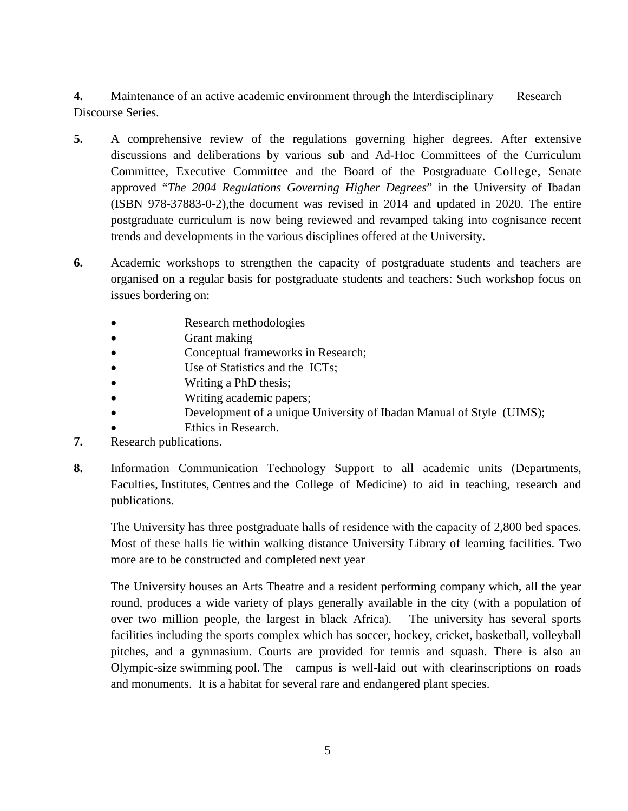**4.** Maintenance of an active academic environment through the Interdisciplinary Research Discourse Series.

- **5.** A comprehensive review of the regulations governing higher degrees. After extensive discussions and deliberations by various sub and Ad-Hoc Committees of the Curriculum Committee, Executive Committee and the Board of the Postgraduate College, Senate approved "*The 2004 Regulations Governing Higher Degrees*" in the University of Ibadan (ISBN 978-37883-0-2),the document was revised in 2014 and updated in 2020. The entire postgraduate curriculum is now being reviewed and revamped taking into cognisance recent trends and developments in the various disciplines offered at the University.
- **6.** Academic workshops to strengthen the capacity of postgraduate students and teachers are organised on a regular basis for postgraduate students and teachers: Such workshop focus on issues bordering on:
	- Research methodologies
	- Grant making
	- Conceptual frameworks in Research;
	- Use of Statistics and the ICTs:
	- Writing a PhD thesis;
	- Writing academic papers;
	- Development of a unique University of Ibadan Manual of Style (UIMS);
	- Ethics in Research.
- **7.** Research publications.
- **8.** Information Communication Technology Support to all academic units (Departments, Faculties, Institutes, Centres and the College of Medicine) to aid in teaching, research and publications.

The University has three postgraduate halls of residence with the capacity of 2,800 bed spaces. Most of these halls lie within walking distance University Library of learning facilities. Two more are to be constructed and completed next year

The University houses an Arts Theatre and a resident performing company which, all the year round, produces a wide variety of plays generally available in the city (with a population of over two million people, the largest in black Africa). The university has several sports facilities including the sports complex which has soccer, hockey, cricket, basketball, volleyball pitches, and a gymnasium. Courts are provided for tennis and squash. There is also an Olympic-size swimming pool. The campus is well-laid out with clearinscriptions on roads and monuments. It is a habitat for several rare and endangered plant species.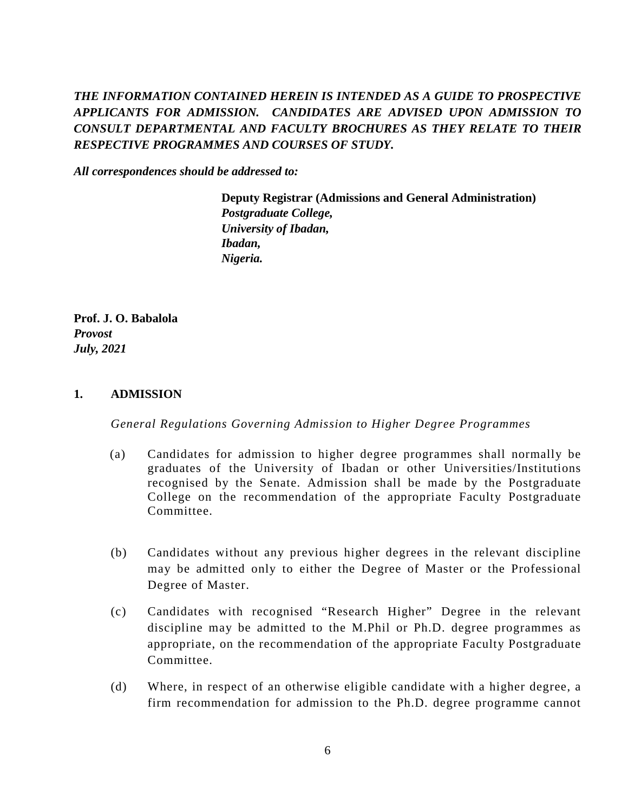# *THE INFORMATION CONTAINED HEREIN IS INTENDED AS A GUIDE TO PROSPECTIVE APPLICANTS FOR ADMISSION. CANDIDATES ARE ADVISED UPON ADMISSION TO CONSULT DEPARTMENTAL AND FACULTY BROCHURES AS THEY RELATE TO THEIR RESPECTIVE PROGRAMMES AND COURSES OF STUDY.*

*All correspondences should be addressed to:* 

 **Deputy Registrar (Admissions and General Administration)**   *Postgraduate College, University of Ibadan, Ibadan, Nigeria.* 

**Prof. J. O. Babalola** *Provost July, 2021* 

#### **1. ADMISSION**

*General Regulations Governing Admission to Higher Degree Programmes*

- (a) Candidates for admission to higher degree programmes shall normally be graduates of the University of Ibadan or other Universities/Institutions recognised by the Senate. Admission shall be made by the Postgraduate College on the recommendation of the appropriate Faculty Postgraduate Committee.
- (b) Candidates without any previous higher degrees in the relevant discipline may be admitted only to either the Degree of Master or the Professional Degree of Master.
- (c) Candidates with recognised "Research Higher" Degree in the relevant discipline may be admitted to the M.Phil or Ph.D. degree programmes as appropriate, on the recommendation of the appropriate Faculty Postgraduate Committee.
- (d) Where, in respect of an otherwise eligible candidate with a higher degree, a firm recommendation for admission to the Ph.D. degree programme cannot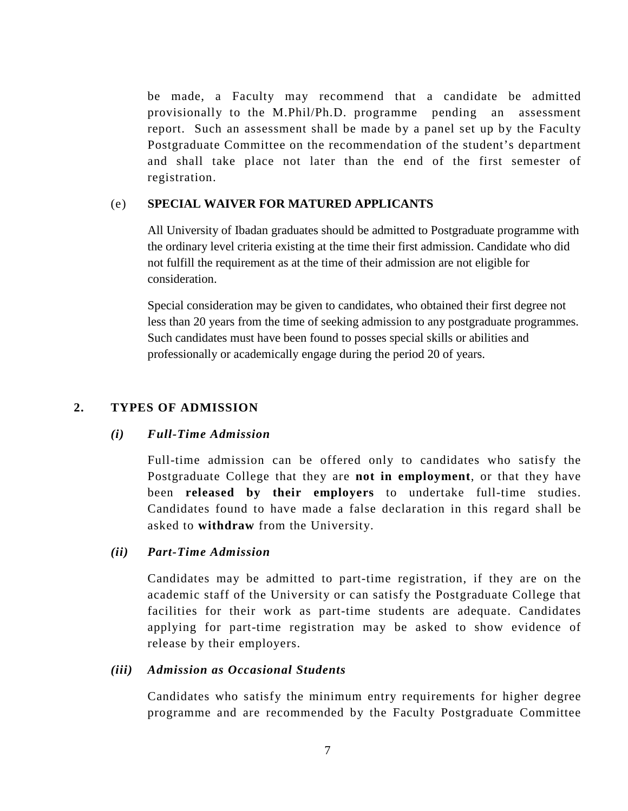be made, a Faculty may recommend that a candidate be admitted provisionally to the M.Phil/Ph.D. programme pending an assessment report. Such an assessment shall be made by a panel set up by the Faculty Postgraduate Committee on the recommendation of the student's department and shall take place not later than the end of the first semester of registration.

#### (e) **SPECIAL WAIVER FOR MATURED APPLICANTS**

All University of Ibadan graduates should be admitted to Postgraduate programme with the ordinary level criteria existing at the time their first admission. Candidate who did not fulfill the requirement as at the time of their admission are not eligible for consideration.

Special consideration may be given to candidates, who obtained their first degree not less than 20 years from the time of seeking admission to any postgraduate programmes. Such candidates must have been found to posses special skills or abilities and professionally or academically engage during the period 20 of years.

## **2. TYPES OF ADMISSION**

## *(i) Full-Time Admission*

Full-time admission can be offered only to candidates who satisfy the Postgraduate College that they are **not in employment**, or that they have been **released by their employers** to undertake full-time studies. Candidates found to have made a false declaration in this regard shall be asked to **withdraw** from the University.

## *(ii) Part-Time Admission*

Candidates may be admitted to part-time registration, if they are on the academic staff of the University or can satisfy the Postgraduate College that facilities for their work as part-time students are adequate. Candidates applying for part-time registration may be asked to show evidence of release by their employers.

## *(iii) Admission as Occasional Students*

Candidates who satisfy the minimum entry requirements for higher degree programme and are recommended by the Faculty Postgraduate Committee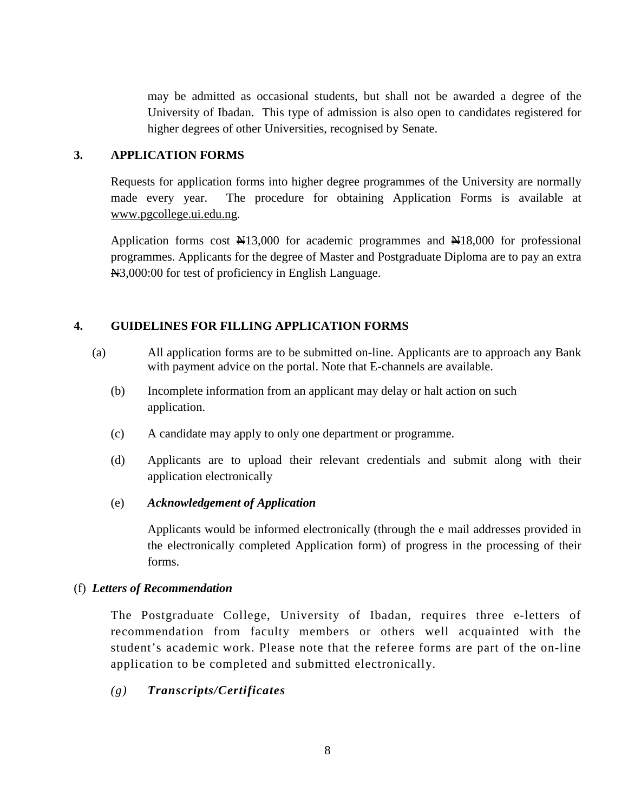may be admitted as occasional students, but shall not be awarded a degree of the University of Ibadan. This type of admission is also open to candidates registered for higher degrees of other Universities, recognised by Senate.

## **3. APPLICATION FORMS**

Requests for application forms into higher degree programmes of the University are normally made every year. The procedure for obtaining Application Forms is available at www.pgcollege.ui.edu.ng.

Application forms cost  $\frac{N}{3}$ ,000 for academic programmes and  $\frac{N}{3}$ ,000 for professional programmes. Applicants for the degree of Master and Postgraduate Diploma are to pay an extra N3,000:00 for test of proficiency in English Language.

# **4. GUIDELINES FOR FILLING APPLICATION FORMS**

- (a) All application forms are to be submitted on-line. Applicants are to approach any Bank with payment advice on the portal. Note that E-channels are available.
	- (b) Incomplete information from an applicant may delay or halt action on such application.
	- (c) A candidate may apply to only one department or programme.
	- (d) Applicants are to upload their relevant credentials and submit along with their application electronically

# (e) *Acknowledgement of Application*

Applicants would be informed electronically (through the e mail addresses provided in the electronically completed Application form) of progress in the processing of their forms.

# (f) *Letters of Recommendation*

The Postgraduate College, University of Ibadan, requires three e-letters of recommendation from faculty members or others well acquainted with the student's academic work. Please note that the referee forms are part of the on-line application to be completed and submitted electronically.

# *(g) Transcripts/Certificates*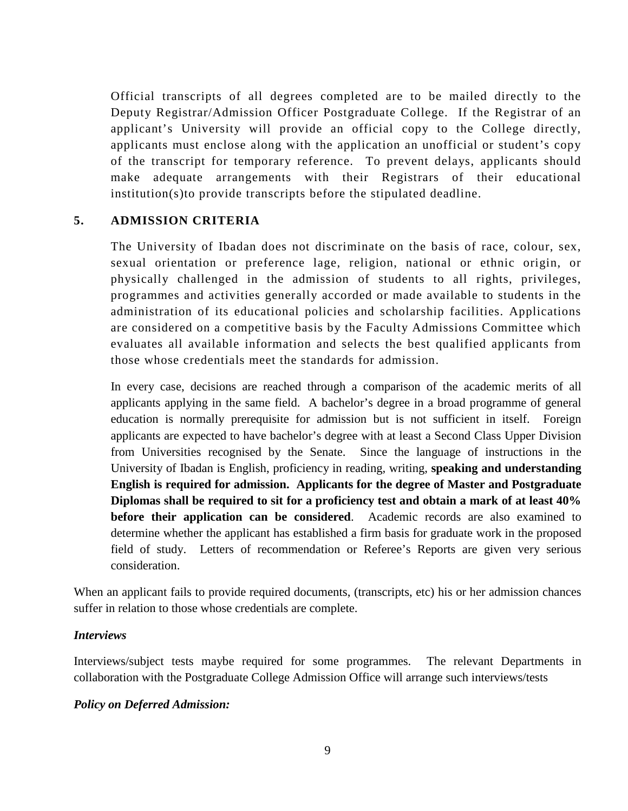Official transcripts of all degrees completed are to be mailed directly to the Deputy Registrar/Admission Officer Postgraduate College. If the Registrar of an applicant's University will provide an official copy to the College directly, applicants must enclose along with the application an unofficial or student's copy of the transcript for temporary reference. To prevent delays, applicants should make adequate arrangements with their Registrars of their educational institution(s)to provide transcripts before the stipulated deadline.

## **5. ADMISSION CRITERIA**

The University of Ibadan does not discriminate on the basis of race, colour, sex, sexual orientation or preference lage, religion, national or ethnic origin, or physically challenged in the admission of students to all rights, privileges, programmes and activities generally accorded or made available to students in the administration of its educational policies and scholarship facilities. Applications are considered on a competitive basis by the Faculty Admissions Committee which evaluates all available information and selects the best qualified applicants from those whose credentials meet the standards for admission.

In every case, decisions are reached through a comparison of the academic merits of all applicants applying in the same field. A bachelor's degree in a broad programme of general education is normally prerequisite for admission but is not sufficient in itself. Foreign applicants are expected to have bachelor's degree with at least a Second Class Upper Division from Universities recognised by the Senate. Since the language of instructions in the University of Ibadan is English, proficiency in reading, writing, **speaking and understanding English is required for admission. Applicants for the degree of Master and Postgraduate Diplomas shall be required to sit for a proficiency test and obtain a mark of at least 40% before their application can be considered**. Academic records are also examined to determine whether the applicant has established a firm basis for graduate work in the proposed field of study. Letters of recommendation or Referee's Reports are given very serious consideration.

When an applicant fails to provide required documents, (transcripts, etc) his or her admission chances suffer in relation to those whose credentials are complete.

## *Interviews*

Interviews/subject tests maybe required for some programmes. The relevant Departments in collaboration with the Postgraduate College Admission Office will arrange such interviews/tests

## *Policy on Deferred Admission:*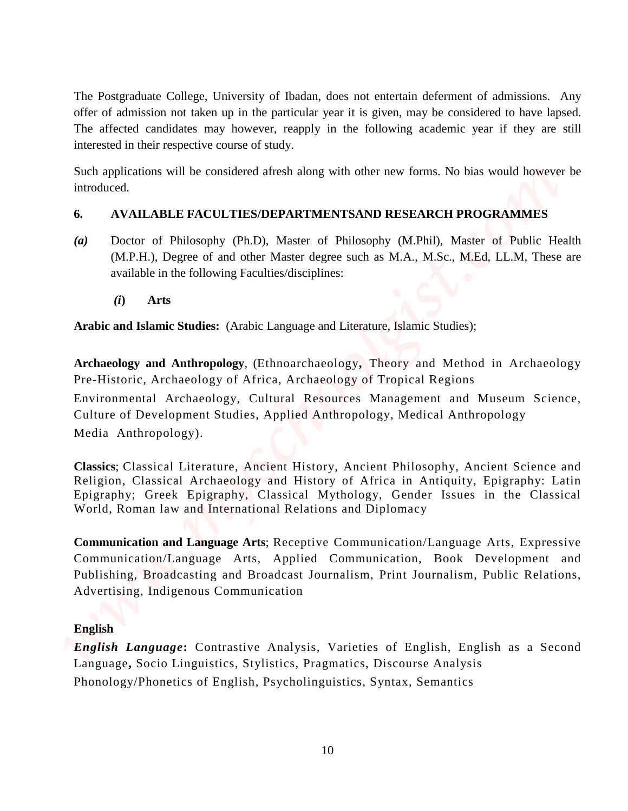The Postgraduate College, University of Ibadan, does not entertain deferment of admissions. Any offer of admission not taken up in the particular year it is given, may be considered to have lapsed. The affected candidates may however, reapply in the following academic year if they are still interested in their respective course of study.

Such applications will be considered afresh along with other new forms. No bias would however be introduced.

# **6. AVAILABLE FACULTIES/DEPARTMENTSAND RESEARCH PROGRAMMES**

- *(a)* Doctor of Philosophy (Ph.D), Master of Philosophy (M.Phil), Master of Public Health (M.P.H.), Degree of and other Master degree such as M.A., M.Sc., M.Ed, LL.M, These are available in the following Faculties/disciplines:
	- *(i***) Arts**

**Arabic and Islamic Studies:** (Arabic Language and Literature, Islamic Studies);

**Archaeology and Anthropology**, (Ethnoarchaeology**,** Theory and Method in Archaeology Pre-Historic, Archaeology of Africa, Archaeology of Tropical Regions Environmental Archaeology, Cultural Resources Management and Museum Science, Culture of Development Studies, Applied Anthropology, Medical Anthropology Media Anthropology). The Posgmalanic College, University of Bulain, does not entertain dichremen of salmissions. Any<br>other of admission on takes up in the pericolary to the given, pay be considered to have heged<br>the method of the method of the

**Classics**; Classical Literature, Ancient History, Ancient Philosophy, Ancient Science and Religion, Classical Archaeology and History of Africa in Antiquity, Epigraphy: Latin Epigraphy; Greek Epigraphy, Classical Mythology, Gender Issues in the Classical World, Roman law and International Relations and Diplomacy

**Communication and Language Arts**; Receptive Communication/Language Arts, Expressive Communication/Language Arts, Applied Communication, Book Development and Publishing, Broadcasting and Broadcast Journalism, Print Journalism, Public Relations, Advertising, Indigenous Communication

# **English**

*English Language***:** Contrastive Analysis, Varieties of English, English as a Second Language**,** Socio Linguistics, Stylistics, Pragmatics, Discourse Analysis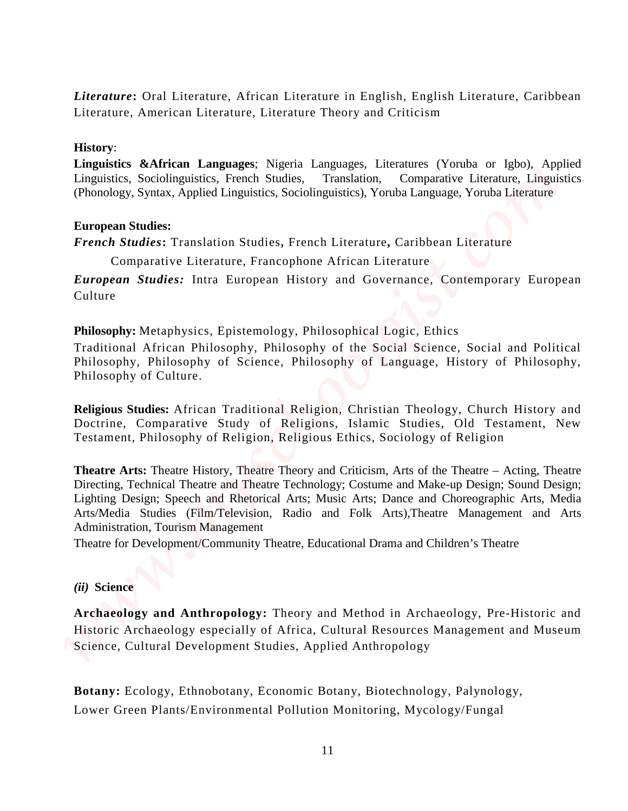*Literature***:** Oral Literature, African Literature in English, English Literature, Caribbean Literature, American Literature, Literature Theory and Criticism

#### **History**:

Linguistics &African Languages; Nigeria Languages, Literatures (Yoruba or Igbo), Applied Linguistics. Sociolinguistics. French Studies, Translation, Comparative Literature, Linguistics Linguistics, Sociolinguistics, French Studies, Translation, Comparative Literature, Linguistics (Phonology, Syntax, Applied Linguistics, Sociolinguistics), Yoruba Language, Yoruba Literature

#### **European Studies:**

*French Studies***:** Translation Studies**,** French Literature**,** Caribbean Literature

Comparative Literature, Francophone African Literature

*European Studies:* Intra European History and Governance, Contemporary European Culture

**Philosophy:** Metaphysics, Epistemology, Philosophical Logic, Ethics

Traditional African Philosophy, Philosophy of the Social Science, Social and Political Philosophy, Philosophy of Science, Philosophy of Language, History of Philosophy, Philosophy of Culture.

**Religious Studies:** African Traditional Religion, Christian Theology, Church History and Doctrine, Comparative Study of Religions, Islamic Studies, Old Testament, New Testament, Philosophy of Religion, Religious Ethics, Sociology of Religion

**Theatre Arts:** Theatre History, Theatre Theory and Criticism, Arts of the Theatre – Acting, Theatre Directing, Technical Theatre and Theatre Technology; Costume and Make-up Design; Sound Design; Lighting Design; Speech and Rhetorical Arts; Music Arts; Dance and Choreographic Arts, Media Arts/Media Studies (Film/Television, Radio and Folk Arts),Theatre Management and Arts Administration, Tourism Management Literature: Oral Literature, African Literature in English, English Literature, Caribbean<br>
Linearius, American Literature, Literature Theory and Criticism<br>
Hangardis, Schrifton Languages, Naschi Linearius, Tenestian, Yomis

Theatre for Development/Community Theatre, Educational Drama and Children's Theatre

#### *(ii)* **Science**

**Archaeology and Anthropology:** Theory and Method in Archaeology, Pre-Historic and Historic Archaeology especially of Africa, Cultural Resources Management and Museum Science, Cultural Development Studies, Applied Anthropology

**Botany:** Ecology, Ethnobotany, Economic Botany, Biotechnology, Palynology,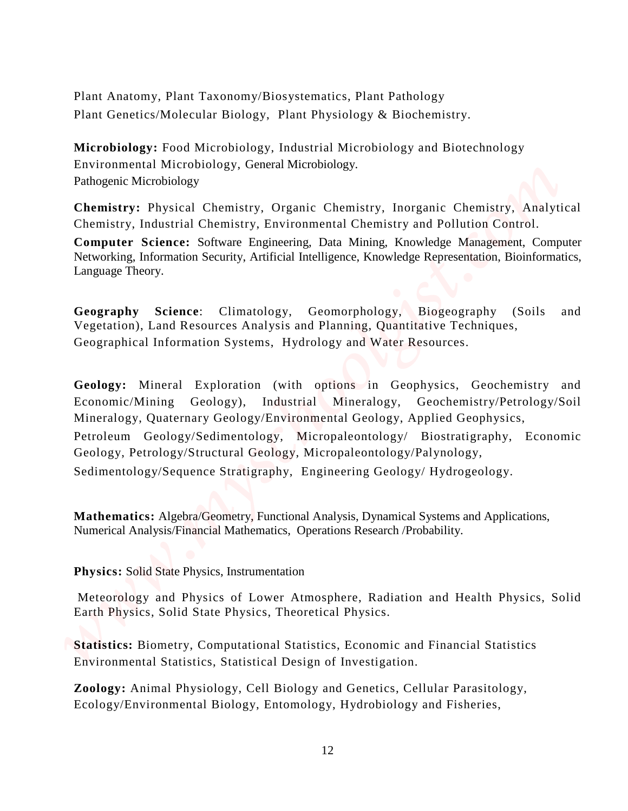Plant Anatomy, Plant Taxonomy/Biosystematics, Plant Pathology Plant Genetics/Molecular Biology, Plant Physiology & Biochemistry.

**Microbiology:** Food Microbiology, Industrial Microbiology and Biotechnology Environmental Microbiology, General Microbiology. Pathogenic Microbiology

**Chemistry:** Physical Chemistry, Organic Chemistry, Inorganic Chemistry, Analytical Chemistry, Industrial Chemistry, Environmental Chemistry and Pollution Control.

**Computer Science:** Software Engineering, Data Mining, Knowledge Management, Computer Networking, Information Security, Artificial Intelligence, Knowledge Representation, Bioinformatics, Language Theory.

**Geography Science**: Climatology, Geomorphology, Biogeography (Soils and Vegetation), Land Resources Analysis and Planning, Quantitative Techniques, Geographical Information Systems, Hydrology and Water Resources.

**Geology:** Mineral Exploration (with options in Geophysics, Geochemistry and Economic/Mining Geology), Industrial Mineralogy, Geochemistry/Petrology/Soil Mineralogy, Quaternary Geology/Environmental Geology, Applied Geophysics, Petroleum Geology/Sedimentology, Micropaleontology/ Biostratigraphy, Economic Geology, Petrology/Structural Geology, Micropaleontology/Palynology, Sedimentology/Sequence Stratigraphy, Engineering Geology/ Hydrogeology. Flant Anatomy. Flant Taxonomy/Biosystomatics, Flant Pahology<br>
Flant Geordes/Molecular Biology, Andential Microbiology and Biotechology<br>
Meriodiology, Entomology, Hydrobiology, Independental Microbiology and Fisheries,<br>
Tec

**Mathematics:** Algebra/Geometry, Functional Analysis, Dynamical Systems and Applications, Numerical Analysis/Financial Mathematics, Operations Research /Probability.

**Physics:** Solid State Physics, Instrumentation

Meteorology and Physics of Lower Atmosphere, Radiation and Health Physics, Solid Earth Physics, Solid State Physics, Theoretical Physics.

**Statistics:** Biometry, Computational Statistics, Economic and Financial Statistics Environmental Statistics, Statistical Design of Investigation.

**Zoology:** Animal Physiology, Cell Biology and Genetics, Cellular Parasitology,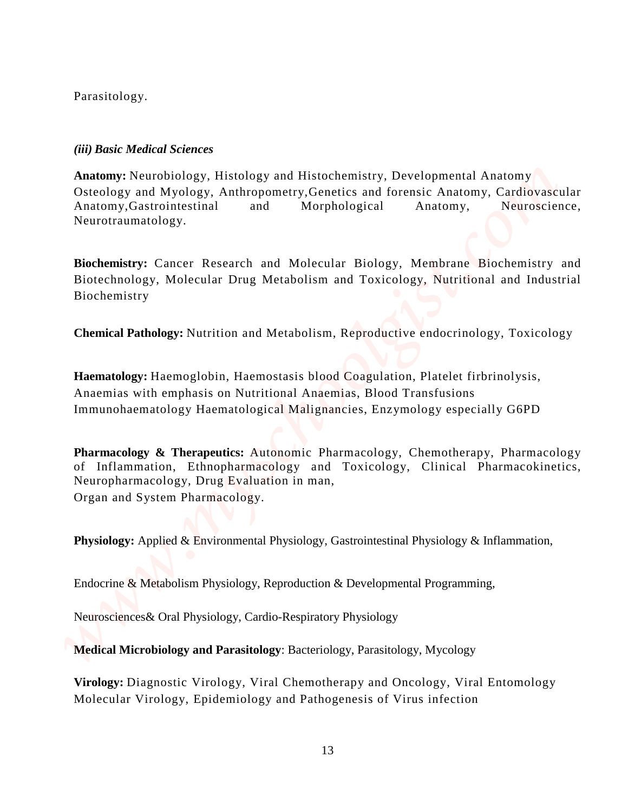Parasitology.

# *(iii) Basic Medical Sciences*

**Anatomy:** Neurobiology, Histology and Histochemistry, Developmental Anatomy Osteology and Myology, Anthropometry,Genetics and forensic Anatomy, Cardiovascular Anatomy,Gastrointestinal and Morphological Anatomy, Neuroscience, Neurotraumatology. Pathology, Molecular Scheen<br>
Molecular Virology, Elisophemic Pathogenesis of Greenics Anatomy, Continues<br>
Continue Continues and Molecular Molecular Anatomy, Continues<br>
Mathoms, Continues and Molecular Morphological Anatom

**Biochemistry:** Cancer Research and Molecular Biology, Membrane Biochemistry and Biotechnology, Molecular Drug Metabolism and Toxicology, Nutritional and Industrial Biochemistry

**Chemical Pathology:** Nutrition and Metabolism, Reproductive endocrinology, Toxicology

**Haematology:** Haemoglobin, Haemostasis blood Coagulation, Platelet firbrinolysis, Anaemias with emphasis on Nutritional Anaemias, Blood Transfusions Immunohaematology Haematological Malignancies, Enzymology especially G6PD

**Pharmacology & Therapeutics:** Autonomic Pharmacology, Chemotherapy, Pharmacology of Inflammation, Ethnopharmacology and Toxicology, Clinical Pharmacokinetics, Neuropharmacology, Drug Evaluation in man, Organ and System Pharmacology.

**Physiology:** Applied & Environmental Physiology, Gastrointestinal Physiology & Inflammation,

Endocrine & Metabolism Physiology, Reproduction & Developmental Programming,

Neurosciences& Oral Physiology, Cardio-Respiratory Physiology

**Medical Microbiology and Parasitology**: Bacteriology, Parasitology, Mycology

**Virology:** Diagnostic Virology, Viral Chemotherapy and Oncology, Viral Entomology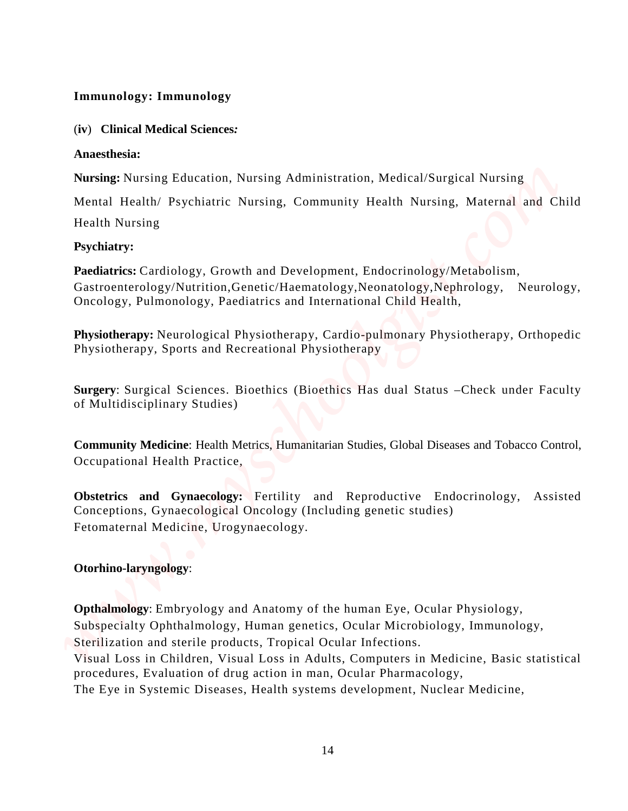# **Immunology: Immunology**

(**iv**) **Clinical Medical Sciences***:* 

## **Anaesthesia:**

**Nursing:** Nursing Education, Nursing Administration, Medical/Surgical Nursing

Mental Health/ Psychiatric Nursing, Community Health Nursing, Maternal and Child

Health Nursing

# **Psychiatry:**

Paediatrics: Cardiology, Growth and Development, Endocrinology/Metabolism, Gastroenterology/Nutrition,Genetic/Haematology,Neonatology,Nephrology, Neurology, Oncology, Pulmonology, Paediatrics and International Child Health,

**Physiotherapy:** Neurological Physiotherapy, Cardio-pulmonary Physiotherapy, Orthopedic Physiotherapy, Sports and Recreational Physiotherapy

**Surgery**: Surgical Sciences. Bioethics (Bioethics Has dual Status –Check under Faculty of Multidisciplinary Studies)

**Community Medicine**: Health Metrics, Humanitarian Studies, Global Diseases and Tobacco Control, Occupational Health Practice,

**Obstetrics and Gynaecology:** Fertility and Reproductive Endocrinology, Assisted Conceptions, Gynaecological Oncology (Including genetic studies) Fetomaternal Medicine, Urogynaecology.

# **Otorhino-laryngology**:

**Opthalmology**: Embryology and Anatomy of the human Eye, Ocular Physiology, Subspecialty Ophthalmology, Human genetics, Ocular Microbiology, Immunology, Sterilization and sterile products, Tropical Ocular Infections. Visual Loss in Children, Visual Loss in Adults, Computers in Medicine, Basic statistical **Immunology: Immunology**<br>
(iv) Christian Medical Sciences<br>
Newsley Fouring Education, Nuessing Administration. Medical/Surgical Nussing<br>
Mesning Politicity Psychiatric Nuessing, Community Health Nuessing, Maternal and Chil

procedures, Evaluation of drug action in man, Ocular Pharmacology,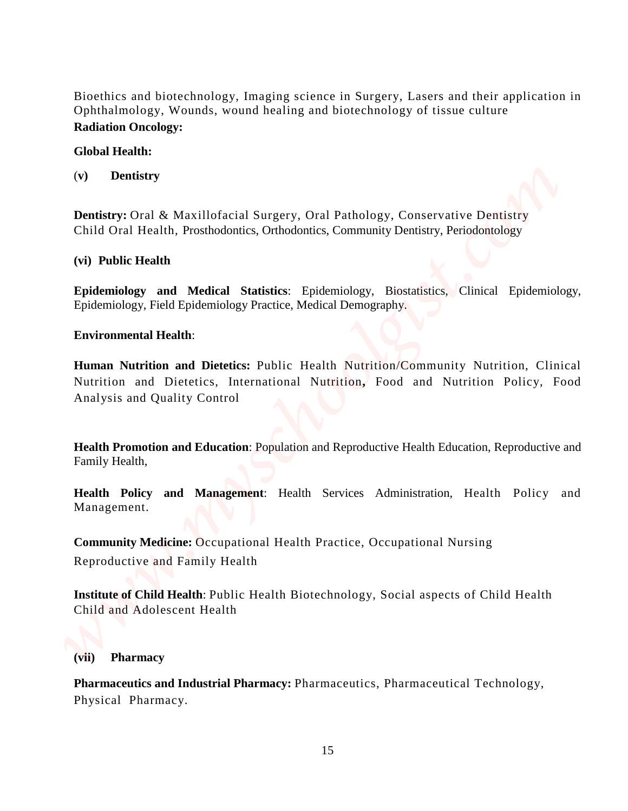Bioethics and biotechnology, Imaging science in Surgery, Lasers and their application in Ophthalmology, Wounds, wound healing and biotechnology of tissue culture **Radiation Oncology:** 

## **Global Health:**

(**v) Dentistry**

**Dentistry:** Oral & Maxillofacial Surgery, Oral Pathology, Conservative Dentistry Child Oral Health, Prosthodontics, Orthodontics, Community Dentistry, Periodontology

## **(vi) Public Health**

**Epidemiology and Medical Statistics**: Epidemiology, Biostatistics, Clinical Epidemiology, Epidemiology, Field Epidemiology Practice, Medical Demography.

## **Environmental Health**:

**Human Nutrition and Dietetics:** Public Health Nutrition/Community Nutrition, Clinical Nutrition and Dietetics, International Nutrition**,** Food and Nutrition Policy, Food Analysis and Quality Control Bioechics and biotechnology, Inaging science in Surgery, Lasers and their application in Ophiahnology, Woused, swound Assing and biotechnology of tissue celture<br>**Clobal Health:**<br>**Combings Combing and Statistical Pharmacy.** 

**Health Promotion and Education**: Population and Reproductive Health Education, Reproductive and Family Health,

**Health Policy and Management**: Health Services Administration, Health Policy and Management.

**Community Medicine:** Occupational Health Practice, Occupational Nursing Reproductive and Family Health

**Institute of Child Health**: Public Health Biotechnology, Social aspects of Child Health Child and Adolescent Health

## **(vii) Pharmacy**

**Pharmaceutics and Industrial Pharmacy:** Pharmaceutics, Pharmaceutical Technology,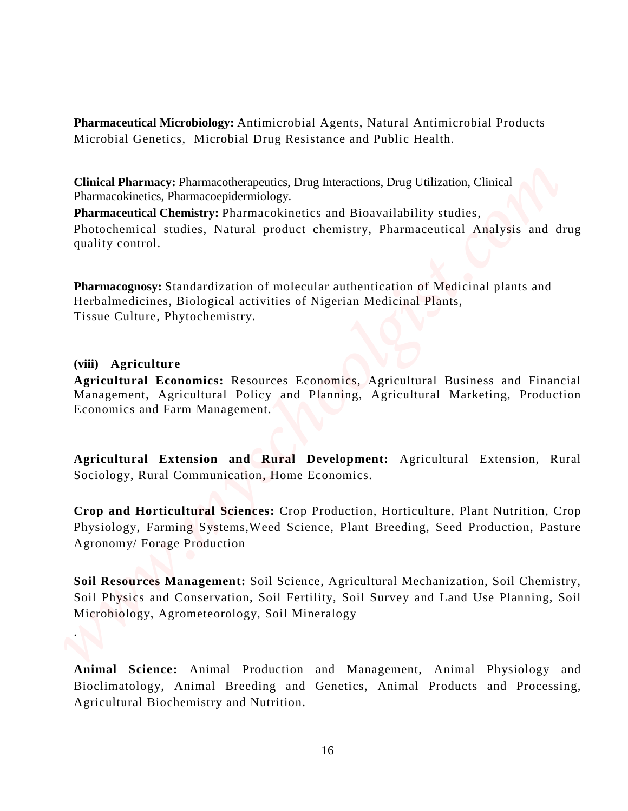**Pharmaceutical Microbiology:** Antimicrobial Agents, Natural Antimicrobial Products Microbial Genetics, Microbial Drug Resistance and Public Health.

**Clinical Pharmacy:** Pharmacotherapeutics, Drug Interactions, Drug Utilization, Clinical Pharmacokinetics, Pharmacoepidermiology.

**Pharmaceutical Chemistry:** Pharmacokinetics and Bioavailability studies,

Photochemical studies, Natural product chemistry, Pharmaceutical Analysis and drug quality control.

**Pharmacognosy:** Standardization of molecular authentication of Medicinal plants and Herbalmedicines, Biological activities of Nigerian Medicinal Plants, Tissue Culture, Phytochemistry.

## **(viii) Agriculture**

.

**Agricultural Economics:** Resources Economics, Agricultural Business and Financial Management, Agricultural Policy and Planning, Agricultural Marketing, Production Economics and Farm Management.

**Agricultural Extension and Rural Development:** Agricultural Extension, Rural Sociology, Rural Communication, Home Economics.

**Crop and Horticultural Sciences:** Crop Production, Horticulture, Plant Nutrition, Crop Physiology, Farming Systems,Weed Science, Plant Breeding, Seed Production, Pasture Agronomy/ Forage Production

**Soil Resources Management:** Soil Science, Agricultural Mechanization, Soil Chemistry, Soil Physics and Conservation, Soil Fertility, Soil Survey and Land Use Planning, Soil Microbiology, Agrometeorology, Soil Mineralogy **Pharmaceutinel Microbiology:** Antimicroshid Agents, Nutral Antimicroshid Products<br>Microbal Genetics. Morotocal Drug Resistance and Public Health.<br>Clindical Pharmacehological Drug Resistance and Distribution. Clindel<br>Thama

**Animal Science:** Animal Production and Management, Animal Physiology and Bioclimatology, Animal Breeding and Genetics, Animal Products and Processing,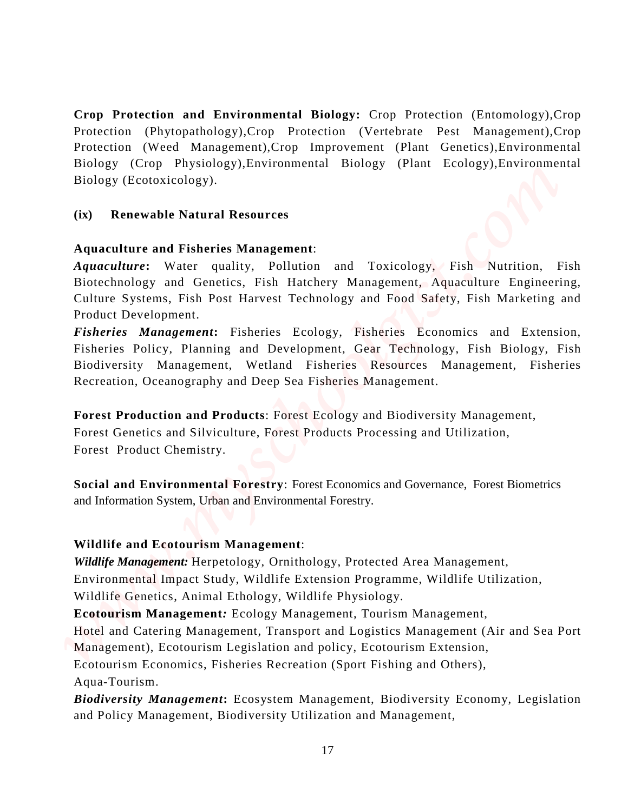**Crop Protection and Environmental Biology:** Crop Protection (Entomology),Crop Protection (Phytopathology),Crop Protection (Vertebrate Pest Management),Crop Protection (Weed Management),Crop Improvement (Plant Genetics),Environmental Biology (Crop Physiology),Environmental Biology (Plant Ecology),Environmental Biology (Ecotoxicology). Crop Protection and Environmental Hiology: Crop Protection (Formalogy, Crop Protection (Water Management, Crop Drawtownell, Ordin Genetics), Internaction and Bulley (Ener Teology), Protecomental Bulley (Ener Teology), Prot

# **(ix) Renewable Natural Resources**

# **Aquaculture and Fisheries Management**:

*Aquaculture***:** Water quality, Pollution and Toxicology, Fish Nutrition, Fish Biotechnology and Genetics, Fish Hatchery Management, Aquaculture Engineering, Culture Systems, Fish Post Harvest Technology and Food Safety, Fish Marketing and Product Development.

*Fisheries Management***:** Fisheries Ecology, Fisheries Economics and Extension, Fisheries Policy, Planning and Development, Gear Technology, Fish Biology, Fish Biodiversity Management, Wetland Fisheries Resources Management, Fisheries Recreation, Oceanography and Deep Sea Fisheries Management.

**Forest Production and Products**: Forest Ecology and Biodiversity Management,

Forest Genetics and Silviculture, Forest Products Processing and Utilization, Forest Product Chemistry.

**Social and Environmental Forestry**: Forest Economics and Governance, Forest Biometrics and Information System, Urban and Environmental Forestry.

# **Wildlife and Ecotourism Management**:

*Wildlife Management:* Herpetology, Ornithology, Protected Area Management, Environmental Impact Study, Wildlife Extension Programme, Wildlife Utilization, Wildlife Genetics, Animal Ethology, Wildlife Physiology.

**Ecotourism Management***:* Ecology Management, Tourism Management,

Hotel and Catering Management, Transport and Logistics Management (Air and Sea Port Management), Ecotourism Legislation and policy, Ecotourism Extension,

Ecotourism Economics, Fisheries Recreation (Sport Fishing and Others), Aqua-Tourism.

*Biodiversity Management***:** Ecosystem Management, Biodiversity Economy, Legislation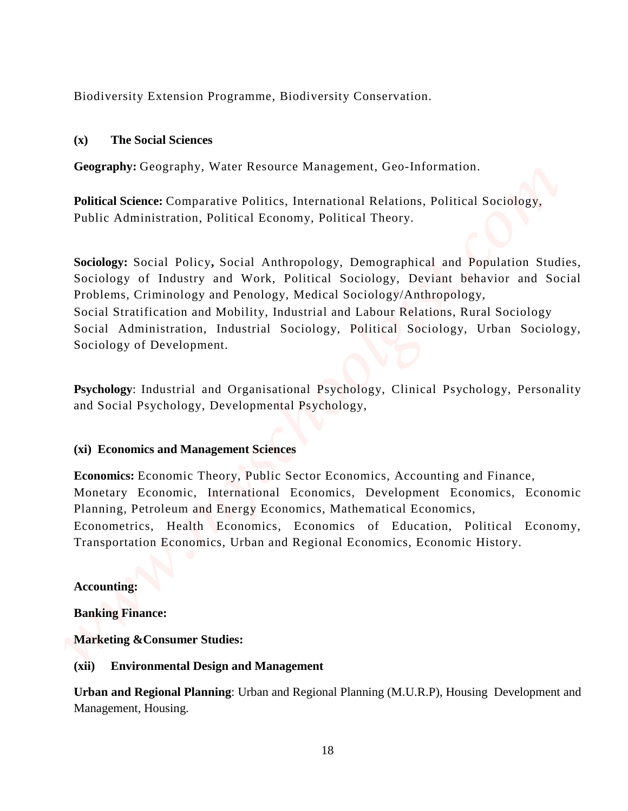Biodiversity Extension Programme, Biodiversity Conservation.

## **(x)****The Social Sciences**

**Geography:** Geography, Water Resource Management, Geo-Information.

**Political Science:** Comparative Politics, International Relations, Political Sociology, Public Administration, Political Economy, Political Theory.

**Sociology:** Social Policy**,** Social Anthropology, Demographical and Population Studies, Sociology of Industry and Work, Political Sociology, Deviant behavior and Social Problems, Criminology and Penology, Medical Sociology/Anthropology, Social Stratification and Mobility, Industrial and Labour Relations, Rural Sociology Social Administration, Industrial Sociology, Political Sociology, Urban Sociology, Sociology of Development. Biodiversity Extension Programmo, Biodiversity Conservation.<br>
(a) The Social Sciences<br>
Geography: Geography, Water Resource Management, Geo. Information.<br> **Political Science:** Comparative Politica, International Rolations,

**Psychology**: Industrial and Organisational Psychology, Clinical Psychology, Personality and Social Psychology, Developmental Psychology,

## **(xi) Economics and Management Sciences**

**Economics:** Economic Theory, Public Sector Economics, Accounting and Finance, Monetary Economic, International Economics, Development Economics, Economic Planning, Petroleum and Energy Economics, Mathematical Economics, Econometrics, Health Economics, Economics of Education, Political Economy, Transportation Economics, Urban and Regional Economics, Economic History.

## **Accounting:**

**Banking Finance:** 

**Marketing &Consumer Studies:**

## **(xii) Environmental Design and Management**

**Urban and Regional Planning**: Urban and Regional Planning (M.U.R.P), Housing Development and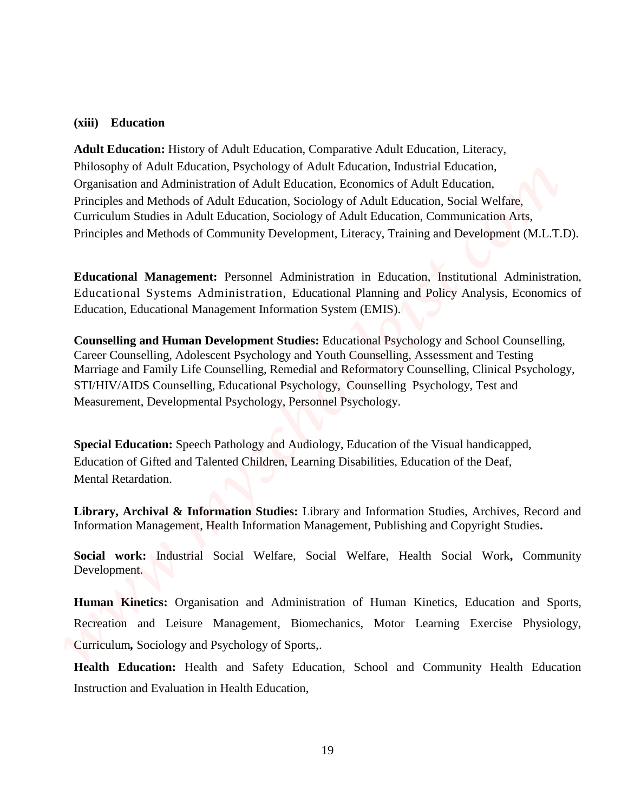#### **(xiii) Education**

**Adult Education:** History of Adult Education, Comparative Adult Education, Literacy, Philosophy of Adult Education, Psychology of Adult Education, Industrial Education, Organisation and Administration of Adult Education, Economics of Adult Education, Principles and Methods of Adult Education, Sociology of Adult Education, Social Welfare, Curriculum Studies in Adult Education, Sociology of Adult Education, Communication Arts, Principles and Methods of Community Development, Literacy, Training and Development (M.L.T.D). **Ashi** Education <br> **Adult Education (Adult Education, Comparisty Adult Education, Latency,<br>
Philosophy of Adult Husealisteric and Administration in Health Education, Latency,<br>
Dynamismo and Administration and Administratio** 

**Educational Management:** Personnel Administration in Education, Institutional Administration, Educational Systems Administration, Educational Planning and Policy Analysis, Economics of Education, Educational Management Information System (EMIS).

**Counselling and Human Development Studies:** Educational Psychology and School Counselling, Career Counselling, Adolescent Psychology and Youth Counselling, Assessment and Testing Marriage and Family Life Counselling, Remedial and Reformatory Counselling, Clinical Psychology, STI/HIV/AIDS Counselling, Educational Psychology, Counselling Psychology, Test and Measurement, Developmental Psychology, Personnel Psychology.

**Special Education:** Speech Pathology and Audiology, Education of the Visual handicapped, Education of Gifted and Talented Children, Learning Disabilities, Education of the Deaf, Mental Retardation.

**Library, Archival & Information Studies:** Library and Information Studies, Archives, Record and Information Management, Health Information Management, Publishing and Copyright Studies**.** 

**Social work:** Industrial Social Welfare, Social Welfare, Health Social Work**,** Community Development.

**Human Kinetics:** Organisation and Administration of Human Kinetics, Education and Sports, Recreation and Leisure Management, Biomechanics, Motor Learning Exercise Physiology, Curriculum*,* Sociology and Psychology of Sports,.

**Health Education:** Health and Safety Education, School and Community Health Education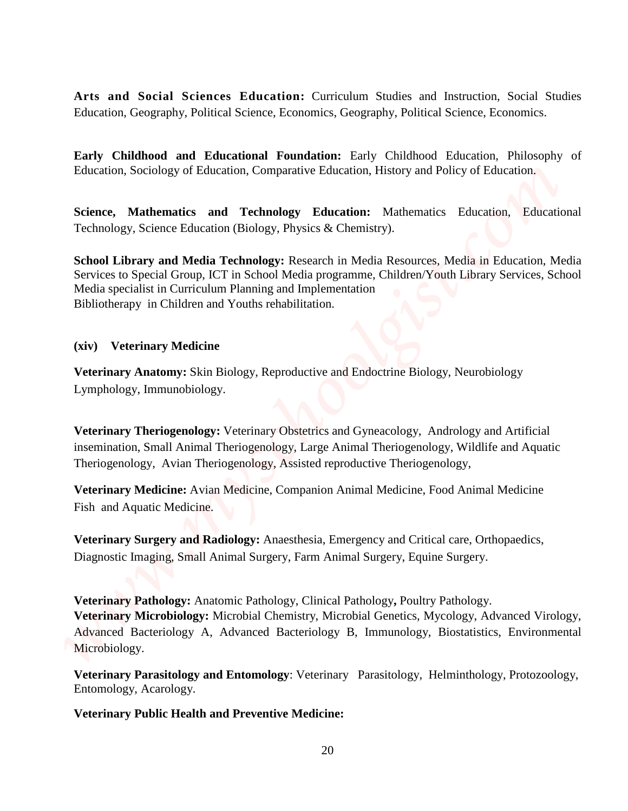**Arts and Social Sciences Education:** Curriculum Studies and Instruction, Social Studies Education, Geography, Political Science, Economics, Geography, Political Science, Economics.

**Early Childhood and Educational Foundation:** Early Childhood Education, Philosophy of Education, Sociology of Education, Comparative Education, History and Policy of Education.

**Science, Mathematics and Technology Education:** Mathematics Education, Educational Technology, Science Education (Biology, Physics & Chemistry).

**School Library and Media Technology:** Research in Media Resources, Media in Education, Media Services to Special Group, ICT in School Media programme, Children/Youth Library Services, School Media specialist in Curriculum Planning and Implementation Bibliotherapy in Children and Youths rehabilitation.

## **(xiv) Veterinary Medicine**

**Veterinary Anatomy:** Skin Biology, Reproductive and Endoctrine Biology, Neurobiology Lymphology, Immunobiology.

**Veterinary Theriogenology:** Veterinary Obstetrics and Gyneacology, Andrology and Artificial insemination, Small Animal Theriogenology, Large Animal Theriogenology, Wildlife and Aquatic Theriogenology, Avian Theriogenology, Assisted reproductive Theriogenology,

**Veterinary Medicine:** Avian Medicine, Companion Animal Medicine, Food Animal Medicine Fish and Aquatic Medicine.

**Veterinary Surgery and Radiology:** Anaesthesia, Emergency and Critical care, Orthopaedics, Diagnostic Imaging, Small Animal Surgery, Farm Animal Surgery, Equine Surgery.

**Veterinary Pathology:** Anatomic Pathology, Clinical Pathology**,** Poultry Pathology. **Veterinary Microbiology:** Microbial Chemistry, Microbial Genetics, Mycology, Advanced Virology, Advanced Bacteriology A, Advanced Bacteriology B, Immunology, Biostatistics, Environmental Microbiology. **Verts and Social Sciences Education:** Consistence States and Insuration, Social Studies<br> **Education, Geography, Political Science, Economicie, Geography, Political Science, Economics<br>
<b>Early Childrend and Educational Foun** 

**Veterinary Parasitology and Entomology**: Veterinary Parasitology, Helminthology, Protozoology, Entomology, Acarology.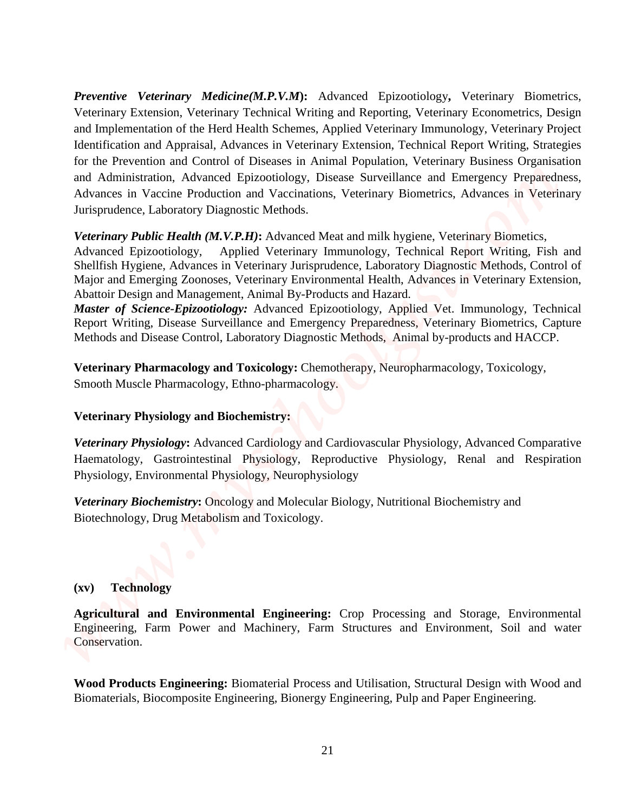*Preventive Veterinary Medicine(M.P.V.M***):** Advanced Epizootiology**,** Veterinary Biometrics, Veterinary Extension, Veterinary Technical Writing and Reporting, Veterinary Econometrics, Design and Implementation of the Herd Health Schemes, Applied Veterinary Immunology, Veterinary Project Identification and Appraisal, Advances in Veterinary Extension, Technical Report Writing, Strategies for the Prevention and Control of Diseases in Animal Population, Veterinary Business Organisation and Administration, Advanced Epizootiology, Disease Surveillance and Emergency Preparedness, Advances in Vaccine Production and Vaccinations, Veterinary Biometrics, Advances in Veterinary Jurisprudence, Laboratory Diagnostic Methods. **Proventiov Veterinusy Medicine(MPLY,Sd):** Advanced Epizontology, Veterinary Biometrials, The and Representing, Neurinary Engine Engineering, Respecting Engine Engine Engine Engine Engine Engine Engine Engine Engine Engine

*Veterinary Public Health (M.V.P.H)***:** Advanced Meat and milk hygiene, Veterinary Biometics,

Advanced Epizootiology, Applied Veterinary Immunology, Technical Report Writing, Fish and Shellfish Hygiene, Advances in Veterinary Jurisprudence, Laboratory Diagnostic Methods, Control of Major and Emerging Zoonoses, Veterinary Environmental Health, Advances in Veterinary Extension, Abattoir Design and Management, Animal By-Products and Hazard.

*Master of Science-Epizootiology:* Advanced Epizootiology, Applied Vet. Immunology, Technical Report Writing, Disease Surveillance and Emergency Preparedness, Veterinary Biometrics, Capture Methods and Disease Control, Laboratory Diagnostic Methods, Animal by-products and HACCP.

**Veterinary Pharmacology and Toxicology:** Chemotherapy, Neuropharmacology, Toxicology, Smooth Muscle Pharmacology, Ethno-pharmacology.

## **Veterinary Physiology and Biochemistry:**

*Veterinary Physiology***:** Advanced Cardiology and Cardiovascular Physiology, Advanced Comparative Haematology, Gastrointestinal Physiology, Reproductive Physiology, Renal and Respiration Physiology, Environmental Physiology, Neurophysiology

*Veterinary Biochemistry***:** Oncology and Molecular Biology, Nutritional Biochemistry and Biotechnology, Drug Metabolism and Toxicology.

## **(xv) Technology**

**Agricultural and Environmental Engineering:** Crop Processing and Storage, Environmental Engineering, Farm Power and Machinery, Farm Structures and Environment, Soil and water Conservation.

**Wood Products Engineering:** Biomaterial Process and Utilisation, Structural Design with Wood and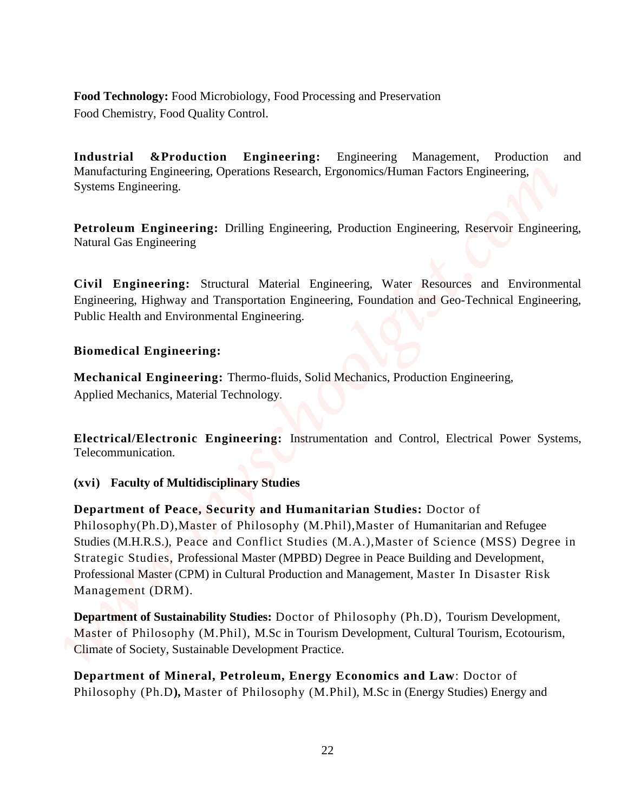**Food Technology:** Food Microbiology, Food Processing and Preservation Food Chemistry, Food Quality Control.

**Industrial &Production Engineering:** Engineering Management, Production and Manufacturing Engineering, Operations Research, Ergonomics/Human Factors Engineering, Systems Engineering.

**Petroleum Engineering:** Drilling Engineering, Production Engineering, Reservoir Engineering, Natural Gas Engineering

**Civil Engineering:** Structural Material Engineering, Water Resources and Environmental Engineering, Highway and Transportation Engineering, Foundation and Geo-Technical Engineering, Public Health and Environmental Engineering.

# **Biomedical Engineering:**

**Mechanical Engineering:** Thermo-fluids, Solid Mechanics, Production Engineering, Applied Mechanics, Material Technology.

**Electrical/Electronic Engineering:** Instrumentation and Control, Electrical Power Systems, Telecommunication.

## **(xvi) Faculty of Multidisciplinary Studies**

**Department of Peace, Security and Humanitarian Studies:** Doctor of Philosophy(Ph.D),Master of Philosophy (M.Phil),Master of Humanitarian and Refugee Studies (M.H.R.S.), Peace and Conflict Studies (M.A.),Master of Science (MSS) Degree in Strategic Studies, Professional Master (MPBD) Degree in Peace Building and Development, Professional Master (CPM) in Cultural Production and Management, Master In Disaster Risk Management (DRM). Pool Technology: Food Micmbiology, Pool Precessing and Peservation<br>
Food Chemicary, Food Quality Coantal<br>
Mondelemicary, Food Quality Coantal<br>
Mondelemicary, Representing Operations Energy<br>
Mondelemicary, Respecting System

**Department of Sustainability Studies:** Doctor of Philosophy (Ph.D), Tourism Development, Master of Philosophy (M.Phil), M.Sc in Tourism Development, Cultural Tourism, Ecotourism, Climate of Society, Sustainable Development Practice.

**Department of Mineral, Petroleum, Energy Economics and Law**: Doctor of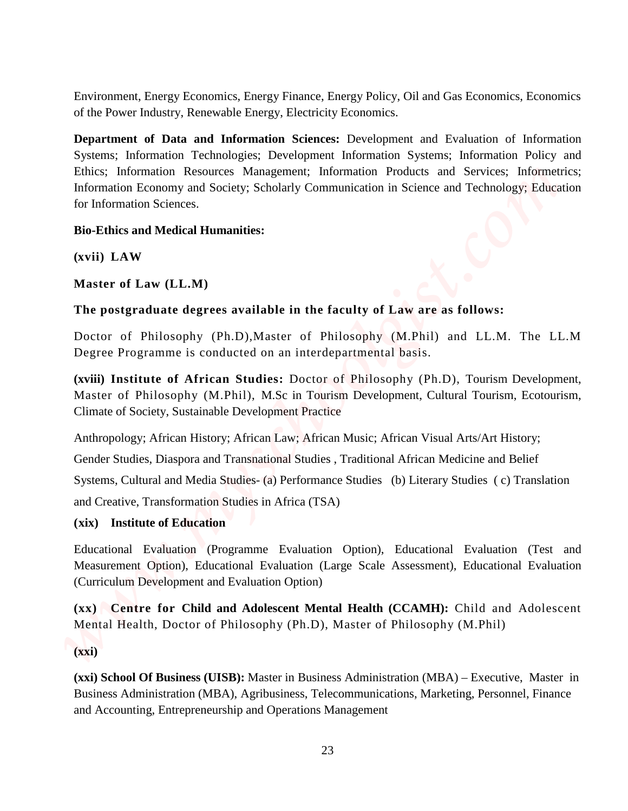Environment, Energy Economics, Energy Finance, Energy Policy, Oil and Gas Economics, Economics of the Power Industry, Renewable Energy, Electricity Economics.

**Department of Data and Information Sciences:** Development and Evaluation of Information Systems; Information Technologies; Development Information Systems; Information Policy and Ethics; Information Resources Management; Information Products and Services; Informetrics; Information Economy and Society; Scholarly Communication in Science and Technology; Education for Information Sciences. Eavironomet, Energy Economies, Energy Finance, Energy Policy, Oil and Giv Economies, Economies of the Power industriant of Department of Definite and Information Securetics Management schemes and Security and Eulesconneis

## **Bio-Ethics and Medical Humanities:**

**(xvii) LAW**

**Master of Law (LL.M)**

## **The postgraduate degrees available in the faculty of Law are as follows:**

Doctor of Philosophy (Ph.D),Master of Philosophy (M.Phil) and LL.M. The LL.M Degree Programme is conducted on an interdepartmental basis.

**(xviii) Institute of African Studies:** Doctor of Philosophy (Ph.D), Tourism Development, Master of Philosophy (M.Phil), M.Sc in Tourism Development, Cultural Tourism, Ecotourism, Climate of Society, Sustainable Development Practice

Anthropology; African History; African Law; African Music; African Visual Arts/Art History;

Gender Studies, Diaspora and Transnational Studies , Traditional African Medicine and Belief

Systems, Cultural and Media Studies- (a) Performance Studies (b) Literary Studies ( c) Translation and Creative, Transformation Studies in Africa (TSA)

## **(xix) Institute of Education**

Educational Evaluation (Programme Evaluation Option), Educational Evaluation (Test and Measurement Option), Educational Evaluation (Large Scale Assessment), Educational Evaluation (Curriculum Development and Evaluation Option)

**(xx) Centre for Child and Adolescent Mental Health (CCAMH):** Child and Adolescent Mental Health, Doctor of Philosophy (Ph.D), Master of Philosophy (M.Phil)

**(xxi)** 

**(xxi) School Of Business (UISB):** Master in Business Administration (MBA) – Executive, Master in Business Administration (MBA), Agribusiness, Telecommunications, Marketing, Personnel, Finance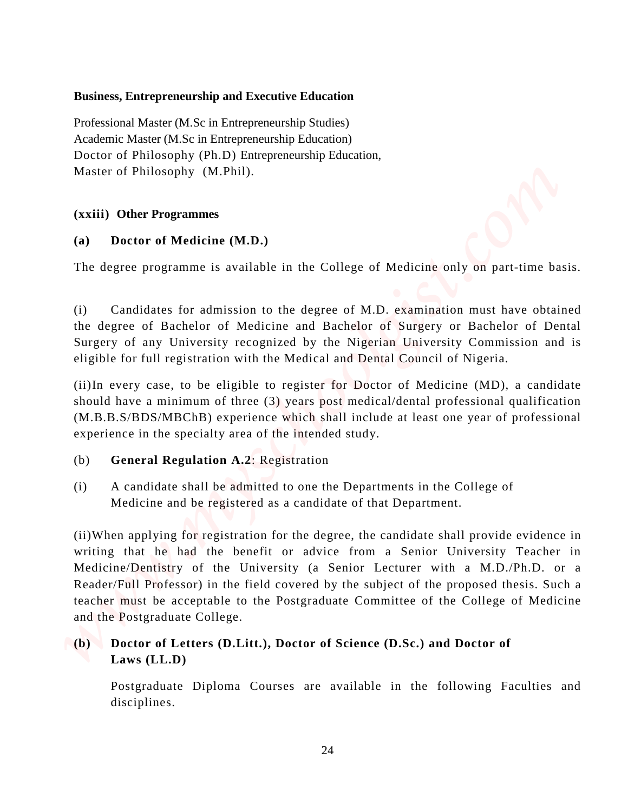## **Business, Entrepreneurship and Executive Education**

Professional Master (M.Sc in Entrepreneurship Studies) Academic Master (M.Sc in Entrepreneurship Education) Doctor of Philosophy (Ph.D) Entrepreneurship Education, Master of Philosophy (M.Phil).

# **(xxiii) Other Programmes**

# **(a) Doctor of Medicine (M.D.)**

The degree programme is available in the College of Medicine only on part-time basis.

(i) Candidates for admission to the degree of M.D. examination must have obtained the degree of Bachelor of Medicine and Bachelor of Surgery or Bachelor of Dental Surgery of any University recognized by the Nigerian University Commission and is eligible for full registration with the Medical and Dental Council of Nigeria.

(ii)In every case, to be eligible to register for Doctor of Medicine (MD), a candidate should have a minimum of three (3) years post medical/dental professional qualification (M.B.B.S/BDS/MBChB) experience which shall include at least one year of professional experience in the specialty area of the intended study.

# (b) **General Regulation A.2**: Registration

(i) A candidate shall be admitted to one the Departments in the College of Medicine and be registered as a candidate of that Department.

(ii)When applying for registration for the degree, the candidate shall provide evidence in writing that he had the benefit or advice from a Senior University Teacher in Medicine/Dentistry of the University (a Senior Lecturer with a M.D./Ph.D. or a Reader/Full Professor) in the field covered by the subject of the proposed thesis. Such a teacher must be acceptable to the Postgraduate Committee of the College of Medicine and the Postgraduate College. **Eusines. Entrepreneurship and Executive Education**<br> **Professional Materia (M.S. in Europeneurship Statistics)**<br> **Analomic Materia (M.S. in Europeneurship Europeian)**<br> **Material Theologist (Find)**<br> **Material Theorogist (F** 

# **(b) Doctor of Letters (D.Litt.), Doctor of Science (D.Sc.) and Doctor of Laws (LL.D)**

Postgraduate Diploma Courses are available in the following Faculties and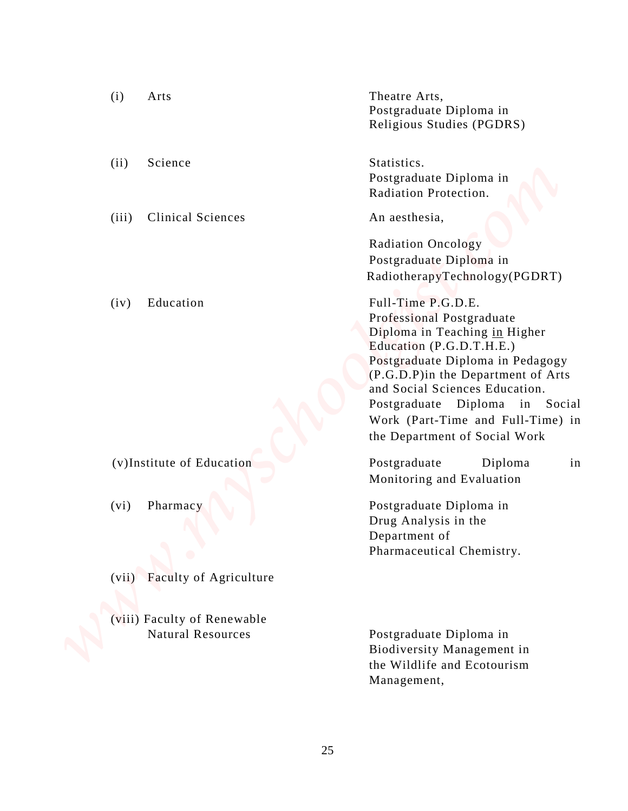| (i)<br>Arts                                             | Theatre Arts,                                                                                                                                                                                                                                                                                                                     |
|---------------------------------------------------------|-----------------------------------------------------------------------------------------------------------------------------------------------------------------------------------------------------------------------------------------------------------------------------------------------------------------------------------|
|                                                         | Postgraduate Diploma in<br>Religious Studies (PGDRS)                                                                                                                                                                                                                                                                              |
| (ii)<br>Science                                         | Statistics.<br>Postgraduate Diploma in<br>Radiation Protection.                                                                                                                                                                                                                                                                   |
| <b>Clinical Sciences</b><br>(iii)                       | An aesthesia,                                                                                                                                                                                                                                                                                                                     |
|                                                         | <b>Radiation Oncology</b><br>Postgraduate Diploma in<br>RadiotherapyTechnology(PGDRT)                                                                                                                                                                                                                                             |
| Education<br>(iv)                                       | Full-Time P.G.D.E.<br>Professional Postgraduate<br>Diploma in Teaching in Higher<br>Education (P.G.D.T.H.E.)<br>Postgraduate Diploma in Pedagogy<br>(P.G.D.P) in the Department of Arts<br>and Social Sciences Education.<br>Postgraduate Diploma in Social<br>Work (Part-Time and Full-Time) in<br>the Department of Social Work |
| (v)Institute of Education                               | Postgraduate<br>in<br>Diploma<br>Monitoring and Evaluation                                                                                                                                                                                                                                                                        |
| (vi)<br>Pharmacy                                        | Postgraduate Diploma in<br>Drug Analysis in the<br>Department of<br>Pharmaceutical Chemistry.                                                                                                                                                                                                                                     |
| Faculty of Agriculture<br>(vii)                         |                                                                                                                                                                                                                                                                                                                                   |
|                                                         |                                                                                                                                                                                                                                                                                                                                   |
| (viii) Faculty of Renewable<br><b>Natural Resources</b> | Postgraduate Diploma in<br>Biodiversity Management in<br>the Wildlife and Ecotourism<br>Management,                                                                                                                                                                                                                               |

25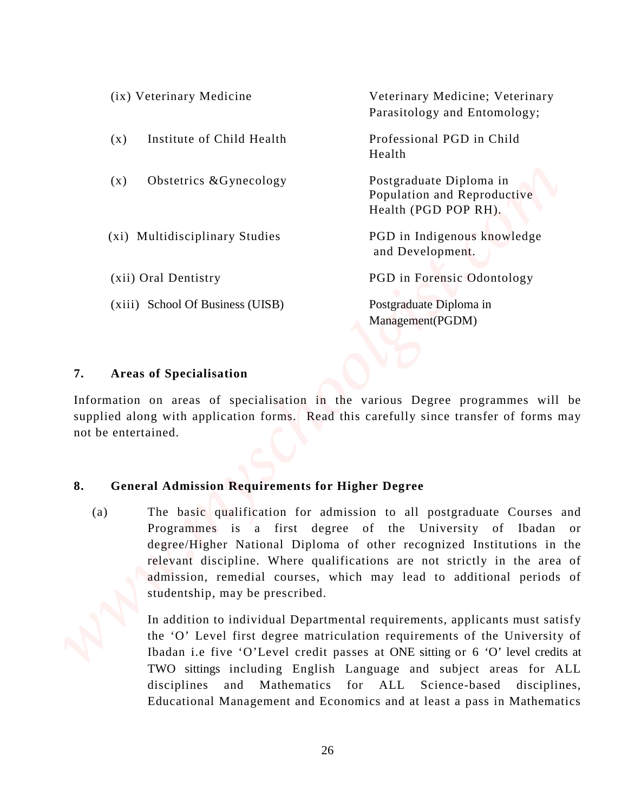|                           | (ix) Veterinary Medicine                                                                                                                                                                                                                                                                                                                                                                               | Veterinary Medicine; Veterinary<br>Parasitology and Entomology;                                                                                                                                                                                                                                                                                                      |  |
|---------------------------|--------------------------------------------------------------------------------------------------------------------------------------------------------------------------------------------------------------------------------------------------------------------------------------------------------------------------------------------------------------------------------------------------------|----------------------------------------------------------------------------------------------------------------------------------------------------------------------------------------------------------------------------------------------------------------------------------------------------------------------------------------------------------------------|--|
| (x)                       | Institute of Child Health                                                                                                                                                                                                                                                                                                                                                                              | Professional PGD in Child<br>Health                                                                                                                                                                                                                                                                                                                                  |  |
| (x)                       | Obstetrics & Gynecology                                                                                                                                                                                                                                                                                                                                                                                | Postgraduate Diploma in<br>Population and Reproductive<br>Health (PGD POP RH).                                                                                                                                                                                                                                                                                       |  |
|                           | (xi) Multidisciplinary Studies                                                                                                                                                                                                                                                                                                                                                                         | PGD in Indigenous knowledge<br>and Development.                                                                                                                                                                                                                                                                                                                      |  |
|                           | (xii) Oral Dentistry                                                                                                                                                                                                                                                                                                                                                                                   | PGD in Forensic Odontology                                                                                                                                                                                                                                                                                                                                           |  |
|                           | (xiii) School Of Business (UISB)                                                                                                                                                                                                                                                                                                                                                                       | Postgraduate Diploma in<br>Management(PGDM)                                                                                                                                                                                                                                                                                                                          |  |
| 7.<br>not be entertained. | <b>Areas of Specialisation</b>                                                                                                                                                                                                                                                                                                                                                                         | Information on areas of specialisation in the various Degree programmes will be<br>supplied along with application forms. Read this carefully since transfer of forms may                                                                                                                                                                                            |  |
|                           |                                                                                                                                                                                                                                                                                                                                                                                                        |                                                                                                                                                                                                                                                                                                                                                                      |  |
| 8.                        | <b>General Admission Requirements for Higher Degree</b>                                                                                                                                                                                                                                                                                                                                                |                                                                                                                                                                                                                                                                                                                                                                      |  |
| (a)                       | The basic qualification for admission to all postgraduate Courses and<br>Programmes is a first degree of the University of Ibadan or<br>degree/Higher National Diploma of other recognized Institutions in the<br>relevant discipline. Where qualifications are not strictly in the area of<br>admission, remedial courses, which may lead to additional periods of<br>studentship, may be prescribed. |                                                                                                                                                                                                                                                                                                                                                                      |  |
|                           | disciplines<br>and                                                                                                                                                                                                                                                                                                                                                                                     | In addition to individual Departmental requirements, applicants must satisfy<br>the 'O' Level first degree matriculation requirements of the University of<br>Ibadan i.e five 'O'Level credit passes at ONE sitting or 6 'O' level credits at<br>TWO sittings including English Language and subject areas for ALL<br>Mathematics for ALL Science-based disciplines, |  |

#### **7. Areas of Specialisation**

## **8. General Admission Requirements for Higher Degree**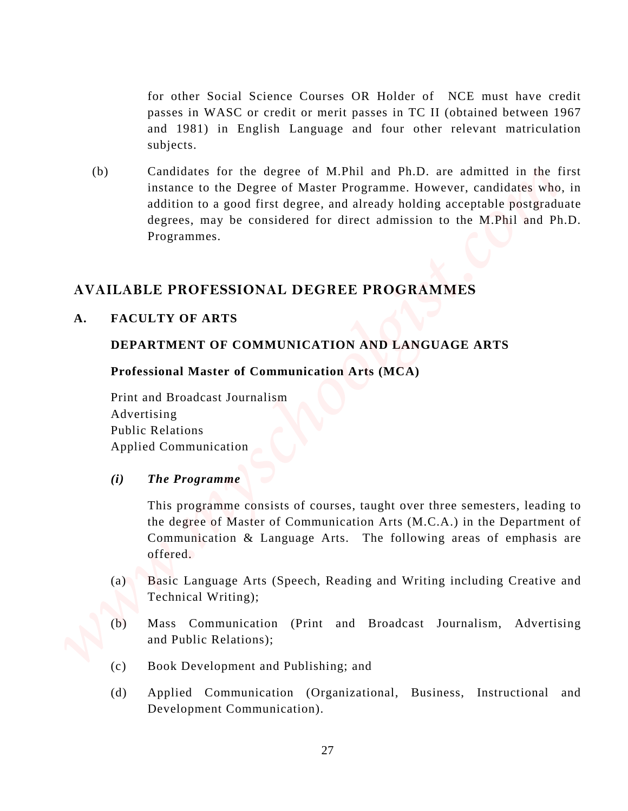for other Social Science Courses OR Holder of NCE must have credit passes in WASC or credit or merit passes in TC II (obtained between 1967 and 1981) in English Language and four other relevant matriculation subjects.

(b) Candidates for the degree of M.Phil and Ph.D. are admitted in the first instance to the Degree of Master Programme. However, candidates who, in addition to a good first degree, and already holding acceptable postgraduate degrees, may be considered for direct admission to the M.Phil and Ph.D. Programmes. for other Social Science Courses OR Holder of NCE must have credit<br>passes in WASC or retail or mericipatear in U. Holdstand between 1987<br>and (1981) in English Language and four other relevant materialistics<br>for the interac

# **AVAILABLE PROFESSIONAL DEGREE PROGRAMMES**

## **A. FACULTY OF ARTS**

## **DEPARTMENT OF COMMUNICATION AND LANGUAGE ARTS**

## **Professional Master of Communication Arts (MCA)**

 Print and Broadcast Journalism Advertising Public Relations Applied Communication

*(i) The Programme*

This programme consists of courses, taught over three semesters, leading to the degree of Master of Communication Arts (M.C.A.) in the Department of Communication & Language Arts. The following areas of emphasis are offered.

- (a) Basic Language Arts (Speech, Reading and Writing including Creative and Technical Writing);
- (b) Mass Communication (Print and Broadcast Journalism, Advertising and Public Relations);
- (c) Book Development and Publishing; and
- (d) Applied Communication (Organizational, Business, Instructional and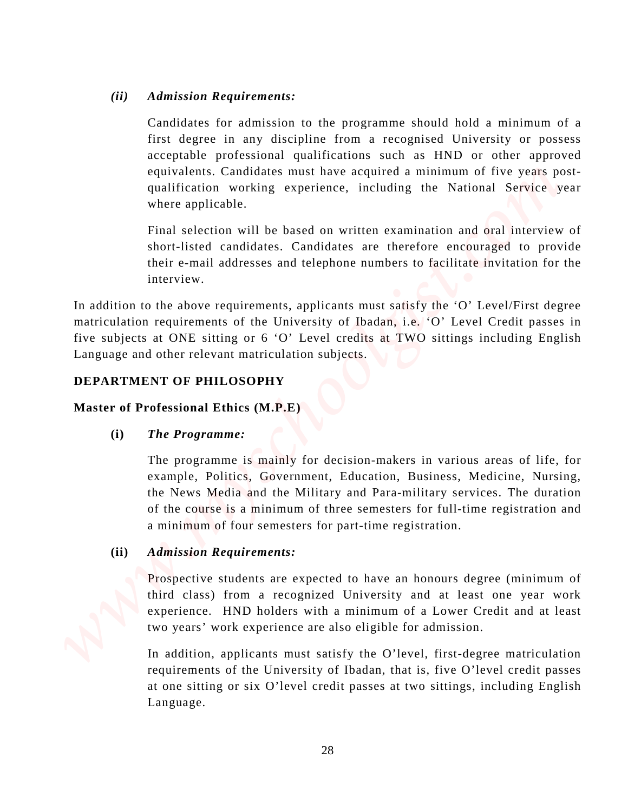# *(ii) Admission Requirements:*

Candidates for admission to the programme should hold a minimum of a first degree in any discipline from a recognised University or possess acceptable professional qualifications such as HND or other approved equivalents. Candidates must have acquired a minimum of five years postqualification working experience, including the National Service year where applicable. (ii) Admission Requirements:<br>
Cantidistics for a theoretical is the programme should held a minimum of a<br>
Crisis degree in any distribution to the programme should Colvering or process<br>
sequentees professional qualificatio

Final selection will be based on written examination and oral interview of short-listed candidates. Candidates are therefore encouraged to provide their e-mail addresses and telephone numbers to facilitate invitation for the interview.

In addition to the above requirements, applicants must satisfy the 'O' Level/First degree matriculation requirements of the University of Ibadan, i.e. 'O' Level Credit passes in five subjects at ONE sitting or 6 'O' Level credits at TWO sittings including English Language and other relevant matriculation subjects.

# **DEPARTMENT OF PHILOSOPHY**

# **Master of Professional Ethics (M.P.E)**

# **(i)** *The Programme:*

The programme is mainly for decision-makers in various areas of life, for example, Politics, Government, Education, Business, Medicine, Nursing, the News Media and the Military and Para-military services. The duration of the course is a minimum of three semesters for full-time registration and a minimum of four semesters for part-time registration.

# **(ii)** *Admission Requirements:*

Prospective students are expected to have an honours degree (minimum of third class) from a recognized University and at least one year work experience. HND holders with a minimum of a Lower Credit and at least two years' work experience are also eligible for admission.

In addition, applicants must satisfy the O'level, first-degree matriculation requirements of the University of Ibadan, that is, five O'level credit passes at one sitting or six O'level credit passes at two sittings, including English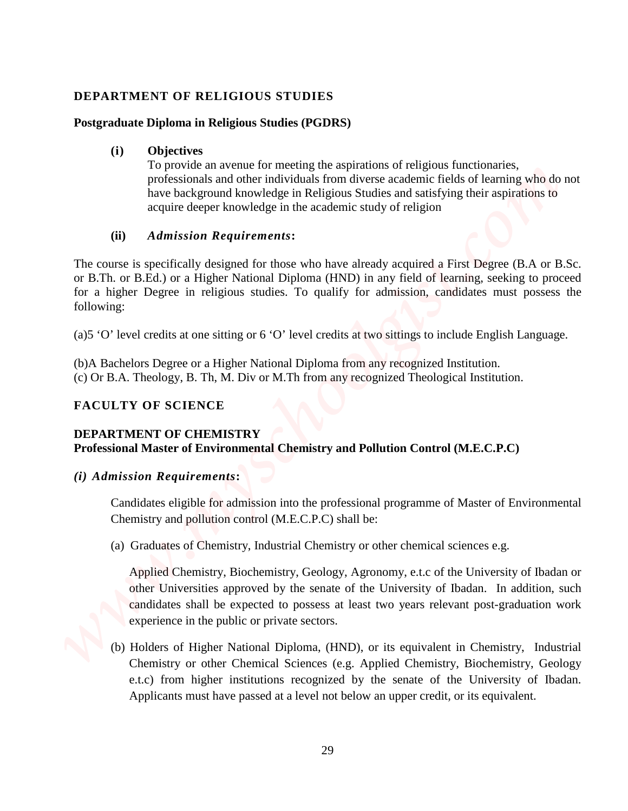# **DEPARTMENT OF RELIGIOUS STUDIES**

## **Postgraduate Diploma in Religious Studies (PGDRS)**

## **(i) Objectives**

To provide an avenue for meeting the aspirations of religious functionaries, professionals and other individuals from diverse academic fields of learning who do not have background knowledge in Religious Studies and satisfying their aspirations to acquire deeper knowledge in the academic study of religion

## **(ii)** *Admission Requirements***:**

The course is specifically designed for those who have already acquired a First Degree (B.A or B.Sc. or B.Th. or B.Ed.) or a Higher National Diploma (HND) in any field of learning, seeking to proceed for a higher Degree in religious studies. To qualify for admission, candidates must possess the following:

(a)5 'O' level credits at one sitting or 6 'O' level credits at two sittings to include English Language.

(b)A Bachelors Degree or a Higher National Diploma from any recognized Institution. (c) Or B.A. Theology, B. Th, M. Div or M.Th from any recognized Theological Institution.

# **FACULTY OF SCIENCE**

## **DEPARTMENT OF CHEMISTRY**

**Professional Master of Environmental Chemistry and Pollution Control (M.E.C.P.C)** 

# *(i) Admission Requirements***:**

Candidates eligible for admission into the professional programme of Master of Environmental Chemistry and pollution control (M.E.C.P.C) shall be:

(a) Graduates of Chemistry, Industrial Chemistry or other chemical sciences e.g.

Applied Chemistry, Biochemistry, Geology, Agronomy, e.t.c of the University of Ibadan or other Universities approved by the senate of the University of Ibadan. In addition, such candidates shall be expected to possess at least two years relevant post-graduation work experience in the public or private sectors.

(b) Holders of Higher National Diploma, (HND), or its equivalent in Chemistry, Industrial Chemistry or other Chemical Sciences (e.g. Applied Chemistry, Biochemistry, Geology e.t.c) from higher institutions recognized by the senate of the University of Ibadan. **DIFFARTMENT OF RELACIOUS STUDIES**<br> **CONSECTION CONSECTIONS**<br> **CONSECTION CONSECTIONS**<br> **CONSECTION CONSECTIONS**<br> **CONSECTION CONSECTIONS**<br> **CONSECTIONS**<br> **CONSECTIONS**<br> **CONSECTIONS**<br> **CONSECTIONS**<br> **CONSECTIONS**<br> **CONSE**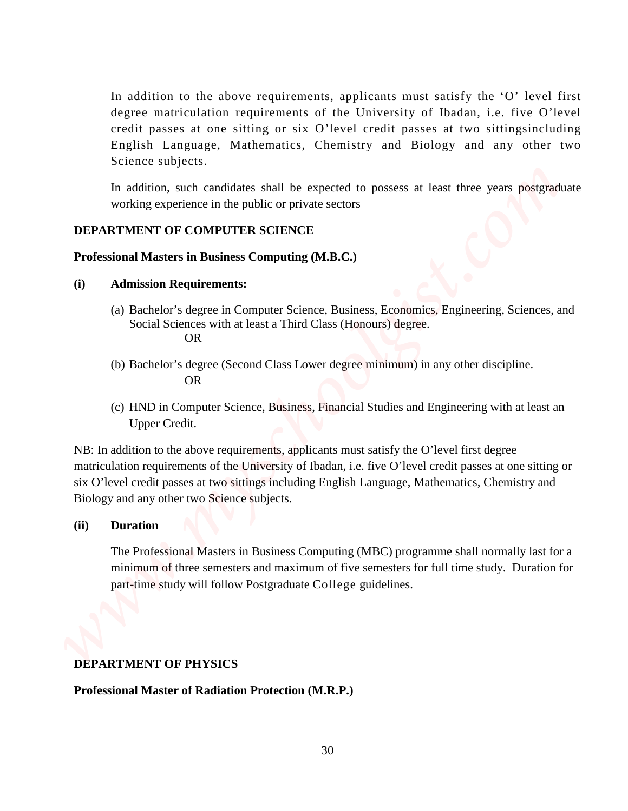In addition to the above requirements, applicants must satisfy the 'O' level first degree matriculation requirements of the University of Ibadan, i.e. five O'level credit passes at one sitting or six O'level credit passes at two sittingsincluding English Language, Mathematics, Chemistry and Biology and any other two Science subjects. **Professional Master Computerior Constrainer** (The University of Basian, i.e. For Observation Constrainer (The Society and Riversity of Hasting Christine Constitution (The Constrainer Construction Science subjects.<br>
Scienc

In addition, such candidates shall be expected to possess at least three years postgraduate working experience in the public or private sectors

#### **DEPARTMENT OF COMPUTER SCIENCE**

#### **Professional Masters in Business Computing (M.B.C.)**

#### **(i) Admission Requirements:**

- (a) Bachelor's degree in Computer Science, Business, Economics, Engineering, Sciences, and Social Sciences with at least a Third Class (Honours) degree. OR
- (b) Bachelor's degree (Second Class Lower degree minimum) in any other discipline. OR
- (c) HND in Computer Science, Business, Financial Studies and Engineering with at least an Upper Credit.

NB: In addition to the above requirements, applicants must satisfy the O'level first degree matriculation requirements of the University of Ibadan, i.e. five O'level credit passes at one sitting or six O'level credit passes at two sittings including English Language, Mathematics, Chemistry and Biology and any other two Science subjects.

#### **(ii) Duration**

The Professional Masters in Business Computing (MBC) programme shall normally last for a minimum of three semesters and maximum of five semesters for full time study. Duration for part-time study will follow Postgraduate College guidelines.

#### **DEPARTMENT OF PHYSICS**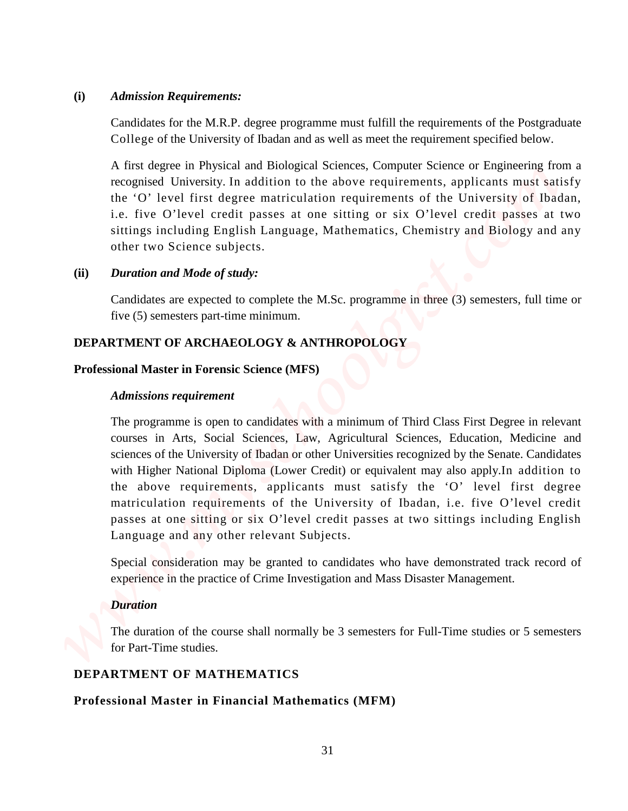#### **(i)** *Admission Requirements:*

Candidates for the M.R.P. degree programme must fulfill the requirements of the Postgraduate College of the University of Ibadan and as well as meet the requirement specified below.

A first degree in Physical and Biological Sciences, Computer Science or Engineering from a recognised University. In addition to the above requirements, applicants must satisfy the 'O' level first degree matriculation requirements of the University of Ibadan, i.e. five O'level credit passes at one sitting or six O'level credit passes at two sittings including English Language, Mathematics, Chemistry and Biology and any other two Science subjects.

## **(ii)** *Duration and Mode of study:*

Candidates are expected to complete the M.Sc. programme in three (3) semesters, full time or five (5) semesters part-time minimum.

## **DEPARTMENT OF ARCHAEOLOGY & ANTHROPOLOGY**

#### **Professional Master in Forensic Science (MFS)**

#### *Admissions requirement*

The programme is open to candidates with a minimum of Third Class First Degree in relevant courses in Arts, Social Sciences, Law, Agricultural Sciences, Education, Medicine and sciences of the University of Ibadan or other Universities recognized by the Senate. Candidates with Higher National Diploma (Lower Credit) or equivalent may also apply.In addition to the above requirements, applicants must satisfy the 'O' level first degree matriculation requirements of the University of Ibadan, i.e. five O'level credit passes at one sitting or six O'level credit passes at two sittings including English Language and any other relevant Subjects. **Professional Mequine metallicity** and the magnificant state of the Neutronial Mathematics of the Neutronial Mathematics of the University of the Mathematics of the University of the Mathematics of the University of the S

Special consideration may be granted to candidates who have demonstrated track record of experience in the practice of Crime Investigation and Mass Disaster Management.

## *Duration*

The duration of the course shall normally be 3 semesters for Full-Time studies or 5 semesters for Part-Time studies.

## **DEPARTMENT OF MATHEMATICS**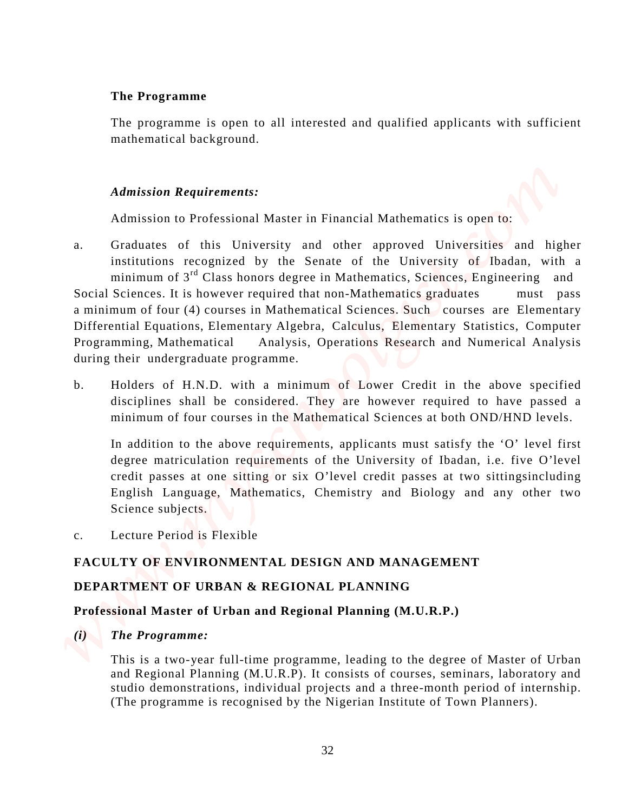## **The Programme**

The programme is open to all interested and qualified applicants with sufficient mathematical background.

# *Admission Requirements:*

Admission to Professional Master in Financial Mathematics is open to:

- a. Graduates of this University and other approved Universities and higher institutions recognized by the Senate of the University of Ibadan, with a minimum of 3<sup>rd</sup> Class honors degree in Mathematics, Sciences, Engineering and Social Sciences. It is however required that non-Mathematics graduates must pass a minimum of four (4) courses in Mathematical Sciences. Such courses are Elementary Differential Equations, Elementary Algebra, Calculus, Elementary Statistics, Computer Programming, Mathematical Analysis, Operations Research and Numerical Analysis during their undergraduate programme. The Programme<br>
The programme is open os all interested and qualified applicants with sufficient<br>
mathematical behigator<br>
Admission of Professional Matter in Financial Mathematics is open to:<br>
Admission of Professional Mat
	- b. Holders of H.N.D. with a minimum of Lower Credit in the above specified disciplines shall be considered. They are however required to have passed a minimum of four courses in the Mathematical Sciences at both OND/HND levels.

In addition to the above requirements, applicants must satisfy the 'O' level first degree matriculation requirements of the University of Ibadan, i.e. five O'level credit passes at one sitting or six O'level credit passes at two sittingsincluding English Language, Mathematics, Chemistry and Biology and any other two Science subjects.

c. Lecture Period is Flexible

# **FACULTY OF ENVIRONMENTAL DESIGN AND MANAGEMENT**

# **DEPARTMENT OF URBAN & REGIONAL PLANNING**

# **Professional Master of Urban and Regional Planning (M.U.R.P.)**

# *(i) The Programme:*

This is a two-year full-time programme, leading to the degree of Master of Urban and Regional Planning (M.U.R.P). It consists of courses, seminars, laboratory and studio demonstrations, individual projects and a three-month period of internship.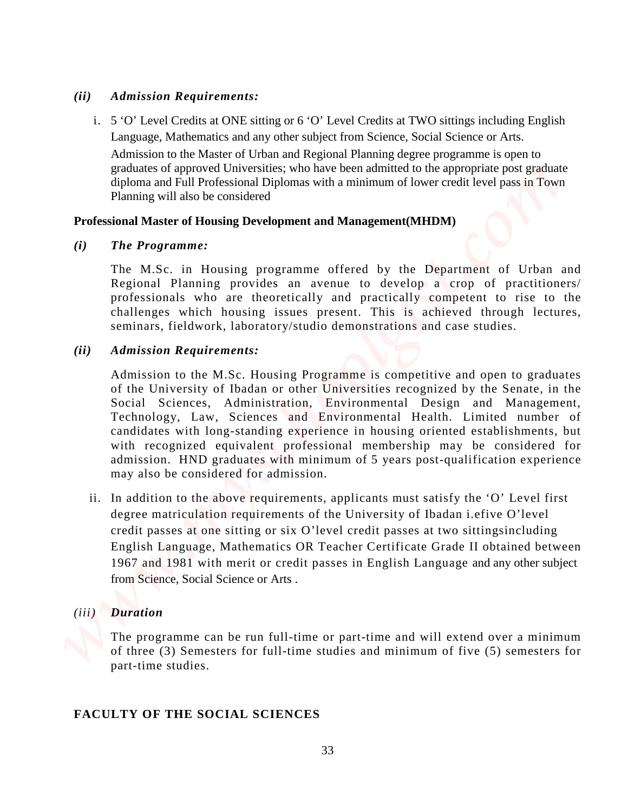#### *(ii) Admission Requirements:*

i. 5 'O' Level Credits at ONE sitting or 6 'O' Level Credits at TWO sittings including English Language, Mathematics and any other subject from Science, Social Science or Arts.

 Admission to the Master of Urban and Regional Planning degree programme is open to graduates of approved Universities; who have been admitted to the appropriate post graduate diploma and Full Professional Diplomas with a minimum of lower credit level pass in Town Planning will also be considered

## **Professional Master of Housing Development and Management(MHDM)**

#### *(i) The Programme:*

The M.Sc. in Housing programme offered by the Department of Urban and Regional Planning provides an avenue to develop a crop of practitioners/ professionals who are theoretically and practically competent to rise to the challenges which housing issues present. This is achieved through lectures, seminars, fieldwork, laboratory/studio demonstrations and case studies.

## *(ii) Admission Requirements:*

Admission to the M.Sc. Housing Programme is competitive and open to graduates of the University of Ibadan or other Universities recognized by the Senate, in the Social Sciences, Administration, Environmental Design and Management, Technology, Law, Sciences and Environmental Health. Limited number of candidates with long-standing experience in housing oriented establishments, but with recognized equivalent professional membership may be considered for admission. HND graduates with minimum of 5 years post-qualification experience may also be considered for admission. **FACULTY CONSECTS FACULTY** *FACULTY* **<b>FACULTY FACULTY FACULTY FACULTY CONSECTS EXECULTY CONSECTS EXECULTY CONSECTS EXECULTY CONSECTS EXECULTY CONSECTS EXECULTY CONSECTS EXECULTY CONSECTS** 

ii. In addition to the above requirements, applicants must satisfy the 'O' Level first degree matriculation requirements of the University of Ibadan i.efive O'level credit passes at one sitting or six O'level credit passes at two sittingsincluding English Language, Mathematics OR Teacher Certificate Grade II obtained between 1967 and 1981 with merit or credit passes in English Language and any other subject from Science, Social Science or Arts .

## *(iii) Duration*

The programme can be run full-time or part-time and will extend over a minimum of three (3) Semesters for full-time studies and minimum of five (5) semesters for part-time studies.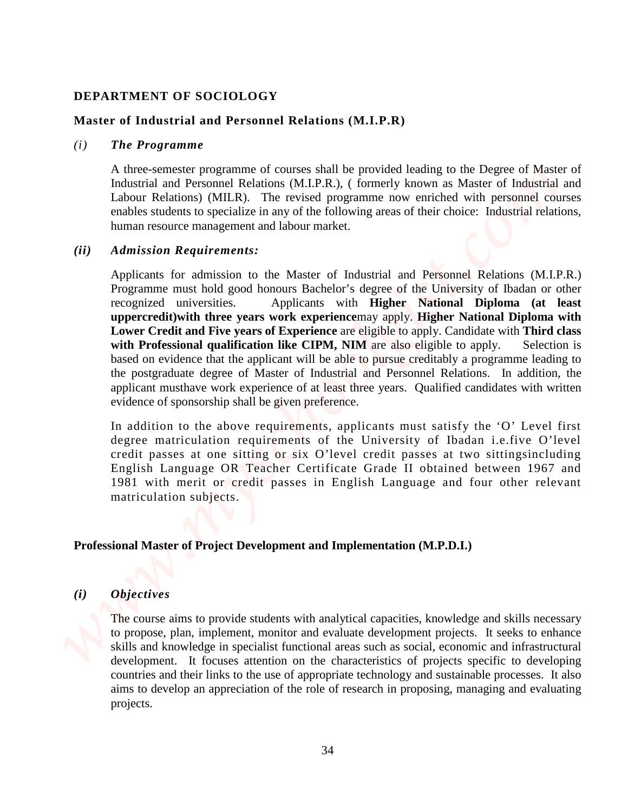## **DEPARTMENT OF SOCIOLOGY**

#### **Master of Industrial and Personnel Relations (M.I.P.R)**

#### *(i) The Programme*

A three-semester programme of courses shall be provided leading to the Degree of Master of Industrial and Personnel Relations (M.I.P.R.), ( formerly known as Master of Industrial and Labour Relations) (MILR). The revised programme now enriched with personnel courses enables students to specialize in any of the following areas of their choice: Industrial relations, human resource management and labour market.

#### *(ii) Admission Requirements:*

Applicants for admission to the Master of Industrial and Personnel Relations (M.I.P.R.) Programme must hold good honours Bachelor's degree of the University of Ibadan or other recognized universities. Applicants with **Higher National Diploma (at least uppercredit)with three years work experience**may apply. **Higher National Diploma with Lower Credit and Five years of Experience** are eligible to apply. Candidate with **Third class with Professional qualification like CIPM, NIM** are also eligible to apply. Selection is based on evidence that the applicant will be able to pursue creditably a programme leading to the postgraduate degree of Master of Industrial and Personnel Relations. In addition, the applicant musthave work experience of at least three years. Qualified candidates with written evidence of sponsorship shall be given preference. **DEPARTMENT OF SOCIOLOGY**<br>
Master of Industrial and Personnel Relations (M.L.P.R)<br>
The Traperton one control and Euler comparisons of courses shall be provided looking to the Depree of Master of<br>
Industrial and Personnel R

In addition to the above requirements, applicants must satisfy the 'O' Level first degree matriculation requirements of the University of Ibadan i.e.five O'level credit passes at one sitting or six O'level credit passes at two sittingsincluding English Language OR Teacher Certificate Grade II obtained between 1967 and 1981 with merit or credit passes in English Language and four other relevant matriculation subjects.

#### **Professional Master of Project Development and Implementation (M.P.D.I.)**

## *(i) Objectives*

The course aims to provide students with analytical capacities, knowledge and skills necessary to propose, plan, implement, monitor and evaluate development projects. It seeks to enhance skills and knowledge in specialist functional areas such as social, economic and infrastructural development. It focuses attention on the characteristics of projects specific to developing countries and their links to the use of appropriate technology and sustainable processes. It also aims to develop an appreciation of the role of research in proposing, managing and evaluating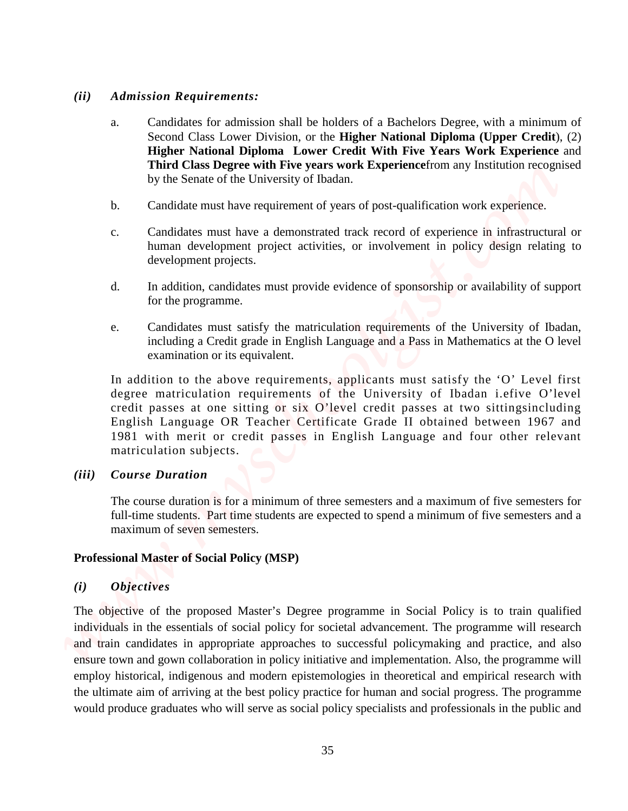#### *(ii) Admission Requirements:*

- a. Candidates for admission shall be holders of a Bachelors Degree, with a minimum of Second Class Lower Division, or the **Higher National Diploma (Upper Credit**), (2) **Higher National Diploma Lower Credit With Five Years Work Experience** and **Third Class Degree with Five years work Experience**from any Institution recognised by the Senate of the University of Ibadan.
- b. Candidate must have requirement of years of post-qualification work experience.
- c. Candidates must have a demonstrated track record of experience in infrastructural or human development project activities, or involvement in policy design relating to development projects.
- d. In addition, candidates must provide evidence of sponsorship or availability of support for the programme.
- e. Candidates must satisfy the matriculation requirements of the University of Ibadan, including a Credit grade in English Language and a Pass in Mathematics at the O level examination or its equivalent.

In addition to the above requirements, applicants must satisfy the 'O' Level first degree matriculation requirements of the University of Ibadan i.efive O'level credit passes at one sitting or six O'level credit passes at two sittingsincluding English Language OR Teacher Certificate Grade II obtained between 1967 and 1981 with merit or credit passes in English Language and four other relevant matriculation subjects.

## *(iii) Course Duration*

The course duration is for a minimum of three semesters and a maximum of five semesters for full-time students. Part time students are expected to spend a minimum of five semesters and a maximum of seven semesters.

## **Professional Master of Social Policy (MSP)**

## *(i) Objectives*

The objective of the proposed Master's Degree programme in Social Policy is to train qualified individuals in the essentials of social policy for societal advancement. The programme will research and train candidates in appropriate approaches to successful policymaking and practice, and also ensure town and gown collaboration in policy initiative and implementation. Also, the programme will employ historical, indigenous and modern epistemologies in theoretical and empirical research with the ultimate aim of arriving at the best policy practice for human and social progress. The programme We consider the social policy is a solid produce graduate graduate graduate graduate statistical policies for an interaction of the social policy specialists and professional policy specialists and the professional policy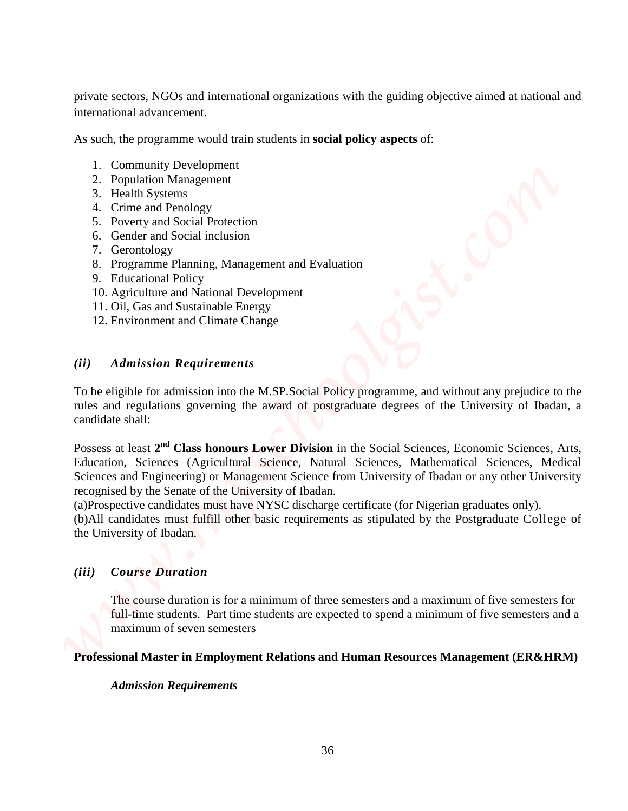private sectors, NGOs and international organizations with the guiding objective aimed at national and international advancement.

As such, the programme would train students in **social policy aspects** of:

- 1. Community Development
- 2. Population Management
- 3. Health Systems
- 4. Crime and Penology
- 5. Poverty and Social Protection
- 6. Gender and Social inclusion
- 7. Gerontology
- 8. Programme Planning, Management and Evaluation
- 9. Educational Policy
- 10. Agriculture and National Development
- 11. Oil, Gas and Sustainable Energy
- 12. Environment and Climate Change

## *(ii) Admission Requirements*

To be eligible for admission into the M.SP.Social Policy programme, and without any prejudice to the rules and regulations governing the award of postgraduate degrees of the University of Ibadan, a candidate shall:

Possess at least **2nd Class honours Lower Division** in the Social Sciences, Economic Sciences, Arts, Education, Sciences (Agricultural Science, Natural Sciences, Mathematical Sciences, Medical Sciences and Engineering) or Management Science from University of Ibadan or any other University recognised by the Senate of the University of Ibadan. private sectors, NGOs and international organizations with the guiding objective uirared at national and<br> *Warm*, the programme would train stochastics with policy superfs of:<br> **www.myschoolgist.com**<br> **1.** Community Develo

(a)Prospective candidates must have NYSC discharge certificate (for Nigerian graduates only). (b)All candidates must fulfill other basic requirements as stipulated by the Postgraduate College of the University of Ibadan.

# *(iii) Course Duration*

The course duration is for a minimum of three semesters and a maximum of five semesters for full-time students. Part time students are expected to spend a minimum of five semesters and a maximum of seven semesters

**Professional Master in Employment Relations and Human Resources Management (ER&HRM)**

## *Admission Requirements*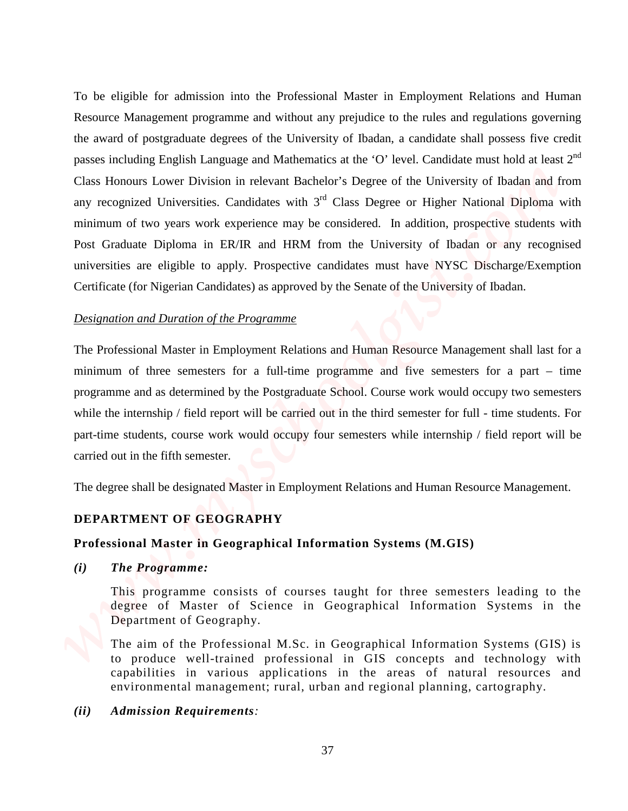To be eligible for admission into the Professional Master in Employment Relations and Human Resource Management programme and without any prejudice to the rules and regulations governing the award of postgraduate degrees of the University of Ibadan, a candidate shall possess five credit passes including English Language and Mathematics at the 'O' level. Candidate must hold at least  $2<sup>nd</sup>$ Class Honours Lower Division in relevant Bachelor's Degree of the University of Ibadan and from any recognized Universities. Candidates with  $3<sup>rd</sup>$  Class Degree or Higher National Diploma with minimum of two years work experience may be considered. In addition, prospective students with Post Graduate Diploma in ER/IR and HRM from the University of Ibadan or any recognised universities are eligible to apply. Prospective candidates must have NYSC Discharge/Exemption Certificate (for Nigerian Candidates) as approved by the Senate of the University of Ibadan. To be eligible for admission into the Professional Master in Employment Relations and Human Resource Management programme and without any projecties to the rates and reporting the source of paragementary properties of the

## *Designation and Duration of the Programme*

The Professional Master in Employment Relations and Human Resource Management shall last for a minimum of three semesters for a full-time programme and five semesters for a part – time programme and as determined by the Postgraduate School. Course work would occupy two semesters while the internship / field report will be carried out in the third semester for full - time students. For part-time students, course work would occupy four semesters while internship / field report will be carried out in the fifth semester.

The degree shall be designated Master in Employment Relations and Human Resource Management.

## **DEPARTMENT OF GEOGRAPHY**

## **Professional Master in Geographical Information Systems (M.GIS)**

## *(i) The Programme:*

This programme consists of courses taught for three semesters leading to the degree of Master of Science in Geographical Information Systems in the Department of Geography.

The aim of the Professional M.Sc. in Geographical Information Systems (GIS) is to produce well-trained professional in GIS concepts and technology with capabilities in various applications in the areas of natural resources and environmental management; rural, urban and regional planning, cartography.

### *(ii) Admission Requirements:*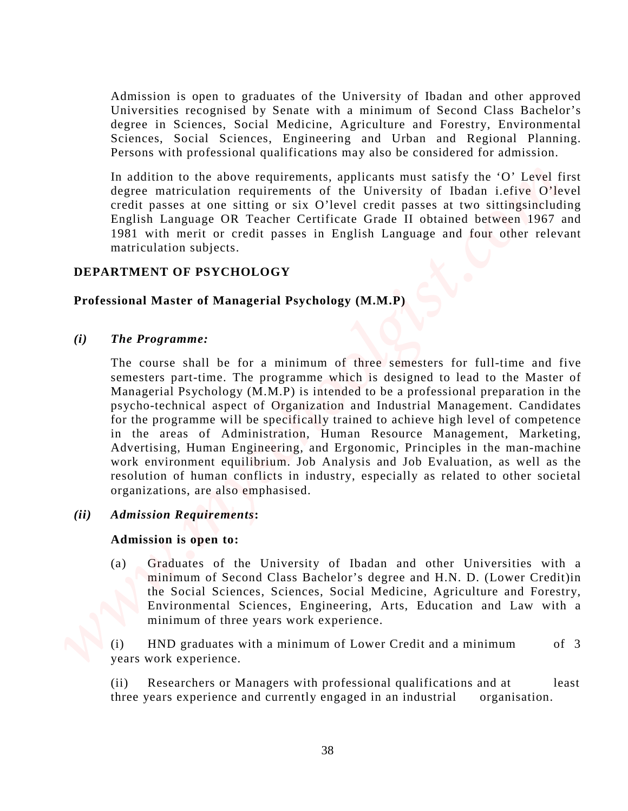Admission is open to graduates of the University of Ibadan and other approved Universities recognised by Senate with a minimum of Second Class Bachelor's degree in Sciences, Social Medicine, Agriculture and Forestry, Environmental Sciences, Social Sciences, Engineering and Urban and Regional Planning. Persons with professional qualifications may also be considered for admission.

In addition to the above requirements, applicants must satisfy the 'O' Level first degree matriculation requirements of the University of Ibadan i.efive O'level credit passes at one sitting or six O'level credit passes at two sittingsincluding English Language OR Teacher Certificate Grade II obtained between 1967 and 1981 with merit or credit passes in English Language and four other relevant matriculation subjects.

# **DEPARTMENT OF PSYCHOLOGY**

# **Professional Master of Managerial Psychology (M.M.P)**

## *(i) The Programme:*

The course shall be for a minimum of three semesters for full-time and five semesters part-time. The programme which is designed to lead to the Master of Managerial Psychology (M.M.P) is intended to be a professional preparation in the psycho-technical aspect of Organization and Industrial Management. Candidates for the programme will be specifically trained to achieve high level of competence in the areas of Administration, Human Resource Management, Marketing, Advertising, Human Engineering, and Ergonomic, Principles in the man-machine work environment equilibrium. Job Analysis and Job Evaluation, as well as the resolution of human conflicts in industry, especially as related to other societal organizations, are also emphasised. Admission is open to graduates of the University of Ibadan and other approved<br>Universite segments by Scalar with a maintman of Second Class Bachlor's<br>Segment in Scalar Scalar Scalar and Forestry, Environmental<br>Presents wi

## *(ii) Admission Requirements***:**

### **Admission is open to:**

(a) Graduates of the University of Ibadan and other Universities with a minimum of Second Class Bachelor's degree and H.N. D. (Lower Credit)in the Social Sciences, Sciences, Social Medicine, Agriculture and Forestry, Environmental Sciences, Engineering, Arts, Education and Law with a minimum of three years work experience.

 (i) HND graduates with a minimum of Lower Credit and a minimum of 3 years work experience.

(ii) Researchers or Managers with professional qualifications and at least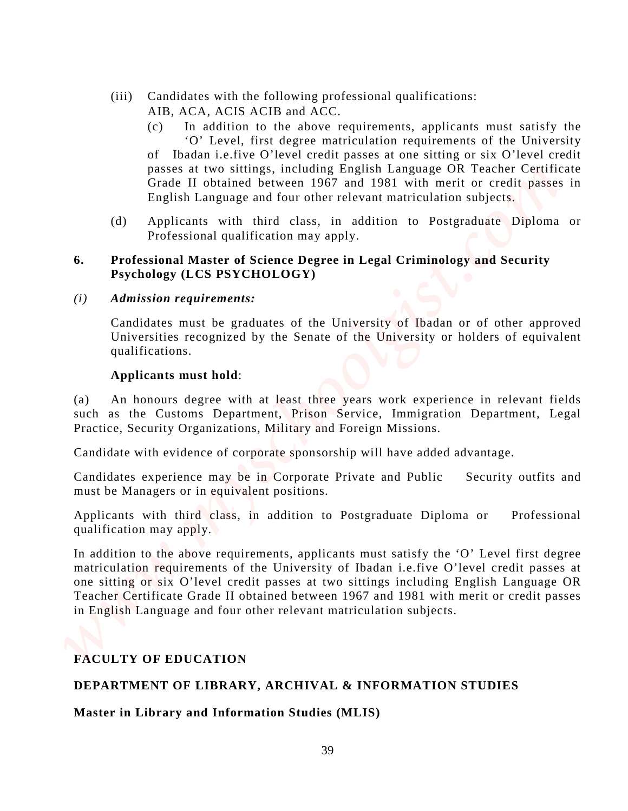- (iii) Candidates with the following professional qualifications: AIB, ACA, ACIS ACIB and ACC.
- (c) In addition to the above requirements, applicants must satisfy the 'O' Level, first degree matriculation requirements of the University of Ibadan i.e.five O'level credit passes at one sitting or six O'level credit passes at two sittings, including English Language OR Teacher Certificate Grade II obtained between 1967 and 1981 with merit or credit passes in English Language and four other relevant matriculation subjects. (W) Candidates with the following professional qualifications:<br>
AB, ACA, ACES ACIE and ACC.<br>
(C) <sup>15</sup> **MASTA CO** is the over requirements applicants must units' (c)<br>
(C) <sup>15</sup> **Moldition to the above requirements** applicant
	- (d) Applicants with third class, in addition to Postgraduate Diploma or Professional qualification may apply.

## **6. Professional Master of Science Degree in Legal Criminology and Security Psychology (LCS PSYCHOLOGY)**

*(i) Admission requirements:*

Candidates must be graduates of the University of Ibadan or of other approved Universities recognized by the Senate of the University or holders of equivalent qualifications.

## **Applicants must hold**:

(a) An honours degree with at least three years work experience in relevant fields such as the Customs Department, Prison Service, Immigration Department, Legal Practice, Security Organizations, Military and Foreign Missions.

Candidate with evidence of corporate sponsorship will have added advantage.

Candidates experience may be in Corporate Private and Public Security outfits and must be Managers or in equivalent positions.

Applicants with third class, in addition to Postgraduate Diploma or Professional qualification may apply.

In addition to the above requirements, applicants must satisfy the 'O' Level first degree matriculation requirements of the University of Ibadan i.e.five O'level credit passes at one sitting or six O'level credit passes at two sittings including English Language OR Teacher Certificate Grade II obtained between 1967 and 1981 with merit or credit passes in English Language and four other relevant matriculation subjects.

# **FACULTY OF EDUCATION**

## **DEPARTMENT OF LIBRARY, ARCHIVAL & INFORMATION STUDIES**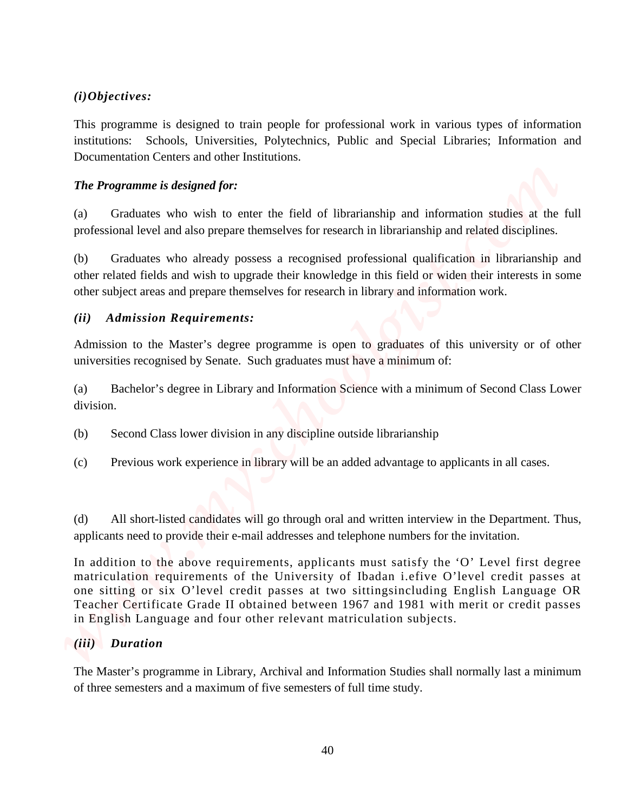# *(i)Objectives:*

This programme is designed to train people for professional work in various types of information institutions: Schools, Universities, Polytechnics, Public and Special Libraries; Information and Documentation Centers and other Institutions.

# *The Programme is designed for:*

(a) Graduates who wish to enter the field of librarianship and information studies at the full professional level and also prepare themselves for research in librarianship and related disciplines.

(b) Graduates who already possess a recognised professional qualification in librarianship and other related fields and wish to upgrade their knowledge in this field or widen their interests in some other subject areas and prepare themselves for research in library and information work.

# *(ii) Admission Requirements:*

Admission to the Master's degree programme is open to graduates of this university or of other universities recognised by Senate. Such graduates must have a minimum of:

(a) Bachelor's degree in Library and Information Science with a minimum of Second Class Lower division.

- (b) Second Class lower division in any discipline outside librarianship
- (c) Previous work experience in library will be an added advantage to applicants in all cases.

(d) All short-listed candidates will go through oral and written interview in the Department. Thus, applicants need to provide their e-mail addresses and telephone numbers for the invitation.

In addition to the above requirements, applicants must satisfy the 'O' Level first degree matriculation requirements of the University of Ibadan i.efive O'level credit passes at one sitting or six O'level credit passes at two sittingsincluding English Language OR Teacher Certificate Grade II obtained between 1967 and 1981 with merit or credit passes in English Language and four other relevant matriculation subjects. (i) Objectives:<br>
This programme is designed to mini-propie for professional work in varianx types of information<br>
Decaincential Cocons, three semesters, Notice mini-Newsletters of the<br>
Decaincident Cocos and order the ful

# *(iii) Duration*

The Master's programme in Library, Archival and Information Studies shall normally last a minimum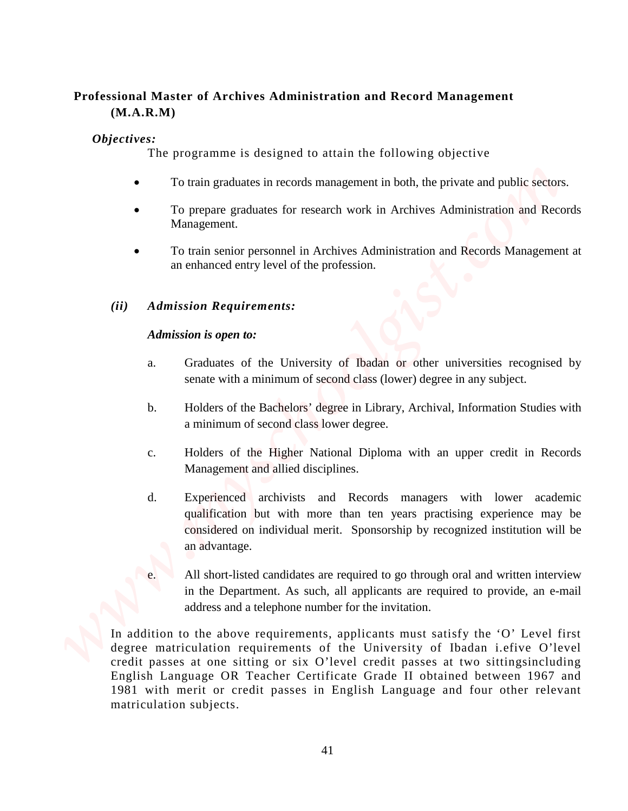# **Professional Master of Archives Administration and Record Management (M.A.R.M)**

# *Objectives:*

The programme is designed to attain the following objective

- To train graduates in records management in both, the private and public sectors.
- To prepare graduates for research work in Archives Administration and Records Management.
- To train senior personnel in Archives Administration and Records Management at an enhanced entry level of the profession.

# *(ii) Admission Requirements:*

## *Admission is open to:*

- a. Graduates of the University of Ibadan or other universities recognised by senate with a minimum of second class (lower) degree in any subject.
- b. Holders of the Bachelors' degree in Library, Archival, Information Studies with a minimum of second class lower degree.
- c. Holders of the Higher National Diploma with an upper credit in Records Management and allied disciplines.
- d. Experienced archivists and Records managers with lower academic qualification but with more than ten years practising experience may be considered on individual merit. Sponsorship by recognized institution will be an advantage.
- All short-listed candidates are required to go through oral and written interview in the Department. As such, all applicants are required to provide, an e-mail address and a telephone number for the invitation.

In addition to the above requirements, applicants must satisfy the 'O' Level first degree matriculation requirements of the University of Ibadan i.efive O'level credit passes at one sitting or six O'level credit passes at two sittingsincluding English Language OR Teacher Certificate Grade II obtained between 1967 and 1981 with merit or credit passes in English Language and four other relevant **Professional Master of Archives Administration and Record Management<br>
(MakRM)**<br>
The programme is designed to attain the following objective<br> **17.** *We in gradiments in records management* **in both, the private and public**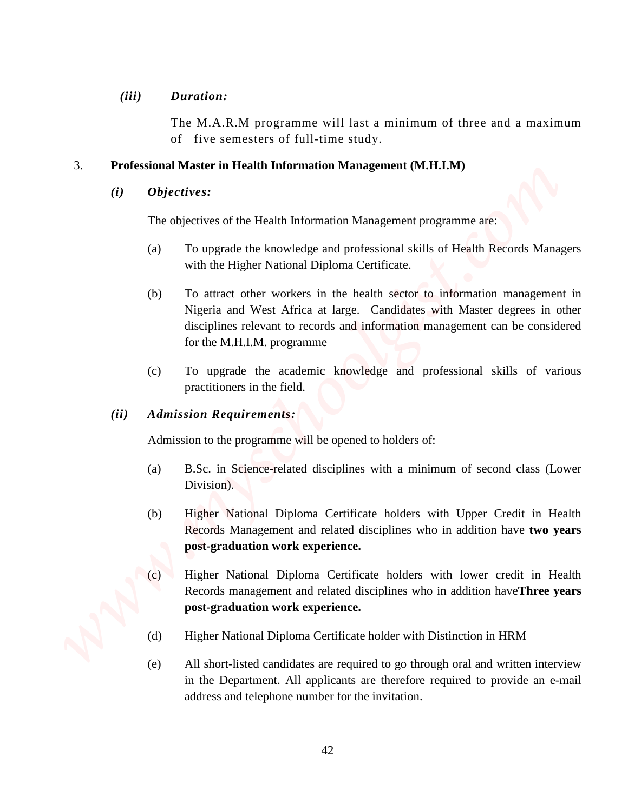## *(iii) Duration:*

The M.A.R.M programme will last a minimum of three and a maximum of five semesters of full-time study.

# 3. **Professional Master in Health Information Management (M.H.I.M)**

## *(i) Objectives:*

The objectives of the Health Information Management programme are:

- (a) To upgrade the knowledge and professional skills of Health Records Managers with the Higher National Diploma Certificate.
- (b) To attract other workers in the health sector to information management in Nigeria and West Africa at large. Candidates with Master degrees in other disciplines relevant to records and information management can be considered for the M.H.I.M. programme **and the interaction of the invitation** of the interaction of the invitation of the invitation. **Professional Meter in field the interaction of Matteria Holds and properties are the invitation. (***i)* **Objectives a find the** 
	- (c) To upgrade the academic knowledge and professional skills of various practitioners in the field.

## *(ii) Admission Requirements:*

Admission to the programme will be opened to holders of:

- (a) B.Sc. in Science-related disciplines with a minimum of second class (Lower Division).
- (b) Higher National Diploma Certificate holders with Upper Credit in Health Records Management and related disciplines who in addition have **two years post-graduation work experience.**
- (c) Higher National Diploma Certificate holders with lower credit in Health Records management and related disciplines who in addition have**Three years post-graduation work experience.**
- (d) Higher National Diploma Certificate holder with Distinction in HRM
- (e) All short-listed candidates are required to go through oral and written interview in the Department. All applicants are therefore required to provide an e-mail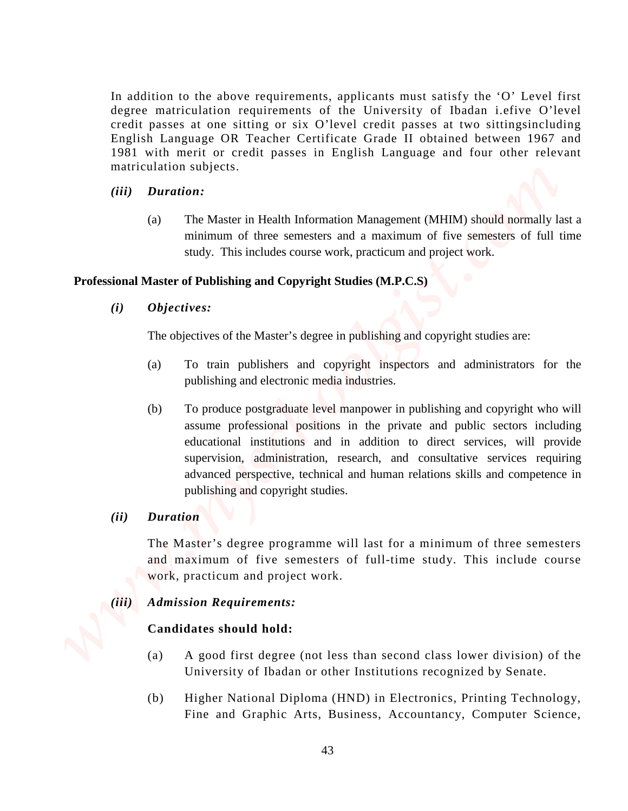In addition to the above requirements, applicants must satisfy the 'O' Level first degree matriculation requirements of the University of Ibadan i.efive O'level credit passes at one sitting or six O'level credit passes at two sittingsincluding English Language OR Teacher Certificate Grade II obtained between 1967 and 1981 with merit or credit passes in English Language and four other relevant matriculation subjects.

- *(iii) Duration:*
	- (a) The Master in Health Information Management (MHIM) should normally last a minimum of three semesters and a maximum of five semesters of full time study. This includes course work, practicum and project work.

### **Professional Master of Publishing and Copyright Studies (M.P.C.S)**

*(i) Objectives:*

The objectives of the Master's degree in publishing and copyright studies are:

- (a) To train publishers and copyright inspectors and administrators for the publishing and electronic media industries.
- (b) To produce postgraduate level manpower in publishing and copyright who will assume professional positions in the private and public sectors including educational institutions and in addition to direct services, will provide supervision, administration, research, and consultative services requiring advanced perspective, technical and human relations skills and competence in publishing and copyright studies. Final distribution to this showe requirements, applicants must satisfy the "O" Level first degree matricialiston (spin) controlled the University of Brackman Lefton Olivers (Fig. 2016) and the matric of results and the co
	- *(ii) Duration*

The Master's degree programme will last for a minimum of three semesters and maximum of five semesters of full-time study. This include course work, practicum and project work.

## *(iii) Admission Requirements:*

### **Candidates should hold:**

- (a) A good first degree (not less than second class lower division) of the University of Ibadan or other Institutions recognized by Senate.
- (b) Higher National Diploma (HND) in Electronics, Printing Technology,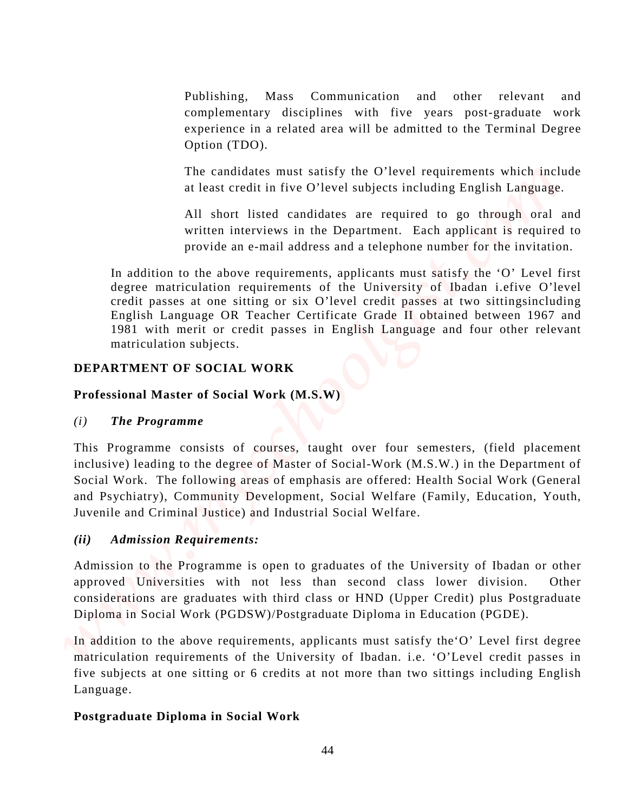Publishing, Mass Communication and other relevant and complementary disciplines with five years post-graduate work experience in a related area will be admitted to the Terminal Degree Option (TDO).

The candidates must satisfy the O'level requirements which include at least credit in five O'level subjects including English Language.

All short listed candidates are required to go through oral and written interviews in the Department. Each applicant is required to provide an e-mail address and a telephone number for the invitation.

In addition to the above requirements, applicants must satisfy the 'O' Level first degree matriculation requirements of the University of Ibadan i.efive O'level credit passes at one sitting or six O'level credit passes at two sittingsincluding English Language OR Teacher Certificate Grade II obtained between 1967 and 1981 with merit or credit passes in English Language and four other relevant matriculation subjects.

# **DEPARTMENT OF SOCIAL WORK**

# **Professional Master of Social Work (M.S.W)**

# *(i) The Programme*

This Programme consists of courses, taught over four semesters, (field placement inclusive) leading to the degree of Master of Social-Work (M.S.W.) in the Department of Social Work. The following areas of emphasis are offered: Health Social Work (General and Psychiatry), Community Development, Social Welfare (Family, Education, Youth, Juvenile and Criminal Justice) and Industrial Social Welfare. **Postivisting, Mass Communication and other relevant and compenentes of the product of the system post-graduate systems (separate System in the system post-graduate or the system of the control of the Clevel Most communica** 

# *(ii) Admission Requirements:*

Admission to the Programme is open to graduates of the University of Ibadan or other approved Universities with not less than second class lower division. Other considerations are graduates with third class or HND (Upper Credit) plus Postgraduate Diploma in Social Work (PGDSW)/Postgraduate Diploma in Education (PGDE).

In addition to the above requirements, applicants must satisfy the'O' Level first degree matriculation requirements of the University of Ibadan. i.e. 'O'Level credit passes in five subjects at one sitting or 6 credits at not more than two sittings including English Language.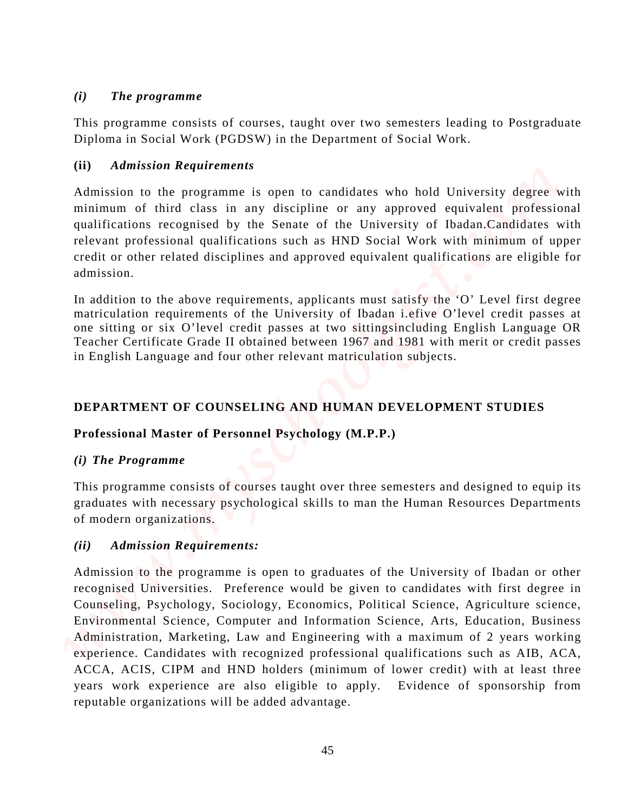# *(i) The programme*

This programme consists of courses, taught over two semesters leading to Postgraduate Diploma in Social Work (PGDSW) in the Department of Social Work.

# **(ii)** *Admission Requirements*

Admission to the programme is open to candidates who hold University degree with minimum of third class in any discipline or any approved equivalent professional qualifications recognised by the Senate of the University of Ibadan.Candidates with relevant professional qualifications such as HND Social Work with minimum of upper credit or other related disciplines and approved equivalent qualifications are eligible for admission.

In addition to the above requirements, applicants must satisfy the 'O' Level first degree matriculation requirements of the University of Ibadan i.efive O'level credit passes at one sitting or six O'level credit passes at two sittingsincluding English Language OR Teacher Certificate Grade II obtained between 1967 and 1981 with merit or credit passes in English Language and four other relevant matriculation subjects.

# **DEPARTMENT OF COUNSELING AND HUMAN DEVELOPMENT STUDIES**

# **Professional Master of Personnel Psychology (M.P.P.)**

# *(i) The Programme*

This programme consists of courses taught over three semesters and designed to equip its graduates with necessary psychological skills to man the Human Resources Departments of modern organizations.

# *(ii) Admission Requirements:*

Admission to the programme is open to graduates of the University of Ibadan or other recognised Universities. Preference would be given to candidates with first degree in Counseling, Psychology, Sociology, Economics, Political Science, Agriculture science, Environmental Science, Computer and Information Science, Arts, Education, Business Administration, Marketing, Law and Engineering with a maximum of 2 years working experience. Candidates with recognized professional qualifications such as AIB, ACA, ACCA, ACIS, CIPM and HND holders (minimum of lower credit) with at least three years work experience are also eligible to apply. Evidence of sponsorship from **The programme**<br>
This programme constats of convest, hughli was two semesters leading to Postgradians<br>
Diploma in Social Work (PGDSW) in the Department of Social Work.<br>
Admission to programme is agent to combiding when th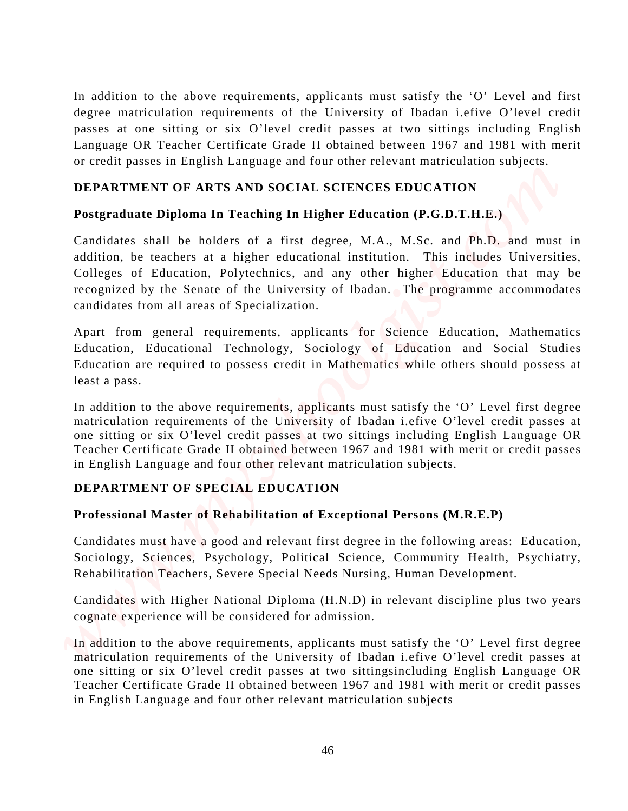In addition to the above requirements, applicants must satisfy the 'O' Level and first degree matriculation requirements of the University of Ibadan i.efive O'level credit passes at one sitting or six O'level credit passes at two sittings including English Language OR Teacher Certificate Grade II obtained between 1967 and 1981 with merit or credit passes in English Language and four other relevant matriculation subjects. In addition to the above requirements, applicants must satisfy the <sup>101</sup> Lavel and first phase and first of the correlation control of the Correlation subjects and the correlation control of the correlation subjects  $w$  an

# **DEPARTMENT OF ARTS AND SOCIAL SCIENCES EDUCATION**

# **Postgraduate Diploma In Teaching In Higher Education (P.G.D.T.H.E.)**

Candidates shall be holders of a first degree, M.A., M.Sc. and Ph.D. and must in addition, be teachers at a higher educational institution. This includes Universities, Colleges of Education, Polytechnics, and any other higher Education that may be recognized by the Senate of the University of Ibadan. The programme accommodates candidates from all areas of Specialization.

Apart from general requirements, applicants for Science Education, Mathematics Education, Educational Technology, Sociology of Education and Social Studies Education are required to possess credit in Mathematics while others should possess at least a pass.

In addition to the above requirements, applicants must satisfy the 'O' Level first degree matriculation requirements of the University of Ibadan i.efive O'level credit passes at one sitting or six O'level credit passes at two sittings including English Language OR Teacher Certificate Grade II obtained between 1967 and 1981 with merit or credit passes in English Language and four other relevant matriculation subjects.

# **DEPARTMENT OF SPECIAL EDUCATION**

# **Professional Master of Rehabilitation of Exceptional Persons (M.R.E.P)**

Candidates must have a good and relevant first degree in the following areas: Education, Sociology, Sciences, Psychology, Political Science, Community Health, Psychiatry, Rehabilitation Teachers, Severe Special Needs Nursing, Human Development.

Candidates with Higher National Diploma (H.N.D) in relevant discipline plus two years cognate experience will be considered for admission.

In addition to the above requirements, applicants must satisfy the 'O' Level first degree matriculation requirements of the University of Ibadan i.efive O'level credit passes at one sitting or six O'level credit passes at two sittingsincluding English Language OR Teacher Certificate Grade II obtained between 1967 and 1981 with merit or credit passes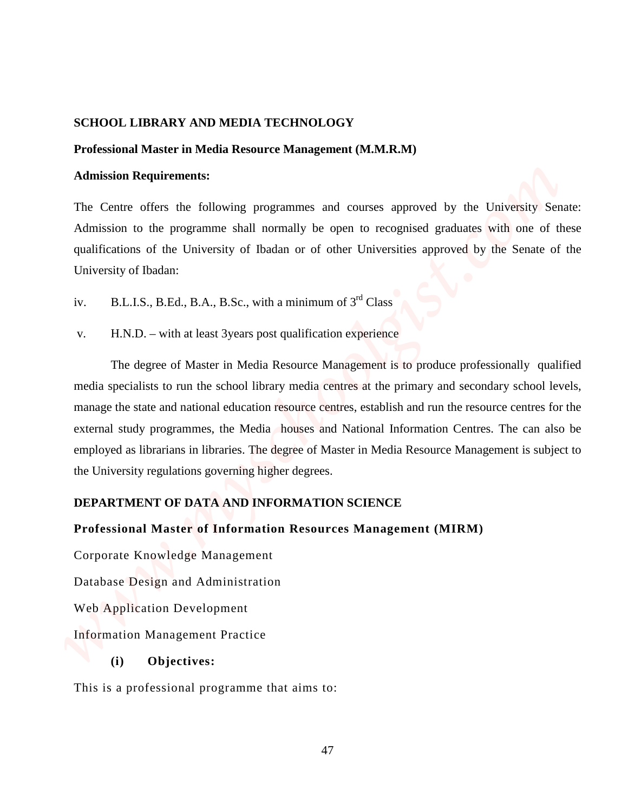## **SCHOOL LIBRARY AND MEDIA TECHNOLOGY**

#### **Professional Master in Media Resource Management (M.M.R.M)**

### **Admission Requirements:**

The Centre offers the following programmes and courses approved by the University Senate: Admission to the programme shall normally be open to recognised graduates with one of these qualifications of the University of Ibadan or of other Universities approved by the Senate of the University of Ibadan:

iv. B.L.I.S., B.Ed., B.A., B.Sc., with a minimum of  $3<sup>rd</sup> Class$ 

v. H.N.D. – with at least 3years post qualification experience

The degree of Master in Media Resource Management is to produce professionally qualified media specialists to run the school library media centres at the primary and secondary school levels, manage the state and national education resource centres, establish and run the resource centres for the external study programmes, the Media houses and National Information Centres. The can also be employed as librarians in libraries. The degree of Master in Media Resource Management is subject to the University regulations governing higher degrees. **SCHOOL LIDRARY AND MEDIA TECHNOLOGY**<br> **Professional Master in Media Resource Management (MARM)**<br>
Admission to the programme shall contouring programmes and contacts approved by the University Senate:<br>
The Contro offers t

## **DEPARTMENT OF DATA AND INFORMATION SCIENCE**

### **Professional Master of Information Resources Management (MIRM)**

Corporate Knowledge Management

Database Design and Administration

Web Application Development

Information Management Practice

## **(i) Objectives:**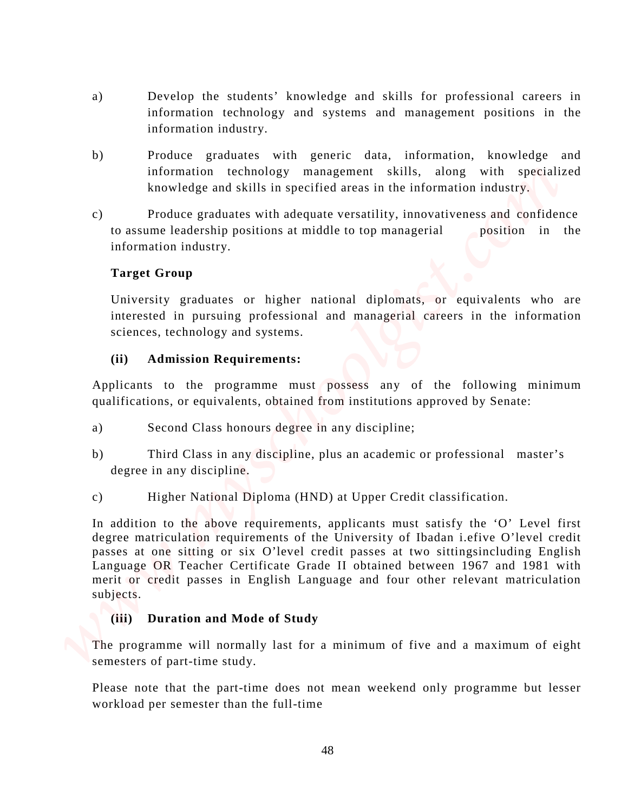- a) Develop the students' knowledge and skills for professional careers in information technology and systems and management positions in the information industry.
- b) Produce graduates with generic data, information, knowledge and information technology management skills, along with specialized knowledge and skills in specified areas in the information industry.
- c) Produce graduates with adequate versatility, innovativeness and confidence to assume leadership positions at middle to top managerial position in the information industry.

# **Target Group**

University graduates or higher national diplomats, or equivalents who are interested in pursuing professional and managerial careers in the information sciences, technology and systems.

## **(ii) Admission Requirements:**

Applicants to the programme must possess any of the following minimum qualifications, or equivalents, obtained from institutions approved by Senate:

- a) Second Class honours degree in any discipline;
- b) Third Class in any discipline, plus an academic or professional master's degree in any discipline.
- c) Higher National Diploma (HND) at Upper Credit classification.

In addition to the above requirements, applicants must satisfy the 'O' Level first degree matriculation requirements of the University of Ibadan i.efive O'level credit passes at one sitting or six O'level credit passes at two sittingsincluding English Language OR Teacher Certificate Grade II obtained between 1967 and 1981 with merit or credit passes in English Language and four other relevant matriculation subjects. B<br>
Werelep the students' knowledge and skills for professional careers in<br>
information recharance<br>
information constany<br>
(b)<br>
Produce gradiates with genetic data, information when<br>the full-time of studients which allows th

# **(iii) Duration and Mode of Study**

The programme will normally last for a minimum of five and a maximum of eight semesters of part-time study.

Please note that the part-time does not mean weekend only programme but lesser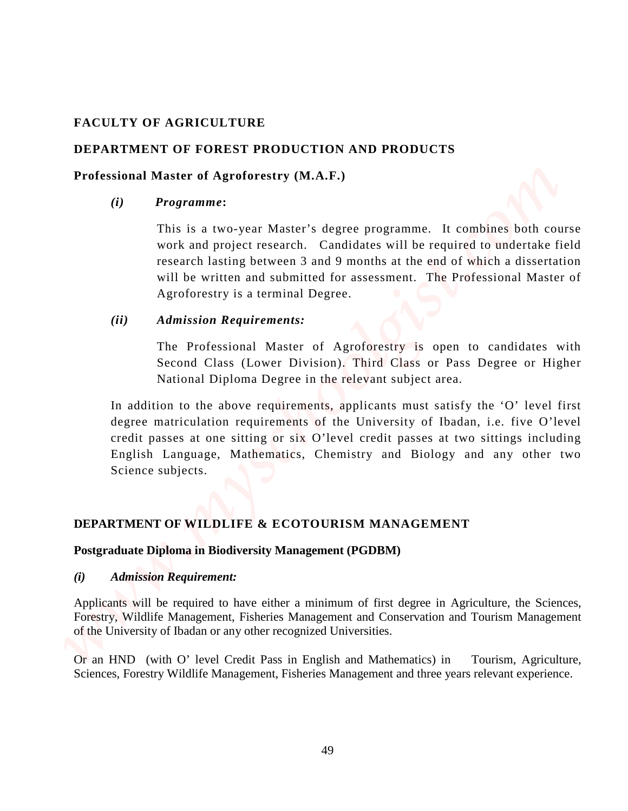# **FACULTY OF AGRICULTURE**

# **DEPARTMENT OF FOREST PRODUCTION AND PRODUCTS**

## **Professional Master of Agroforestry (M.A.F.)**

## *(i) Programme***:**

This is a two-year Master's degree programme. It combines both course work and project research. Candidates will be required to undertake field research lasting between 3 and 9 months at the end of which a dissertation will be written and submitted for assessment. The Professional Master of Agroforestry is a terminal Degree.

## *(ii) Admission Requirements:*

The Professional Master of Agroforestry is open to candidates with Second Class (Lower Division). Third Class or Pass Degree or Higher National Diploma Degree in the relevant subject area.

In addition to the above requirements, applicants must satisfy the 'O' level first degree matriculation requirements of the University of Ibadan, i.e. five O'level credit passes at one sitting or six O'level credit passes at two sittings including English Language, Mathematics, Chemistry and Biology and any other two Science subjects. **EACULTY OF AGRICULTURE**<br> **SPECIES TREES TRANSPORT AND PRODUCTS**<br> **Professional Master of Agroforestry (M.A.F.)**<br>
(i) **Professional Master of Agroforestry (M.A.F.)**<br>
(ii) **The Management** and proper research. Candidates wi

# **DEPARTMENT OF WILDLIFE & ECOTOURISM MANAGEMENT**

## **Postgraduate Diploma in Biodiversity Management (PGDBM)**

## *(i) Admission Requirement:*

Applicants will be required to have either a minimum of first degree in Agriculture, the Sciences, Forestry, Wildlife Management, Fisheries Management and Conservation and Tourism Management of the University of Ibadan or any other recognized Universities.

Or an HND (with O' level Credit Pass in English and Mathematics) in Tourism, Agriculture,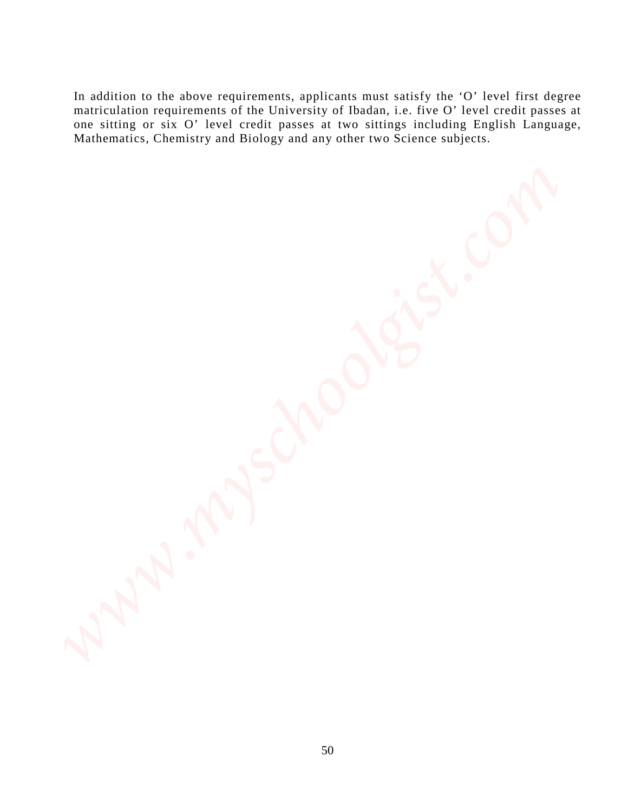In addition to the above requirements, applicants must satisfy the 'O' level first degree matriculation requirements of the University of Ibadan, i.e. five O' level credit passes at one sitting or six O' level credit passes at two sittings including English Language, Mathematics, Chemistry and Biology and any other two Science subjects. *www.myschoolgiteringths (we complete the state of the complete that the maximized in complete the complete throw of the United State Complete Complete Complete Complete Complete Complete Complete Complete Complete Comple*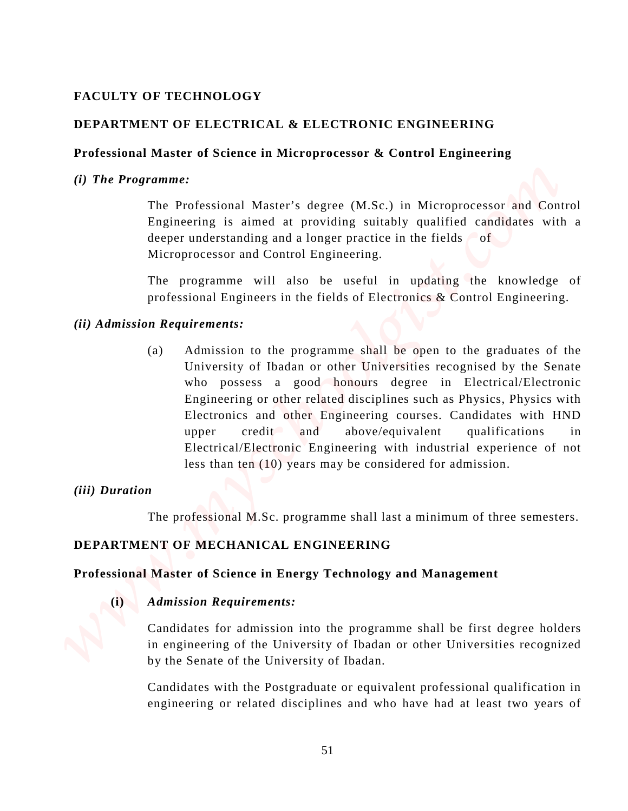# **FACULTY OF TECHNOLOGY**

# **DEPARTMENT OF ELECTRICAL & ELECTRONIC ENGINEERING**

## **Professional Master of Science in Microprocessor & Control Engineering**

## *(i) The Programme:*

The Professional Master's degree (M.Sc.) in Microprocessor and Control Engineering is aimed at providing suitably qualified candidates with a deeper understanding and a longer practice in the fields  $\circ$  of Microprocessor and Control Engineering.

The programme will also be useful in updating the knowledge of professional Engineers in the fields of Electronics & Control Engineering.

## *(ii) Admission Requirements:*

(a) Admission to the programme shall be open to the graduates of the University of Ibadan or other Universities recognised by the Senate who possess a good honours degree in Electrical/Electronic Engineering or other related disciplines such as Physics, Physics with Electronics and other Engineering courses. Candidates with HND upper credit and above/equivalent qualifications in Electrical/Electronic Engineering with industrial experience of not less than ten (10) years may be considered for admission. **EACULTY OF TECHNOLOGY**<br> **Professional Master's dense and Kiceroprocessor & Control Engineering<br>
(i) The Programme:**<br>
The Professional Master's degree (M.S.c.) in Microprocessor and Coordinal<br>
Implies and at provides and

## *(iii) Duration*

The professional M.Sc. programme shall last a minimum of three semesters.

## **DEPARTMENT OF MECHANICAL ENGINEERING**

## **Professional Master of Science in Energy Technology and Management**

**(i)** *Admission Requirements:*

Candidates for admission into the programme shall be first degree holders in engineering of the University of Ibadan or other Universities recognized by the Senate of the University of Ibadan.

Candidates with the Postgraduate or equivalent professional qualification in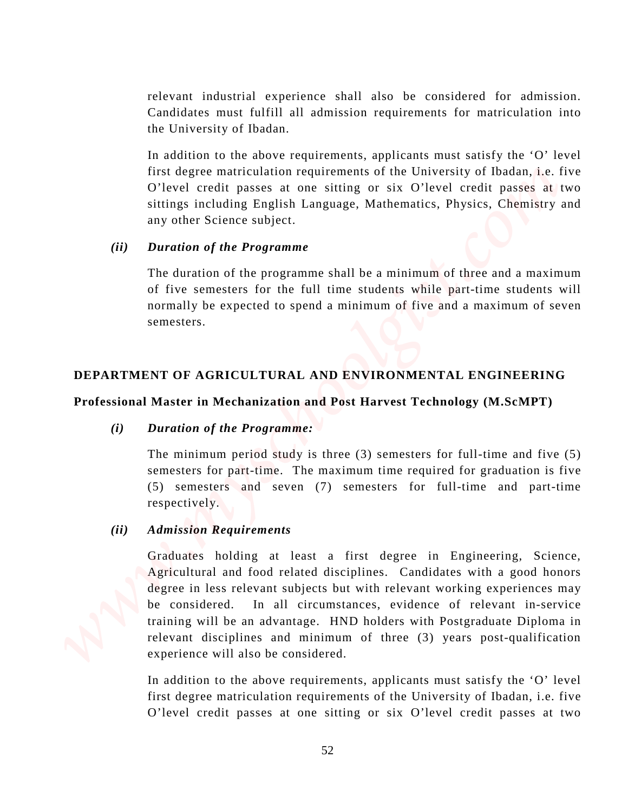relevant industrial experience shall also be considered for admission. Candidates must fulfill all admission requirements for matriculation into the University of Ibadan.

In addition to the above requirements, applicants must satisfy the 'O' level first degree matriculation requirements of the University of Ibadan, i.e. five O'level credit passes at one sitting or six O'level credit passes at two sittings including English Language, Mathematics, Physics, Chemistry and any other Science subject.

## *(ii) Duration of the Programme*

The duration of the programme shall be a minimum of three and a maximum of five semesters for the full time students while part-time students will normally be expected to spend a minimum of five and a maximum of seven semesters.

## **DEPARTMENT OF AGRICULTURAL AND ENVIRONMENTAL ENGINEERING**

## **Professional Master in Mechanization and Post Harvest Technology (M.ScMPT)**

## *(i) Duration of the Programme:*

The minimum period study is three (3) semesters for full-time and five (5) semesters for part-time. The maximum time required for graduation is five (5) semesters and seven (7) semesters for full-time and part-time respectively.

## *(ii) Admission Requirements*

Graduates holding at least a first degree in Engineering, Science, Agricultural and food related disciplines. Candidates with a good honors degree in less relevant subjects but with relevant working experiences may be considered. In all circumstances, evidence of relevant in-service training will be an advantage. HND holders with Postgraduate Diploma in relevant disciplines and minimum of three (3) years post-qualification experience will also be considered. relevent industrial experience shall also be considered for admission.<br>Conditions the tinversity of Budani, the absolution conjugate for sixting or the six O'level credit passes at two first six O'level credit passes at t

In addition to the above requirements, applicants must satisfy the 'O' level first degree matriculation requirements of the University of Ibadan, i.e. five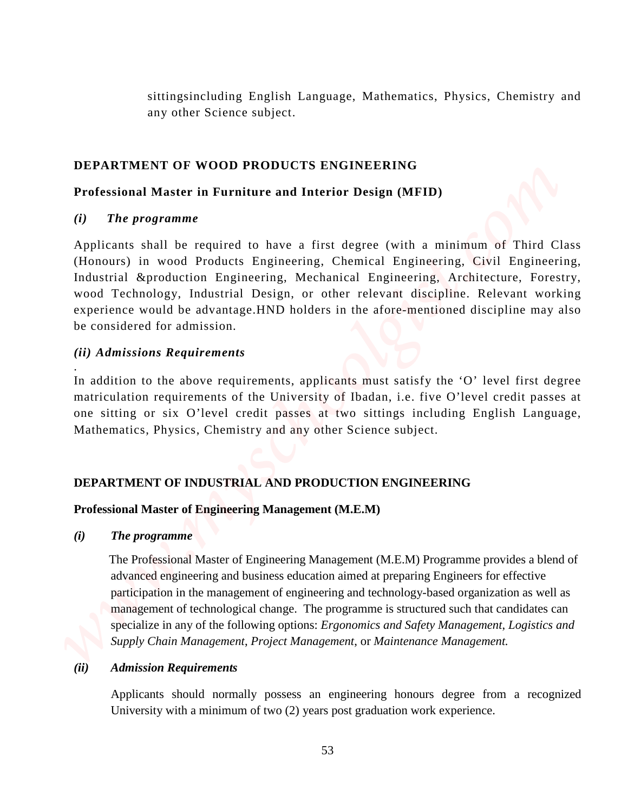sittingsincluding English Language, Mathematics, Physics, Chemistry and any other Science subject.

# **DEPARTMENT OF WOOD PRODUCTS ENGINEERING**

# **Professional Master in Furniture and Interior Design (MFID)**

## *(i) The programme*

Applicants shall be required to have a first degree (with a minimum of Third Class (Honours) in wood Products Engineering, Chemical Engineering, Civil Engineering, Industrial &production Engineering, Mechanical Engineering, Architecture, Forestry, wood Technology, Industrial Design, or other relevant discipline. Relevant working experience would be advantage.HND holders in the afore-mentioned discipline may also be considered for admission. sitting-including Eaglish Language, Mathematics, Physics, Chemistry and<br>
any other Science subject.<br>
DEPARTMENT OF WOOD PRODUCTS ENCINEERING<br>
Professional Master in Furniture and Interior Design (MFID)<br>
(3) The programme

# *(ii) Admissions Requirements*

.

In addition to the above requirements, applicants must satisfy the 'O' level first degree matriculation requirements of the University of Ibadan, i.e. five O'level credit passes at one sitting or six O'level credit passes at two sittings including English Language, Mathematics, Physics, Chemistry and any other Science subject.

# **DEPARTMENT OF INDUSTRIAL AND PRODUCTION ENGINEERING**

## **Professional Master of Engineering Management (M.E.M)**

## *(i) The programme*

 The Professional Master of Engineering Management (M.E.M) Programme provides a blend of advanced engineering and business education aimed at preparing Engineers for effective participation in the management of engineering and technology-based organization as well as management of technological change. The programme is structured such that candidates can specialize in any of the following options: *Ergonomics and Safety Management*, *Logistics and Supply Chain Management*, *Project Management*, or *Maintenance Management.*

## *(ii) Admission Requirements*

Applicants should normally possess an engineering honours degree from a recognized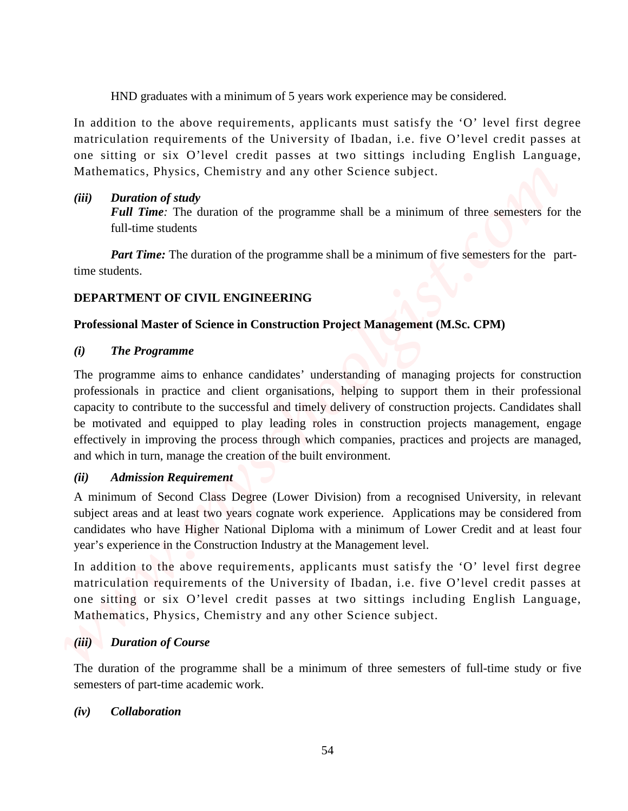HND graduates with a minimum of 5 years work experience may be considered.

In addition to the above requirements, applicants must satisfy the 'O' level first degree matriculation requirements of the University of Ibadan, i.e. five O'level credit passes at one sitting or six O'level credit passes at two sittings including English Language, Mathematics, Physics, Chemistry and any other Science subject.

# *(iii) Duration of study*

*Full Time*: The duration of the programme shall be a minimum of three semesters for the full-time students

*Part Time:* The duration of the programme shall be a minimum of five semesters for the parttime students.

# **DEPARTMENT OF CIVIL ENGINEERING**

# **Professional Master of Science in Construction Project Management (M.Sc. CPM)**

# *(i) The Programme*

The programme aims to enhance candidates' understanding of managing projects for construction professionals in practice and client organisations, helping to support them in their professional capacity to contribute to the successful and timely delivery of construction projects. Candidates shall be motivated and equipped to play leading roles in construction projects management, engage effectively in improving the process through which companies, practices and projects are managed, and which in turn, manage the creation of the built environment. **(iii)** gradients with a minimum of 5 years work represents may be considered.<br>In addition to the laboration of the University of Undan, i.e. (ive O'level could it assess at one stilling or six O'level could it assess at

# *(ii) Admission Requirement*

A minimum of Second Class Degree (Lower Division) from a recognised University, in relevant subject areas and at least two years cognate work experience. Applications may be considered from candidates who have Higher National Diploma with a minimum of Lower Credit and at least four year's experience in the Construction Industry at the Management level.

In addition to the above requirements, applicants must satisfy the 'O' level first degree matriculation requirements of the University of Ibadan, i.e. five O'level credit passes at one sitting or six O'level credit passes at two sittings including English Language, Mathematics, Physics, Chemistry and any other Science subject.

# *(iii) Duration of Course*

The duration of the programme shall be a minimum of three semesters of full-time study or five semesters of part-time academic work.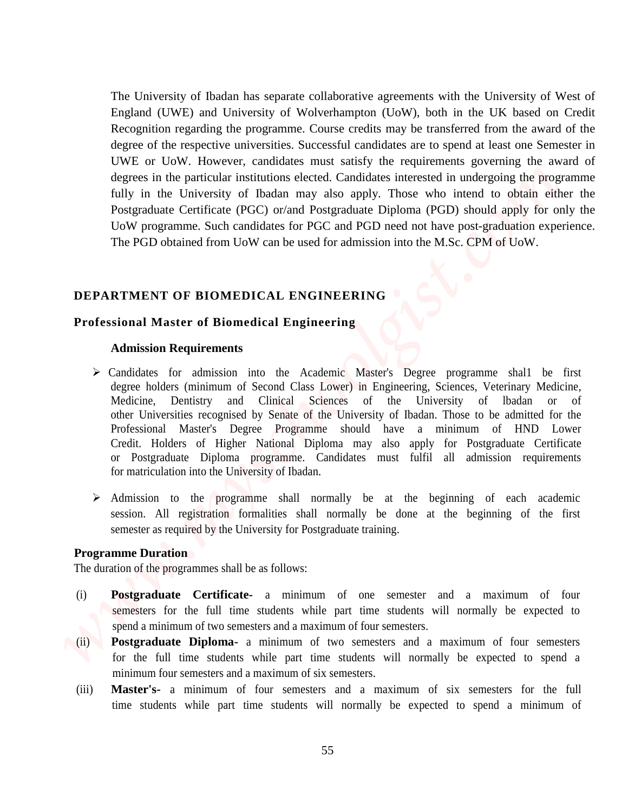The University of Ibadan has separate collaborative agreements with the University of West of England (UWE) and University of Wolverhampton (UoW), both in the UK based on Credit Recognition regarding the programme. Course credits may be transferred from the award of the degree of the respective universities. Successful candidates are to spend at least one Semester in UWE or UoW. However, candidates must satisfy the requirements governing the award of degrees in the particular institutions elected. Candidates interested in undergoing the programme fully in the University of Ibadan may also apply. Those who intend to obtain either the Postgraduate Certificate (PGC) or/and Postgraduate Diploma (PGD) should apply for only the UoW programme. Such candidates for PGC and PGD need not have post-graduation experience. The PGD obtained from UoW can be used for admission into the M.Sc. CPM of UoW. The University of Boskin has separate collaborative agreements with the University of West of Proposition equiding the programme. Course contain the system is the time UN host of the spend of the spending original the exp

### **DEPARTMENT OF BIOMEDICAL ENGINEERING**

### **Professional Master of Biomedical Engineering**

#### **Admission Requirements**

- Candidates for admission into the Academic Master's Degree programme shal1 be first degree holders (minimum of Second Class Lower) in Engineering, Sciences, Veterinary Medicine, Medicine, Dentistry and Clinical Sciences of the University of lbadan or of other Universities recognised by Senate of the University of Ibadan. Those to be admitted for the Professional Master's Degree Programme should have a minimum of HND Lower Credit. Holders of Higher National Diploma may also apply for Postgraduate Certificate or Postgraduate Diploma programme. Candidates must fulfil all admission requirements for matriculation into the University of Ibadan.
- $\triangleright$  Admission to the programme shall normally be at the beginning of each academic session. All registration formalities shall normally be done at the beginning of the first semester as required by the University for Postgraduate training.

#### **Programme Duration**

The duration of the programmes shall be as follows:

- (i) **Postgraduate Certificate-** a minimum of one semester and a maximum of four semesters for the full time students while part time students will normally be expected to spend a minimum of two semesters and a maximum of four semesters.
- (ii) **Postgraduate Diploma-** a minimum of two semesters and a maximum of four semesters for the full time students while part time students will normally be expected to spend a minimum four semesters and a maximum of six semesters.
- (iii) **Master's-** a minimum of four semesters and a maximum of six semesters for the full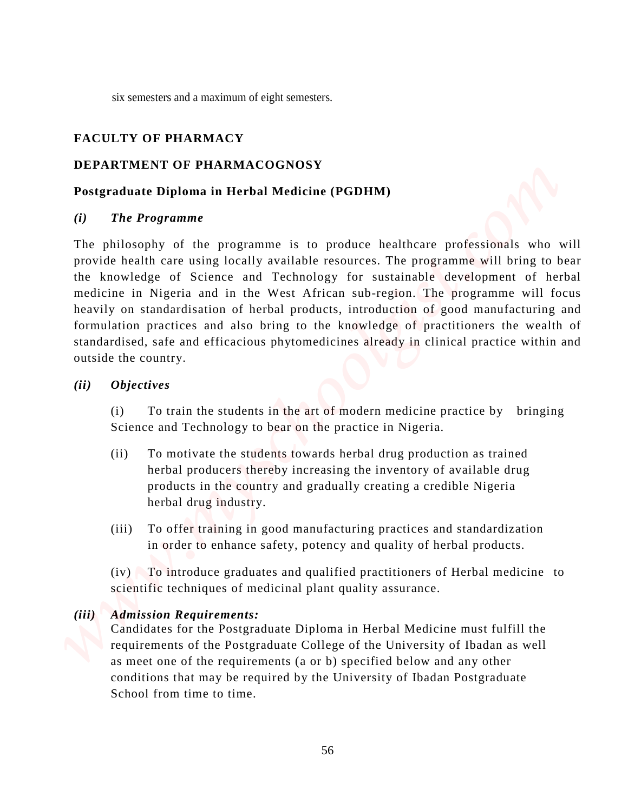six semesters and a maximum of eight semesters.

# **FACULTY OF PHARMACY**

# **DEPARTMENT OF PHARMACOGNOSY**

# **Postgraduate Diploma in Herbal Medicine (PGDHM)**

## *(i) The Programme*

The philosophy of the programme is to produce healthcare professionals who will provide health care using locally available resources. The programme will bring to bear the knowledge of Science and Technology for sustainable development of herbal medicine in Nigeria and in the West African sub-region. The programme will focus heavily on standardisation of herbal products, introduction of good manufacturing and formulation practices and also bring to the knowledge of practitioners the wealth of standardised, safe and efficacious phytomedicines already in clinical practice within and outside the country. SCHET CONSERVATION CONTINUES CONTINUES AND ACTION CONTINUES AND ACTION TO **EXECUTE OF PEARMAC COCNOSY**<br> **PEARMAC COCNOSY**<br> **PEARMAC COCNOSY**<br> **PEARMAC COCNOSY**<br> **PEARMAC COCNOSY**<br> **PEARMAC COCNOSY**<br> **PEARMAC COCNOSY**<br> **PE** 

## *(ii) Objectives*

 (i) To train the students in the art of modern medicine practice by bringing Science and Technology to bear on the practice in Nigeria.

- (ii) To motivate the students towards herbal drug production as trained herbal producers thereby increasing the inventory of available drug products in the country and gradually creating a credible Nigeria herbal drug industry.
- (iii) To offer training in good manufacturing practices and standardization in order to enhance safety, potency and quality of herbal products.

 (iv) To introduce graduates and qualified practitioners of Herbal medicine to scientific techniques of medicinal plant quality assurance.

# *(iii) Admission Requirements:*

 Candidates for the Postgraduate Diploma in Herbal Medicine must fulfill the requirements of the Postgraduate College of the University of Ibadan as well as meet one of the requirements (a or b) specified below and any other conditions that may be required by the University of Ibadan Postgraduate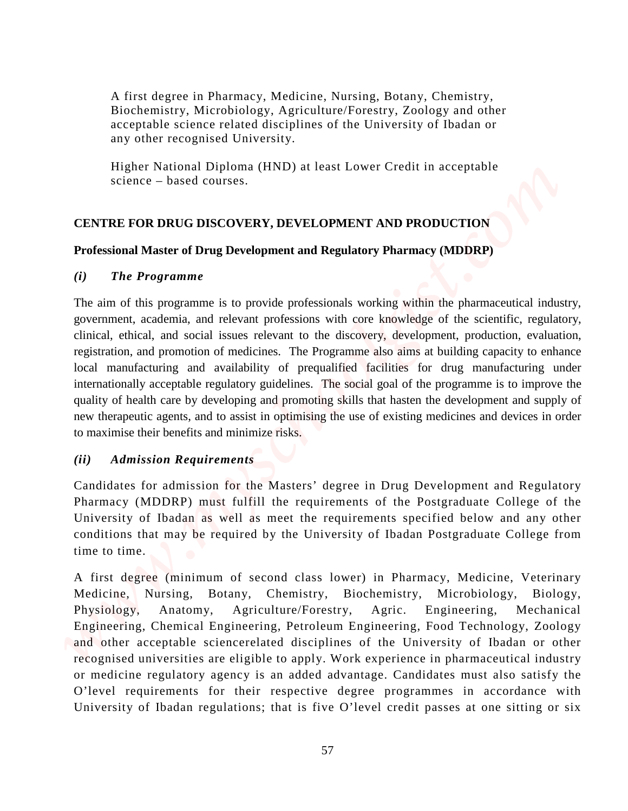A first degree in Pharmacy, Medicine, Nursing, Botany, Chemistry, Biochemistry, Microbiology, Agriculture/Forestry, Zoology and other acceptable science related disciplines of the University of Ibadan or any other recognised University.

 Higher National Diploma (HND) at least Lower Credit in acceptable science – based courses.

# **CENTRE FOR DRUG DISCOVERY, DEVELOPMENT AND PRODUCTION**

## **Professional Master of Drug Development and Regulatory Pharmacy (MDDRP)**

## *(i) The Programme*

The aim of this programme is to provide professionals working within the pharmaceutical industry, government, academia, and relevant professions with core knowledge of the scientific, regulatory, clinical, ethical, and social issues relevant to the discovery, development, production, evaluation, registration, and promotion of medicines. The Programme also aims at building capacity to enhance local manufacturing and availability of prequalified facilities for drug manufacturing under internationally acceptable regulatory guidelines. The social goal of the programme is to improve the quality of health care by developing and promoting skills that hasten the development and supply of new therapeutic agents, and to assist in optimising the use of existing medicines and devices in order to maximise their benefits and minimize risks. A first degree in Pharmacy, Medicine, Nucine, Daring, Denisry, Chemistry, and<br>increasing Mechanismy, Mechanismy Agentsion Crisis at one simple as<br>experiment essence rations (and incrementative Orientative O'level credit in

# *(ii) Admission Requirements*

Candidates for admission for the Masters' degree in Drug Development and Regulatory Pharmacy (MDDRP) must fulfill the requirements of the Postgraduate College of the University of Ibadan as well as meet the requirements specified below and any other conditions that may be required by the University of Ibadan Postgraduate College from time to time.

A first degree (minimum of second class lower) in Pharmacy, Medicine, Veterinary Medicine, Nursing, Botany, Chemistry, Biochemistry, Microbiology, Biology, Physiology, Anatomy, Agriculture/Forestry, Agric. Engineering, Mechanical Engineering, Chemical Engineering, Petroleum Engineering, Food Technology, Zoology and other acceptable sciencerelated disciplines of the University of Ibadan or other recognised universities are eligible to apply. Work experience in pharmaceutical industry or medicine regulatory agency is an added advantage. Candidates must also satisfy the O'level requirements for their respective degree programmes in accordance with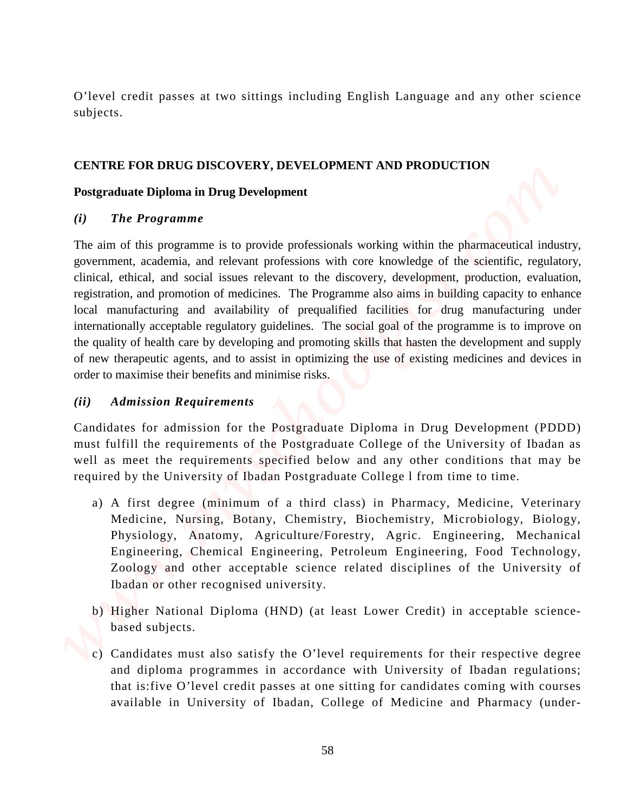O'level credit passes at two sittings including English Language and any other science subjects.

## **CENTRE FOR DRUG DISCOVERY, DEVELOPMENT AND PRODUCTION**

## **Postgraduate Diploma in Drug Development**

## *(i) The Programme*

The aim of this programme is to provide professionals working within the pharmaceutical industry, government, academia, and relevant professions with core knowledge of the scientific, regulatory, clinical, ethical, and social issues relevant to the discovery, development, production, evaluation, registration, and promotion of medicines. The Programme also aims in building capacity to enhance local manufacturing and availability of prequalified facilities for drug manufacturing under internationally acceptable regulatory guidelines. The social goal of the programme is to improve on the quality of health care by developing and promoting skills that hasten the development and supply of new therapeutic agents, and to assist in optimizing the use of existing medicines and devices in order to maximise their benefits and minimise risks. *O'level credit passes at two sittings including English Language and any other science subjects.***<br>
<b>CENTRE FOR DRUG DISCOVERY, DEVELOPMENT AND PRODUCTION**<br> **Postgraduate Diploma in Drug Development**<br> *We Programme***<br>
<b>T** 

# *(ii) Admission Requirements*

Candidates for admission for the Postgraduate Diploma in Drug Development (PDDD) must fulfill the requirements of the Postgraduate College of the University of Ibadan as well as meet the requirements specified below and any other conditions that may be required by the University of Ibadan Postgraduate College l from time to time.

- a) A first degree (minimum of a third class) in Pharmacy, Medicine, Veterinary Medicine, Nursing, Botany, Chemistry, Biochemistry, Microbiology, Biology, Physiology, Anatomy, Agriculture/Forestry, Agric. Engineering, Mechanical Engineering, Chemical Engineering, Petroleum Engineering, Food Technology, Zoology and other acceptable science related disciplines of the University of Ibadan or other recognised university.
- b) Higher National Diploma (HND) (at least Lower Credit) in acceptable sciencebased subjects.
- c) Candidates must also satisfy the O'level requirements for their respective degree and diploma programmes in accordance with University of Ibadan regulations; that is:five O'level credit passes at one sitting for candidates coming with courses available in University of Ibadan, College of Medicine and Pharmacy (under-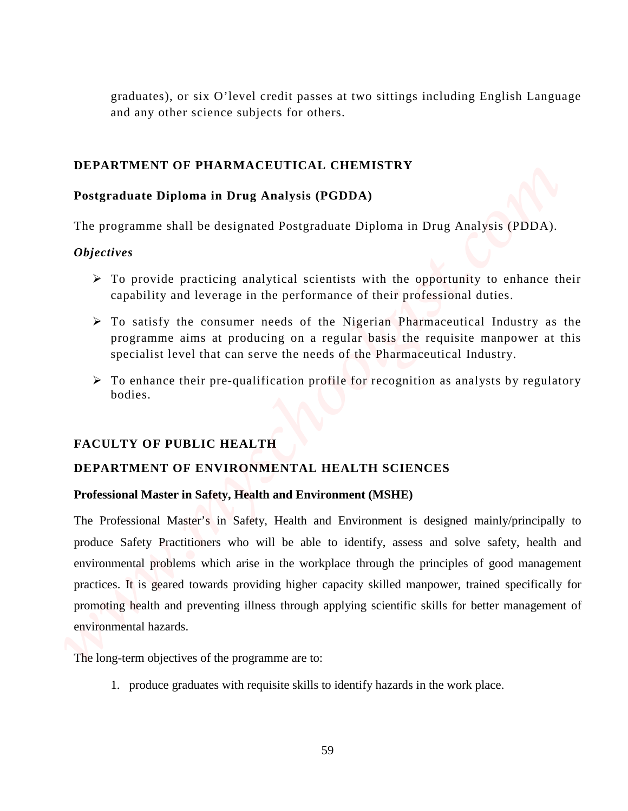graduates), or six O'level credit passes at two sittings including English Language and any other science subjects for others.

## **DEPARTMENT OF PHARMACEUTICAL CHEMISTRY**

## **Postgraduate Diploma in Drug Analysis (PGDDA)**

The programme shall be designated Postgraduate Diploma in Drug Analysis (PDDA).

## *Objectives*

- $\triangleright$  To provide practicing analytical scientists with the opportunity to enhance their capability and leverage in the performance of their professional duties.
- $\triangleright$  To satisfy the consumer needs of the Nigerian Pharmaceutical Industry as the programme aims at producing on a regular basis the requisite manpower at this specialist level that can serve the needs of the Pharmaceutical Industry.
- $\triangleright$  To enhance their pre-qualification profile for recognition as analysts by regulatory bodies.

### **FACULTY OF PUBLIC HEALTH**

## **DEPARTMENT OF ENVIRONMENTAL HEALTH SCIENCES**

### **Professional Master in Safety, Health and Environment (MSHE)**

The Professional Master's in Safety, Health and Environment is designed mainly/principally to produce Safety Practitioners who will be able to identify, assess and solve safety, health and environmental problems which arise in the workplace through the principles of good management practices. It is geared towards providing higher capacity skilled manpower, trained specifically for promoting health and preventing illness through applying scientific skills for better management of environmental hazards. The long-term of the long-term objects of the propriation of the propriation of the programme are too strained the programme are to the programme with the designated Posigraphian Diploma is Drag Analysis (PDDA).<br>The progra

1. produce graduates with requisite skills to identify hazards in the work place.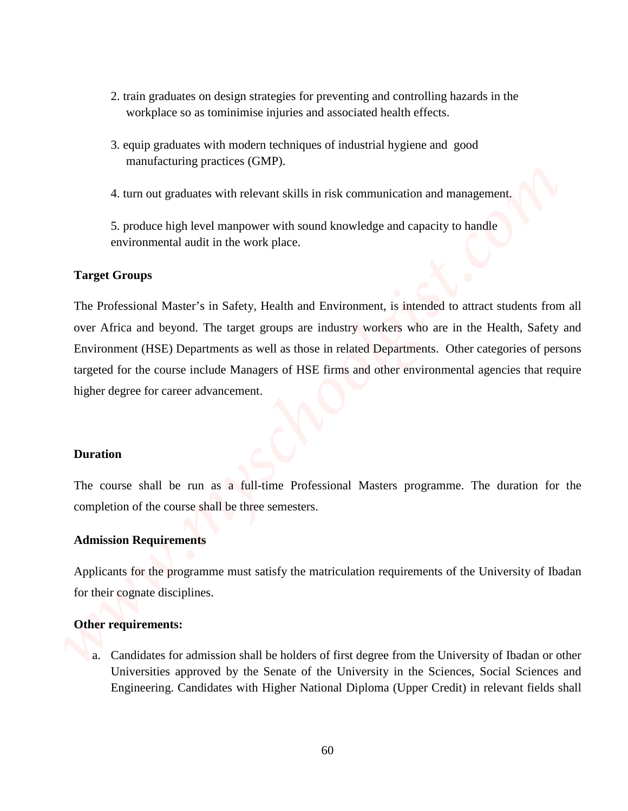- 2. train graduates on design strategies for preventing and controlling hazards in the workplace so as tominimise injuries and associated health effects.
- 3. equip graduates with modern techniques of industrial hygiene and good manufacturing practices (GMP).
- 4. turn out graduates with relevant skills in risk communication and management.

5. produce high level manpower with sound knowledge and capacity to handle environmental audit in the work place.

## **Target Groups**

The Professional Master's in Safety, Health and Environment, is intended to attract students from all over Africa and beyond. The target groups are industry workers who are in the Health, Safety and Environment (HSE) Departments as well as those in related Departments. Other categories of persons targeted for the course include Managers of HSE firms and other environmental agencies that require higher degree for career advancement. 2. train graduates on design strategies for preventing and controlling bazards in the weight galacties via nonvirtuosity in the Senate of the University in the Senate of the Senate of the University in the Sciences and *S* 

#### **Duration**

The course shall be run as a full-time Professional Masters programme. The duration for the completion of the course shall be three semesters.

## **Admission Requirements**

Applicants for the programme must satisfy the matriculation requirements of the University of Ibadan for their cognate disciplines.

#### **Other requirements:**

a. Candidates for admission shall be holders of first degree from the University of Ibadan or other Engineering. Candidates with Higher National Diploma (Upper Credit) in relevant fields shall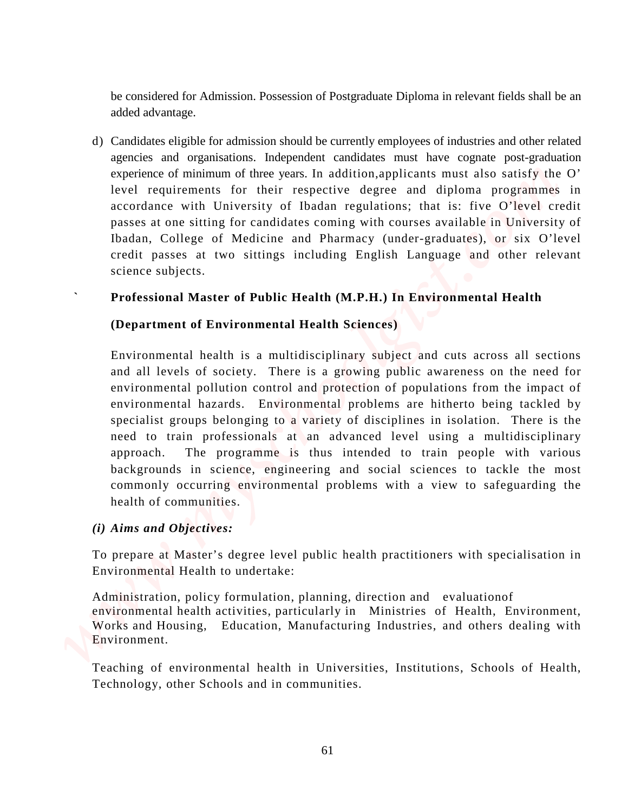be considered for Admission. Possession of Postgraduate Diploma in relevant fields shall be an added advantage.

d) Candidates eligible for admission should be currently employees of industries and other related agencies and organisations. Independent candidates must have cognate post-graduation experience of minimum of three years. In addition,applicants must also satisfy the O' level requirements for their respective degree and diploma programmes in accordance with University of Ibadan regulations; that is: five O'level credit passes at one sitting for candidates coming with courses available in University of Ibadan, College of Medicine and Pharmacy (under-graduates), or six O'level credit passes at two sittings including English Language and other relevant science subjects.

# **` Professional Master of Public Health (M.P.H.) In Environmental Health**

# **(Department of Environmental Health Sciences)**

Environmental health is a multidisciplinary subject and cuts across all sections and all levels of society. There is a growing public awareness on the need for environmental pollution control and protection of populations from the impact of environmental hazards. Environmental problems are hitherto being tackled by specialist groups belonging to a variety of disciplines in isolation. There is the need to train professionals at an advanced level using a multidisciplinary approach. The programme is thus intended to train people with various backgrounds in science, engineering and social sciences to tackle the most commonly occurring environmental problems with a view to safeguarding the health of communities. The considered for Admission. Peacession of Peargraduate Diploma in relevant fields shall be an above and required for the considered measurements of the considered measurements of the considered measurement of the conside

# *(i) Aims and Objectives:*

To prepare at Master's degree level public health practitioners with specialisation in Environmental Health to undertake:

Administration, policy formulation, planning, direction and evaluationof environmental health activities, particularly in Ministries of Health, Environment, Works and Housing, Education, Manufacturing Industries, and others dealing with Environment.

Technology, other Schools and in communities.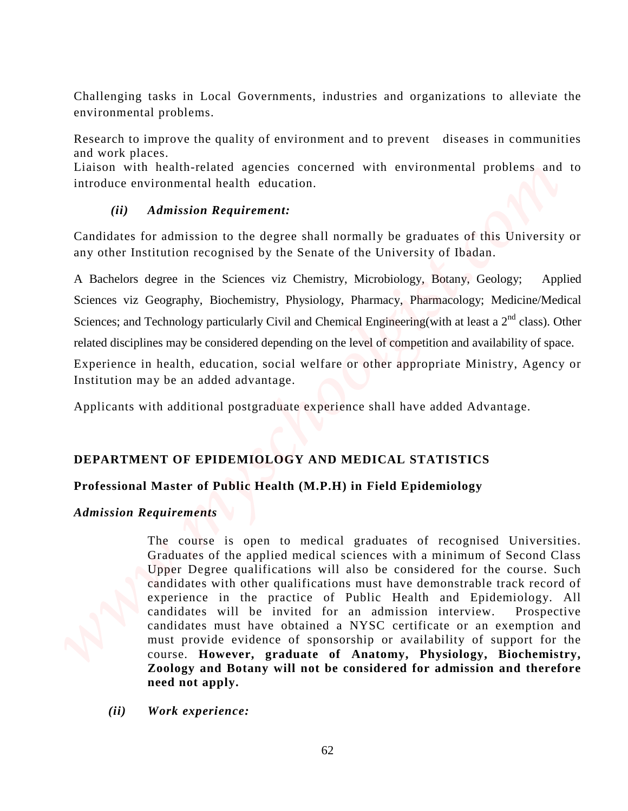Challenging tasks in Local Governments, industries and organizations to alleviate the environmental problems.

Research to improve the quality of environment and to prevent diseases in communities and work places.

Liaison with health-related agencies concerned with environmental problems and to introduce environmental health education.

# *(ii) Admission Requirement:*

Candidates for admission to the degree shall normally be graduates of this University or any other Institution recognised by the Senate of the University of Ibadan.

A Bachelors degree in the Sciences viz Chemistry, Microbiology, Botany, Geology; Applied Sciences viz Geography, Biochemistry, Physiology, Pharmacy, Pharmacology; Medicine/Medical Sciences; and Technology particularly Civil and Chemical Engineering(with at least a  $2<sup>nd</sup>$  class). Other related disciplines may be considered depending on the level of competition and availability of space.

Experience in health, education, social welfare or other appropriate Ministry, Agency or Institution may be an added advantage.

Applicants with additional postgraduate experience shall have added Advantage.

# **DEPARTMENT OF EPIDEMIOLOGY AND MEDICAL STATISTICS**

# **Professional Master of Public Health (M.P.H) in Field Epidemiology**

# *Admission Requirements*

The course is open to medical graduates of recognised Universities. Graduates of the applied medical sciences with a minimum of Second Class Upper Degree qualifications will also be considered for the course. Such candidates with other qualifications must have demonstrable track record of experience in the practice of Public Health and Epidemiology. All candidates will be invited for an admission interview. Prospective candidates must have obtained a NYSC certificate or an exemption and must provide evidence of sponsorship or availability of support for the course. **However, graduate of Anatomy, Physiology, Biochemistry, Zoology and Botany will not be considered for admission and therefore need not apply. Challenging tasks in Local Governments**, industries and organizations to alleviate the experience and propose the quality of covietionment and to prevent discusses in communities and to interchange the quality of covieti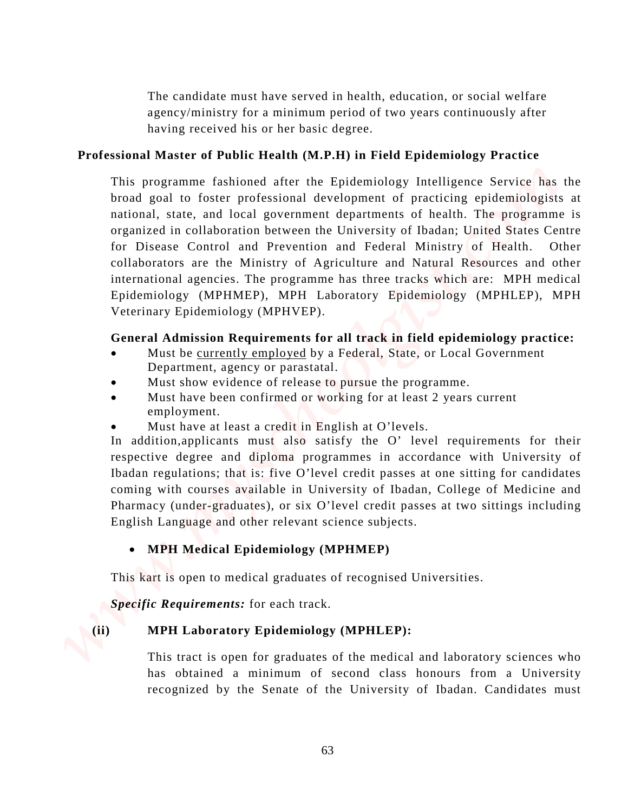The candidate must have served in health, education, or social welfare agency/ministry for a minimum period of two years continuously after having received his or her basic degree.

# **Professional Master of Public Health (M.P.H) in Field Epidemiology Practice**

This programme fashioned after the Epidemiology Intelligence Service has the broad goal to foster professional development of practicing epidemiologists at national, state, and local government departments of health. The programme is organized in collaboration between the University of Ibadan; United States Centre for Disease Control and Prevention and Federal Ministry of Health. Other collaborators are the Ministry of Agriculture and Natural Resources and other international agencies. The programme has three tracks which are: MPH medical Epidemiology (MPHMEP), MPH Laboratory Epidemiology (MPHLEP), MPH Veterinary Epidemiology (MPHVEP). The candidate must have second in bealth, odvention, or social welfare<br>negative proparations (or an internal masked class processes horizon bealth comparations are presented a minimum of the<br>second comparations of the sta

# **General Admission Requirements for all track in field epidemiology practice:**

- Must be currently employed by a Federal, State, or Local Government Department, agency or parastatal.
- Must show evidence of release to pursue the programme.
- Must have been confirmed or working for at least 2 years current employment.
- Must have at least a credit in English at O'levels.

In addition,applicants must also satisfy the O' level requirements for their respective degree and diploma programmes in accordance with University of Ibadan regulations; that is: five O'level credit passes at one sitting for candidates coming with courses available in University of Ibadan, College of Medicine and Pharmacy (under-graduates), or six O'level credit passes at two sittings including English Language and other relevant science subjects.

# • **MPH Medical Epidemiology (MPHMEP)**

This kart is open to medical graduates of recognised Universities.

*Specific Requirements:* for each track.

# **(ii) MPH Laboratory Epidemiology (MPHLEP):**

This tract is open for graduates of the medical and laboratory sciences who recognized by the Senate of the University of Ibadan. Candidates must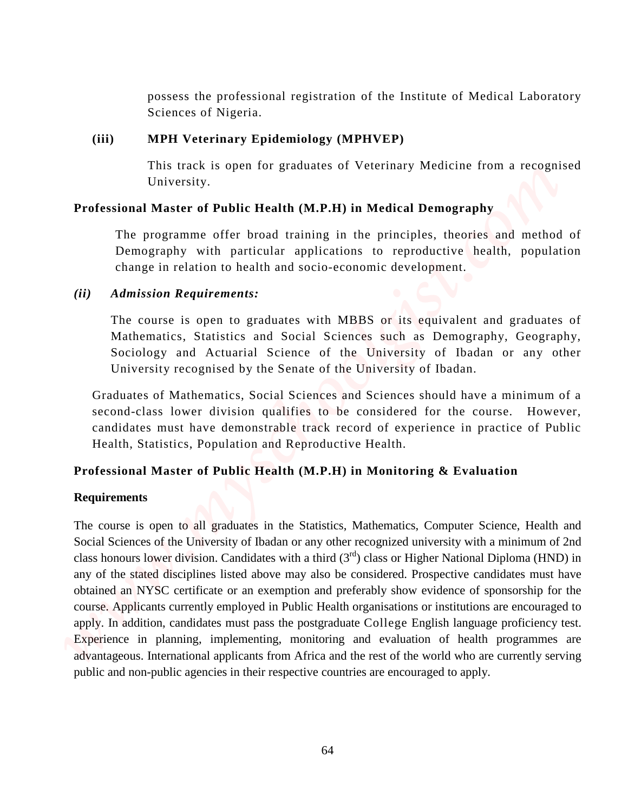possess the professional registration of the Institute of Medical Laboratory Sciences of Nigeria.

## **(iii) MPH Veterinary Epidemiology (MPHVEP)**

This track is open for graduates of Veterinary Medicine from a recognised University.

# **Professional Master of Public Health (M.P.H) in Medical Demography**

The programme offer broad training in the principles, theories and method of Demography with particular applications to reproductive health, population change in relation to health and socio-economic development.

# *(ii) Admission Requirements:*

The course is open to graduates with MBBS or its equivalent and graduates of Mathematics, Statistics and Social Sciences such as Demography, Geography, Sociology and Actuarial Science of the University of Ibadan or any other University recognised by the Senate of the University of Ibadan.

Graduates of Mathematics, Social Sciences and Sciences should have a minimum of a second-class lower division qualifies to be considered for the course. However, candidates must have demonstrable track record of experience in practice of Public Health, Statistics, Population and Reproductive Health.

# **Professional Master of Public Health (M.P.H) in Monitoring & Evaluation**

# **Requirements**

The course is open to all graduates in the Statistics, Mathematics, Computer Science, Health and Social Sciences of the University of Ibadan or any other recognized university with a minimum of 2nd class honours lower division. Candidates with a third  $(3<sup>rd</sup>)$  class or Higher National Diploma (HND) in any of the stated disciplines listed above may also be considered. Prospective candidates must have obtained an NYSC certificate or an exemption and preferably show evidence of sponsorship for the course. Applicants currently employed in Public Health organisations or institutions are encouraged to apply. In addition, candidates must pass the postgraduate College English language proficiency test. Experience in planning, implementing, monitoring and evaluation of health programmes are advantageous. International applicants from Africa and the rest of the world who are currently serving possess the professional registration of the Institute of Medical Luberatory<br>
Survey Constant Professional Matter at the properties in the matter of the properties in the properties<br>
This track is open for graduates of Vet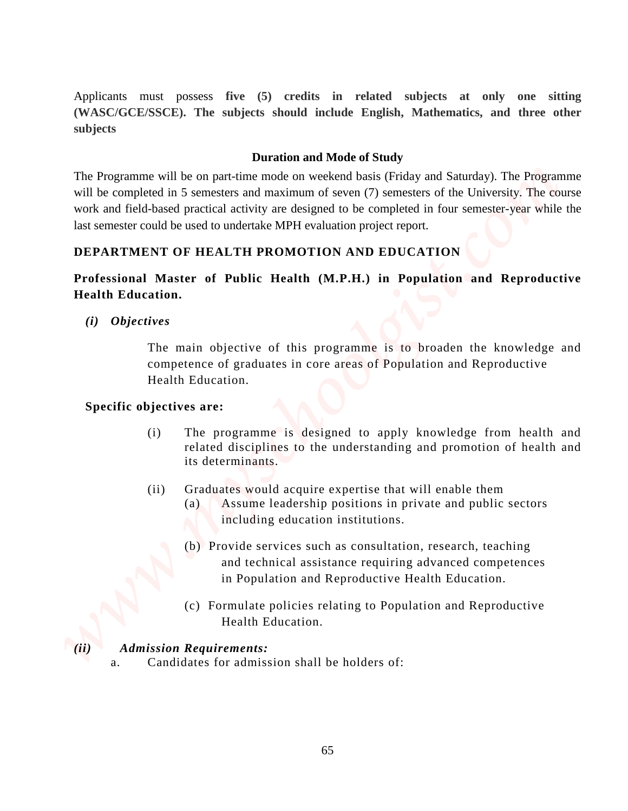Applicants must possess **five (5) credits in related subjects at only one sitting (WASC/GCE/SSCE). The subjects should include English, Mathematics, and three other subjects**

## **Duration and Mode of Study**

The Programme will be on part-time mode on weekend basis (Friday and Saturday). The Programme will be completed in 5 semesters and maximum of seven (7) semesters of the University. The course work and field-based practical activity are designed to be completed in four semester-year while the last semester could be used to undertake MPH evaluation project report. *Arphemas* must passes. five (5) credits in related subjects at only one sitting enginees. Duration and Mode Fights. Mathematics, and three others and<br> **Experiments:** *Progenents* in  $\theta$  **Computer and the particular of** 

# **DEPARTMENT OF HEALTH PROMOTION AND EDUCATION**

# **Professional Master of Public Health (M.P.H.) in Population and Reproductive Health Education.**

*(i) Objectives*

The main objective of this programme is to broaden the knowledge and competence of graduates in core areas of Population and Reproductive Health Education.

## **Specific objectives are:**

- (i) The programme is designed to apply knowledge from health and related disciplines to the understanding and promotion of health and its determinants.
- (ii) Graduates would acquire expertise that will enable them
	- (a) Assume leadership positions in private and public sectors including education institutions.
	- (b) Provide services such as consultation, research, teaching and technical assistance requiring advanced competences in Population and Reproductive Health Education.
	- (c) Formulate policies relating to Population and Reproductive Health Education.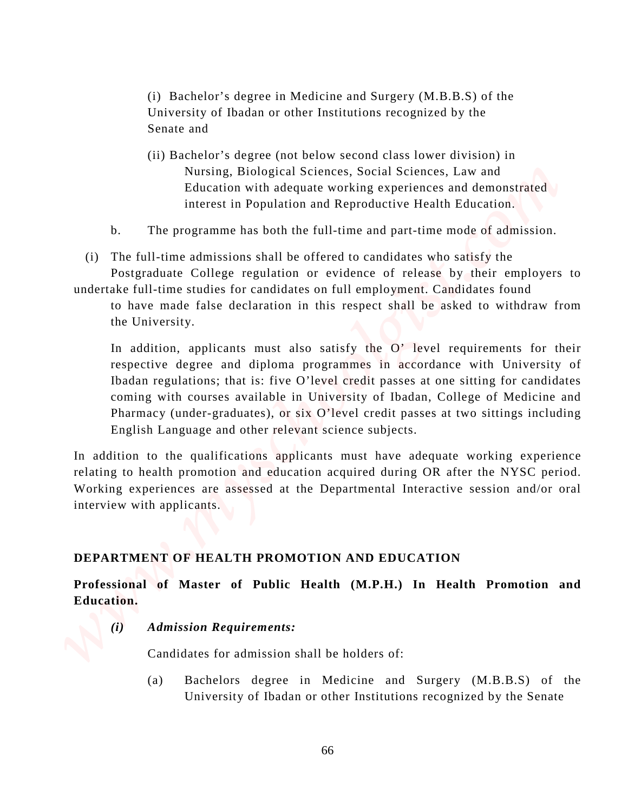(i) Bachelor's degree in Medicine and Surgery (M.B.B.S) of the University of Ibadan or other Institutions recognized by the Senate and

- (ii) Bachelor's degree (not below second class lower division) in Nursing, Biological Sciences, Social Sciences, Law and Education with adequate working experiences and demonstrated interest in Population and Reproductive Health Education.
- b. The programme has both the full-time and part-time mode of admission.

(i) The full-time admissions shall be offered to candidates who satisfy the Postgraduate College regulation or evidence of release by their employers to

undertake full-time studies for candidates on full employment. Candidates found to have made false declaration in this respect shall be asked to withdraw from the University.

In addition, applicants must also satisfy the O' level requirements for their respective degree and diploma programmes in accordance with University of Ibadan regulations; that is: five O'level credit passes at one sitting for candidates coming with courses available in University of Ibadan, College of Medicine and Pharmacy (under-graduates), or six O'level credit passes at two sittings including English Language and other relevant science subjects. U) Bachelor's degree is Medicine and Surgery (M.B.B.S) of the University of Badan or other Institutions recognized by the Senate of Senate of the Senate of the Senate Correlation in the Senate of the Senate and Surger Cor

In addition to the qualifications applicants must have adequate working experience relating to health promotion and education acquired during OR after the NYSC period. Working experiences are assessed at the Departmental Interactive session and/or oral interview with applicants.

## **DEPARTMENT OF HEALTH PROMOTION AND EDUCATION**

**Professional of Master of Public Health (M.P.H.) In Health Promotion and Education.**

*(i) Admission Requirements:*

Candidates for admission shall be holders of:

(a) Bachelors degree in Medicine and Surgery (M.B.B.S) of the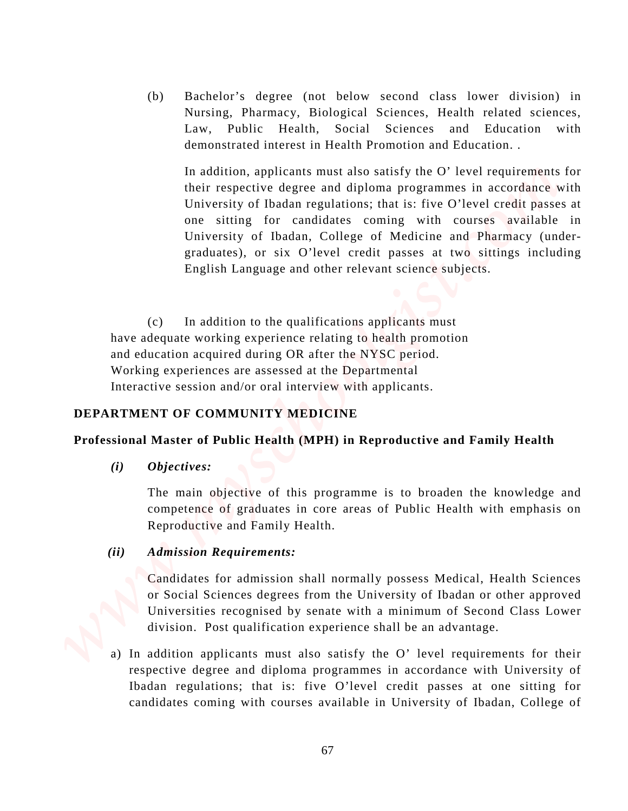(b) Bachelor's degree (not below second class lower division) in Nursing, Pharmacy, Biological Sciences, Health related sciences, Law, Public Health, Social Sciences and Education with demonstrated interest in Health Promotion and Education. .

In addition, applicants must also satisfy the O' level requirements for their respective degree and diploma programmes in accordance with University of Ibadan regulations; that is: five O'level credit passes at one sitting for candidates coming with courses available in University of Ibadan, College of Medicine and Pharmacy (undergraduates), or six O'level credit passes at two sittings including English Language and other relevant science subjects. can be a state of the state of the state of the state of the real of the state of the state of the state of the state of the state of the state of the state of the state of the state of the state of the state of the state

 (c) In addition to the qualifications applicants must have adequate working experience relating to health promotion and education acquired during OR after the NYSC period. Working experiences are assessed at the Departmental Interactive session and/or oral interview with applicants.

## **DEPARTMENT OF COMMUNITY MEDICINE**

### **Professional Master of Public Health (MPH) in Reproductive and Family Health**

*(i) Objectives:* 

The main objective of this programme is to broaden the knowledge and competence of graduates in core areas of Public Health with emphasis on Reproductive and Family Health.

## *(ii) Admission Requirements:*

 Candidates for admission shall normally possess Medical, Health Sciences or Social Sciences degrees from the University of Ibadan or other approved Universities recognised by senate with a minimum of Second Class Lower division. Post qualification experience shall be an advantage.

a) In addition applicants must also satisfy the O' level requirements for their respective degree and diploma programmes in accordance with University of Ibadan regulations; that is: five O'level credit passes at one sitting for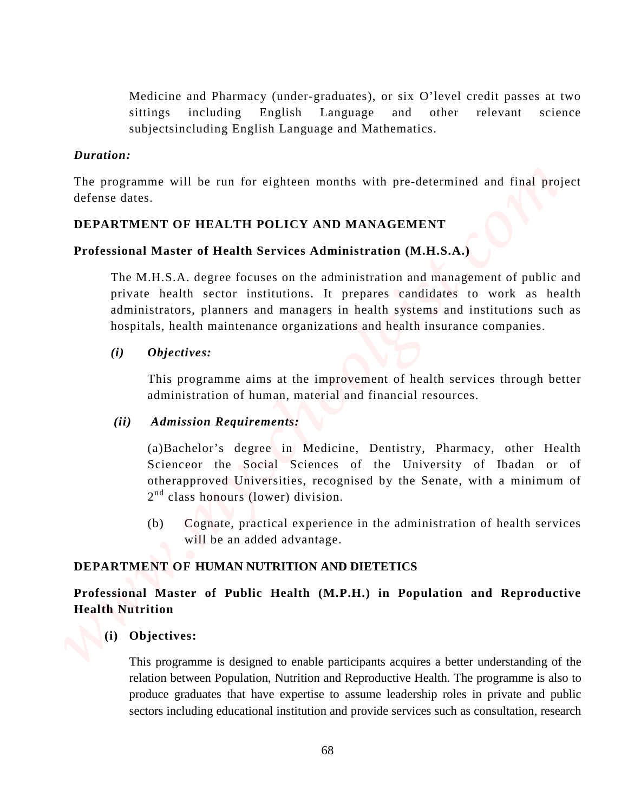Medicine and Pharmacy (under-graduates), or six O'level credit passes at two sittings including English Language and other relevant science subjectsincluding English Language and Mathematics.

## *Duration:*

The programme will be run for eighteen months with pre-determined and final project defense dates.

# **DEPARTMENT OF HEALTH POLICY AND MANAGEMENT**

# **Professional Master of Health Services Administration (M.H.S.A.)**

The M.H.S.A. degree focuses on the administration and management of public and private health sector institutions. It prepares candidates to work as health administrators, planners and managers in health systems and institutions such as hospitals, health maintenance organizations and health insurance companies. Medicine and Pharmacy (under-graduates), or six O'level credit passes at two<br>sixtings including Finglish Language and Mahemates.<br>The projectional is since with provide services and consultation and the<br>provide such as con

# *(i) Objectives:*

This programme aims at the improvement of health services through better administration of human, material and financial resources.

## *(ii) Admission Requirements:*

(a)Bachelor's degree in Medicine, Dentistry, Pharmacy, other Health Scienceor the Social Sciences of the University of Ibadan or of otherapproved Universities, recognised by the Senate, with a minimum of  $2<sup>nd</sup>$  class honours (lower) division.

(b) Cognate, practical experience in the administration of health services will be an added advantage.

# **DEPARTMENT OF HUMAN NUTRITION AND DIETETICS**

# **Professional Master of Public Health (M.P.H.) in Population and Reproductive Health Nutrition**

# **(i) Objectives:**

This programme is designed to enable participants acquires a better understanding of the relation between Population, Nutrition and Reproductive Health. The programme is also to produce graduates that have expertise to assume leadership roles in private and public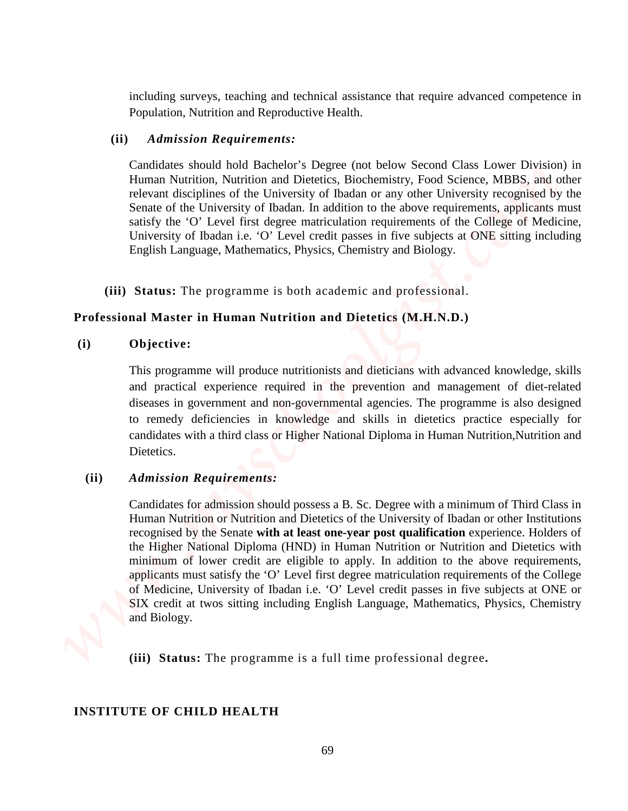including surveys, teaching and technical assistance that require advanced competence in Population, Nutrition and Reproductive Health.

## **(ii)** *Admission Requirements:*

Candidates should hold Bachelor's Degree (not below Second Class Lower Division) in Human Nutrition, Nutrition and Dietetics, Biochemistry, Food Science, MBBS, and other relevant disciplines of the University of Ibadan or any other University recognised by the Senate of the University of Ibadan. In addition to the above requirements, applicants must satisfy the 'O' Level first degree matriculation requirements of the College of Medicine, University of Ibadan i.e. 'O' Level credit passes in five subjects at ONE sitting including English Language, Mathematics, Physics, Chemistry and Biology.

**(iii) Status:** The programme is both academic and professional.

## **Professional Master in Human Nutrition and Dietetics (M.H.N.D.)**

## **(i) Objective:**

This programme will produce nutritionists and dieticians with advanced knowledge, skills and practical experience required in the prevention and management of diet-related diseases in government and non-governmental agencies. The programme is also designed to remedy deficiencies in knowledge and skills in dietetics practice especially for candidates with a third class or Higher National Diploma in Human Nutrition,Nutrition and Dietetics.

## **(ii)** *Admission Requirements:*

Candidates for admission should possess a B. Sc. Degree with a minimum of Third Class in Human Nutrition or Nutrition and Dietetics of the University of Ibadan or other Institutions recognised by the Senate **with at least one-year post qualification** experience. Holders of the Higher National Diploma (HND) in Human Nutrition or Nutrition and Dietetics with minimum of lower credit are eligible to apply. In addition to the above requirements, applicants must satisfy the 'O' Level first degree matriculation requirements of the College of Medicine, University of Ibadan i.e. 'O' Level credit passes in five subjects at ONE or SIX credit at twos sitting including English Language, Mathematics, Physics, Chemistry and Biology. **Including aureeys, tooching and technical assistance that requires advanced competence in Pepperature Results.**<br> **IF** (ii) *Adm* order *Requirements*:<br> **Combines should belt flucted by Eq. Peyres cont below Second Class L** 

**(iii) Status:** The programme is a full time professional degree**.**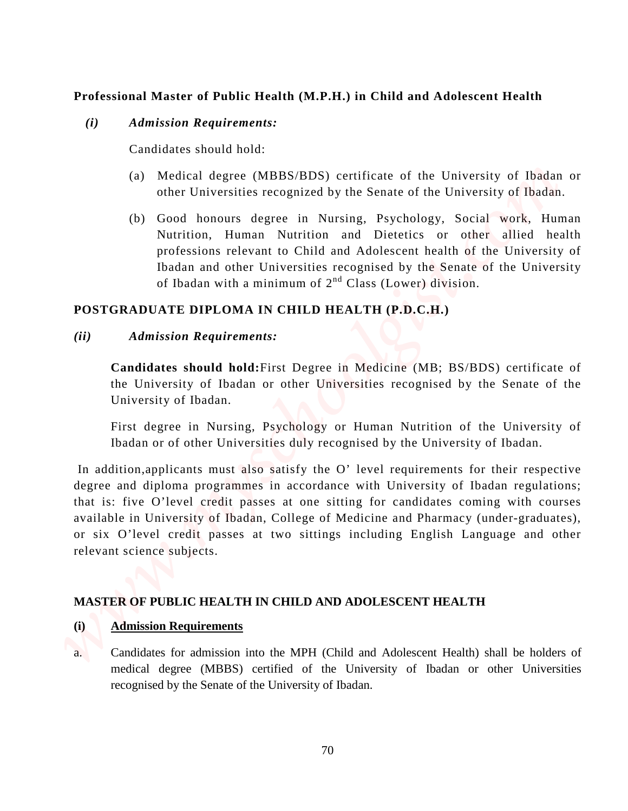# **Professional Master of Public Health (M.P.H.) in Child and Adolescent Health**

## *(i) Admission Requirements:*

Candidates should hold:

- (a) Medical degree (MBBS/BDS) certificate of the University of Ibadan or other Universities recognized by the Senate of the University of Ibadan.
- (b) Good honours degree in Nursing, Psychology, Social work, Human Nutrition, Human Nutrition and Dietetics or other allied health professions relevant to Child and Adolescent health of the University of Ibadan and other Universities recognised by the Senate of the University of Ibadan with a minimum of  $2<sup>nd</sup> Class (Lower) division.$

# **POSTGRADUATE DIPLOMA IN CHILD HEALTH (P.D.C.H.)**

## *(ii) Admission Requirements:*

 **Candidates should hold:**First Degree in Medicine (MB; BS/BDS) certificate of the University of Ibadan or other Universities recognised by the Senate of the University of Ibadan.

First degree in Nursing, Psychology or Human Nutrition of the University of Ibadan or of other Universities duly recognised by the University of Ibadan.

In addition,applicants must also satisfy the O' level requirements for their respective degree and diploma programmes in accordance with University of Ibadan regulations; that is: five O'level credit passes at one sitting for candidates coming with courses available in University of Ibadan, College of Medicine and Pharmacy (under-graduates), or six O'level credit passes at two sittings including English Language and other relevant science subjects. **Professional Master of Public Health (M.P.H.) in Child and Adolescent Health**<br>
(*i)* Admission Requirements:<br>
Conditions (and the University of the University of Ibadan or<br>
(a) Maskal orientations (computed by the Senate

# **MASTER OF PUBLIC HEALTH IN CHILD AND ADOLESCENT HEALTH**

## **(i) Admission Requirements**

a. Candidates for admission into the MPH (Child and Adolescent Health) shall be holders of recognised by the Senate of the University of Ibadan.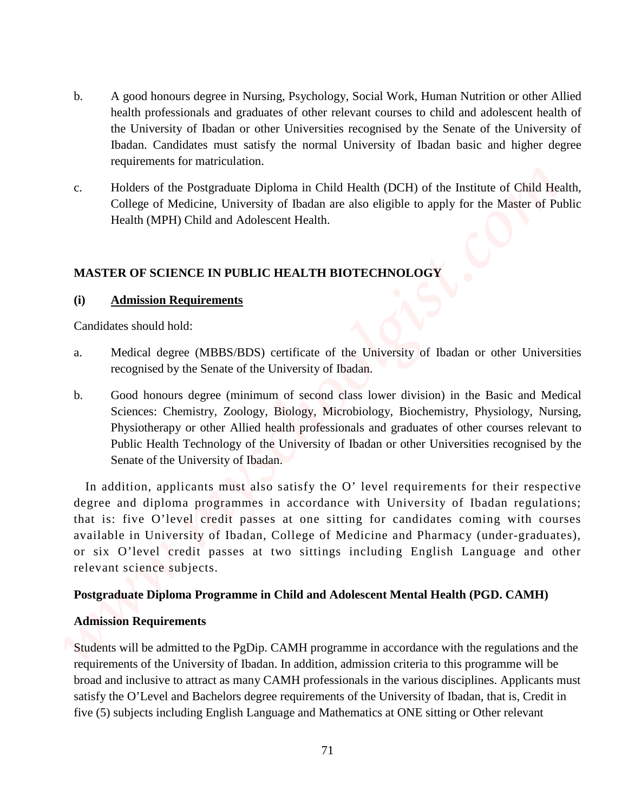- b. A good honours degree in Nursing, Psychology, Social Work, Human Nutrition or other Allied health professionals and graduates of other relevant courses to child and adolescent health of the University of Ibadan or other Universities recognised by the Senate of the University of Ibadan. Candidates must satisfy the normal University of Ibadan basic and higher degree requirements for matriculation.
- c. Holders of the Postgraduate Diploma in Child Health (DCH) of the Institute of Child Health, College of Medicine, University of Ibadan are also eligible to apply for the Master of Public Health (MPH) Child and Adolescent Health.

# **MASTER OF SCIENCE IN PUBLIC HEALTH BIOTECHNOLOGY**

### **(i) Admission Requirements**

Candidates should hold:

- a. Medical degree (MBBS/BDS) certificate of the University of Ibadan or other Universities recognised by the Senate of the University of Ibadan.
- b. Good honours degree (minimum of second class lower division) in the Basic and Medical Sciences: Chemistry, Zoology, Biology, Microbiology, Biochemistry, Physiology, Nursing, Physiotherapy or other Allied health professionals and graduates of other courses relevant to Public Health Technology of the University of Ibadan or other Universities recognised by the Senate of the University of Ibadan.

In addition, applicants must also satisfy the O' level requirements for their respective degree and diploma programmes in accordance with University of Ibadan regulations; that is: five O'level credit passes at one sitting for candidates coming with courses available in University of Ibadan, College of Medicine and Pharmacy (under-graduates), or six O'level credit passes at two sittings including English Language and other relevant science subjects. five (5) subjects including the system of the control of the control of the system of the system of the system of the control of the system of the system of the system of the system of the system of the system of the syste

#### **Postgraduate Diploma Programme in Child and Adolescent Mental Health (PGD. CAMH)**

#### **Admission Requirements**

Students will be admitted to the PgDip. CAMH programme in accordance with the regulations and the requirements of the University of Ibadan. In addition, admission criteria to this programme will be broad and inclusive to attract as many CAMH professionals in the various disciplines. Applicants must satisfy the O'Level and Bachelors degree requirements of the University of Ibadan, that is, Credit in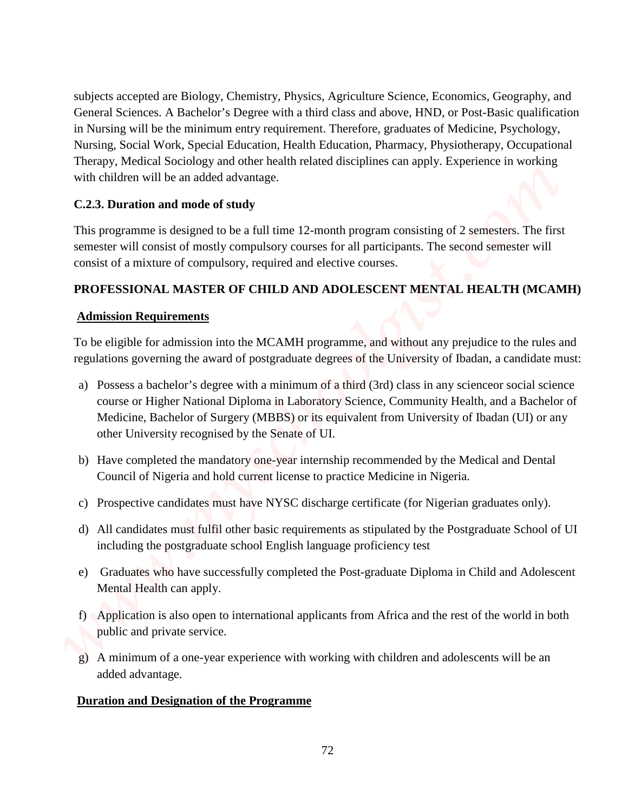subjects accepted are Biology, Chemistry, Physics, Agriculture Science, Economics, Geography, and General Sciences. A Bachelor's Degree with a third class and above, HND, or Post-Basic qualification in Nursing will be the minimum entry requirement. Therefore, graduates of Medicine, Psychology, Nursing, Social Work, Special Education, Health Education, Pharmacy, Physiotherapy, Occupational Therapy, Medical Sociology and other health related disciplines can apply. Experience in working with children will be an added advantage. **Example 21** accepted are Biology, Churisiny, Physics. Agenchare Science, Excursion's, Geography, and General Science A. Burben's Designation in Varishue during the Designation in Varishue during the Designation of the Pro

## **C.2.3. Duration and mode of study**

This programme is designed to be a full time 12-month program consisting of 2 semesters. The first semester will consist of mostly compulsory courses for all participants. The second semester will consist of a mixture of compulsory, required and elective courses.

## **PROFESSIONAL MASTER OF CHILD AND ADOLESCENT MENTAL HEALTH (MCAMH)**

## **Admission Requirements**

To be eligible for admission into the MCAMH programme, and without any prejudice to the rules and regulations governing the award of postgraduate degrees of the University of Ibadan, a candidate must:

- a) Possess a bachelor's degree with a minimum of a third (3rd) class in any scienceor social science course or Higher National Diploma in Laboratory Science, Community Health, and a Bachelor of Medicine, Bachelor of Surgery (MBBS) or its equivalent from University of Ibadan (UI) or any other University recognised by the Senate of UI.
- b) Have completed the mandatory one-year internship recommended by the Medical and Dental Council of Nigeria and hold current license to practice Medicine in Nigeria.
- c) Prospective candidates must have NYSC discharge certificate (for Nigerian graduates only).
- d) All candidates must fulfil other basic requirements as stipulated by the Postgraduate School of UI including the postgraduate school English language proficiency test
- e) Graduates who have successfully completed the Post-graduate Diploma in Child and Adolescent Mental Health can apply.
- f) Application is also open to international applicants from Africa and the rest of the world in both public and private service.
- g) A minimum of a one-year experience with working with children and adolescents will be an added advantage.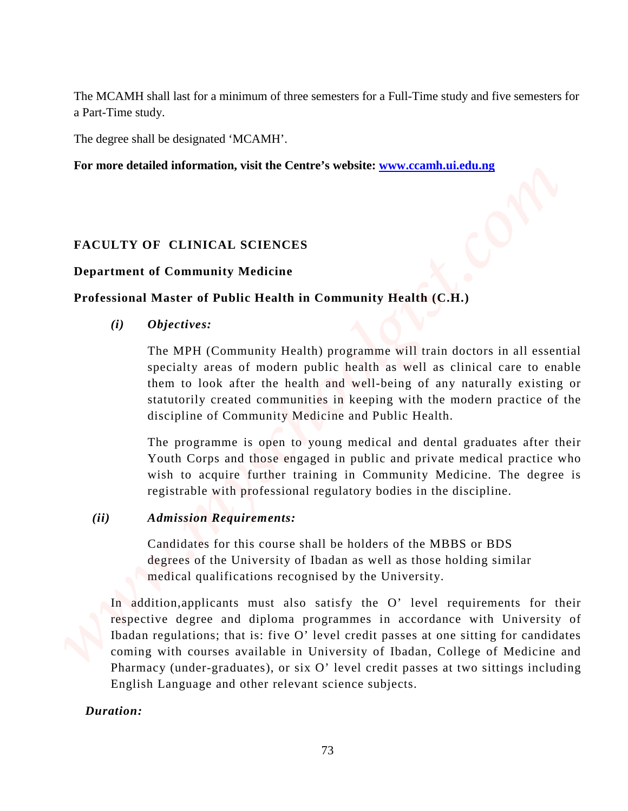The MCAMH shall last for a minimum of three semesters for a Full-Time study and five semesters for a Part-Time study.

The degree shall be designated 'MCAMH'.

**For more detailed information, visit the Centre's website: www.ccamh.ui.edu.ng**

## **FACULTY OF CLINICAL SCIENCES**

### **Department of Community Medicine**

### **Professional Master of Public Health in Community Health (C.H.)**

 *(i) Objectives:*

The MPH (Community Health) programme will train doctors in all essential specialty areas of modern public health as well as clinical care to enable them to look after the health and well-being of any naturally existing or statutorily created communities in keeping with the modern practice of the discipline of Community Medicine and Public Health.

The programme is open to young medical and dental graduates after their Youth Corps and those engaged in public and private medical practice who wish to acquire further training in Community Medicine. The degree is registrable with professional regulatory bodies in the discipline.

## *(ii) Admission Requirements:*

 Candidates for this course shall be holders of the MBBS or BDS degrees of the University of Ibadan as well as those holding similar medical qualifications recognised by the University.

In addition,applicants must also satisfy the O' level requirements for their respective degree and diploma programmes in accordance with University of Ibadan regulations; that is: five O' level credit passes at one sitting for candidates coming with courses available in University of Ibadan, College of Medicine and Pharmacy (under-graduates), or six O' level credit passes at two sittings including English Language and other relevant science subjects. **The MCAMH** shall had for a minimum of three senesties for a PdI-Time study and five semesters for PTE-Time study and five semesters for PTE CREATION: The signal and the studied information, visit the Centre's website: <u>w</u>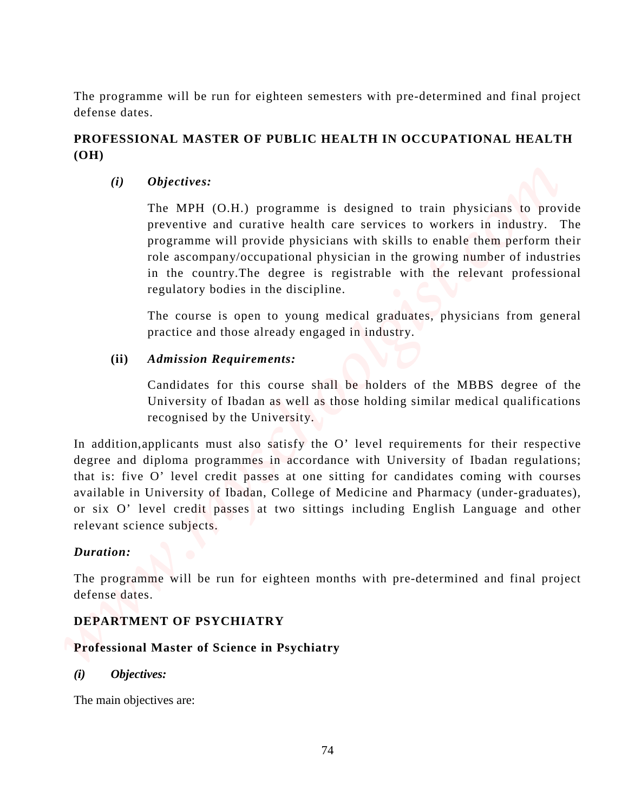The programme will be run for eighteen semesters with pre-determined and final project defense dates.

## **PROFESSIONAL MASTER OF PUBLIC HEALTH IN OCCUPATIONAL HEALTH (OH)**

*(i) Objectives:*

The MPH (O.H.) programme is designed to train physicians to provide preventive and curative health care services to workers in industry. The programme will provide physicians with skills to enable them perform their role ascompany/occupational physician in the growing number of industries in the country.The degree is registrable with the relevant professional regulatory bodies in the discipline.

The course is open to young medical graduates, physicians from general practice and those already engaged in industry.

## **(ii)** *Admission Requirements:*

 Candidates for this course shall be holders of the MBBS degree of the University of Ibadan as well as those holding similar medical qualifications recognised by the University.

In addition,applicants must also satisfy the O' level requirements for their respective degree and diploma programmes in accordance with University of Ibadan regulations; that is: five O' level credit passes at one sitting for candidates coming with courses available in University of Ibadan, College of Medicine and Pharmacy (under-graduates), or six O' level credit passes at two sittings including English Language and other relevant science subjects. The main objectives are: *www.myschoolgist.com*

## *Duration:*

The programme will be run for eighteen months with pre-determined and final project defense dates.

## **DEPARTMENT OF PSYCHIATRY**

## **Professional Master of Science in Psychiatry**

*(i) Objectives:*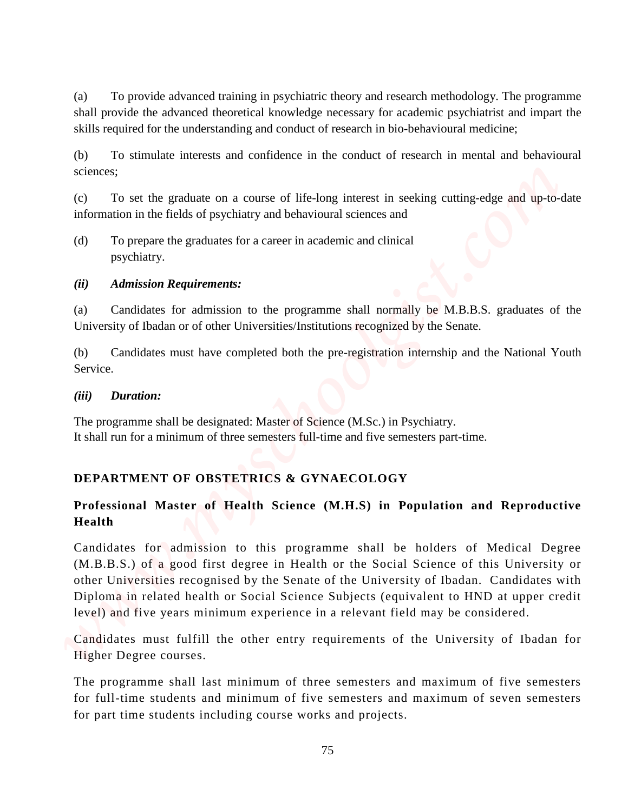(a) To provide advanced training in psychiatric theory and research methodology. The programme shall provide the advanced theoretical knowledge necessary for academic psychiatrist and impart the skills required for the understanding and conduct of research in bio-behavioural medicine;

(b) To stimulate interests and confidence in the conduct of research in mental and behavioural sciences;

(c) To set the graduate on a course of life-long interest in seeking cutting-edge and up-to-date information in the fields of psychiatry and behavioural sciences and

(d) To prepare the graduates for a career in academic and clinical psychiatry.

## *(ii) Admission Requirements:*

(a) Candidates for admission to the programme shall normally be M.B.B.S. graduates of the University of Ibadan or of other Universities/Institutions recognized by the Senate.

(b) Candidates must have completed both the pre-registration internship and the National Youth Service.

#### *(iii) Duration:*

The programme shall be designated: Master of Science (M.Sc.) in Psychiatry. It shall run for a minimum of three semesters full-time and five semesters part-time.

## **DEPARTMENT OF OBSTETRICS & GYNAECOLOGY**

## **Professional Master of Health Science (M.H.S) in Population and Reproductive Health**

Candidates for admission to this programme shall be holders of Medical Degree (M.B.B.S.) of a good first degree in Health or the Social Science of this University or other Universities recognised by the Senate of the University of Ibadan. Candidates with Diploma in related health or Social Science Subjects (equivalent to HND at upper credit level) and five years minimum experience in a relevant field may be considered. for **To provide selarned mining in populative theory and research methodology. The programme dail growth the advanced functioned boowly including courses works and coupled course with the minimal internal including course** 

Candidates must fulfill the other entry requirements of the University of Ibadan for Higher Degree courses.

The programme shall last minimum of three semesters and maximum of five semesters for full-time students and minimum of five semesters and maximum of seven semesters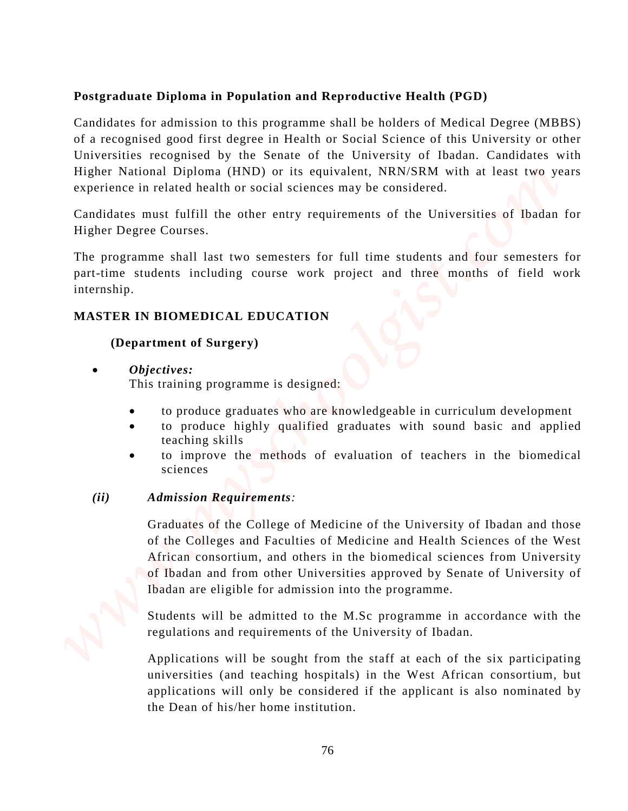## **Postgraduate Diploma in Population and Reproductive Health (PGD)**

Candidates for admission to this programme shall be holders of Medical Degree (MBBS) of a recognised good first degree in Health or Social Science of this University or other Universities recognised by the Senate of the University of Ibadan. Candidates with Higher National Diploma (HND) or its equivalent, NRN/SRM with at least two years experience in related health or social sciences may be considered. **Postgraduate Diploma in Population and Reproductive Health (PGD)**<br>
Castigliance for admission to this programme shall be forekated Modeland Degree (MBBS)<br>
of a recognised great fits denote of the Modeland Carolideca comb

Candidates must fulfill the other entry requirements of the Universities of Ibadan for Higher Degree Courses.

The programme shall last two semesters for full time students and four semesters for part-time students including course work project and three months of field work internship.

## **MASTER IN BIOMEDICAL EDUCATION**

## **(Department of Surgery)**

• *Objectives:*

This training programme is designed:

- to produce graduates who are knowledgeable in curriculum development
- to produce highly qualified graduates with sound basic and applied teaching skills
- to improve the methods of evaluation of teachers in the biomedical sciences

## *(ii) Admission Requirements:*

Graduates of the College of Medicine of the University of Ibadan and those of the Colleges and Faculties of Medicine and Health Sciences of the West African consortium, and others in the biomedical sciences from University of Ibadan and from other Universities approved by Senate of University of Ibadan are eligible for admission into the programme.

Students will be admitted to the M.Sc programme in accordance with the regulations and requirements of the University of Ibadan.

Applications will be sought from the staff at each of the six participating universities (and teaching hospitals) in the West African consortium, but applications will only be considered if the applicant is also nominated by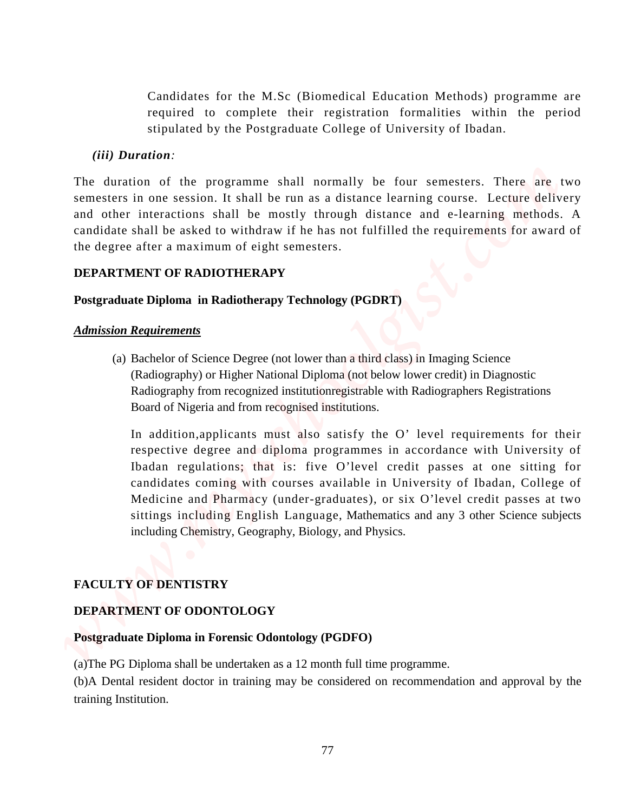Candidates for the M.Sc (Biomedical Education Methods) programme are required to complete their registration formalities within the period stipulated by the Postgraduate College of University of Ibadan.

#### *(iii) Duration:*

The duration of the programme shall normally be four semesters. There are two semesters in one session. It shall be run as a distance learning course. Lecture delivery and other interactions shall be mostly through distance and e-learning methods. A candidate shall be asked to withdraw if he has not fulfilled the requirements for award of the degree after a maximum of eight semesters.

#### **DEPARTMENT OF RADIOTHERAPY**

#### **Postgraduate Diploma in Radiotherapy Technology (PGDRT)**

#### *Admission Requirements*

(a) Bachelor of Science Degree (not lower than a third class) in Imaging Science (Radiography) or Higher National Diploma (not below lower credit) in Diagnostic Radiography from recognized institutionregistrable with Radiographers Registrations Board of Nigeria and from recognised institutions.

In addition,applicants must also satisfy the O' level requirements for their respective degree and diploma programmes in accordance with University of Ibadan regulations; that is: five O'level credit passes at one sitting for candidates coming with courses available in University of Ibadan, College of Medicine and Pharmacy (under-graduates), or six O'level credit passes at two sittings including English Language, Mathematics and any 3 other Science subjects including Chemistry, Geography, Biology, and Physics. Constitution. In the M.S.c (Homodical Hatacuton Methods) programme are<br>required to complete their registration. formalizes within<br>the duality of the properation of the properation constraints College of University of Indi

#### **FACULTY OF DENTISTRY**

#### **DEPARTMENT OF ODONTOLOGY**

## **Postgraduate Diploma in Forensic Odontology (PGDFO)**

(a)The PG Diploma shall be undertaken as a 12 month full time programme.

(b)A Dental resident doctor in training may be considered on recommendation and approval by the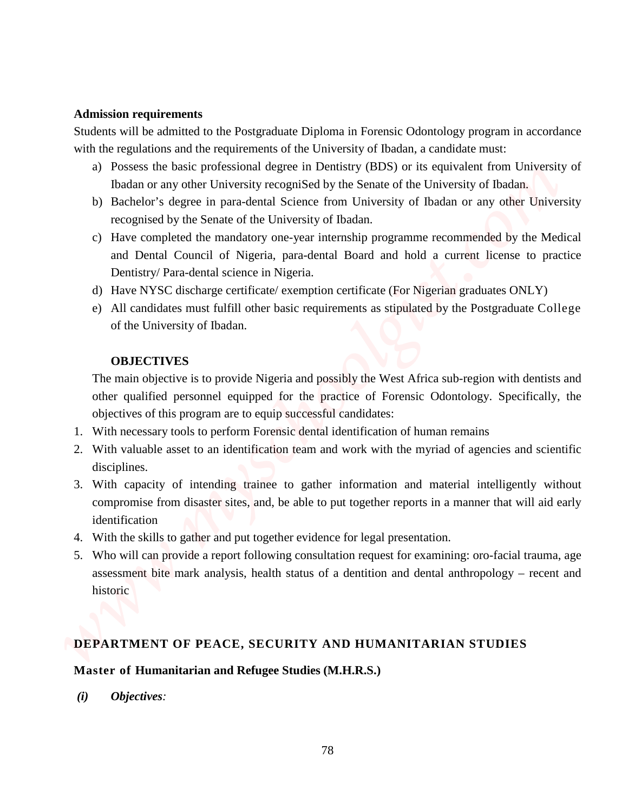#### **Admission requirements**

Students will be admitted to the Postgraduate Diploma in Forensic Odontology program in accordance with the regulations and the requirements of the University of Ibadan, a candidate must:

- a) Possess the basic professional degree in Dentistry (BDS) or its equivalent from University of Ibadan or any other University recogniSed by the Senate of the University of Ibadan.
- b) Bachelor's degree in para-dental Science from University of Ibadan or any other University recognised by the Senate of the University of Ibadan.
- c) Have completed the mandatory one-year internship programme recommended by the Medical and Dental Council of Nigeria, para-dental Board and hold a current license to practice Dentistry/ Para-dental science in Nigeria.
- d) Have NYSC discharge certificate/ exemption certificate (For Nigerian graduates ONLY)
- e) All candidates must fulfill other basic requirements as stipulated by the Postgraduate College of the University of Ibadan.

#### **OBJECTIVES**

The main objective is to provide Nigeria and possibly the West Africa sub-region with dentists and other qualified personnel equipped for the practice of Forensic Odontology. Specifically, the objectives of this program are to equip successful candidates:

- 1. With necessary tools to perform Forensic dental identification of human remains
- 2. With valuable asset to an identification team and work with the myriad of agencies and scientific disciplines.
- 3. With capacity of intending trainee to gather information and material intelligently without compromise from disaster sites, and, be able to put together reports in a manner that will aid early identification **Admission requirements**<br>
Students will be adminted to the Postprodusto Diploma in Forensic Odomology program in accordance<br>
with a regulation and the regulations of the University of Rodan a condition cannot according an
	- 4. With the skills to gather and put together evidence for legal presentation.
	- 5. Who will can provide a report following consultation request for examining: oro-facial trauma, age assessment bite mark analysis, health status of a dentition and dental anthropology – recent and historic

#### **DEPARTMENT OF PEACE, SECURITY AND HUMANITARIAN STUDIES**

#### **Master of Humanitarian and Refugee Studies (M.H.R.S.)**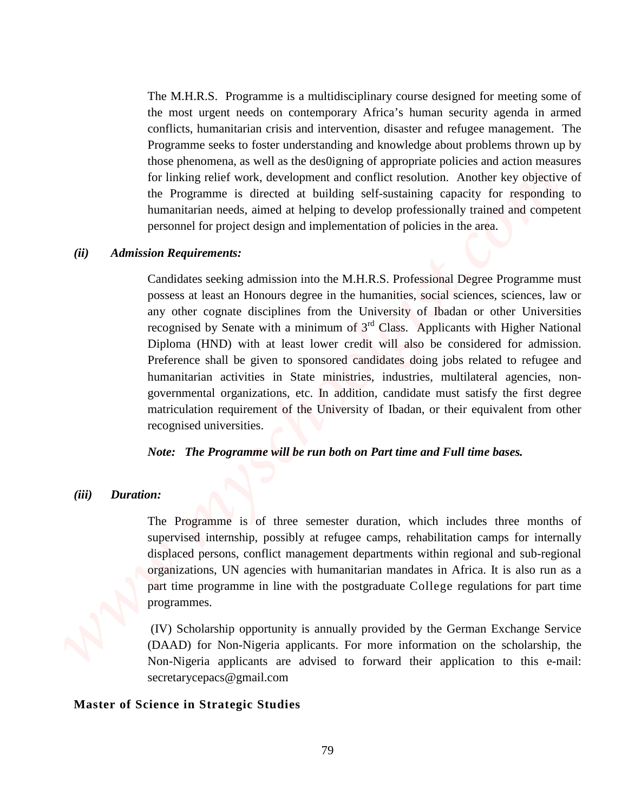The M.H.R.S. Programme is a multidisciplinary course designed for meeting some of the most urgent needs on contemporary Africa's human security agenda in armed conflicts, humanitarian crisis and intervention, disaster and refugee management. The Programme seeks to foster understanding and knowledge about problems thrown up by those phenomena, as well as the des0igning of appropriate policies and action measures for linking relief work, development and conflict resolution. Another key objective of the Programme is directed at building self-sustaining capacity for responding to humanitarian needs, aimed at helping to develop professionally trained and competent personnel for project design and implementation of policies in the area.

#### *(ii) Admission Requirements:*

Candidates seeking admission into the M.H.R.S. Professional Degree Programme must possess at least an Honours degree in the humanities, social sciences, sciences, law or any other cognate disciplines from the University of Ibadan or other Universities recognised by Senate with a minimum of  $3<sup>rd</sup>$  Class. Applicants with Higher National Diploma (HND) with at least lower credit will also be considered for admission. Preference shall be given to sponsored candidates doing jobs related to refugee and humanitarian activities in State ministries, industries, multilateral agencies, nongovernmental organizations, etc. In addition, candidate must satisfy the first degree matriculation requirement of the University of Ibadan, or their equivalent from other recognised universities. The MHRAS. Programmar is a mutitidisciplinary counse designed for meeting some of the two any means the strategic studies the method of the strategic studies of the method of the strategic studies and analyze the method of

*Note: The Programme will be run both on Part time and Full time bases.*

#### *(iii) Duration:*

The Programme is of three semester duration, which includes three months of supervised internship, possibly at refugee camps, rehabilitation camps for internally displaced persons, conflict management departments within regional and sub-regional organizations, UN agencies with humanitarian mandates in Africa. It is also run as a part time programme in line with the postgraduate College regulations for part time programmes.

(IV) Scholarship opportunity is annually provided by the German Exchange Service (DAAD) for Non-Nigeria applicants. For more information on the scholarship, the Non-Nigeria applicants are advised to forward their application to this e-mail: secretarycepacs@gmail.com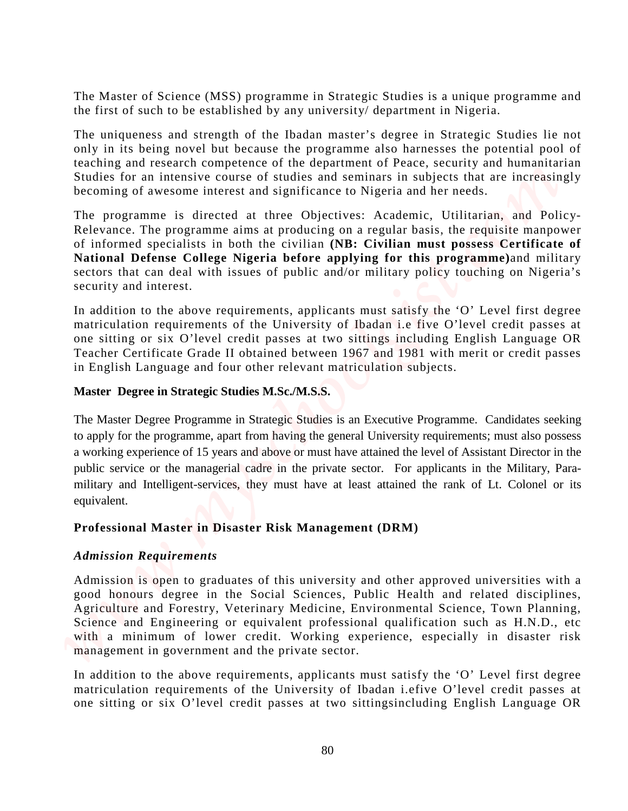The Master of Science (MSS) programme in Strategic Studies is a unique programme and the first of such to be established by any university/ department in Nigeria.

The uniqueness and strength of the Ibadan master's degree in Strategic Studies lie not only in its being novel but because the programme also harnesses the potential pool of teaching and research competence of the department of Peace, security and humanitarian Studies for an intensive course of studies and seminars in subjects that are increasingly becoming of awesome interest and significance to Nigeria and her needs.

The programme is directed at three Objectives: Academic, Utilitarian, and Policy-Relevance. The programme aims at producing on a regular basis, the requisite manpower of informed specialists in both the civilian **(NB: Civilian must possess Certificate of National Defense College Nigeria before applying for this programme)**and military sectors that can deal with issues of public and/or military policy touching on Nigeria's security and interest.

In addition to the above requirements, applicants must satisfy the 'O' Level first degree matriculation requirements of the University of Ibadan i.e five O'level credit passes at one sitting or six O'level credit passes at two sittings including English Language OR Teacher Certificate Grade II obtained between 1967 and 1981 with merit or credit passes in English Language and four other relevant matriculation subjects.

### **Master Degree in Strategic Studies M.Sc./M.S.S.**

The Master Degree Programme in Strategic Studies is an Executive Programme. Candidates seeking to apply for the programme, apart from having the general University requirements; must also possess a working experience of 15 years and above or must have attained the level of Assistant Director in the public service or the managerial cadre in the private sector. For applicants in the Military, Paramilitary and Intelligent-services, they must have at least attained the rank of Lt. Colonel or its equivalent. The Master of Science (MSS) programmo in Strategic Studies is a unique programme and<br>the fits of track of the credit passes at the measurement of Nigeria.<br>The minimeters and twencile of the fits of the companies at the fit

## **Professional Master in Disaster Risk Management (DRM)**

#### *Admission Requirements*

Admission is open to graduates of this university and other approved universities with a good honours degree in the Social Sciences, Public Health and related disciplines, Agriculture and Forestry, Veterinary Medicine, Environmental Science, Town Planning, Science and Engineering or equivalent professional qualification such as H.N.D., etc with a minimum of lower credit. Working experience, especially in disaster risk management in government and the private sector.

In addition to the above requirements, applicants must satisfy the 'O' Level first degree matriculation requirements of the University of Ibadan i.efive O'level credit passes at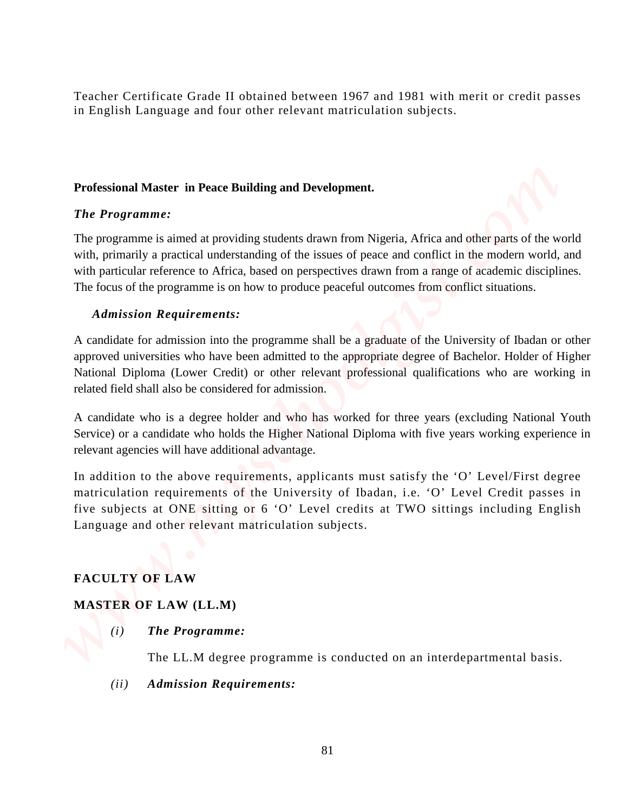Teacher Certificate Grade II obtained between 1967 and 1981 with merit or credit passes in English Language and four other relevant matriculation subjects.

## **Professional Master in Peace Building and Development.**

## *The Programme:*

The programme is aimed at providing students drawn from Nigeria, Africa and other parts of the world with, primarily a practical understanding of the issues of peace and conflict in the modern world, and with particular reference to Africa, based on perspectives drawn from a range of academic disciplines. The focus of the programme is on how to produce peaceful outcomes from conflict situations.

## *Admission Requirements:*

A candidate for admission into the programme shall be a graduate of the University of Ibadan or other approved universities who have been admitted to the appropriate degree of Bachelor. Holder of Higher National Diploma (Lower Credit) or other relevant professional qualifications who are working in related field shall also be considered for admission. **Touchar Contificate Grade II** obtained between 1967 and 1981 with metric or credit passes<br>in English Language and four other relevant matriculation subjects.<br> *Professional Master in Proce Building and Development.***<br>
<b>** 

A candidate who is a degree holder and who has worked for three years (excluding National Youth Service) or a candidate who holds the Higher National Diploma with five years working experience in relevant agencies will have additional advantage.

In addition to the above requirements, applicants must satisfy the 'O' Level/First degree matriculation requirements of the University of Ibadan, i.e. 'O' Level Credit passes in five subjects at ONE sitting or 6 'O' Level credits at TWO sittings including English Language and other relevant matriculation subjects.

## **FACULTY OF LAW**

## **MASTER OF LAW (LL.M)**

 *(i) The Programme:*

The LL.M degree programme is conducted on an interdepartmental basis.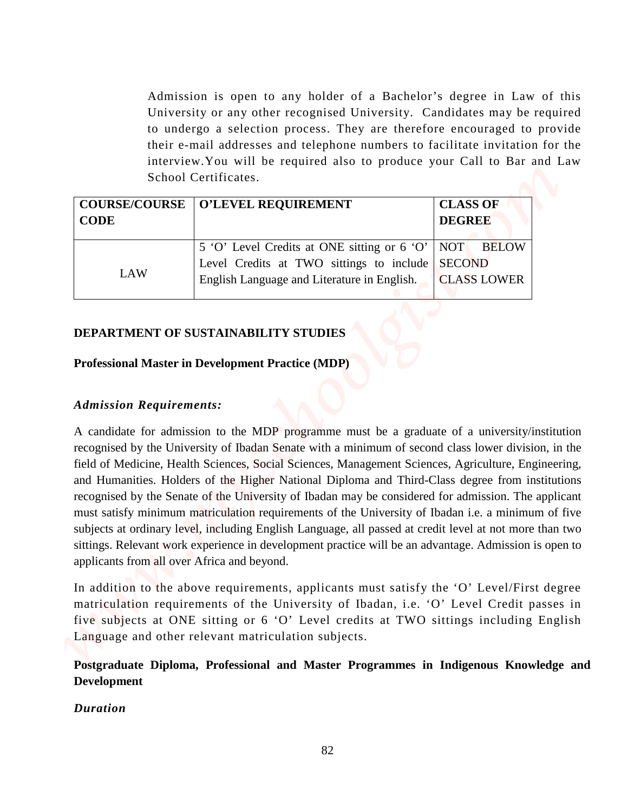Admission is open to any holder of a Bachelor's degree in Law of this University or any other recognised University. Candidates may be required to undergo a selection process. They are therefore encouraged to provide their e-mail addresses and telephone numbers to facilitate invitation for the interview.You will be required also to produce your Call to Bar and Law School Certificates.

| <b>CODE</b> | <b>COURSE/COURSE   O'LEVEL REQUIREMENT</b>              | <b>CLASS OF</b><br><b>DEGREE</b> |                    |
|-------------|---------------------------------------------------------|----------------------------------|--------------------|
|             | 5 'O' Level Credits at ONE sitting or 6 'O'   NOT BELOW |                                  |                    |
|             | Level Credits at TWO sittings to include SECOND         |                                  |                    |
| LAW         | English Language and Literature in English.             |                                  | <b>CLASS LOWER</b> |
|             |                                                         |                                  |                    |

## **DEPARTMENT OF SUSTAINABILITY STUDIES**

#### **Professional Master in Development Practice (MDP)**

#### *Admission Requirements:*

A candidate for admission to the MDP programme must be a graduate of a university/institution recognised by the University of Ibadan Senate with a minimum of second class lower division, in the field of Medicine, Health Sciences, Social Sciences, Management Sciences, Agriculture, Engineering, and Humanities. Holders of the Higher National Diploma and Third-Class degree from institutions recognised by the Senate of the University of Ibadan may be considered for admission. The applicant must satisfy minimum matriculation requirements of the University of Ibadan i.e. a minimum of five subjects at ordinary level, including English Language, all passed at credit level at not more than two sittings. Relevant work experience in development practice will be an advantage. Admission is open to applicants from all over Africa and beyond. *Mathission is open to any holder of a Bachelot's degree in Law of chis-<br>
University or any solver recognised Laivening C are correlated amongsed to provide<br>
to endergree a selection process. They are cheerbite ancestors* 

In addition to the above requirements, applicants must satisfy the 'O' Level/First degree matriculation requirements of the University of Ibadan, i.e. 'O' Level Credit passes in five subjects at ONE sitting or 6 'O' Level credits at TWO sittings including English Language and other relevant matriculation subjects.

## **Postgraduate Diploma, Professional and Master Programmes in Indigenous Knowledge and Development**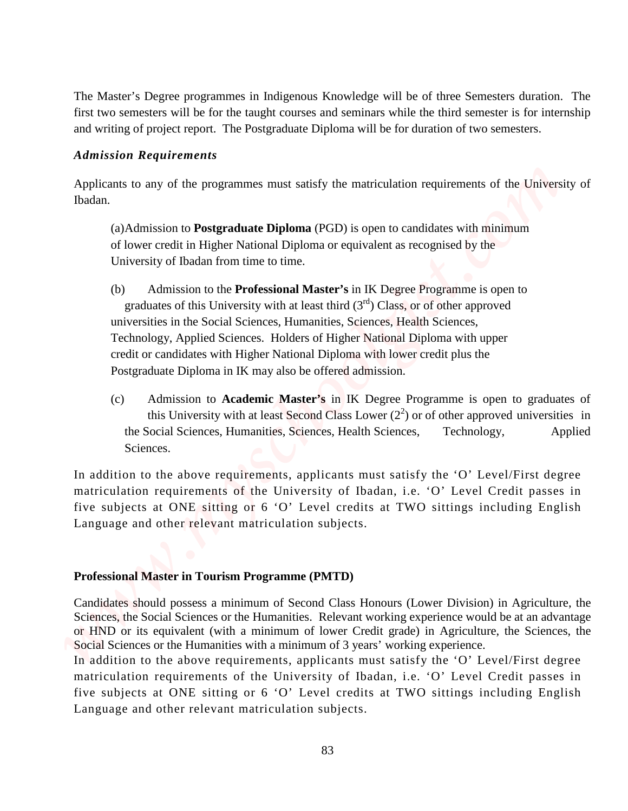The Master's Degree programmes in Indigenous Knowledge will be of three Semesters duration. The first two semesters will be for the taught courses and seminars while the third semester is for internship and writing of project report. The Postgraduate Diploma will be for duration of two semesters.

#### *Admission Requirements*

Applicants to any of the programmes must satisfy the matriculation requirements of the University of Ibadan.

(a) Admission to **Postgraduate Diploma** (PGD) is open to candidates with minimum of lower credit in Higher National Diploma or equivalent as recognised by the University of Ibadan from time to time.

- (b) Admission to the **Professional Master's** in IK Degree Programme is open to graduates of this University with at least third  $(3<sup>rd</sup>)$  Class, or of other approved universities in the Social Sciences, Humanities, Sciences, Health Sciences, Technology, Applied Sciences. Holders of Higher National Diploma with upper credit or candidates with Higher National Diploma with lower credit plus the Postgraduate Diploma in IK may also be offered admission. The Mostev Cheyese programmes in Indigenous Kreowhelge will be of three Somewares duration. The<br>first too accessor will be for detail contains which the time that is the time in the interesting of project spectra for the
	- (c) Admission to **Academic Master's** in IK Degree Programme is open to graduates of this University with at least Second Class Lower  $(2^2)$  or of other approved universities in the Social Sciences, Humanities, Sciences, Health Sciences, Technology, Applied Sciences.

In addition to the above requirements, applicants must satisfy the 'O' Level/First degree matriculation requirements of the University of Ibadan, i.e. 'O' Level Credit passes in five subjects at ONE sitting or 6 'O' Level credits at TWO sittings including English Language and other relevant matriculation subjects.

#### **Professional Master in Tourism Programme (PMTD)**

Candidates should possess a minimum of Second Class Honours (Lower Division) in Agriculture, the Sciences, the Social Sciences or the Humanities. Relevant working experience would be at an advantage or HND or its equivalent (with a minimum of lower Credit grade) in Agriculture, the Sciences, the Social Sciences or the Humanities with a minimum of 3 years' working experience.

In addition to the above requirements, applicants must satisfy the 'O' Level/First degree matriculation requirements of the University of Ibadan, i.e. 'O' Level Credit passes in five subjects at ONE sitting or 6 'O' Level credits at TWO sittings including English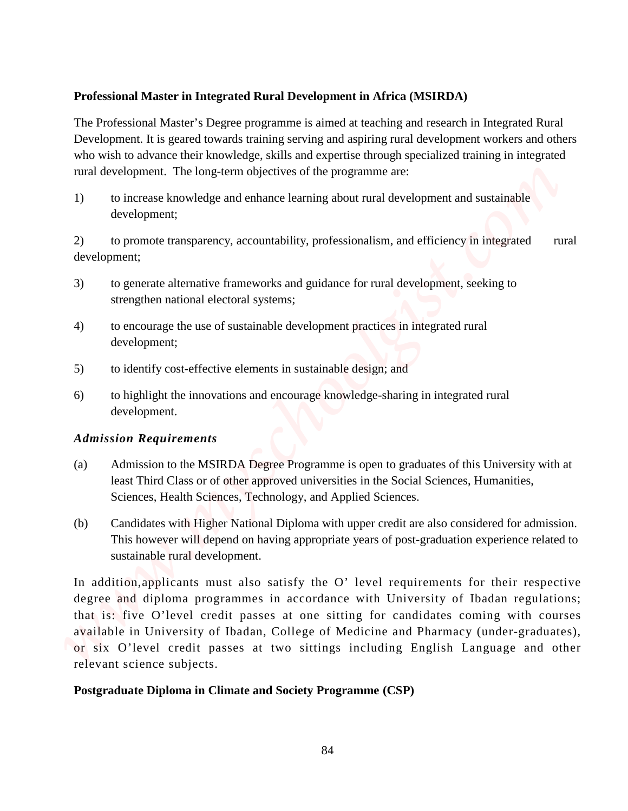## **Professional Master in Integrated Rural Development in Africa (MSIRDA)**

The Professional Master's Degree programme is aimed at teaching and research in Integrated Rural Development. It is geared towards training serving and aspiring rural development workers and others who wish to advance their knowledge, skills and expertise through specialized training in integrated rural development. The long-term objectives of the programme are:

1) to increase knowledge and enhance learning about rural development and sustainable development;

2) to promote transparency, accountability, professionalism, and efficiency in integrated rural development;

- 3) to generate alternative frameworks and guidance for rural development, seeking to strengthen national electoral systems;
- 4) to encourage the use of sustainable development practices in integrated rural development;
- 5) to identify cost-effective elements in sustainable design; and
- 6) to highlight the innovations and encourage knowledge-sharing in integrated rural development.

## *Admission Requirements*

- (a) Admission to the MSIRDA Degree Programme is open to graduates of this University with at least Third Class or of other approved universities in the Social Sciences, Humanities, Sciences, Health Sciences, Technology, and Applied Sciences.
- (b) Candidates with Higher National Diploma with upper credit are also considered for admission. This however will depend on having appropriate years of post-graduation experience related to sustainable rural development.

In addition,applicants must also satisfy the O' level requirements for their respective degree and diploma programmes in accordance with University of Ibadan regulations; that is: five O'level credit passes at one sitting for candidates coming with courses available in University of Ibadan, College of Medicine and Pharmacy (under-graduates), or six O'level credit passes at two sittings including English Language and other relevant science subjects. **Professional Master in Integrated Rural Development in Africa (MSIRDA)**<br>
The Porissional Chi gasole (Wooster Polymer programme is calculated in accelerated in the<br>gradied Mass of the complete and the complete and subseque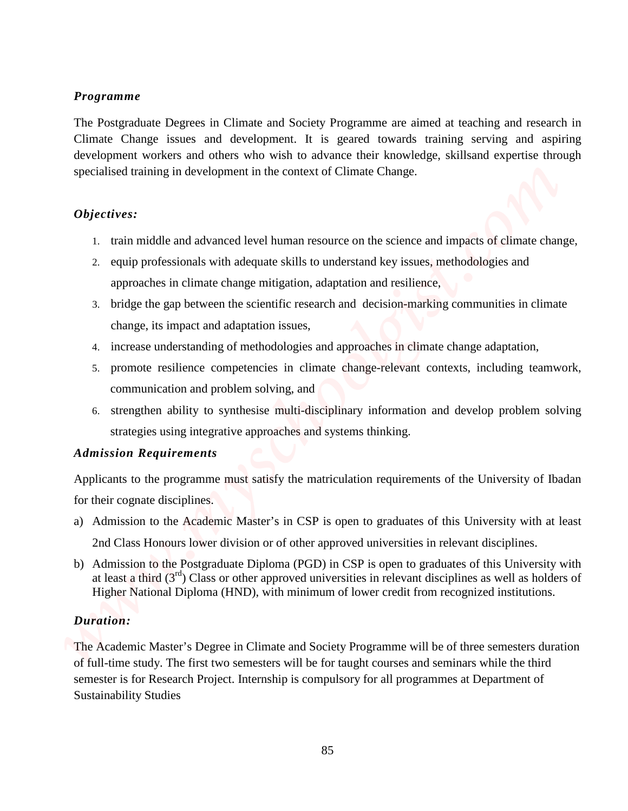### *Programme*

The Postgraduate Degrees in Climate and Society Programme are aimed at teaching and research in Climate Change issues and development. It is geared towards training serving and aspiring development workers and others who wish to advance their knowledge, skillsand expertise through specialised training in development in the context of Climate Change. **The Resultation Degrees in Clinicals and Society Programme are simed at teaching and research is the studies of the studies of the studies of the studies of the studies of the studies of the studies of the studies of the** 

## *Objectives:*

- 1. train middle and advanced level human resource on the science and impacts of climate change,
- 2. equip professionals with adequate skills to understand key issues, methodologies and approaches in climate change mitigation, adaptation and resilience,
- 3. bridge the gap between the scientific research and decision-marking communities in climate change, its impact and adaptation issues,
- 4. increase understanding of methodologies and approaches in climate change adaptation,
- 5. promote resilience competencies in climate change-relevant contexts, including teamwork, communication and problem solving, and
- 6. strengthen ability to synthesise multi-disciplinary information and develop problem solving strategies using integrative approaches and systems thinking.

## *Admission Requirements*

Applicants to the programme must satisfy the matriculation requirements of the University of Ibadan for their cognate disciplines.

- a) Admission to the Academic Master's in CSP is open to graduates of this University with at least 2nd Class Honours lower division or of other approved universities in relevant disciplines.
- b) Admission to the Postgraduate Diploma (PGD) in CSP is open to graduates of this University with at least a third  $(3^{rd})$  Class or other approved universities in relevant disciplines as well as holders of Higher National Diploma (HND), with minimum of lower credit from recognized institutions.

## *Duration:*

The Academic Master's Degree in Climate and Society Programme will be of three semesters duration of full-time study. The first two semesters will be for taught courses and seminars while the third semester is for Research Project. Internship is compulsory for all programmes at Department of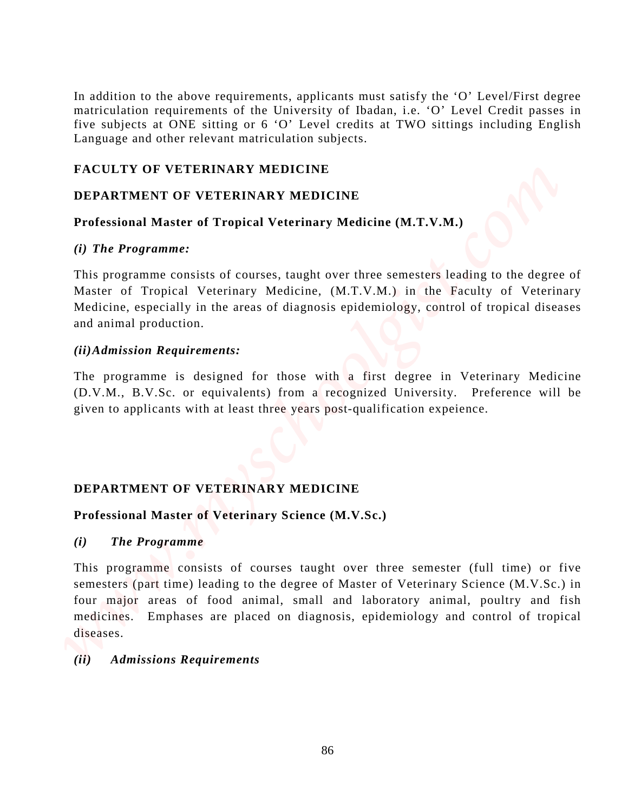In addition to the above requirements, applicants must satisfy the 'O' Level/First degree matriculation requirements of the University of Ibadan, i.e. 'O' Level Credit passes in five subjects at ONE sitting or 6 'O' Level credits at TWO sittings including English Language and other relevant matriculation subjects.

## **FACULTY OF VETERINARY MEDICINE**

## **DEPARTMENT OF VETERINARY MEDICINE**

## **Professional Master of Tropical Veterinary Medicine (M.T.V.M.)**

## *(i) The Programme:*

This programme consists of courses, taught over three semesters leading to the degree of Master of Tropical Veterinary Medicine, (M.T.V.M.) in the Faculty of Veterinary Medicine, especially in the areas of diagnosis epidemiology, control of tropical diseases and animal production.

## *(ii)Admission Requirements:*

The programme is designed for those with a first degree in Veterinary Medicine (D.V.M., B.V.Sc. or equivalents) from a recognized University. Preference will be given to applicants with at least three years post-qualification expeience.

## **DEPARTMENT OF VETERINARY MEDICINE**

## **Professional Master of Veterinary Science (M.V.Sc.)**

#### *(i) The Programme*

This programme consists of courses taught over three semester (full time) or five semesters (part time) leading to the degree of Master of Veterinary Science (M.V.Sc.) in four major areas of food animal, small and laboratory animal, poultry and fish medicines. Emphases are placed on diagnosis, epidemiology and control of tropical diseases. In addition to the above requirements, applicants must satisfy the "O" Level/First degree municulation requirements in the timinear in  $\mathbb{P}^*$  O" Level (First) Theorem is the complete of the complete and the CDMISSION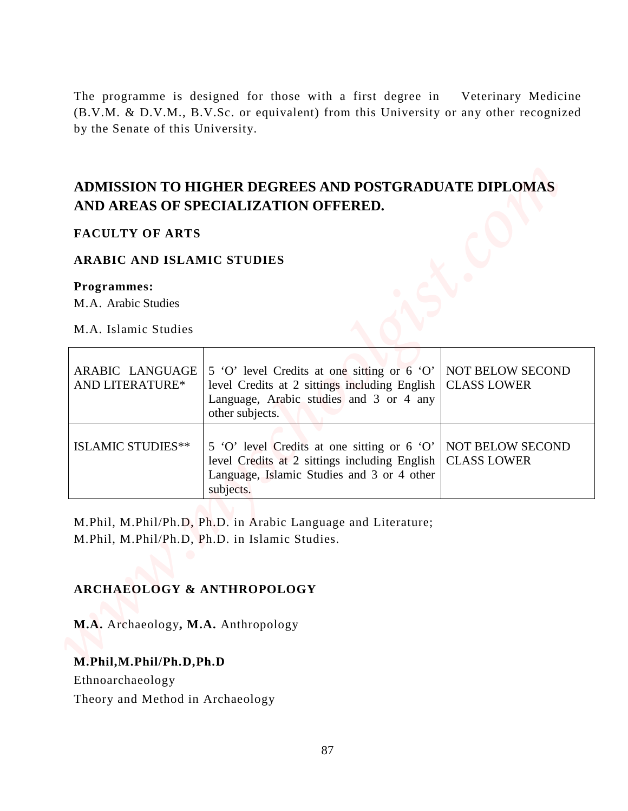## **ADMISSION TO HIGHER DEGREES AND POSTGRADUATE DIPLOMAS AND AREAS OF SPECIALIZATION OFFERED.**

### **FACULTY OF ARTS**

#### **ARABIC AND ISLAMIC STUDIES**

#### **Programmes:**

| by the Senate of this University.  | The programme is designed for those with a first degree in Veterinary Medicine<br>(B.V.M. & D.V.M., B.V.Sc. or equivalent) from this University or any other recognized |                                               |
|------------------------------------|-------------------------------------------------------------------------------------------------------------------------------------------------------------------------|-----------------------------------------------|
|                                    |                                                                                                                                                                         |                                               |
|                                    | ADMISSION TO HIGHER DEGREES AND POSTGRADUATE DIPLOMAS<br>AND AREAS OF SPECIALIZATION OFFERED.                                                                           |                                               |
| <b>FACULTY OF ARTS</b>             |                                                                                                                                                                         |                                               |
| <b>ARABIC AND ISLAMIC STUDIES</b>  |                                                                                                                                                                         |                                               |
| Programmes:<br>M.A. Arabic Studies |                                                                                                                                                                         |                                               |
| M.A. Islamic Studies               |                                                                                                                                                                         |                                               |
| ARABIC LANGUAGE<br>AND LITERATURE* | 5 'O' level Credits at one sitting or 6 'O'<br>level Credits at 2 sittings including English<br>Language, Arabic studies and 3 or 4 any<br>other subjects.              | <b>NOT BELOW SECOND</b><br><b>CLASS LOWER</b> |
| <b>ISLAMIC STUDIES**</b>           | 5 'O' level Credits at one sitting or 6 'O'<br>level Credits at 2 sittings including English<br>Language, Islamic Studies and 3 or 4 other<br>subjects.                 | <b>NOT BELOW SECOND</b><br><b>CLASS LOWER</b> |
|                                    | M.Phil, M.Phil/Ph.D, Ph.D. in Arabic Language and Literature;<br>M.Phil, M.Phil/Ph.D, Ph.D. in Islamic Studies.                                                         |                                               |
|                                    | <b>ARCHAEOLOGY &amp; ANTHROPOLOGY</b>                                                                                                                                   |                                               |

## **ARCHAEOLOGY & ANTHROPOLOGY**

#### **M.Phil,M.Phil/Ph.D,Ph.D**

Ethnoarchaeology

Theory and Method in Archaeology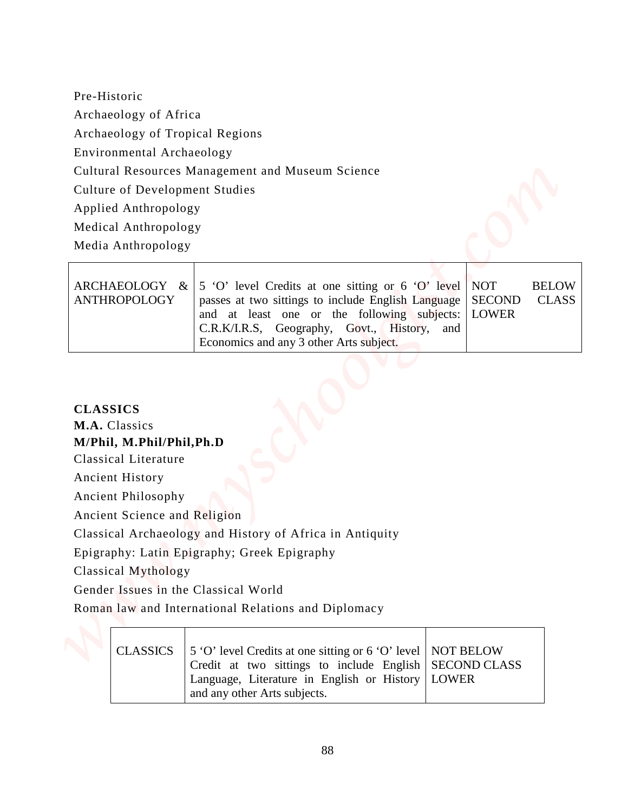| ANTHROPOLOGY | ARCHAEOLOGY & $\vert$ 5 'O' level Credits at one sitting or 6 'O' level NOT<br>passes at two sittings to include English Language   SECOND<br>and at least one or the following subjects: LOWER<br>C.R.K/I.R.S, Geography, Govt., History, and<br>Economics and any 3 other Arts subject. | <b>BELOW</b><br><b>CLASS</b> |
|--------------|-------------------------------------------------------------------------------------------------------------------------------------------------------------------------------------------------------------------------------------------------------------------------------------------|------------------------------|
|              |                                                                                                                                                                                                                                                                                           |                              |

| Pre-Historic                                                                                                                                                                                                                                |                                                                                                                                                                                                                                                  |                                             |                              |
|---------------------------------------------------------------------------------------------------------------------------------------------------------------------------------------------------------------------------------------------|--------------------------------------------------------------------------------------------------------------------------------------------------------------------------------------------------------------------------------------------------|---------------------------------------------|------------------------------|
| Archaeology of Africa                                                                                                                                                                                                                       |                                                                                                                                                                                                                                                  |                                             |                              |
| Archaeology of Tropical Regions                                                                                                                                                                                                             |                                                                                                                                                                                                                                                  |                                             |                              |
| Environmental Archaeology                                                                                                                                                                                                                   |                                                                                                                                                                                                                                                  |                                             |                              |
|                                                                                                                                                                                                                                             | Cultural Resources Management and Museum Science                                                                                                                                                                                                 |                                             |                              |
| <b>Culture of Development Studies</b>                                                                                                                                                                                                       |                                                                                                                                                                                                                                                  |                                             |                              |
| Applied Anthropology                                                                                                                                                                                                                        |                                                                                                                                                                                                                                                  |                                             |                              |
| Medical Anthropology                                                                                                                                                                                                                        |                                                                                                                                                                                                                                                  |                                             |                              |
| Media Anthropology                                                                                                                                                                                                                          |                                                                                                                                                                                                                                                  |                                             |                              |
| ARCHAEOLOGY &<br><b>ANTHROPOLOGY</b>                                                                                                                                                                                                        | 5 'O' level Credits at one sitting or 6 'O' level<br>passes at two sittings to include English Language<br>and at least one or the following subjects:<br>C.R.K/I.R.S, Geography, Govt., History, and<br>Economics and any 3 other Arts subject. | <b>NOT</b><br><b>SECOND</b><br><b>LOWER</b> | <b>BELOW</b><br><b>CLASS</b> |
| <b>CLASSICS</b><br>M.A. Classics<br>M/Phil, M.Phil/Phil, Ph.D<br>Classical Literature<br><b>Ancient History</b><br><b>Ancient Philosophy</b><br>Ancient Science and Religion<br>Classical Mythology<br>Gender Issues in the Classical World | Classical Archaeology and History of Africa in Antiquity<br>Epigraphy: Latin Epigraphy; Greek Epigraphy                                                                                                                                          |                                             |                              |
|                                                                                                                                                                                                                                             |                                                                                                                                                                                                                                                  |                                             |                              |
|                                                                                                                                                                                                                                             | Roman law and International Relations and Diplomacy                                                                                                                                                                                              |                                             |                              |
| <b>CLASSICS</b>                                                                                                                                                                                                                             | 5 'O' level Credits at one sitting or 6 'O' level<br>Credit at two sittings to include English                                                                                                                                                   | <b>NOT BELOW</b><br><b>SECOND CLASS</b>     |                              |

|  | CLASSICS 5 'O' level Credits at one sitting or 6 'O' level   NOT BELOW<br>Credit at two sittings to include English SECOND CLASS |  |
|--|----------------------------------------------------------------------------------------------------------------------------------|--|
|  | Language, Literature in English or History   LOWER<br>and any other Arts subjects.                                               |  |
|  |                                                                                                                                  |  |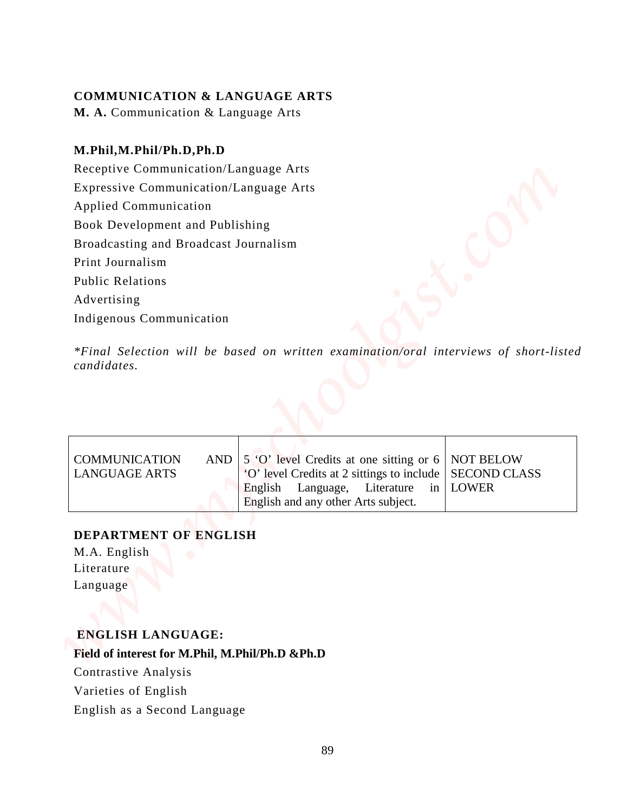## **COMMUNICATION & LANGUAGE ARTS**

**M. A.** Communication & Language Arts

## **M.Phil,M.Phil/Ph.D,Ph.D**

Receptive Communication/Language Arts Expressive Communication/Language Arts Applied Communication Book Development and Publishing Broadcasting and Broadcast Journalism Print Journalism Public Relations Advertising Indigenous Communication **COMMUNICATION & LANGUAGE ARTS**<br> **M.A. Communication & Language Arts**<br> **MPINIAL/HEIDLED, DPLD**<br> **Receive Communication**<sup>1</sup> anguage Arts<br> **Represent communication**<br> **Represent and Broadcast Journalism**<br> **Profile Communicati** 

*\*Final Selection will be based on written examination/oral interviews of short-listed candidates.*

| <b>COMMUNICATION</b><br><b>LANGUAGE ARTS</b> | AND $\vert 5$ 'O' level Credits at one sitting or 6 NOT BELOW<br>"O' level Credits at 2 sittings to include   SECOND CLASS |  |
|----------------------------------------------|----------------------------------------------------------------------------------------------------------------------------|--|
|                                              | English Language, Literature in LOWER<br>English and any other Arts subject.                                               |  |

## **DEPARTMENT OF ENGLISH**

M.A. English Literature Language

## **ENGLISH LANGUAGE:**

### **Field of interest for M.Phil, M.Phil/Ph.D &Ph.D**

Contrastive Analysis

Varieties of English

English as a Second Language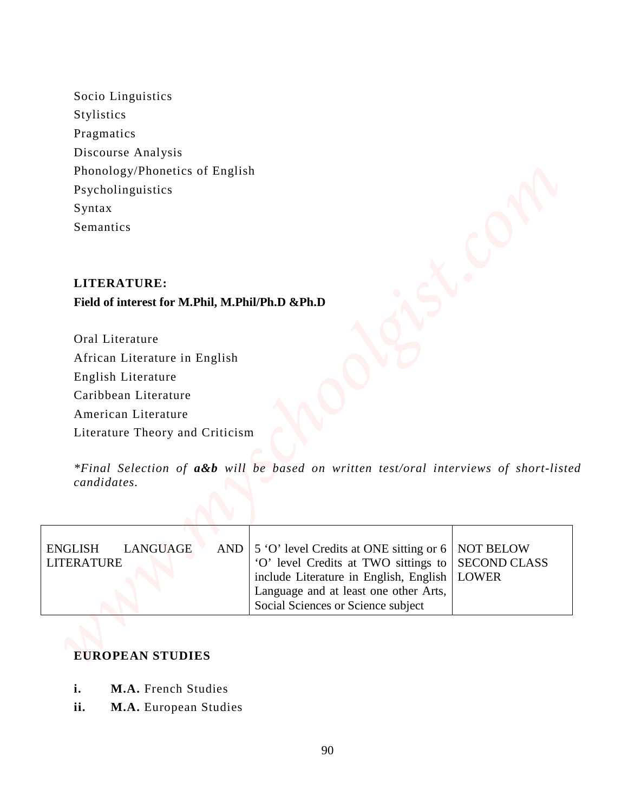## **LITERATURE:**

## **Field of interest for M.Phil, M.Phil/Ph.D &Ph.D**

| Socio Linguistics<br>Stylistics                               |                                                                                                                                                                    |                                                         |
|---------------------------------------------------------------|--------------------------------------------------------------------------------------------------------------------------------------------------------------------|---------------------------------------------------------|
| Pragmatics                                                    |                                                                                                                                                                    |                                                         |
| Discourse Analysis                                            |                                                                                                                                                                    |                                                         |
| Phonology/Phonetics of English                                |                                                                                                                                                                    |                                                         |
| Psycholinguistics                                             |                                                                                                                                                                    |                                                         |
| Syntax                                                        |                                                                                                                                                                    |                                                         |
| Semantics                                                     |                                                                                                                                                                    |                                                         |
|                                                               |                                                                                                                                                                    |                                                         |
|                                                               |                                                                                                                                                                    |                                                         |
| <b>LITERATURE:</b>                                            |                                                                                                                                                                    |                                                         |
| Field of interest for M.Phil, M.Phil/Ph.D &Ph.D               |                                                                                                                                                                    |                                                         |
|                                                               |                                                                                                                                                                    |                                                         |
| Oral Literature                                               |                                                                                                                                                                    |                                                         |
| African Literature in English                                 |                                                                                                                                                                    |                                                         |
| English Literature                                            |                                                                                                                                                                    |                                                         |
| Caribbean Literature                                          |                                                                                                                                                                    |                                                         |
| American Literature                                           |                                                                                                                                                                    |                                                         |
| Literature Theory and Criticism                               |                                                                                                                                                                    |                                                         |
| candidates.                                                   | *Final Selection of a&b will be based on written test/oral interviews of short-listed                                                                              |                                                         |
|                                                               |                                                                                                                                                                    |                                                         |
|                                                               |                                                                                                                                                                    |                                                         |
| <b>ENGLISH</b><br><b>LANGUAGE</b><br>AND<br><b>LITERATURE</b> | 5 'O' level Credits at ONE sitting or 6<br>'O' level Credits at TWO sittings to<br>include Literature in English, English<br>Language and at least one other Arts, | <b>NOT BELOW</b><br><b>SECOND CLASS</b><br><b>LOWER</b> |
|                                                               |                                                                                                                                                                    |                                                         |

## **EUROPEAN STUDIES**

- **i. M.A.** French Studies
-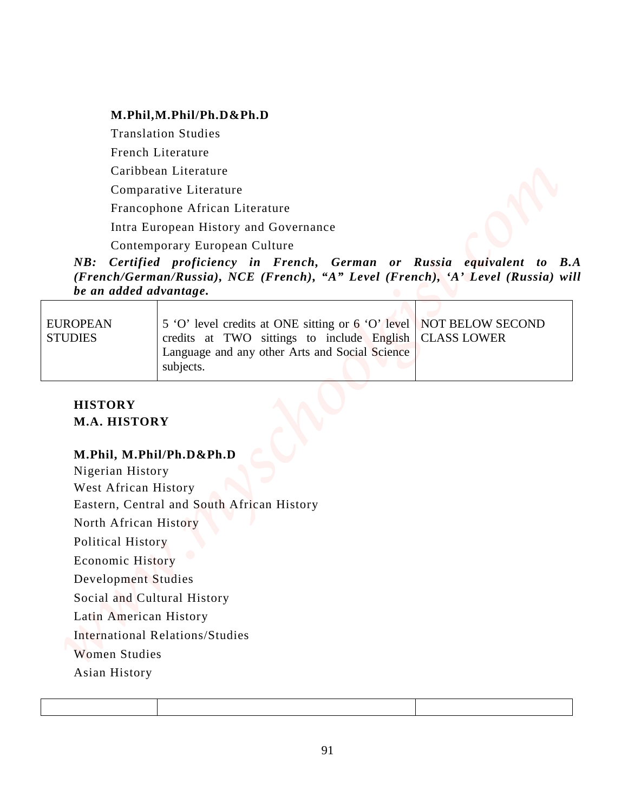#### **M.Phil,M.Phil/Ph.D&Ph.D**

Translation Studies French Literature Caribbean Literature Comparative Literature Francophone African Literature Intra European History and Governance Contemporary European Culture

*NB: Certified proficiency in French, German or Russia equivalent to B.A (French/German/Russia), NCE (French), "A" Level (French), 'A' Level (Russia) will be an added advantage.*

| EUROPEAN<br><b>STUDIES</b> | 5 'O' level credits at ONE sitting or 6 'O' level NOT BELOW SECOND<br>credits at TWO sittings to include English   CLASS LOWER |  |
|----------------------------|--------------------------------------------------------------------------------------------------------------------------------|--|
|                            | Language and any other Arts and Social Science<br>subjects.                                                                    |  |

## **HISTORY M.A. HISTORY**

#### **M.Phil, M.Phil/Ph.D&Ph.D**

Nigerian History West African History Eastern, Central and South African History North African History Political History Economic History Development Studies Social and Cultural History Latin American History International Relations/Studies Women Studies **M.Phil,M.Phill/Ph.DXPh.D**<br>
Translation Studies<br>
French Licerature<br>
Comparative Licerature<br>
Comparative Licerature<br>
Theresophonol African History and Governance<br>
Ass: Cordifical proplicities in French, Gorman or Ravisia eq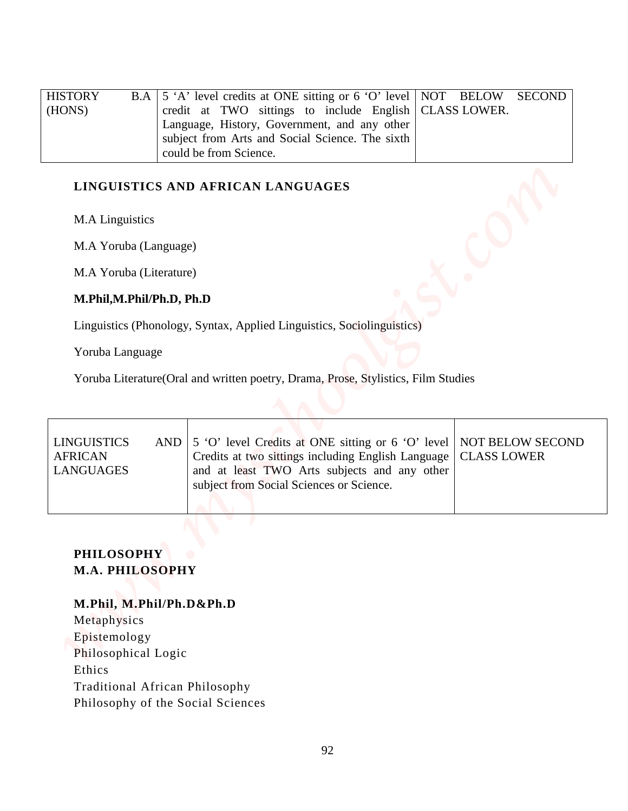| <b>HISTORY</b> | B.A   5 'A' level credits at ONE sitting or 6 'O' level   NOT BELOW SECOND |  |  |
|----------------|----------------------------------------------------------------------------|--|--|
| (HONS)         | credit at TWO sittings to include English   CLASS LOWER.                   |  |  |
|                | Language, History, Government, and any other                               |  |  |
|                | subject from Arts and Social Science. The sixth                            |  |  |
|                | could be from Science.                                                     |  |  |

## **LINGUISTICS AND AFRICAN LANGUAGES**

### **M.Phil,M.Phil/Ph.D, Ph.D**

| <b>HISTORY</b><br>B.A<br>(HONS)                                  | 5 'A' level credits at ONE sitting or 6 'O' level<br><b>NOT</b><br>credit at TWO sittings to include English<br>Language, History, Government, and any other<br>subject from Arts and Social Science. The sixth<br>could be from Science. | <b>BELOW</b><br><b>SECOND</b><br><b>CLASS LOWER.</b> |
|------------------------------------------------------------------|-------------------------------------------------------------------------------------------------------------------------------------------------------------------------------------------------------------------------------------------|------------------------------------------------------|
| M.A Linguistics                                                  | LINGUISTICS AND AFRICAN LANGUAGES                                                                                                                                                                                                         |                                                      |
| M.A Yoruba (Language)                                            |                                                                                                                                                                                                                                           |                                                      |
| M.A Yoruba (Literature)                                          |                                                                                                                                                                                                                                           |                                                      |
| M.Phil, M.Phil/Ph.D, Ph.D                                        |                                                                                                                                                                                                                                           |                                                      |
|                                                                  | Linguistics (Phonology, Syntax, Applied Linguistics, Sociolinguistics)                                                                                                                                                                    |                                                      |
| Yoruba Language                                                  |                                                                                                                                                                                                                                           |                                                      |
|                                                                  | Yoruba Literature(Oral and written poetry, Drama, Prose, Stylistics, Film Studies                                                                                                                                                         |                                                      |
| <b>LINGUISTICS</b><br>AND<br><b>AFRICAN</b><br><b>LANGUAGES</b>  | 5 'O' level Credits at ONE sitting or 6 'O' level<br>Credits at two sittings including English Language<br>and at least TWO Arts subjects and any other<br>subject from Social Sciences or Science.                                       | <b>NOT BELOW SECOND</b><br><b>CLASS LOWER</b>        |
| <b>PHILOSOPHY</b><br>M.A. PHILOSOPHY<br>M.Phil, M.Phil/Ph.D&Ph.D |                                                                                                                                                                                                                                           |                                                      |
| Metaphysics<br>Epistemology                                      |                                                                                                                                                                                                                                           |                                                      |
| Philosophical Logic                                              |                                                                                                                                                                                                                                           |                                                      |

## **PHILOSOPHY M.A. PHILOSOPHY**

#### **M.Phil, M.Phil/Ph.D&Ph.D**

Metaphysics Epistemology Philosophical Logic Ethics Traditional African Philosophy Philosophy of the Social Sciences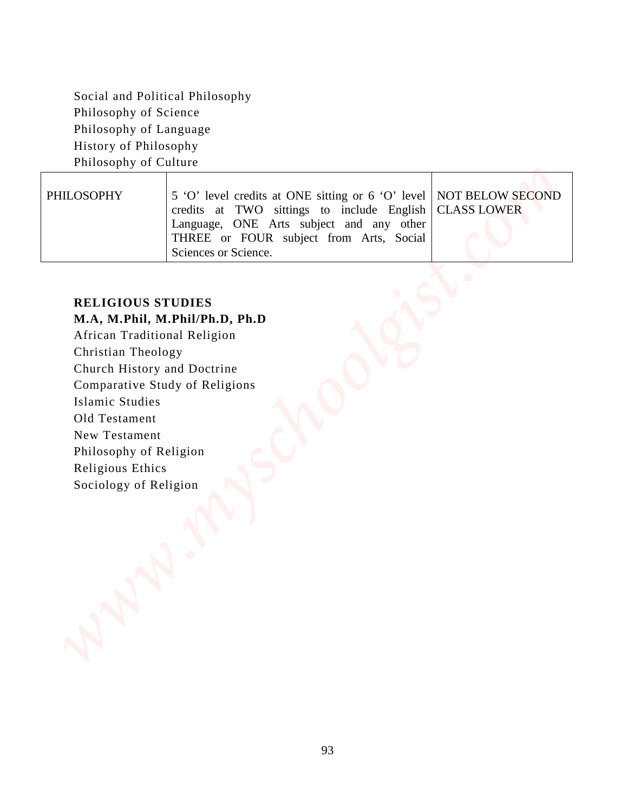| Philosophy of Science                                                                                                    | Social and Political Philosophy                                                                                                                                                                                |                                        |
|--------------------------------------------------------------------------------------------------------------------------|----------------------------------------------------------------------------------------------------------------------------------------------------------------------------------------------------------------|----------------------------------------|
| Philosophy of Language                                                                                                   |                                                                                                                                                                                                                |                                        |
| History of Philosophy                                                                                                    |                                                                                                                                                                                                                |                                        |
| Philosophy of Culture                                                                                                    |                                                                                                                                                                                                                |                                        |
| PHILOSOPHY                                                                                                               | 5 'O' level credits at ONE sitting or 6 'O' level<br>credits at TWO sittings to include English<br>Language, ONE Arts subject and any other<br>THREE or FOUR subject from Arts, Social<br>Sciences or Science. | NOT BELOW SECOND<br><b>CLASS LOWER</b> |
| Islamic Studies<br>Old Testament<br>New Testament<br>Philosophy of Religion<br>Religious Ethics<br>Sociology of Religion | Comparative Study of Religions                                                                                                                                                                                 |                                        |

## **RELIGIOUS STUDIES**

## **M.A, M.Phil, M.Phil/Ph.D, Ph.D**

- Old Testament
- New Testament
- Philosophy of Religion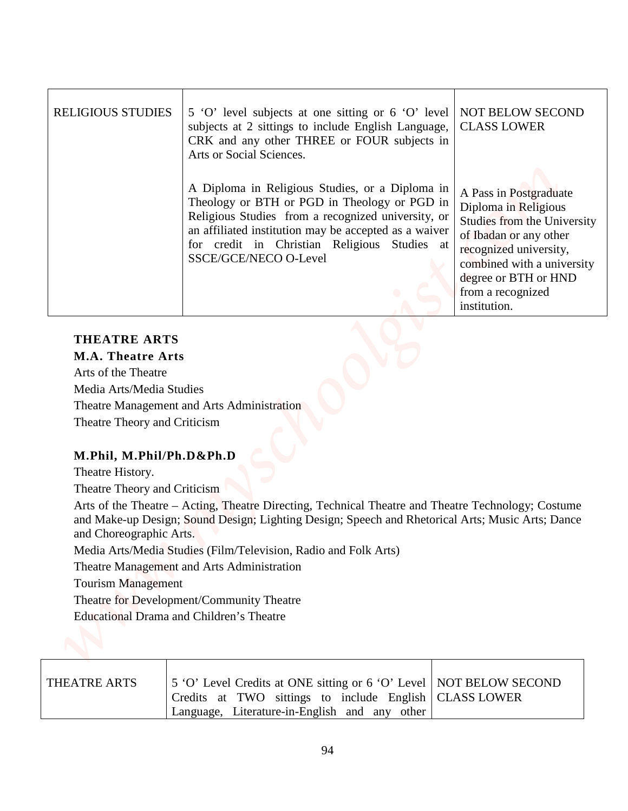| <b>RELIGIOUS STUDIES</b>                   | 5 'O' level subjects at one sitting or 6 'O' level<br>subjects at 2 sittings to include English Language,<br>CRK and any other THREE or FOUR subjects in<br>Arts or Social Sciences.                                                                                                           | <b>NOT BELOW SECOND</b><br><b>CLASS LOWER</b>                                                                                                                                                                                       |
|--------------------------------------------|------------------------------------------------------------------------------------------------------------------------------------------------------------------------------------------------------------------------------------------------------------------------------------------------|-------------------------------------------------------------------------------------------------------------------------------------------------------------------------------------------------------------------------------------|
|                                            | A Diploma in Religious Studies, or a Diploma in<br>Theology or BTH or PGD in Theology or PGD in<br>Religious Studies from a recognized university, or<br>an affiliated institution may be accepted as a waiver<br>for credit in Christian Religious Studies at<br><b>SSCE/GCE/NECO O-Level</b> | A Pass in Postgraduate<br>Diploma in Religious<br><b>Studies from the University</b><br>of Ibadan or any other<br>recognized university,<br>combined with a university<br>degree or BTH or HND<br>from a recognized<br>institution. |
| <b>THEATRE ARTS</b>                        |                                                                                                                                                                                                                                                                                                |                                                                                                                                                                                                                                     |
| <b>M.A. Theatre Arts</b>                   |                                                                                                                                                                                                                                                                                                |                                                                                                                                                                                                                                     |
| Arts of the Theatre                        |                                                                                                                                                                                                                                                                                                |                                                                                                                                                                                                                                     |
| Media Arts/Media Studies                   |                                                                                                                                                                                                                                                                                                |                                                                                                                                                                                                                                     |
|                                            |                                                                                                                                                                                                                                                                                                |                                                                                                                                                                                                                                     |
| Theatre Management and Arts Administration |                                                                                                                                                                                                                                                                                                |                                                                                                                                                                                                                                     |
| Theatre Theory and Criticism               |                                                                                                                                                                                                                                                                                                |                                                                                                                                                                                                                                     |
| M.Phil, M.Phil/Ph.D&Ph.D                   |                                                                                                                                                                                                                                                                                                |                                                                                                                                                                                                                                     |
| Theatre History.                           |                                                                                                                                                                                                                                                                                                |                                                                                                                                                                                                                                     |
| Theatre Theory and Criticism               |                                                                                                                                                                                                                                                                                                |                                                                                                                                                                                                                                     |
|                                            | Arts of the Theatre - Acting, Theatre Directing, Technical Theatre and Theatre Technology; Costume<br>and Make-up Design; Sound Design; Lighting Design; Speech and Rhetorical Arts; Music Arts; Dance                                                                                         |                                                                                                                                                                                                                                     |
| and Choreographic Arts.                    | Media Arts/Media Studies (Film/Television, Radio and Folk Arts)                                                                                                                                                                                                                                |                                                                                                                                                                                                                                     |
|                                            | Theatre Management and Arts Administration                                                                                                                                                                                                                                                     |                                                                                                                                                                                                                                     |
| <b>Tourism Management</b>                  |                                                                                                                                                                                                                                                                                                |                                                                                                                                                                                                                                     |
|                                            | Theatre for Development/Community Theatre                                                                                                                                                                                                                                                      |                                                                                                                                                                                                                                     |

#### **THEATRE ARTS M.A. Theatre Arts**

## **M.Phil, M.Phil/Ph.D&Ph.D**

| THEATRE ARTS | 5 'O' Level Credits at ONE sitting or 6 'O' Level   NOT BELOW SECOND |  |
|--------------|----------------------------------------------------------------------|--|
|              | Credits at TWO sittings to include English   CLASS LOWER             |  |
|              | Language, Literature-in-English and any other                        |  |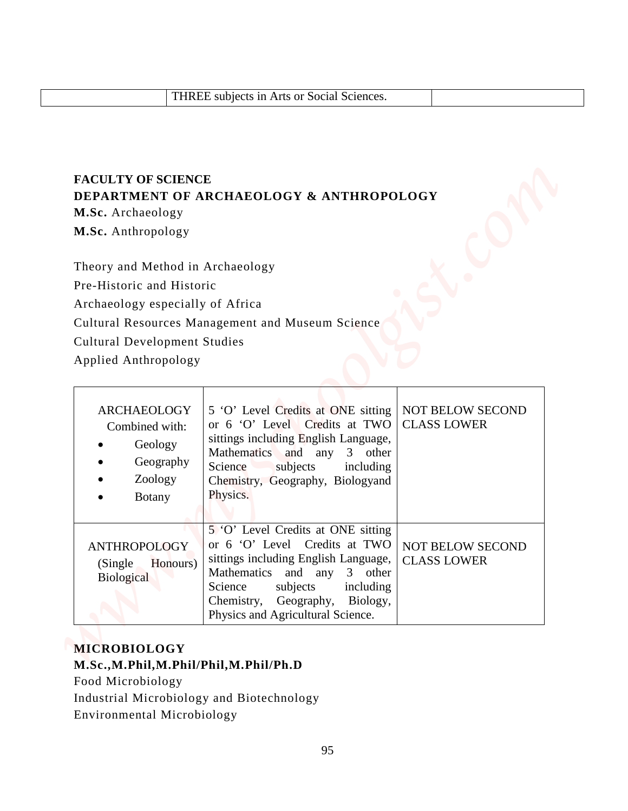## **FACULTY OF SCIENCE DEPARTMENT OF ARCHAEOLOGY & ANTHROPOLOGY**

|                                                                                                                                                                  | THREE subjects in Arts or Social Sciences.                                                                                                                                                                                                                  |                                        |
|------------------------------------------------------------------------------------------------------------------------------------------------------------------|-------------------------------------------------------------------------------------------------------------------------------------------------------------------------------------------------------------------------------------------------------------|----------------------------------------|
| <b>FACULTY OF SCIENCE</b><br>M.Sc. Archaeology<br>M.Sc. Anthropology                                                                                             | DEPARTMENT OF ARCHAEOLOGY & ANTHROPOLOGY                                                                                                                                                                                                                    |                                        |
| Theory and Method in Archaeology<br>Pre-Historic and Historic<br>Archaeology especially of Africa<br><b>Cultural Development Studies</b><br>Applied Anthropology | Cultural Resources Management and Museum Science                                                                                                                                                                                                            |                                        |
| <b>ARCHAEOLOGY</b><br>Combined with:<br>Geology<br>Geography<br>Zoology<br><b>Botany</b><br>$\bullet$                                                            | 5 'O' Level Credits at ONE sitting<br>or 6 'O' Level Credits at TWO<br>sittings including English Language,<br>Mathematics and any<br>3 other<br>Science<br>subjects<br>including<br>Chemistry, Geography, Biologyand<br>Physics.                           | NOT BELOW SECOND<br><b>CLASS LOWER</b> |
| <b>ANTHROPOLOGY</b><br>Honours)<br>(Single)<br>Biological                                                                                                        | 5 'O' Level Credits at ONE sitting<br>or 6 'O' Level Credits at TWO<br>sittings including English Language,<br>Mathematics and any<br>3 other<br>subjects<br>Science<br>including<br>Chemistry, Geography,<br>Biology,<br>Physics and Agricultural Science. | NOT BELOW SECOND<br><b>CLASS LOWER</b> |

## **MICROBIOLOGY M.Sc.,M.Phil,M.Phil/Phil,M.Phil/Ph.D**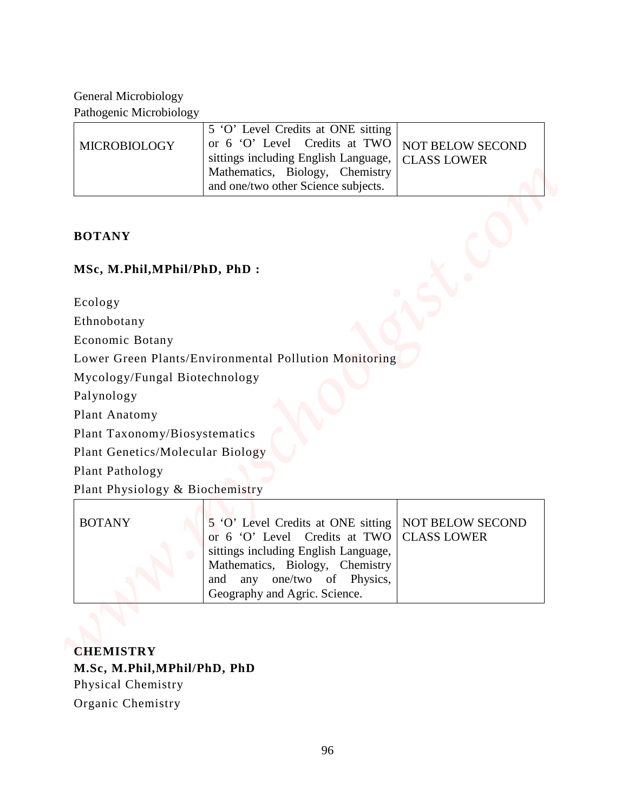| <b>MICROBIOLOGY</b> | 5 'O' Level Credits at ONE sitting<br>or 6 'O' Level Credits at TWO   NOT BELOW SECOND<br>sittings including English Language,   CLASS LOWER<br>Mathematics, Biology, Chemistry<br>and one/two other Science subjects. |  |
|---------------------|------------------------------------------------------------------------------------------------------------------------------------------------------------------------------------------------------------------------|--|
|---------------------|------------------------------------------------------------------------------------------------------------------------------------------------------------------------------------------------------------------------|--|

## **BOTANY**

## **MSc, M.Phil,MPhil/PhD, PhD :**

| <b>General Microbiology</b>      |                                                                                                                                                                                                                   |                                        |
|----------------------------------|-------------------------------------------------------------------------------------------------------------------------------------------------------------------------------------------------------------------|----------------------------------------|
| Pathogenic Microbiology          |                                                                                                                                                                                                                   |                                        |
| MICROBIOLOGY                     | 5 'O' Level Credits at ONE sitting<br>or 6 'O' Level Credits at TWO<br>sittings including English Language,<br>Mathematics, Biology, Chemistry<br>and one/two other Science subjects.                             | NOT BELOW SECOND<br><b>CLASS LOWER</b> |
| <b>BOTANY</b>                    |                                                                                                                                                                                                                   |                                        |
| MSc, M.Phil, MPhil/PhD, PhD:     |                                                                                                                                                                                                                   |                                        |
| Ecology                          |                                                                                                                                                                                                                   |                                        |
| Ethnobotany                      |                                                                                                                                                                                                                   |                                        |
| <b>Economic Botany</b>           |                                                                                                                                                                                                                   |                                        |
|                                  | Lower Green Plants/Environmental Pollution Monitoring                                                                                                                                                             |                                        |
| Mycology/Fungal Biotechnology    |                                                                                                                                                                                                                   |                                        |
| Palynology                       |                                                                                                                                                                                                                   |                                        |
| Plant Anatomy                    |                                                                                                                                                                                                                   |                                        |
| Plant Taxonomy/Biosystematics    |                                                                                                                                                                                                                   |                                        |
| Plant Genetics/Molecular Biology |                                                                                                                                                                                                                   |                                        |
| Plant Pathology                  |                                                                                                                                                                                                                   |                                        |
| Plant Physiology & Biochemistry  |                                                                                                                                                                                                                   |                                        |
| <b>BOTANY</b>                    | 5 'O' Level Credits at ONE sitting<br>or 6 'O' Level Credits at TWO<br>sittings including English Language,<br>Mathematics, Biology, Chemistry<br>any one/two of Physics,<br>and<br>Geography and Agric. Science. | NOT BELOW SECOND<br><b>CLASS LOWER</b> |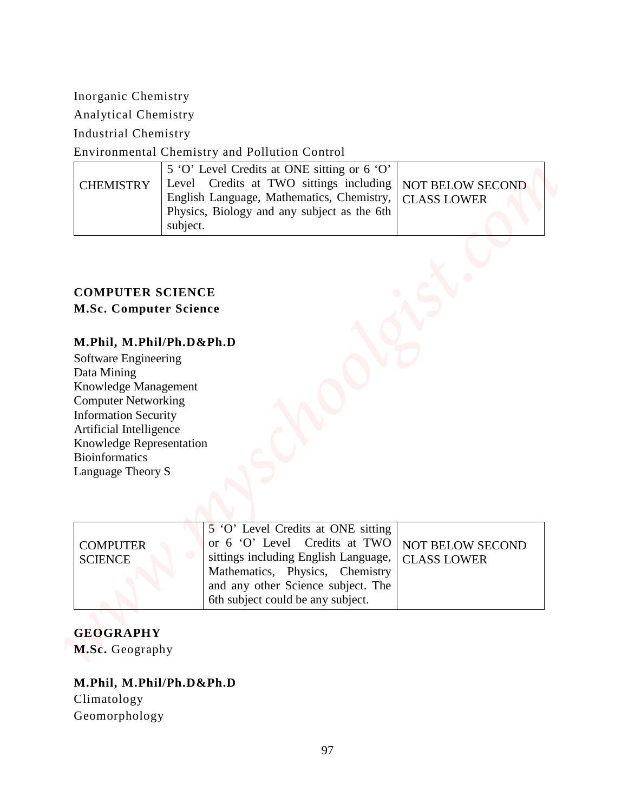## Environmental Chemistry and Pollution Control

|                  | 5 'O' Level Credits at ONE sitting or 6 'O'                |  |
|------------------|------------------------------------------------------------|--|
| <b>CHEMISTRY</b> | Level Credits at TWO sittings including   NOT BELOW SECOND |  |
|                  | English Language, Mathematics, Chemistry,   CLASS LOWER    |  |
|                  | Physics, Biology and any subject as the 6th                |  |
|                  | subject.                                                   |  |

## **COMPUTER SCIENCE M.Sc. Computer Science**

## **M.Phil, M.Phil/Ph.D&Ph.D**

| Inorganic Chemistry                                                                                          |                                                                                                                                                                                                                                          |
|--------------------------------------------------------------------------------------------------------------|------------------------------------------------------------------------------------------------------------------------------------------------------------------------------------------------------------------------------------------|
|                                                                                                              |                                                                                                                                                                                                                                          |
| Analytical Chemistry                                                                                         |                                                                                                                                                                                                                                          |
| <b>Industrial Chemistry</b>                                                                                  |                                                                                                                                                                                                                                          |
|                                                                                                              | Environmental Chemistry and Pollution Control                                                                                                                                                                                            |
| <b>CHEMISTRY</b>                                                                                             | 5 'O' Level Credits at ONE sitting or 6 'O'<br>Level Credits at TWO sittings including<br>NOT BELOW SECOND<br>English Language, Mathematics, Chemistry,<br><b>CLASS LOWER</b><br>Physics, Biology and any subject as the 6th<br>subject. |
| Knowledge Management<br><b>Computer Networking</b><br><b>Information Security</b><br>Artificial Intelligence |                                                                                                                                                                                                                                          |
| Knowledge Representation<br><b>Bioinformatics</b><br>Language Theory S                                       |                                                                                                                                                                                                                                          |

## **GEOGRAPHY M.Sc.** Geography

# **M.Phil, M.Phil/Ph.D&Ph.D** Climatology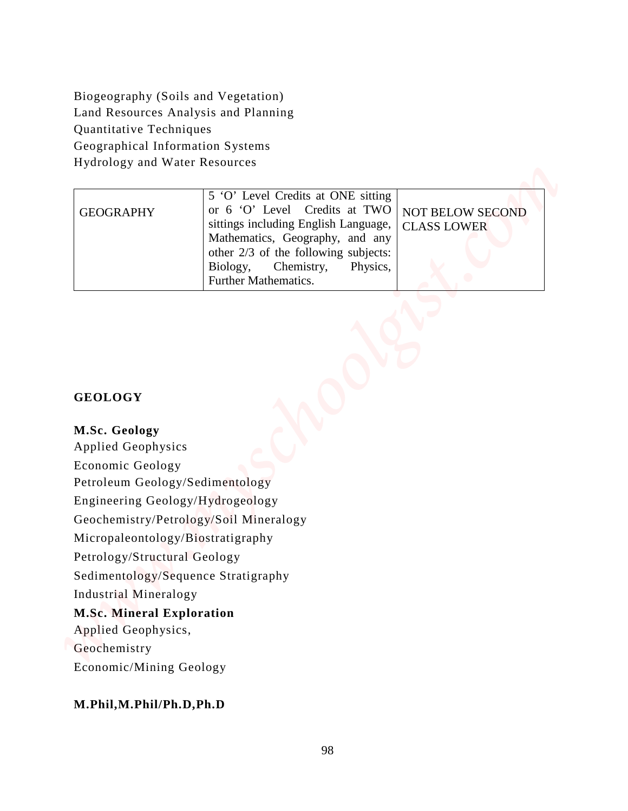| Quantitative Techniques<br>Geographical Information Systems | Biogeography (Soils and Vegetation)<br>Land Resources Analysis and Planning |                         |  |
|-------------------------------------------------------------|-----------------------------------------------------------------------------|-------------------------|--|
|                                                             |                                                                             |                         |  |
|                                                             |                                                                             |                         |  |
|                                                             |                                                                             |                         |  |
|                                                             |                                                                             |                         |  |
| Hydrology and Water Resources                               |                                                                             |                         |  |
|                                                             | 5 'O' Level Credits at ONE sitting                                          |                         |  |
| <b>GEOGRAPHY</b>                                            | or 6 'O' Level Credits at TWO                                               | <b>NOT BELOW SECOND</b> |  |
|                                                             | sittings including English Language,                                        | <b>CLASS LOWER</b>      |  |
|                                                             | Mathematics, Geography, and any<br>other 2/3 of the following subjects:     |                         |  |
|                                                             | Biology,<br>Chemistry,<br>Physics,                                          |                         |  |
|                                                             | Further Mathematics.                                                        |                         |  |
|                                                             |                                                                             |                         |  |
| <b>GEOLOGY</b>                                              |                                                                             |                         |  |
| M.Sc. Geology                                               |                                                                             |                         |  |
| <b>Applied Geophysics</b>                                   |                                                                             |                         |  |
| Economic Geology                                            |                                                                             |                         |  |
| Petroleum Geology/Sedimentology                             |                                                                             |                         |  |
| Engineering Geology/Hydrogeology                            |                                                                             |                         |  |
|                                                             | Geochemistry/Petrology/Soil Mineralogy                                      |                         |  |
| Micropaleontology/Biostratigraphy                           |                                                                             |                         |  |
| Petrology/Structural Geology                                |                                                                             |                         |  |
|                                                             | Sedimentology/Sequence Stratigraphy                                         |                         |  |
| Industrial Mineralogy                                       |                                                                             |                         |  |
| <b>M.Sc. Mineral Exploration</b>                            |                                                                             |                         |  |
| Applied Geophysics,<br>Geochemistry                         |                                                                             |                         |  |

### **GEOLOGY**

#### **M.Sc. Geology**

#### **M.Sc. Mineral Exploration**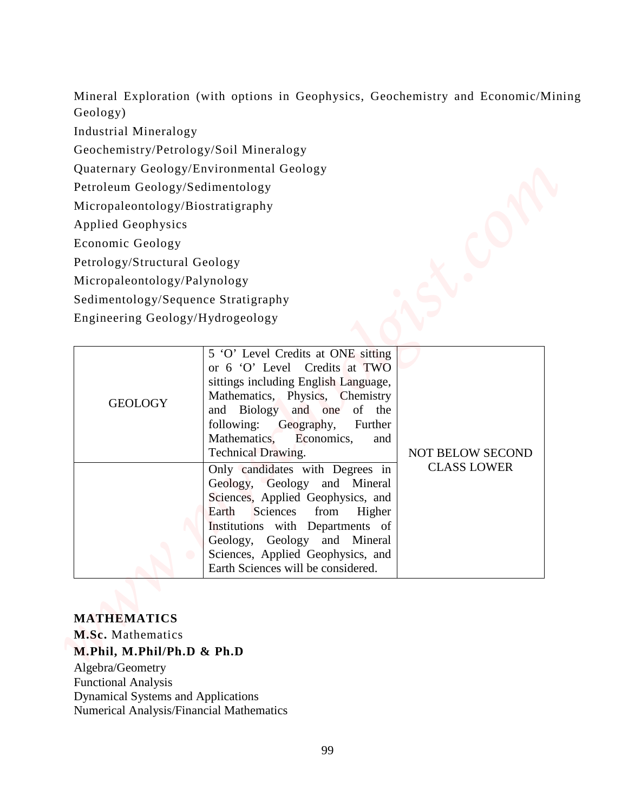| Geology)<br><b>Industrial Mineralogy</b><br>Geochemistry/Petrology/Soil Mineralogy<br>Quaternary Geology/Environmental Geology<br>Petroleum Geology/Sedimentology<br>Micropaleontology/Biostratigraphy<br><b>Applied Geophysics</b><br>Economic Geology<br>Petrology/Structural Geology<br>Micropaleontology/Palynology<br>Sedimentology/Sequence Stratigraphy<br>Engineering Geology/Hydrogeology<br>5 'O' Level Credits at ONE sitting<br>or 6 'O' Level Credits at TWO<br>sittings including English Language,<br>Mathematics, Physics, Chemistry<br><b>GEOLOGY</b><br><b>Biology</b><br>and one<br>of the<br>and<br>following:<br>Geography,<br>Further<br>Mathematics,<br>Economics,<br>and<br>Technical Drawing.<br><b>NOT BELOW SECOND</b><br><b>CLASS LOWER</b><br>Only candidates with Degrees in<br>Geology, Geology and Mineral<br>Sciences, Applied Geophysics, and<br>Sciences<br>Earth<br>from<br>Higher<br>Institutions with Departments of<br>Geology, Geology and Mineral<br>Sciences, Applied Geophysics, and |                                    |  |  |
|---------------------------------------------------------------------------------------------------------------------------------------------------------------------------------------------------------------------------------------------------------------------------------------------------------------------------------------------------------------------------------------------------------------------------------------------------------------------------------------------------------------------------------------------------------------------------------------------------------------------------------------------------------------------------------------------------------------------------------------------------------------------------------------------------------------------------------------------------------------------------------------------------------------------------------------------------------------------------------------------------------------------------------|------------------------------------|--|--|
|                                                                                                                                                                                                                                                                                                                                                                                                                                                                                                                                                                                                                                                                                                                                                                                                                                                                                                                                                                                                                                 |                                    |  |  |
|                                                                                                                                                                                                                                                                                                                                                                                                                                                                                                                                                                                                                                                                                                                                                                                                                                                                                                                                                                                                                                 |                                    |  |  |
|                                                                                                                                                                                                                                                                                                                                                                                                                                                                                                                                                                                                                                                                                                                                                                                                                                                                                                                                                                                                                                 |                                    |  |  |
|                                                                                                                                                                                                                                                                                                                                                                                                                                                                                                                                                                                                                                                                                                                                                                                                                                                                                                                                                                                                                                 |                                    |  |  |
|                                                                                                                                                                                                                                                                                                                                                                                                                                                                                                                                                                                                                                                                                                                                                                                                                                                                                                                                                                                                                                 |                                    |  |  |
|                                                                                                                                                                                                                                                                                                                                                                                                                                                                                                                                                                                                                                                                                                                                                                                                                                                                                                                                                                                                                                 |                                    |  |  |
|                                                                                                                                                                                                                                                                                                                                                                                                                                                                                                                                                                                                                                                                                                                                                                                                                                                                                                                                                                                                                                 |                                    |  |  |
|                                                                                                                                                                                                                                                                                                                                                                                                                                                                                                                                                                                                                                                                                                                                                                                                                                                                                                                                                                                                                                 |                                    |  |  |
|                                                                                                                                                                                                                                                                                                                                                                                                                                                                                                                                                                                                                                                                                                                                                                                                                                                                                                                                                                                                                                 |                                    |  |  |
|                                                                                                                                                                                                                                                                                                                                                                                                                                                                                                                                                                                                                                                                                                                                                                                                                                                                                                                                                                                                                                 |                                    |  |  |
|                                                                                                                                                                                                                                                                                                                                                                                                                                                                                                                                                                                                                                                                                                                                                                                                                                                                                                                                                                                                                                 |                                    |  |  |
|                                                                                                                                                                                                                                                                                                                                                                                                                                                                                                                                                                                                                                                                                                                                                                                                                                                                                                                                                                                                                                 |                                    |  |  |
|                                                                                                                                                                                                                                                                                                                                                                                                                                                                                                                                                                                                                                                                                                                                                                                                                                                                                                                                                                                                                                 | Earth Sciences will be considered. |  |  |

#### **MATHEMATICS**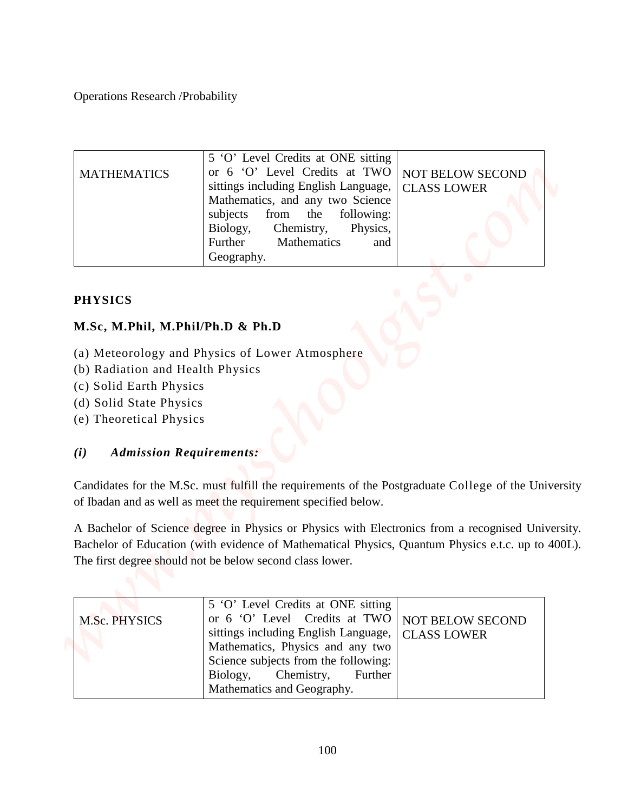| <b>Operations Research /Probability</b>                                                                           |                                                                                                                                                                                                                                                                               |                                               |
|-------------------------------------------------------------------------------------------------------------------|-------------------------------------------------------------------------------------------------------------------------------------------------------------------------------------------------------------------------------------------------------------------------------|-----------------------------------------------|
|                                                                                                                   |                                                                                                                                                                                                                                                                               |                                               |
| <b>MATHEMATICS</b>                                                                                                | 5 'O' Level Credits at ONE sitting<br>or 6 'O' Level Credits at TWO<br>sittings including English Language,<br>Mathematics, and any two Science<br>subjects<br>from<br>the<br>following:<br>Biology,<br>Chemistry,<br>Physics,<br>Further<br>Mathematics<br>and<br>Geography. | <b>NOT BELOW SECOND</b><br><b>CLASS LOWER</b> |
|                                                                                                                   |                                                                                                                                                                                                                                                                               |                                               |
| <b>PHYSICS</b>                                                                                                    |                                                                                                                                                                                                                                                                               |                                               |
| M.Sc, M.Phil, M.Phil/Ph.D & Ph.D                                                                                  |                                                                                                                                                                                                                                                                               |                                               |
| (b) Radiation and Health Physics<br>(c) Solid Earth Physics<br>(d) Solid State Physics<br>(e) Theoretical Physics | (a) Meteorology and Physics of Lower Atmosphere                                                                                                                                                                                                                               |                                               |
| <b>Admission Requirements:</b><br>(i)                                                                             |                                                                                                                                                                                                                                                                               |                                               |
|                                                                                                                   | Candidates for the M.Sc. must fulfill the requirements of the Postgraduate College of the University<br>of Ibadan and as well as meet the requirement specified below.                                                                                                        |                                               |
|                                                                                                                   | A Bachelor of Science degree in Physics or Physics with Electronics from a recognised University.<br>Bachelor of Education (with evidence of Mathematical Physics, Quantum Physics e.t.c. up to 400L).<br>The first degree should not be below second class lower.            |                                               |
| M.Sc. PHYSICS                                                                                                     | 5 'O' Level Credits at ONE sitting<br>or 6 'O' Level Credits at TWO<br>sittings including English Language,<br>Mathematics, Physics and any two<br>Science subjects from the following.                                                                                       | NOT BELOW SECOND<br><b>CLASS LOWER</b>        |

## **PHYSICS**

## **M.Sc, M.Phil, M.Phil/Ph.D & Ph.D**

- (a) Meteorology and Physics of Lower Atmosphere
- (b) Radiation and Health Physics
- (c) Solid Earth Physics
- (d) Solid State Physics
- (e) Theoretical Physics

## *(i) Admission Requirements:*

| M.Sc. PHYSICS | 5 'O' Level Credits at ONE sitting<br>or 6 'O' Level Credits at TWO   NOT BELOW SECOND<br>sittings including English Language,   CLASS LOWER<br>Mathematics, Physics and any two<br>Science subjects from the following:<br>Biology, Chemistry, Further<br>Mathematics and Geography. |  |
|---------------|---------------------------------------------------------------------------------------------------------------------------------------------------------------------------------------------------------------------------------------------------------------------------------------|--|
|---------------|---------------------------------------------------------------------------------------------------------------------------------------------------------------------------------------------------------------------------------------------------------------------------------------|--|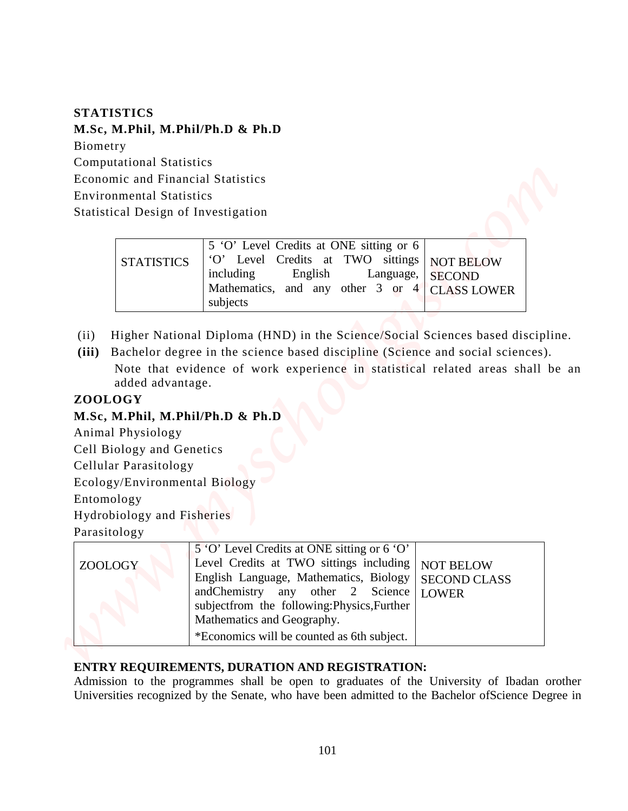## **STATISTICS M.Sc, M.Phil, M.Phil/Ph.D & Ph.D**  Biometry Computational Statistics Economic and Financial Statistics Environmental Statistics Statistical Design of Investigation

|                   | 5 'O' Level Credits at ONE sitting or 6            |
|-------------------|----------------------------------------------------|
| <b>STATISTICS</b> | O' Level Credits at TWO sittings NOT BELOW         |
|                   | including English Language, SECOND                 |
|                   | Mathematics, and any other $3$ or $4 $ CLASS LOWER |
|                   | subjects                                           |

- (ii) Higher National Diploma (HND) in the Science/Social Sciences based discipline.
- **(iii)** Bachelor degree in the science based discipline (Science and social sciences). Note that evidence of work experience in statistical related areas shall be an added advantage.

## **ZOOLOGY**

## **M.Sc, M.Phil, M.Phil/Ph.D & Ph.D**

| <b>STATISTICS</b>                                                                                                                                                                                                                     |                                                                                                                                                                                                                                                         |                                                         |  |
|---------------------------------------------------------------------------------------------------------------------------------------------------------------------------------------------------------------------------------------|---------------------------------------------------------------------------------------------------------------------------------------------------------------------------------------------------------------------------------------------------------|---------------------------------------------------------|--|
| M.Sc, M.Phil, M.Phil/Ph.D & Ph.D                                                                                                                                                                                                      |                                                                                                                                                                                                                                                         |                                                         |  |
| Biometry                                                                                                                                                                                                                              |                                                                                                                                                                                                                                                         |                                                         |  |
| <b>Computational Statistics</b>                                                                                                                                                                                                       |                                                                                                                                                                                                                                                         |                                                         |  |
| <b>Economic and Financial Statistics</b>                                                                                                                                                                                              |                                                                                                                                                                                                                                                         |                                                         |  |
| <b>Environmental Statistics</b>                                                                                                                                                                                                       |                                                                                                                                                                                                                                                         |                                                         |  |
| <b>Statistical Design of Investigation</b>                                                                                                                                                                                            |                                                                                                                                                                                                                                                         |                                                         |  |
|                                                                                                                                                                                                                                       | 5 'O' Level Credits at ONE sitting or 6                                                                                                                                                                                                                 |                                                         |  |
| <b>STATISTICS</b>                                                                                                                                                                                                                     | 'O' Level Credits at TWO sittings                                                                                                                                                                                                                       | <b>NOT BELOW</b>                                        |  |
|                                                                                                                                                                                                                                       | including<br>English<br>Language,                                                                                                                                                                                                                       | <b>SECOND</b>                                           |  |
|                                                                                                                                                                                                                                       | Mathematics, and any other 3 or 4                                                                                                                                                                                                                       | <b>CLASS LOWER</b>                                      |  |
|                                                                                                                                                                                                                                       | subjects                                                                                                                                                                                                                                                |                                                         |  |
| (ii)<br>(iii)                                                                                                                                                                                                                         | Higher National Diploma (HND) in the Science/Social Sciences based discipline.<br>Bachelor degree in the science based discipline (Science and social sciences).                                                                                        |                                                         |  |
| added advantage.                                                                                                                                                                                                                      | Note that evidence of work experience in statistical related areas shall be an                                                                                                                                                                          |                                                         |  |
|                                                                                                                                                                                                                                       |                                                                                                                                                                                                                                                         |                                                         |  |
| ZOOLOGY<br>M.Sc, M.Phil, M.Phil/Ph.D & Ph.D<br>Animal Physiology<br>Cell Biology and Genetics<br>Cellular Parasitology<br>Ecology/Environmental Biology<br>Entomology<br>Hydrobiology and Fisheries<br>Parasitology<br><b>ZOOLOGY</b> | 5 'O' Level Credits at ONE sitting or 6 'O'<br>Level Credits at TWO sittings including<br>English Language, Mathematics, Biology<br>andChemistry<br>any other 2<br>Science<br>subjectfrom the following: Physics, Further<br>Mathematics and Geography. | <b>NOT BELOW</b><br><b>SECOND CLASS</b><br><b>LOWER</b> |  |

## **ENTRY REQUIREMENTS, DURATION AND REGISTRATION:**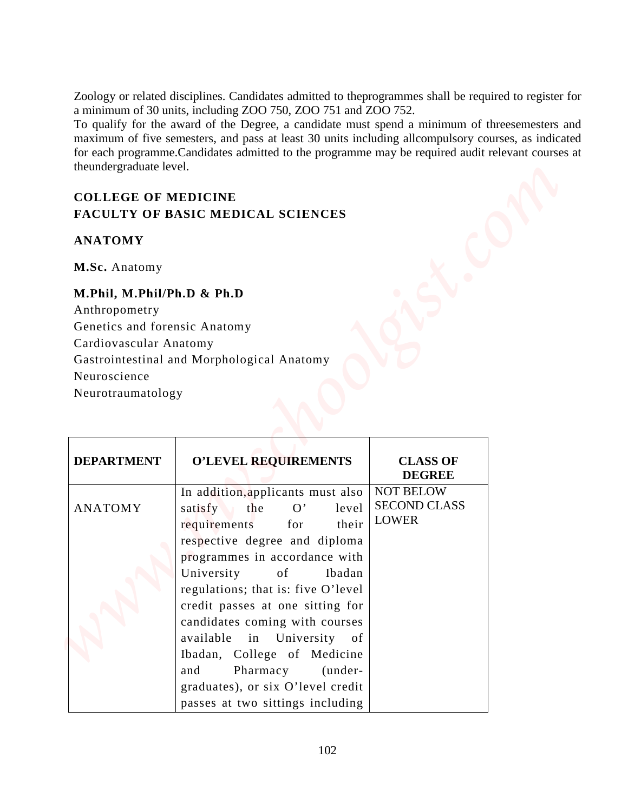## **COLLEGE OF MEDICINE FACULTY OF BASIC MEDICAL SCIENCES**

## **ANATOMY**

## **M.Phil, M.Phil/Ph.D & Ph.D**

| theundergraduate level.<br><b>COLLEGE OF MEDICINE</b> | Zoology or related disciplines. Candidates admitted to the programmes shall be required to register for<br>a minimum of 30 units, including ZOO 750, ZOO 751 and ZOO 752.<br>To qualify for the award of the Degree, a candidate must spend a minimum of threesemesters and<br>maximum of five semesters, and pass at least 30 units including allcompulsory courses, as indicated<br>for each programme. Candidates admitted to the programme may be required audit relevant courses at |                                                         |  |
|-------------------------------------------------------|------------------------------------------------------------------------------------------------------------------------------------------------------------------------------------------------------------------------------------------------------------------------------------------------------------------------------------------------------------------------------------------------------------------------------------------------------------------------------------------|---------------------------------------------------------|--|
|                                                       |                                                                                                                                                                                                                                                                                                                                                                                                                                                                                          |                                                         |  |
|                                                       | <b>FACULTY OF BASIC MEDICAL SCIENCES</b>                                                                                                                                                                                                                                                                                                                                                                                                                                                 |                                                         |  |
| <b>ANATOMY</b>                                        |                                                                                                                                                                                                                                                                                                                                                                                                                                                                                          |                                                         |  |
| M.Sc. Anatomy                                         |                                                                                                                                                                                                                                                                                                                                                                                                                                                                                          |                                                         |  |
| Neuroscience<br>Neurotraumatology                     | Gastrointestinal and Morphological Anatomy                                                                                                                                                                                                                                                                                                                                                                                                                                               |                                                         |  |
| <b>DEPARTMENT</b>                                     | <b>O'LEVEL REQUIREMENTS</b>                                                                                                                                                                                                                                                                                                                                                                                                                                                              | <b>CLASS OF</b><br><b>DEGREE</b>                        |  |
| <b>ANATOMY</b>                                        | In addition, applicants must also<br>the<br>satisfy<br>O'<br>level<br>requirements<br>their<br>for<br>respective degree and diploma                                                                                                                                                                                                                                                                                                                                                      | <b>NOT BELOW</b><br><b>SECOND CLASS</b><br><b>LOWER</b> |  |
|                                                       | programmes in accordance with                                                                                                                                                                                                                                                                                                                                                                                                                                                            |                                                         |  |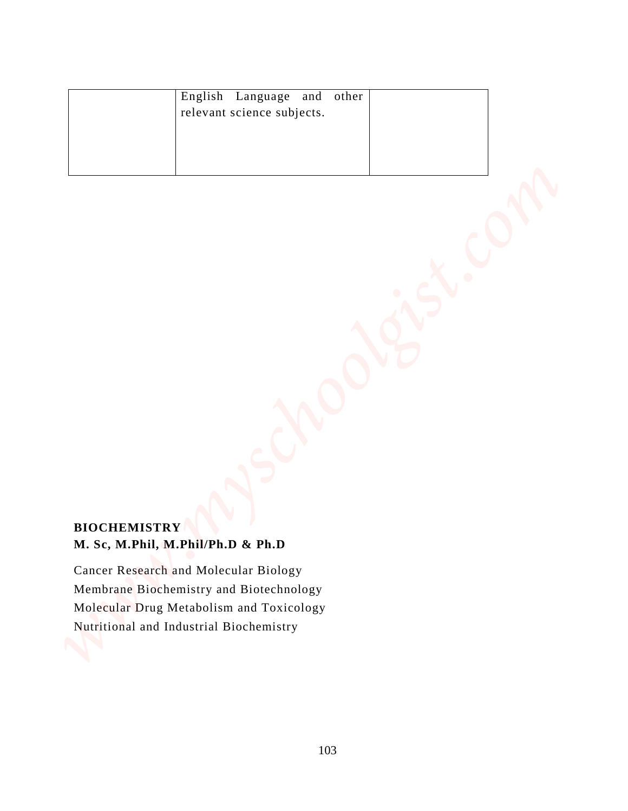| English Language and<br>other<br>relevant science subjects.                                                                                                             |  |
|-------------------------------------------------------------------------------------------------------------------------------------------------------------------------|--|
| <b>BIOCHEMISTRY</b><br>M. Sc, M.Phil, M.Phil/Ph.D & Ph.D                                                                                                                |  |
| Cancer Research and Molecular Biology<br>Membrane Biochemistry and Biotechnology<br>Molecular Drug Metabolism and Toxicology<br>Nutritional and Industrial Biochemistry |  |

## **BIOCHEMISTRY M. Sc, M.Phil, M.Phil/Ph.D & Ph.D**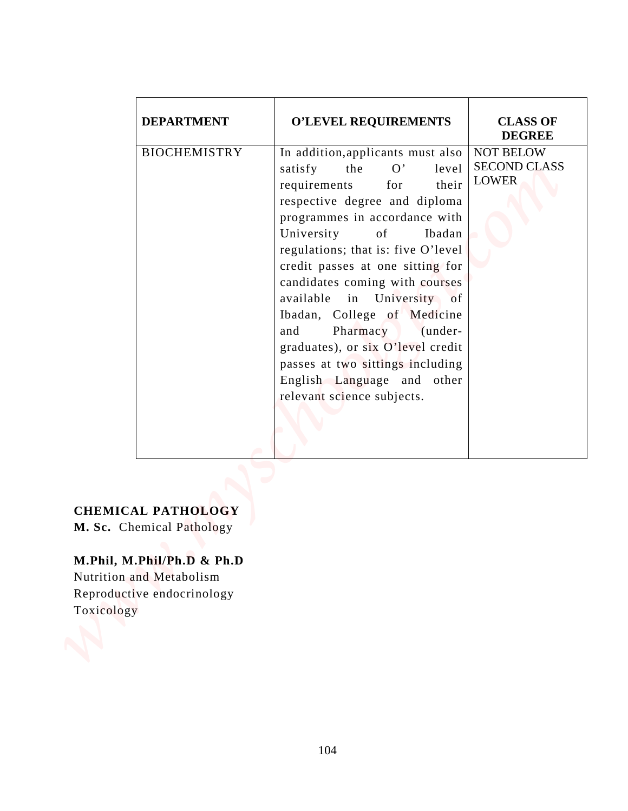| <b>DEPARTMENT</b><br><b>O'LEVEL REQUIREMENTS</b><br><b>CLASS OF</b><br><b>DEGREE</b>                                                                                                                                                                                                                                                                                                                                                                                                                                                                                                                                             |
|----------------------------------------------------------------------------------------------------------------------------------------------------------------------------------------------------------------------------------------------------------------------------------------------------------------------------------------------------------------------------------------------------------------------------------------------------------------------------------------------------------------------------------------------------------------------------------------------------------------------------------|
| <b>BIOCHEMISTRY</b><br><b>NOT BELOW</b><br>In addition, applicants must also<br><b>SECOND CLASS</b><br>O'<br>satisfy<br>the<br>level<br><b>LOWER</b><br>for<br>their<br>requirements<br>respective degree and diploma<br>programmes in accordance with<br>University<br>of<br>Ibadan<br>regulations; that is: five O'level<br>credit passes at one sitting for<br>candidates coming with courses<br>available in University of<br>Ibadan, College of Medicine<br>Pharmacy<br>and<br>(under-<br>graduates), or six O'level credit<br>passes at two sittings including<br>English Language and other<br>relevant science subjects. |

## **M.Phil, M.Phil/Ph.D & Ph.D**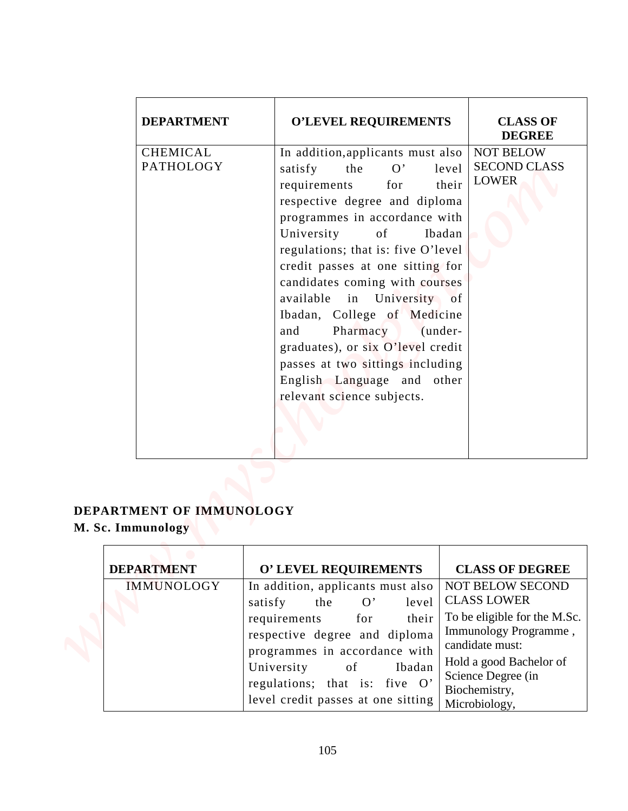| <b>DEPARTMENT</b>                                                  | <b>O'LEVEL REQUIREMENTS</b>                                                                                                                                                                                                                                                                                                                                                                                                                                                                                                                                                        | <b>CLASS OF</b><br><b>DEGREE</b> |
|--------------------------------------------------------------------|------------------------------------------------------------------------------------------------------------------------------------------------------------------------------------------------------------------------------------------------------------------------------------------------------------------------------------------------------------------------------------------------------------------------------------------------------------------------------------------------------------------------------------------------------------------------------------|----------------------------------|
| <b>CHEMICAL</b><br><b>PATHOLOGY</b>                                | <b>NOT BELOW</b><br>In addition, applicants must also<br>the<br>O'<br>level<br>satisfy<br><b>LOWER</b><br>for<br>their<br>requirements<br>respective degree and diploma<br>programmes in accordance with<br>University<br>of<br>Ibadan<br>regulations; that is: five O'level<br>credit passes at one sitting for<br>candidates coming with courses<br>available in University of<br>Ibadan, College of Medicine<br>Pharmacy<br>and<br>(under-<br>graduates), or six O'level credit<br>passes at two sittings including<br>English Language and other<br>relevant science subjects. | <b>SECOND CLASS</b>              |
| DEPARTMENT OF IMMUNOLOGY<br>M. Sc. Immunology<br><b>DEPARTMENT</b> | O' LEVEL REQUIREMENTS<br><b>CLASS OF DEGREE</b>                                                                                                                                                                                                                                                                                                                                                                                                                                                                                                                                    |                                  |
| <b>IMMUNOLOGY</b>                                                  | In addition, applicants must also<br><b>NOT BELOW SECOND</b><br><b>CLASS LOWER</b><br>O'<br>satisfy<br>the<br>level<br>To be eligible for the M.Sc.                                                                                                                                                                                                                                                                                                                                                                                                                                |                                  |
|                                                                    | requirements<br>for<br>their<br>Immunology Programme,<br>respective degree and diploma<br>candidate must:<br>programmes in accordance with<br>Hold a good Bachelor of<br>University<br>of<br>Ibadan<br>Science Degree (in<br>regulations; that is: five O'<br>Biochemistry,<br>level credit passes at one sitting<br>Microbiology,                                                                                                                                                                                                                                                 |                                  |

## **DEPARTMENT OF IMMUNOLOGY M. Sc. Immunology**

| <b>DEPARTMENT</b> | O' LEVEL REQUIREMENTS                                                                                                                                                                                                                                                             | <b>CLASS OF DEGREE</b>                                                                                                                                                                                       |
|-------------------|-----------------------------------------------------------------------------------------------------------------------------------------------------------------------------------------------------------------------------------------------------------------------------------|--------------------------------------------------------------------------------------------------------------------------------------------------------------------------------------------------------------|
| <b>IMMUNOLOGY</b> | In addition, applicants must also<br>level<br>satisfy<br>$\mathbf{O'}$<br>the<br>requirements<br>their<br>for<br>respective degree and diploma<br>programmes in accordance with<br>University of<br>Ibadan<br>regulations; that is: five O'<br>level credit passes at one sitting | <b>NOT BELOW SECOND</b><br><b>CLASS LOWER</b><br>To be eligible for the M.Sc.<br>Immunology Programme,<br>candidate must:<br>Hold a good Bachelor of<br>Science Degree (in<br>Biochemistry,<br>Microbiology, |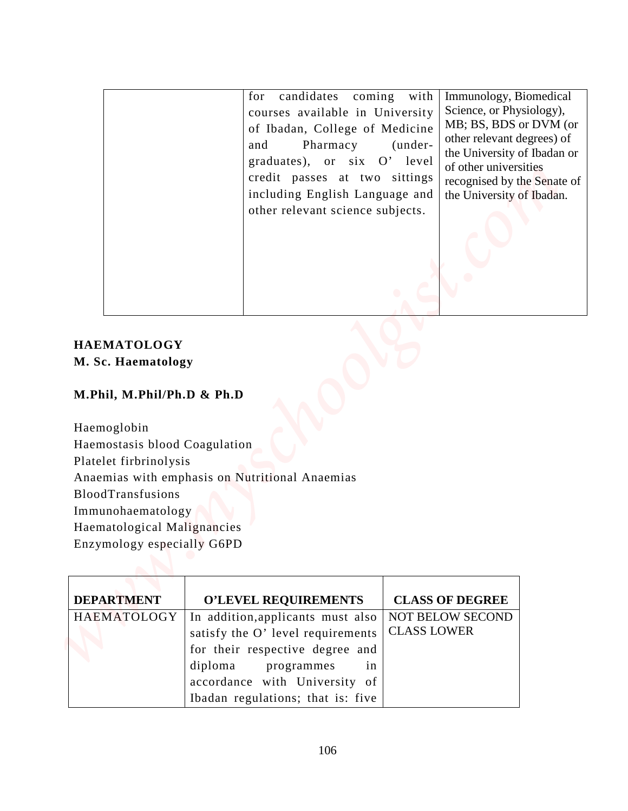| candidates<br>with<br>for<br>coming<br>courses available in University<br>of Ibadan, College of Medicine<br>Pharmacy<br>(under-<br>and<br>graduates), or six O' level<br>credit passes at two sittings<br>including English Language and<br>other relevant science subjects. | Immunology, Biomedical<br>Science, or Physiology),<br>MB; BS, BDS or DVM (or<br>other relevant degrees) of<br>the University of Ibadan or<br>of other universities<br>recognised by the Senate of<br>the University of Ibadan.                  |
|------------------------------------------------------------------------------------------------------------------------------------------------------------------------------------------------------------------------------------------------------------------------------|-------------------------------------------------------------------------------------------------------------------------------------------------------------------------------------------------------------------------------------------------|
|                                                                                                                                                                                                                                                                              |                                                                                                                                                                                                                                                 |
|                                                                                                                                                                                                                                                                              |                                                                                                                                                                                                                                                 |
|                                                                                                                                                                                                                                                                              |                                                                                                                                                                                                                                                 |
|                                                                                                                                                                                                                                                                              |                                                                                                                                                                                                                                                 |
|                                                                                                                                                                                                                                                                              |                                                                                                                                                                                                                                                 |
|                                                                                                                                                                                                                                                                              |                                                                                                                                                                                                                                                 |
|                                                                                                                                                                                                                                                                              |                                                                                                                                                                                                                                                 |
|                                                                                                                                                                                                                                                                              |                                                                                                                                                                                                                                                 |
|                                                                                                                                                                                                                                                                              |                                                                                                                                                                                                                                                 |
|                                                                                                                                                                                                                                                                              |                                                                                                                                                                                                                                                 |
|                                                                                                                                                                                                                                                                              |                                                                                                                                                                                                                                                 |
|                                                                                                                                                                                                                                                                              |                                                                                                                                                                                                                                                 |
|                                                                                                                                                                                                                                                                              |                                                                                                                                                                                                                                                 |
|                                                                                                                                                                                                                                                                              |                                                                                                                                                                                                                                                 |
|                                                                                                                                                                                                                                                                              |                                                                                                                                                                                                                                                 |
|                                                                                                                                                                                                                                                                              |                                                                                                                                                                                                                                                 |
| <b>O'LEVEL REQUIREMENTS</b><br><b>CLASS OF DEGREE</b><br>In addition, applicants must also<br>NOT BELOW SECOND                                                                                                                                                               |                                                                                                                                                                                                                                                 |
| <b>HAEMATOLOGY</b>                                                                                                                                                                                                                                                           | M. Sc. Haematology<br>M.Phil, M.Phil/Ph.D & Ph.D<br>Haemostasis blood Coagulation<br>Platelet firbrinolysis<br>Anaemias with emphasis on Nutritional Anaemias<br>Immunohaematology<br>Haematological Malignancies<br>Enzymology especially G6PD |

## **HAEMATOLOGY M. Sc. Haematology**

## **M.Phil, M.Phil/Ph.D & Ph.D**

| <b>DEPARTMENT</b> | O'LEVEL REQUIREMENTS              | <b>CLASS OF DEGREE</b>  |
|-------------------|-----------------------------------|-------------------------|
| HAEMATOLOGY       | In addition, applicants must also | <b>NOT BELOW SECOND</b> |
|                   | satisfy the O' level requirements | <b>CLASS LOWER</b>      |
|                   | for their respective degree and   |                         |
|                   | diploma programmes in             |                         |
|                   | accordance with University of     |                         |
|                   | Ibadan regulations; that is: five |                         |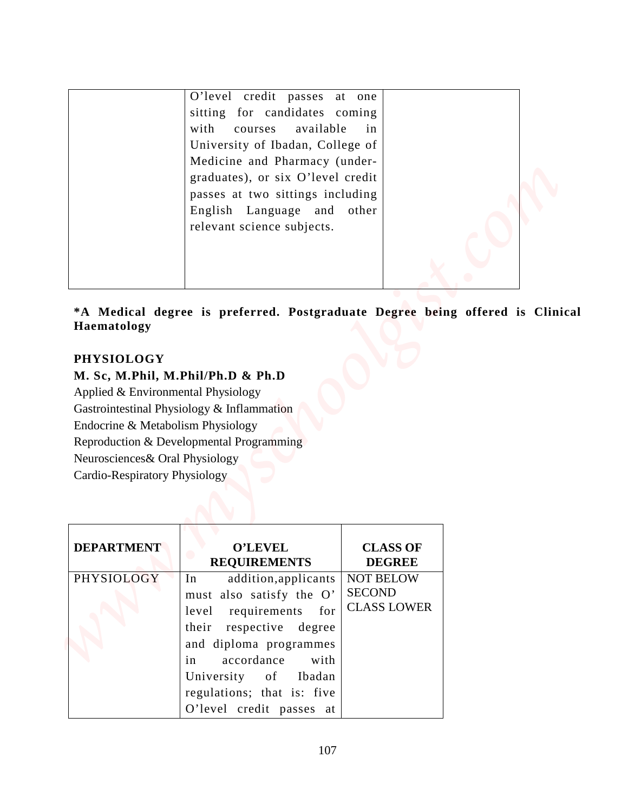|                                                                                                                                                                 | O'level credit passes at one<br>sitting for candidates coming<br>with<br>available<br>courses<br>University of Ibadan, College of<br>Medicine and Pharmacy (under-<br>graduates), or six O'level credit<br>passes at two sittings including<br>English Language and other | in                               |  |
|-----------------------------------------------------------------------------------------------------------------------------------------------------------------|---------------------------------------------------------------------------------------------------------------------------------------------------------------------------------------------------------------------------------------------------------------------------|----------------------------------|--|
|                                                                                                                                                                 | relevant science subjects.                                                                                                                                                                                                                                                |                                  |  |
| Haematology                                                                                                                                                     |                                                                                                                                                                                                                                                                           |                                  |  |
| <b>PHYSIOLOGY</b><br>Applied & Environmental Physiology<br>Endocrine & Metabolism Physiology<br>Neurosciences& Oral Physiology<br>Cardio-Respiratory Physiology | M. Sc, M.Phil, M.Phil/Ph.D & Ph.D<br>Gastrointestinal Physiology & Inflammation<br>Reproduction & Developmental Programming                                                                                                                                               |                                  |  |
| <b>DEPARTMENT</b>                                                                                                                                               | <b>O'LEVEL</b><br><b>REQUIREMENTS</b>                                                                                                                                                                                                                                     | <b>CLASS OF</b><br><b>DEGREE</b> |  |

## **\*A Medical degree is preferred. Postgraduate Degree being offered is Clinical Haematology**

## **PHYSIOLOGY**

### **M. Sc, M.Phil, M.Phil/Ph.D & Ph.D**

| <b>DEPARTMENT</b> | <b>O'LEVEL</b><br><b>REQUIREMENTS</b>                                                                                                                                                                                | <b>CLASS OF</b><br><b>DEGREE</b>                        |
|-------------------|----------------------------------------------------------------------------------------------------------------------------------------------------------------------------------------------------------------------|---------------------------------------------------------|
| PHYSIOLOGY        | addition, applicants<br>In<br>must also satisfy the O'<br>level requirements for<br>their respective degree<br>and diploma programmes<br>in<br>accordance with<br>University of Ibadan<br>regulations; that is: five | <b>NOT BELOW</b><br><b>SECOND</b><br><b>CLASS LOWER</b> |
|                   | O'level credit passes at                                                                                                                                                                                             |                                                         |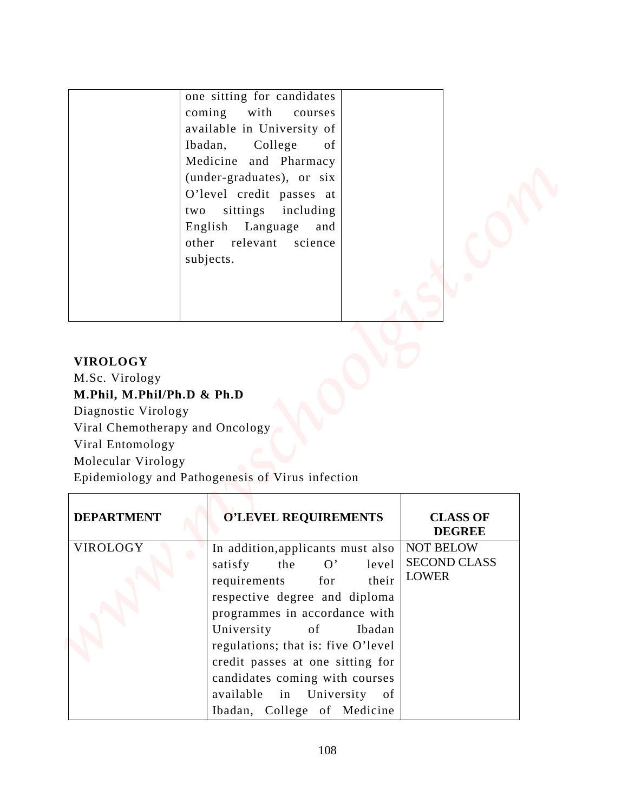## **VIROLOGY**

| <b>VIROLOGY</b>                              | one sitting for candidates<br>coming<br>with<br>courses<br>available in University of<br>Ibadan,<br>College<br>of<br>Medicine and Pharmacy<br>(under-graduates), or six<br>O'level credit passes at<br>sittings including<br>two<br>English Language<br>and<br>other<br>relevant<br>science<br>subjects. |                                                  |  |
|----------------------------------------------|----------------------------------------------------------------------------------------------------------------------------------------------------------------------------------------------------------------------------------------------------------------------------------------------------------|--------------------------------------------------|--|
| M.Sc. Virology<br>M.Phil, M.Phil/Ph.D & Ph.D |                                                                                                                                                                                                                                                                                                          |                                                  |  |
| Diagnostic Virology                          |                                                                                                                                                                                                                                                                                                          |                                                  |  |
| Viral Entomology                             | Viral Chemotherapy and Oncology                                                                                                                                                                                                                                                                          |                                                  |  |
|                                              |                                                                                                                                                                                                                                                                                                          |                                                  |  |
| Molecular Virology                           |                                                                                                                                                                                                                                                                                                          |                                                  |  |
|                                              | Epidemiology and Pathogenesis of Virus infection                                                                                                                                                                                                                                                         |                                                  |  |
|                                              | <b>O'LEVEL REQUIREMENTS</b>                                                                                                                                                                                                                                                                              | <b>CLASS OF</b><br><b>DEGREE</b>                 |  |
| <b>DEPARTMENT</b><br>VIROLOGY                | In addition, applicants must also<br>the<br>satisfy<br>O'<br>level<br>requirements<br>their<br>for                                                                                                                                                                                                       | NOT BELOW<br><b>SECOND CLASS</b><br><b>LOWER</b> |  |
|                                              | respective degree and diploma<br>programmes in accordance with                                                                                                                                                                                                                                           |                                                  |  |
|                                              | University<br>of<br>Ibadan<br>regulations; that is: five O'level<br>credit passes at one sitting for<br>candidates coming with courses                                                                                                                                                                   |                                                  |  |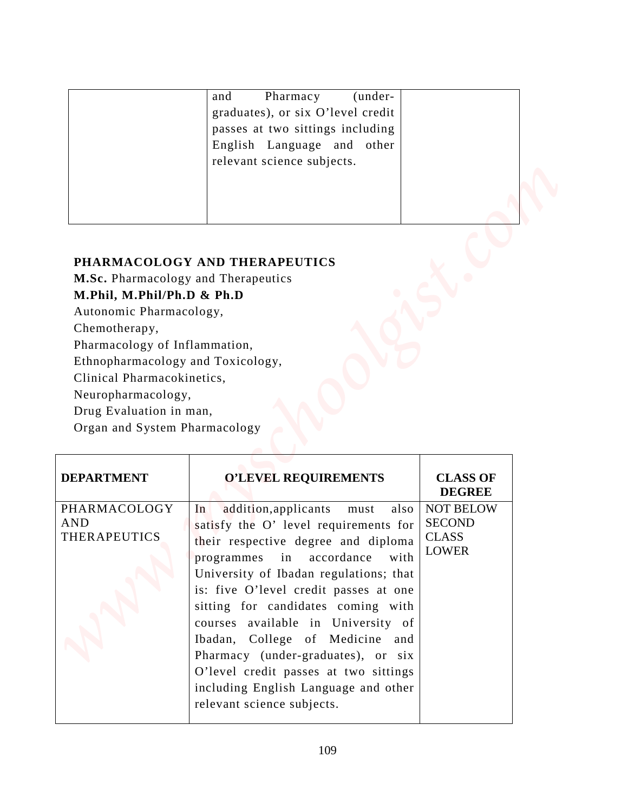| and                               | Pharmacy | $(under-$ |  |
|-----------------------------------|----------|-----------|--|
| graduates), or six O'level credit |          |           |  |
| passes at two sittings including  |          |           |  |
| English Language and other        |          |           |  |
| relevant science subjects.        |          |           |  |
|                                   |          |           |  |
|                                   |          |           |  |
|                                   |          |           |  |

# **PHARMACOLOGY AND THERAPEUTICS**

|                                                                                                                                                                                                     | Pharmacy<br>(under-<br>and                                                                                                        |                                  |  |
|-----------------------------------------------------------------------------------------------------------------------------------------------------------------------------------------------------|-----------------------------------------------------------------------------------------------------------------------------------|----------------------------------|--|
|                                                                                                                                                                                                     | graduates), or six O'level credit<br>passes at two sittings including<br>English Language and other<br>relevant science subjects. |                                  |  |
| Chemotherapy,<br>Pharmacology of Inflammation,<br>Ethnopharmacology and Toxicology,<br>Clinical Pharmacokinetics,<br>Neuropharmacology,<br>Drug Evaluation in man,<br>Organ and System Pharmacology |                                                                                                                                   |                                  |  |
|                                                                                                                                                                                                     |                                                                                                                                   |                                  |  |
| <b>DEPARTMENT</b>                                                                                                                                                                                   | <b>O'LEVEL REQUIREMENTS</b>                                                                                                       | <b>CLASS OF</b><br><b>DEGREE</b> |  |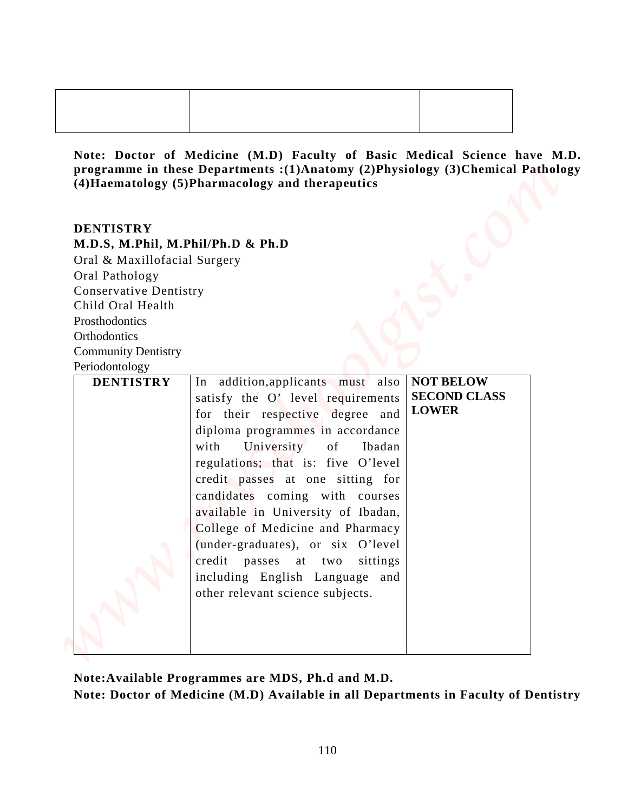#### **DENTISTRY**

|                                                 | Note: Doctor of Medicine (M.D) Faculty of Basic Medical Science have M.D.<br>programme in these Departments : (1)Anatomy (2)Physiology (3)Chemical Pathology |                                         |  |
|-------------------------------------------------|--------------------------------------------------------------------------------------------------------------------------------------------------------------|-----------------------------------------|--|
|                                                 | (4) Haematology (5) Pharmacology and therapeutics                                                                                                            |                                         |  |
|                                                 |                                                                                                                                                              |                                         |  |
| <b>DENTISTRY</b>                                |                                                                                                                                                              |                                         |  |
|                                                 | M.D.S, M.Phil, M.Phil/Ph.D & Ph.D                                                                                                                            |                                         |  |
| Oral & Maxillofacial Surgery                    |                                                                                                                                                              |                                         |  |
| Oral Pathology<br><b>Conservative Dentistry</b> |                                                                                                                                                              |                                         |  |
| Child Oral Health                               |                                                                                                                                                              |                                         |  |
| Prosthodontics                                  |                                                                                                                                                              |                                         |  |
| Orthodontics                                    |                                                                                                                                                              |                                         |  |
| <b>Community Dentistry</b>                      |                                                                                                                                                              |                                         |  |
| Periodontology                                  |                                                                                                                                                              |                                         |  |
| <b>DENTISTRY</b>                                | In addition, applicants must<br>also                                                                                                                         | <b>NOT BELOW</b><br><b>SECOND CLASS</b> |  |
|                                                 | satisfy the O' level requirements                                                                                                                            | <b>LOWER</b>                            |  |
|                                                 | for their respective degree and                                                                                                                              |                                         |  |
|                                                 | diploma programmes in accordance                                                                                                                             |                                         |  |
|                                                 | with<br>University<br>of<br>Ibadan                                                                                                                           |                                         |  |
|                                                 | regulations; that is: five O'level                                                                                                                           |                                         |  |
|                                                 | credit passes at one sitting for<br>candidates coming with courses                                                                                           |                                         |  |
|                                                 | available in University of Ibadan,                                                                                                                           |                                         |  |
|                                                 | College of Medicine and Pharmacy                                                                                                                             |                                         |  |
|                                                 | (under-graduates), or six O'level                                                                                                                            |                                         |  |
|                                                 | credit passes at two<br>sittings                                                                                                                             |                                         |  |
|                                                 | including English Language and                                                                                                                               |                                         |  |
|                                                 | other relevant science subjects.                                                                                                                             |                                         |  |
|                                                 |                                                                                                                                                              |                                         |  |
|                                                 |                                                                                                                                                              |                                         |  |
|                                                 |                                                                                                                                                              |                                         |  |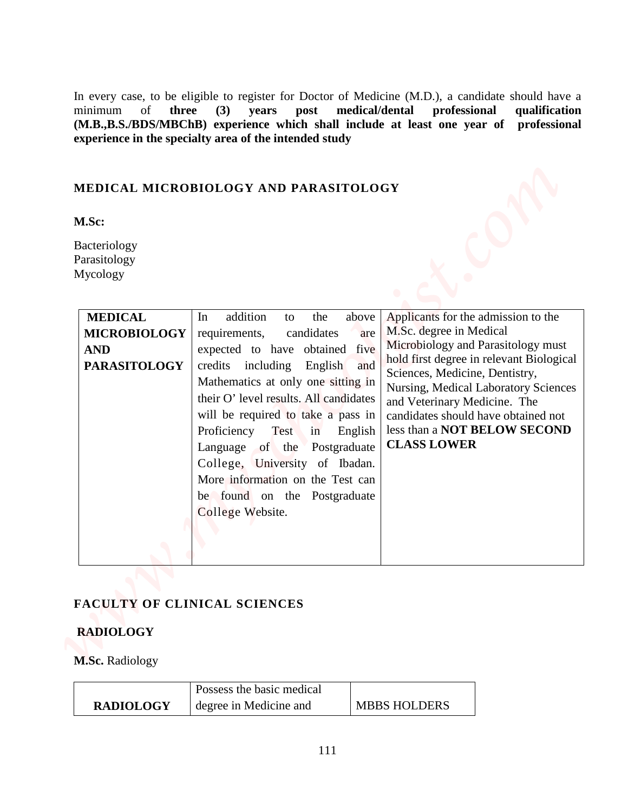### **MEDICAL MICROBIOLOGY AND PARASITOLOGY**

| MEDICAL MICROBIOLOGY AND PARASITOLOGY<br>M.Sc:<br>Bacteriology<br>Parasitology<br>Mycology<br><b>MEDICAL</b><br>addition<br>Applicants for the admission to the<br>the<br>above<br>In<br>to<br>M.Sc. degree in Medical<br><b>MICROBIOLOGY</b><br>candidates<br>requirements,<br>are<br>Microbiology and Parasitology must<br><b>AND</b><br>expected to have obtained<br>five<br>hold first degree in relevant Biological<br><b>PARASITOLOGY</b><br>credits including English<br>and<br>Sciences, Medicine, Dentistry, |  |                                    |  |
|-----------------------------------------------------------------------------------------------------------------------------------------------------------------------------------------------------------------------------------------------------------------------------------------------------------------------------------------------------------------------------------------------------------------------------------------------------------------------------------------------------------------------|--|------------------------------------|--|
|                                                                                                                                                                                                                                                                                                                                                                                                                                                                                                                       |  |                                    |  |
| <b>Nursing, Medical Laboratory Sciences</b><br>their O' level results. All candidates<br>and Veterinary Medicine. The<br>will be required to take a pass in<br>candidates should have obtained not<br>Proficiency Test in English   less than a NOT BELOW SECOND<br><b>CLASS LOWER</b><br>Language of the Postgraduate<br>College, University of Ibadan.<br>More information on the Test can<br>be found on the Postgraduate<br>College Website.                                                                      |  | Mathematics at only one sitting in |  |

### **FACULTY OF CLINICAL SCIENCES**

### **RADIOLOGY**

|                  | Possess the basic medical |                     |
|------------------|---------------------------|---------------------|
| <b>RADIOLOGY</b> | degree in Medicine and    | <b>MBBS HOLDERS</b> |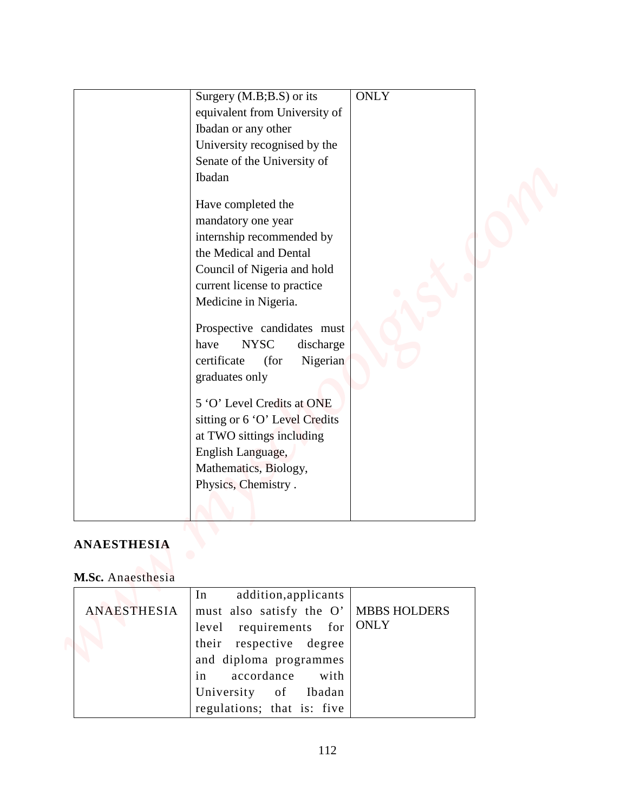|                    | Surgery (M.B;B.S) or its<br>equivalent from University of<br>Ibadan or any other<br>University recognised by the<br>Senate of the University of<br>Ibadan<br>Have completed the<br>mandatory one year<br>internship recommended by<br>the Medical and Dental<br>Council of Nigeria and hold<br>current license to practice<br>Medicine in Nigeria.<br>Prospective candidates must<br><b>NYSC</b><br>discharge<br>have<br>certificate<br>(for<br>Nigerian<br>graduates only<br>5 'O' Level Credits at ONE | <b>ONLY</b>                        |
|--------------------|----------------------------------------------------------------------------------------------------------------------------------------------------------------------------------------------------------------------------------------------------------------------------------------------------------------------------------------------------------------------------------------------------------------------------------------------------------------------------------------------------------|------------------------------------|
|                    | sitting or 6 'O' Level Credits<br>at TWO sittings including<br>English Language,<br>Mathematics, Biology,<br>Physics, Chemistry.                                                                                                                                                                                                                                                                                                                                                                         |                                    |
|                    |                                                                                                                                                                                                                                                                                                                                                                                                                                                                                                          |                                    |
| <b>ANAESTHESIA</b> |                                                                                                                                                                                                                                                                                                                                                                                                                                                                                                          |                                    |
| M.Sc. Anaesthesia  |                                                                                                                                                                                                                                                                                                                                                                                                                                                                                                          |                                    |
| ANAESTHESIA        | addition, applicants<br>In<br>must also satisfy the O'<br>requirements for<br>level<br>respective degree<br>their                                                                                                                                                                                                                                                                                                                                                                                        | <b>MBBS HOLDERS</b><br><b>ONLY</b> |

### **ANAESTHESIA**

# **M.Sc.** Anaesthesia

|             | In addition, applicants                 |  |
|-------------|-----------------------------------------|--|
| ANAESTHESIA | must also satisfy the O'   MBBS HOLDERS |  |
|             | level requirements for $\text{ONLY}$    |  |
|             | their respective degree                 |  |
|             | and diploma programmes                  |  |
|             | in accordance with                      |  |
|             | University of Ibadan                    |  |
|             | regulations; that is: five              |  |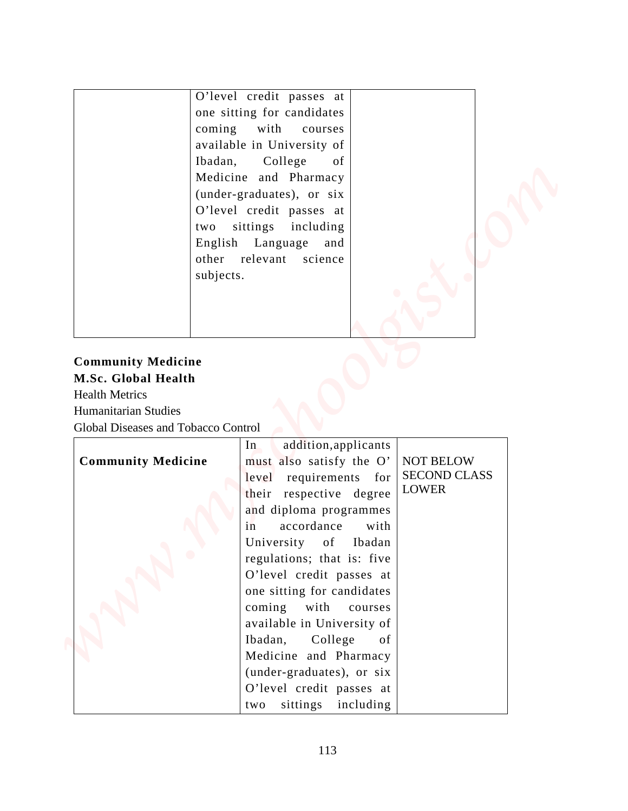| coming<br>Ibadan,<br>two                                                                                                                              | O'level credit passes at<br>one sitting for candidates<br>with<br>courses<br>available in University of<br>College<br>of<br>Medicine and Pharmacy<br>(under-graduates), or six<br>O'level credit passes at<br>sittings including |                                                         |  |
|-------------------------------------------------------------------------------------------------------------------------------------------------------|----------------------------------------------------------------------------------------------------------------------------------------------------------------------------------------------------------------------------------|---------------------------------------------------------|--|
| subjects.<br><b>Community Medicine</b><br>M.Sc. Global Health<br><b>Health Metrics</b><br>Humanitarian Studies<br>Global Diseases and Tobacco Control | English Language<br>and<br>other relevant science                                                                                                                                                                                |                                                         |  |
| <b>Community Medicine</b>                                                                                                                             | addition, applicants<br>In<br>must also satisfy the O'<br>level requirements for<br>their respective degree<br>and diploma programmes<br>accordance<br>with<br>in<br>University of<br>Ibadan                                     | <b>NOT BELOW</b><br><b>SECOND CLASS</b><br><b>LOWER</b> |  |

# **Community Medicine M.Sc. Global Health**

|                           | In<br>addition, applicants |                     |
|---------------------------|----------------------------|---------------------|
| <b>Community Medicine</b> | must also satisfy the O'   | <b>NOT BELOW</b>    |
|                           | $level$ requirements for   | <b>SECOND CLASS</b> |
|                           | their respective degree    | <b>LOWER</b>        |
|                           | and diploma programmes     |                     |
|                           | in accordance with         |                     |
|                           | University of Ibadan       |                     |
|                           | regulations; that is: five |                     |
|                           | O'level credit passes at   |                     |
|                           | one sitting for candidates |                     |
|                           | coming with courses        |                     |
|                           | available in University of |                     |
|                           | Ibadan, College<br>of      |                     |
|                           | Medicine and Pharmacy      |                     |
|                           | (under-graduates), or six  |                     |
|                           | O'level credit passes at   |                     |
|                           | sittings including<br>two  |                     |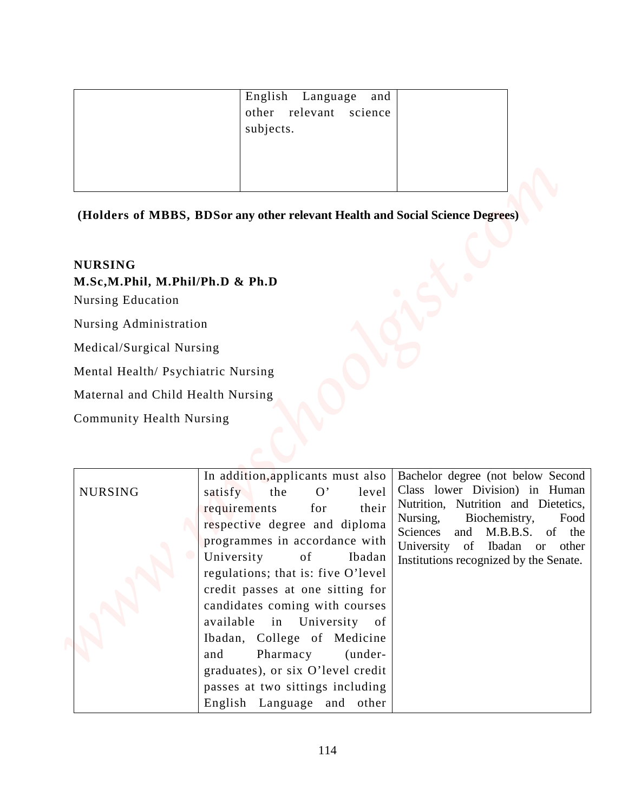| English Language and<br>other relevant science<br>subjects. |  |
|-------------------------------------------------------------|--|
|                                                             |  |

#### **NURSING**

|                                                                        | English<br>Language<br>and<br>relevant<br>other<br>science<br>subjects.                                                                                                                                |                                                                                                                                                    |
|------------------------------------------------------------------------|--------------------------------------------------------------------------------------------------------------------------------------------------------------------------------------------------------|----------------------------------------------------------------------------------------------------------------------------------------------------|
|                                                                        |                                                                                                                                                                                                        |                                                                                                                                                    |
|                                                                        | (Holders of MBBS, BDSor any other relevant Health and Social Science Degrees)                                                                                                                          |                                                                                                                                                    |
|                                                                        |                                                                                                                                                                                                        |                                                                                                                                                    |
| <b>NURSING</b><br>M.Sc,M.Phil, M.Phil/Ph.D & Ph.D<br>Nursing Education |                                                                                                                                                                                                        |                                                                                                                                                    |
| Nursing Administration                                                 |                                                                                                                                                                                                        |                                                                                                                                                    |
| Medical/Surgical Nursing                                               |                                                                                                                                                                                                        |                                                                                                                                                    |
| Mental Health/ Psychiatric Nursing                                     |                                                                                                                                                                                                        |                                                                                                                                                    |
| Maternal and Child Health Nursing                                      |                                                                                                                                                                                                        |                                                                                                                                                    |
| <b>Community Health Nursing</b>                                        |                                                                                                                                                                                                        |                                                                                                                                                    |
|                                                                        |                                                                                                                                                                                                        |                                                                                                                                                    |
|                                                                        | In addition, applicants must also<br>O'<br>level<br>satisfy<br>the                                                                                                                                     | Bachelor degree (not below Second<br>Class lower Division) in Human<br>Nutrition, Nutrition and Dietetics,                                         |
| <b>NURSING</b>                                                         | their<br>requirements<br>for<br>respective degree and diploma<br>programmes in accordance with<br>University<br>of<br>Ibadan<br>regulations; that is: five O'level<br>credit passes at one sitting for | Nursing,<br>Biochemistry,<br>Food<br>Sciences<br>M.B.B.S. of the<br>and<br>University of Ibadan or other<br>Institutions recognized by the Senate. |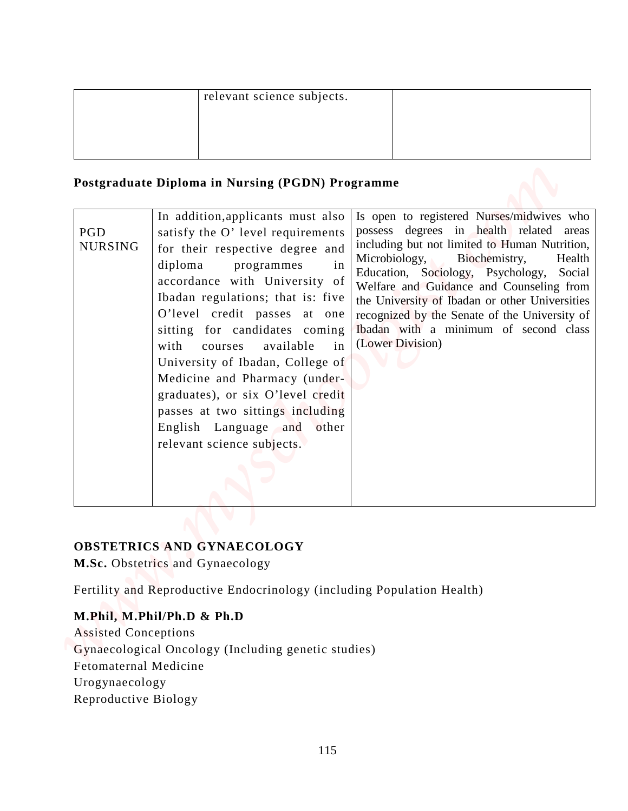| relevant science subjects. |  |
|----------------------------|--|
|                            |  |
|                            |  |
|                            |  |

#### **Postgraduate Diploma in Nursing (PGDN) Programme**

|                       | Postgraduate Diploma in Nursing (PGDN) Programme                                                                                                                                                                                                                                                                                                                                                                                                                                                                                                                                                                                                                                                                                                                                                                                                                                                                                                            |                  |
|-----------------------|-------------------------------------------------------------------------------------------------------------------------------------------------------------------------------------------------------------------------------------------------------------------------------------------------------------------------------------------------------------------------------------------------------------------------------------------------------------------------------------------------------------------------------------------------------------------------------------------------------------------------------------------------------------------------------------------------------------------------------------------------------------------------------------------------------------------------------------------------------------------------------------------------------------------------------------------------------------|------------------|
| PGD<br><b>NURSING</b> | In addition, applicants must also<br>Is open to registered Nurses/midwives who<br>possess degrees in health related areas<br>satisfy the O' level requirements<br>including but not limited to Human Nutrition,<br>for their respective degree and<br>Microbiology,<br>Biochemistry,<br>diploma<br>programmes<br>in<br>Education, Sociology, Psychology,<br>accordance with University of<br>Welfare and Guidance and Counseling from<br>Ibadan regulations; that is: five<br>the University of Ibadan or other Universities<br>O'level credit passes at one<br>recognized by the Senate of the University of<br>Ibadan with a minimum of second class<br>sitting for candidates coming<br>(Lower Division)<br>with<br>available<br>in<br>courses<br>University of Ibadan, College of<br>Medicine and Pharmacy (under-<br>graduates), or six O'level credit<br>passes at two sittings including<br>English Language and other<br>relevant science subjects. | Health<br>Social |
|                       | <b>OBSTETRICS AND GYNAECOLOGY</b><br>M.Sc. Obstetrics and Gynaecology<br>Fertility and Reproductive Endocrinology (including Population Health)                                                                                                                                                                                                                                                                                                                                                                                                                                                                                                                                                                                                                                                                                                                                                                                                             |                  |

#### **OBSTETRICS AND GYNAECOLOGY**

### **M.Phil, M.Phil/Ph.D & Ph.D**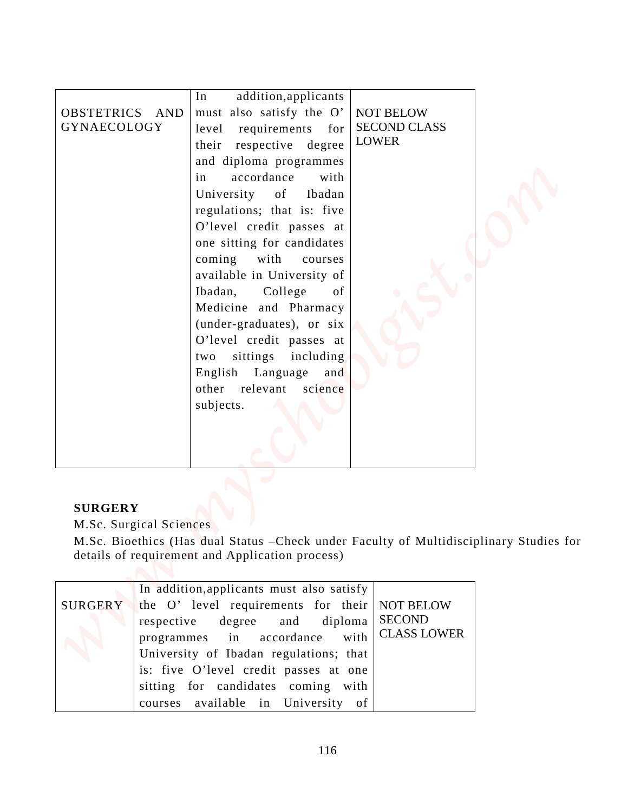| OBSTETRICS AND<br>GYNAECOLOGY                                             | addition, applicants<br>In<br>must also satisfy the O'<br>requirements for<br>level<br>their respective degree<br>and diploma programmes<br>in<br>accordance<br>with<br>University<br>of<br>Ibadan<br>regulations; that is: five<br>O'level credit passes at<br>one sitting for candidates<br>coming with<br>courses<br>available in University of<br>Ibadan,<br>College<br>of<br>Medicine and Pharmacy<br>(under-graduates), or six<br>O'level credit passes at<br>sittings including<br>two<br>English Language<br>and<br>other relevant<br>science<br>subjects. | <b>NOT BELOW</b><br><b>SECOND CLASS</b><br><b>LOWER</b>         |  |
|---------------------------------------------------------------------------|--------------------------------------------------------------------------------------------------------------------------------------------------------------------------------------------------------------------------------------------------------------------------------------------------------------------------------------------------------------------------------------------------------------------------------------------------------------------------------------------------------------------------------------------------------------------|-----------------------------------------------------------------|--|
| <b>SURGERY</b><br>M.Sc. Surgical Sciences<br><b>SURGERY</b><br>respective | M.Sc. Bioethics (Has dual Status - Check under Faculty of Multidisciplinary Studies for<br>details of requirement and Application process)<br>In addition, applicants must also satisfy<br>the O' level requirements for their<br>degree<br>and<br>diploma<br>in<br>accordance<br>programmes<br>University of Ibadan regulations; that                                                                                                                                                                                                                             | <b>NOT BELOW</b><br><b>SECOND</b><br><b>CLASS LOWER</b><br>with |  |

### **SURGERY**

| In addition, applicants must also satisfy             |
|-------------------------------------------------------|
| SURGERY the O' level requirements for their NOT BELOW |
| respective degree and diploma SECOND                  |
| programmes in accordance with CLASS LOWER             |
| University of Ibadan regulations; that                |
| is: five O'level credit passes at one                 |
| sitting for candidates coming with                    |
| courses available in University of                    |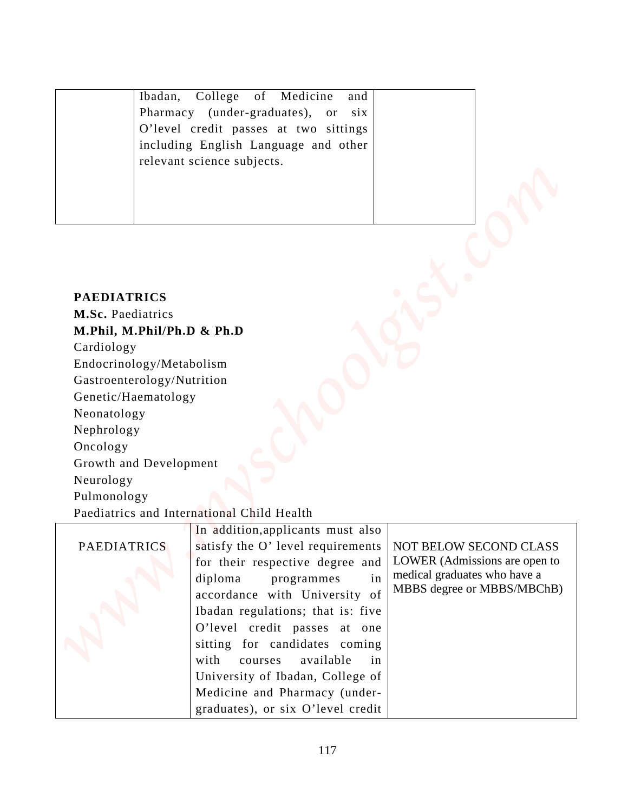| Ibadan, College of Medicine and       |  |
|---------------------------------------|--|
| Pharmacy (under-graduates), or six    |  |
| O'level credit passes at two sittings |  |
| including English Language and other  |  |
| relevant science subjects.            |  |
|                                       |  |
|                                       |  |
|                                       |  |
|                                       |  |

#### **PAEDIATRICS**

| Ibadan,                                                                                                                                                                                                                                                             | Medicine<br>College<br>of<br>and<br>Pharmacy (under-graduates),<br>or six<br>O'level credit passes at two sittings                                                                                                                                                                                                                                        |                                                                                                                       |
|---------------------------------------------------------------------------------------------------------------------------------------------------------------------------------------------------------------------------------------------------------------------|-----------------------------------------------------------------------------------------------------------------------------------------------------------------------------------------------------------------------------------------------------------------------------------------------------------------------------------------------------------|-----------------------------------------------------------------------------------------------------------------------|
|                                                                                                                                                                                                                                                                     | including English Language and other<br>relevant science subjects.                                                                                                                                                                                                                                                                                        |                                                                                                                       |
| <b>PAEDIATRICS</b><br>M.Sc. Paediatrics<br>M.Phil, M.Phil/Ph.D & Ph.D<br>Cardiology<br>Endocrinology/Metabolism<br>Gastroenterology/Nutrition<br>Genetic/Haematology<br>Neonatology<br>Nephrology<br>Oncology<br>Growth and Development<br>Neurology<br>Pulmonology | Paediatrics and International Child Health                                                                                                                                                                                                                                                                                                                |                                                                                                                       |
| <b>PAEDIATRICS</b>                                                                                                                                                                                                                                                  | In addition, applicants must also<br>satisfy the O' level requirements<br>for their respective degree and<br>diploma<br>programmes<br>in<br>accordance with University of<br>Ibadan regulations; that is: five<br>O'level credit passes at one<br>sitting for candidates coming<br>with<br>available<br>courses<br>in<br>University of Ibadan, College of | NOT BELOW SECOND CLASS<br>LOWER (Admissions are open to<br>medical graduates who have a<br>MBBS degree or MBBS/MBChB) |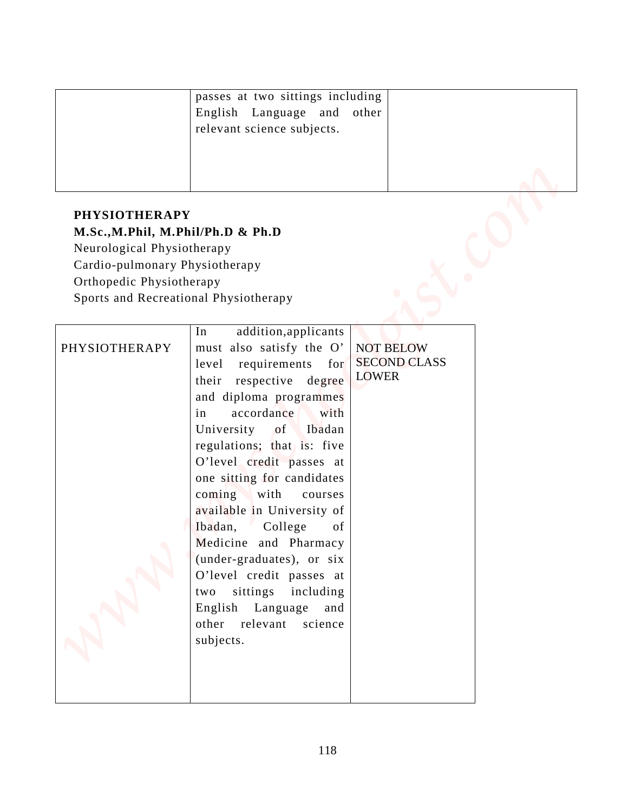| passes at two sittings including<br>English Language and other<br>relevant science subjects. |  |
|----------------------------------------------------------------------------------------------|--|
|                                                                                              |  |

# **PHYSIOTHERAPY M.Sc.,M.Phil, M.Phil/Ph.D & Ph.D** Neurological Physiotherapy Cardio-pulmonary Physiotherapy Orthopedic Physiotherapy Sports and Recreational Physiotherapy

|                                                                 | passes at two sittings including |                     |  |
|-----------------------------------------------------------------|----------------------------------|---------------------|--|
|                                                                 | English Language and other       |                     |  |
|                                                                 | relevant science subjects.       |                     |  |
|                                                                 |                                  |                     |  |
|                                                                 |                                  |                     |  |
|                                                                 |                                  |                     |  |
| <b>PHYSIOTHERAPY</b>                                            |                                  |                     |  |
|                                                                 |                                  |                     |  |
| M.Sc., M.Phil, M.Phil/Ph.D & Ph.D<br>Neurological Physiotherapy |                                  |                     |  |
| Cardio-pulmonary Physiotherapy                                  |                                  |                     |  |
| Orthopedic Physiotherapy                                        |                                  |                     |  |
| Sports and Recreational Physiotherapy                           |                                  |                     |  |
|                                                                 |                                  |                     |  |
|                                                                 | addition, applicants<br>In       |                     |  |
| PHYSIOTHERAPY                                                   | must also satisfy the O'         | <b>NOT BELOW</b>    |  |
|                                                                 | requirements for<br>level        | <b>SECOND CLASS</b> |  |
|                                                                 | their respective degree          | <b>LOWER</b>        |  |
|                                                                 | and diploma programmes           |                     |  |
|                                                                 | accordance<br>in<br>with         |                     |  |
|                                                                 | University of Ibadan             |                     |  |
|                                                                 | regulations; that is: five       |                     |  |
|                                                                 |                                  |                     |  |
|                                                                 | O'level credit passes at         |                     |  |
|                                                                 | one sitting for candidates       |                     |  |
|                                                                 | coming with<br>courses           |                     |  |
|                                                                 | available in University of       |                     |  |
|                                                                 | Ibadan,<br>College<br>of         |                     |  |
|                                                                 | Medicine and Pharmacy            |                     |  |
|                                                                 | (under-graduates), or six        |                     |  |
|                                                                 | O'level credit passes at         |                     |  |
|                                                                 | sittings including<br>two        |                     |  |
|                                                                 | English Language and             |                     |  |
|                                                                 | other relevant science           |                     |  |
|                                                                 | subjects.                        |                     |  |
|                                                                 |                                  |                     |  |
|                                                                 |                                  |                     |  |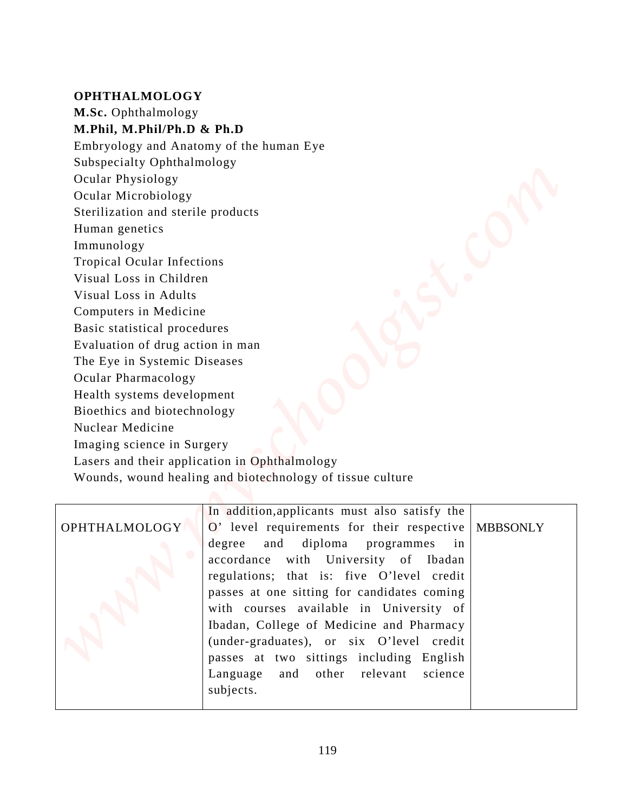#### **OPHTHALMOLOGY**

**M.Sc.** Ophthalmology

**M.Phil, M.Phil/Ph.D & Ph.D**

Embryology and Anatomy of the human Eye

Subspecialty Ophthalmology

Ocular Physiology

Ocular Microbiology

Sterilization and sterile products

Human genetics

Immunology

Tropical Ocular Infections

Visual Loss in Children

Visual Loss in Adults

Computers in Medicine

Basic statistical procedures

Evaluation of drug action in man

The Eye in Systemic Diseases

Ocular Pharmacology

Health systems development

Bioethics and biotechnology

Nuclear Medicine

Imaging science in Surgery

Lasers and their application in Ophthalmology

Wounds, wound healing and biotechnology of tissue culture

# OPHTHALMOLOGY

O' level requirements for their respective degree and diploma programmes in accordance with University of Ibadan regulations; that is: five O'level credit passes at one sitting for candidates coming with courses available in University of Ibadan, College of Medicine and Pharmacy (under-graduates), or six O'level credit passes at two sittings including English Language and other relevant science subjects. **White Ophicalization**<br> **When the Amelian School and Amelian Bostonic Schoolar Physiology and Amelian Bostonic Schooler Physiology Coloring and Amelian School Coloring the School Coloring School Coloring and strictle produ** 

In addition,applicants must also satisfy the

MBBSONLY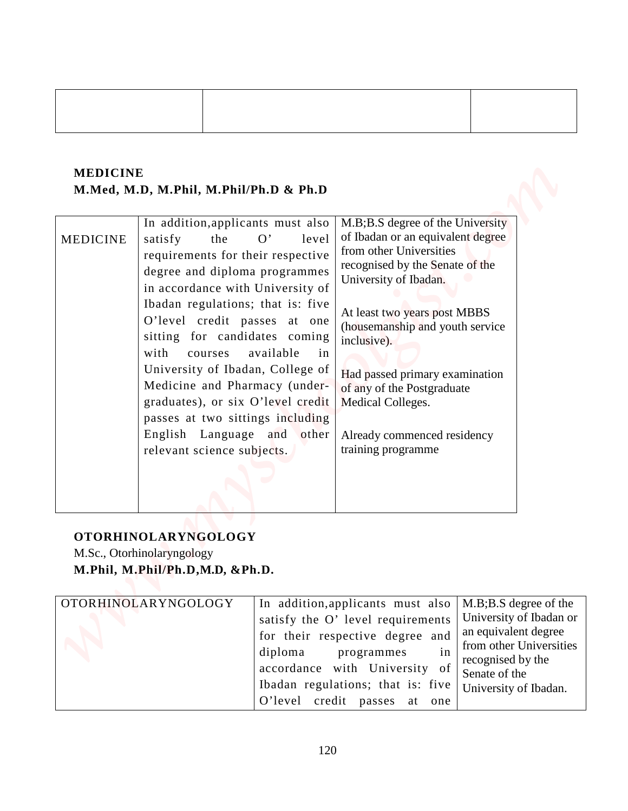### **MEDICINE M.Med, M.D, M.Phil, M.Phil/Ph.D & Ph.D**

| <b>MEDICINE</b> | M.Med, M.D, M.Phil, M.Phil/Ph.D & Ph.D                                                                                                                                                                                                                                                                                                                                                                                                                                                                                                |                                                                                                                                                                                                                                                                                                                                                                                          |                                                                                                                                           |
|-----------------|---------------------------------------------------------------------------------------------------------------------------------------------------------------------------------------------------------------------------------------------------------------------------------------------------------------------------------------------------------------------------------------------------------------------------------------------------------------------------------------------------------------------------------------|------------------------------------------------------------------------------------------------------------------------------------------------------------------------------------------------------------------------------------------------------------------------------------------------------------------------------------------------------------------------------------------|-------------------------------------------------------------------------------------------------------------------------------------------|
| <b>MEDICINE</b> | In addition, applicants must also<br>the<br>satisfy<br>O'<br>level<br>requirements for their respective<br>degree and diploma programmes<br>in accordance with University of<br>Ibadan regulations; that is: five<br>O'level credit passes at one<br>sitting for candidates coming<br>with<br>available<br>in<br>courses<br>University of Ibadan, College of<br>Medicine and Pharmacy (under-<br>graduates), or six O'level credit<br>passes at two sittings including<br>English Language and<br>other<br>relevant science subjects. | M.B;B.S degree of the University<br>of Ibadan or an equivalent degree<br>from other Universities<br>recognised by the Senate of the<br>University of Ibadan.<br>At least two years post MBBS<br>(housemanship and youth service<br>inclusive).<br>Had passed primary examination<br>of any of the Postgraduate<br>Medical Colleges.<br>Already commenced residency<br>training programme |                                                                                                                                           |
|                 | <b>OTORHINOLARYNGOLOGY</b><br>M.Sc., Otorhinolaryngology<br>M.Phil, M.Phil/Ph.D, M.D, &Ph.D.<br>OTORHINOLARYNGOLOGY<br>diploma                                                                                                                                                                                                                                                                                                                                                                                                        | In addition, applicants must also<br>satisfy the O' level requirements<br>for their respective degree and<br>programmes<br>in<br>accordance with University of                                                                                                                                                                                                                           | M.B;B.S degree of the<br>University of Ibadan or<br>an equivalent degree<br>from other Universities<br>recognised by the<br>Senate of the |

# **OTORHINOLARYNGOLOGY**

| OTORHINOLARYNGOLOGY | In addition, applicants must also $ M.B:B.S$ degree of the |                                              |
|---------------------|------------------------------------------------------------|----------------------------------------------|
|                     | satisfy the O'level requirements   University of Ibadan or |                                              |
|                     | for their respective degree and                            | an equivalent degree                         |
|                     | diploma programmes<br>in                                   | from other Universities<br>recognised by the |
|                     | accordance with University<br>of                           | Senate of the                                |
|                     | Ibadan regulations; that is: five                          | University of Ibadan.                        |
|                     | O'level credit passes at<br>one                            |                                              |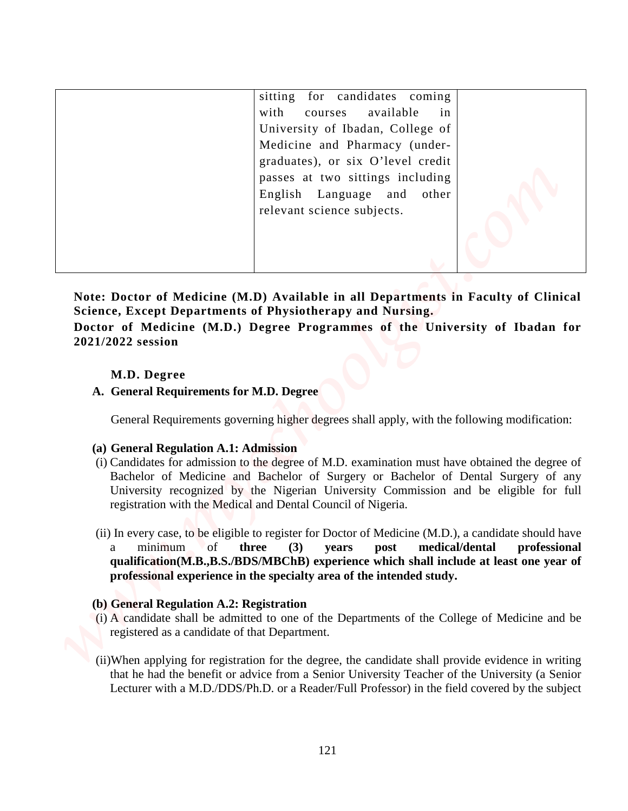|                                          | sitting for candidates coming<br>with<br>available<br>in<br>courses                                                                                                                                                                                                                                                                          |              |
|------------------------------------------|----------------------------------------------------------------------------------------------------------------------------------------------------------------------------------------------------------------------------------------------------------------------------------------------------------------------------------------------|--------------|
|                                          | University of Ibadan, College of<br>Medicine and Pharmacy (under-                                                                                                                                                                                                                                                                            |              |
|                                          | graduates), or six O'level credit                                                                                                                                                                                                                                                                                                            |              |
|                                          | passes at two sittings including<br>Language and<br>English<br>other<br>relevant science subjects.                                                                                                                                                                                                                                           |              |
|                                          |                                                                                                                                                                                                                                                                                                                                              |              |
|                                          |                                                                                                                                                                                                                                                                                                                                              |              |
| M.D. Degree                              | A. General Requirements for M.D. Degree                                                                                                                                                                                                                                                                                                      |              |
|                                          | General Requirements governing higher degrees shall apply, with the following modification:                                                                                                                                                                                                                                                  |              |
| (a) General Regulation A.1: Admission    | (i) Candidates for admission to the degree of M.D. examination must have obtained the degree of<br>Bachelor of Medicine and Bachelor of Surgery or Bachelor of Dental Surgery of any<br>University recognized by the Nigerian University Commission and be eligible for full<br>registration with the Medical and Dental Council of Nigeria. |              |
| minimum<br>a                             | (ii) In every case, to be eligible to register for Doctor of Medicine (M.D.), a candidate should have<br><sub>of</sub><br>three<br>medical/dental<br>(3)<br>post<br>years<br>qualification(M.B.,B.S./BDS/MBChB) experience which shall include at least one year of<br>professional experience in the specialty area of the intended study.  |              |
| (b) General Regulation A.2: Registration |                                                                                                                                                                                                                                                                                                                                              |              |
|                                          | (i) A candidate shall be admitted to one of the Departments of the College of Medicine and be<br>registered as a candidate of that Department.<br>(ii) When applying for registration for the degree, the candidate shall provide evidence in writing                                                                                        | professional |

#### **M.D. Degree**

#### **A. General Requirements for M.D. Degree**

#### **(a) General Regulation A.1: Admission**

- (i) Candidates for admission to the degree of M.D. examination must have obtained the degree of Bachelor of Medicine and Bachelor of Surgery or Bachelor of Dental Surgery of any University recognized by the Nigerian University Commission and be eligible for full registration with the Medical and Dental Council of Nigeria.
- (ii) In every case, to be eligible to register for Doctor of Medicine (M.D.), a candidate should have a minimum of **three (3) years post medical/dental professional qualification(M.B.,B.S./BDS/MBChB) experience which shall include at least one year of professional experience in the specialty area of the intended study.**

#### **(b) General Regulation A.2: Registration**

- (i) A candidate shall be admitted to one of the Departments of the College of Medicine and be registered as a candidate of that Department.
- (ii)When applying for registration for the degree, the candidate shall provide evidence in writing Lecturer with a M.D./DDS/Ph.D. or a Reader/Full Professor) in the field covered by the subject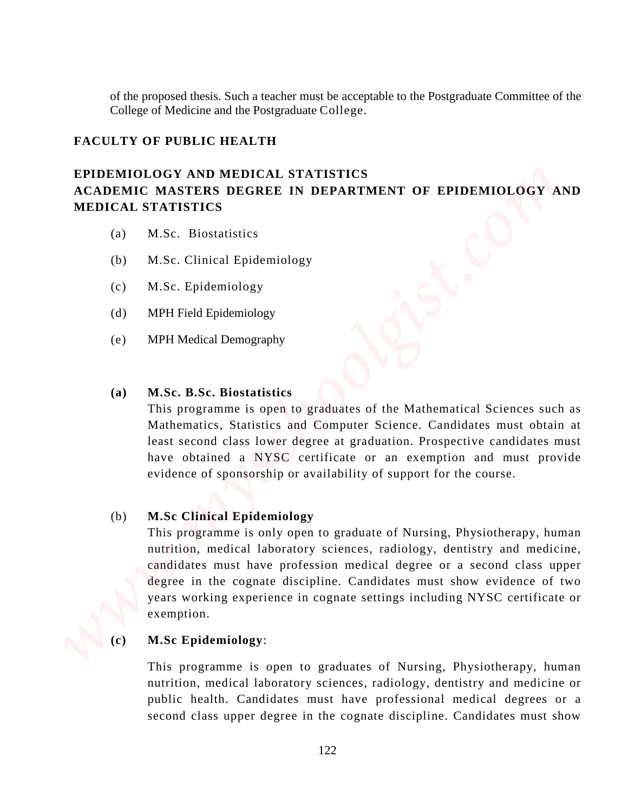of the proposed thesis. Such a teacher must be acceptable to the Postgraduate Committee of the College of Medicine and the Postgraduate College.

#### **FACULTY OF PUBLIC HEALTH**

### **EPIDEMIOLOGY AND MEDICAL STATISTICS ACADEMIC MASTERS DEGREE IN DEPARTMENT OF EPIDEMIOLOGY AND MEDICAL STATISTICS**

- (a) M.Sc. Biostatistics
- (b) M.Sc. Clinical Epidemiology
- (c) M.Sc. Epidemiology
- (d) MPH Field Epidemiology
- (e) MPH Medical Demography

#### **(a) M.Sc. B.Sc. Biostatistics**

This programme is open to graduates of the Mathematical Sciences such as Mathematics, Statistics and Computer Science. Candidates must obtain at least second class lower degree at graduation. Prospective candidates must have obtained a NYSC certificate or an exemption and must provide evidence of sponsorship or availability of support for the course.

#### (b) **M.Sc Clinical Epidemiology**

This programme is only open to graduate of Nursing, Physiotherapy, human nutrition, medical laboratory sciences, radiology, dentistry and medicine, candidates must have profession medical degree or a second class upper degree in the cognate discipline. Candidates must show evidence of two years working experience in cognate settings including NYSC certificate or exemption. of the proposal mesh. Such a teacher must be acceptable to the Pongradiate Commutee of the Colebest of Solicitor and the Pongradicate Colege.<br>
FACULTY OF PURLIC ITEALTIT EXPERIMENT COVERT CONDITIES RECONDITED AT THE CONDI

#### **(c) M.Sc Epidemiology**:

This programme is open to graduates of Nursing, Physiotherapy, human nutrition, medical laboratory sciences, radiology, dentistry and medicine or public health. Candidates must have professional medical degrees or a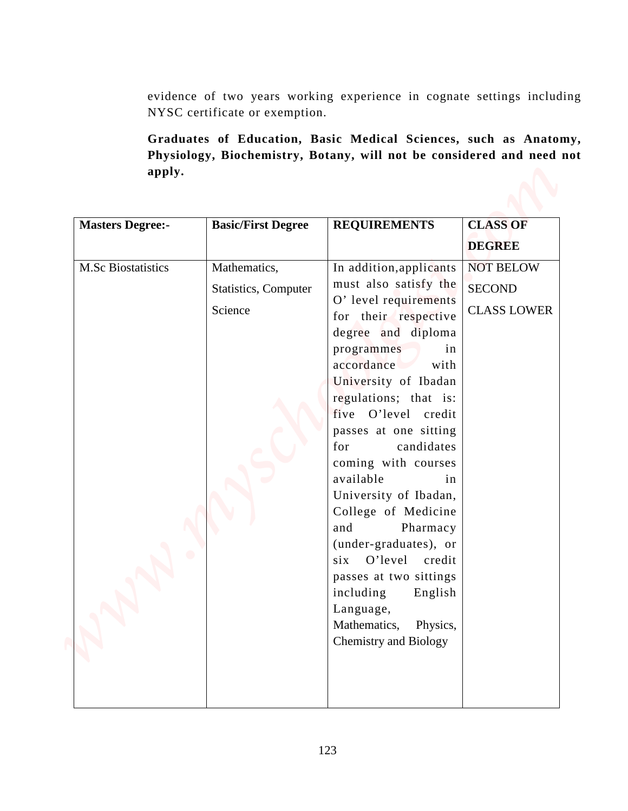|                           | NYSC certificate or exemption.                  | Graduates of Education, Basic Medical Sciences, such as Anatomy,<br>Physiology, Biochemistry, Botany, will not be considered and need not                                                                                                                                                                                                                                                                                                                                                                                                                                         | evidence of two years working experience in cognate settings including |
|---------------------------|-------------------------------------------------|-----------------------------------------------------------------------------------------------------------------------------------------------------------------------------------------------------------------------------------------------------------------------------------------------------------------------------------------------------------------------------------------------------------------------------------------------------------------------------------------------------------------------------------------------------------------------------------|------------------------------------------------------------------------|
| apply.                    |                                                 |                                                                                                                                                                                                                                                                                                                                                                                                                                                                                                                                                                                   |                                                                        |
| <b>Masters Degree:-</b>   | <b>Basic/First Degree</b>                       | <b>REQUIREMENTS</b>                                                                                                                                                                                                                                                                                                                                                                                                                                                                                                                                                               | <b>CLASS OF</b><br><b>DEGREE</b>                                       |
| <b>M.Sc Biostatistics</b> | Mathematics,<br>Statistics, Computer<br>Science | In addition, applicants<br>must also satisfy the<br>O' level requirements<br>for their respective<br>degree and diploma<br>programmes<br>in<br>accordance<br>with<br>University of Ibadan<br>regulations; that is:<br>five O'level credit<br>passes at one sitting<br>candidates<br>for<br>coming with courses<br>available<br>in<br>University of Ibadan,<br>College of Medicine<br>Pharmacy<br>and<br>(under-graduates), or<br>six O'level<br>credit<br>passes at two sittings<br>including<br>English<br>Language,<br>Mathematics,<br>Physics,<br><b>Chemistry and Biology</b> | <b>NOT BELOW</b><br><b>SECOND</b><br><b>CLASS LOWER</b>                |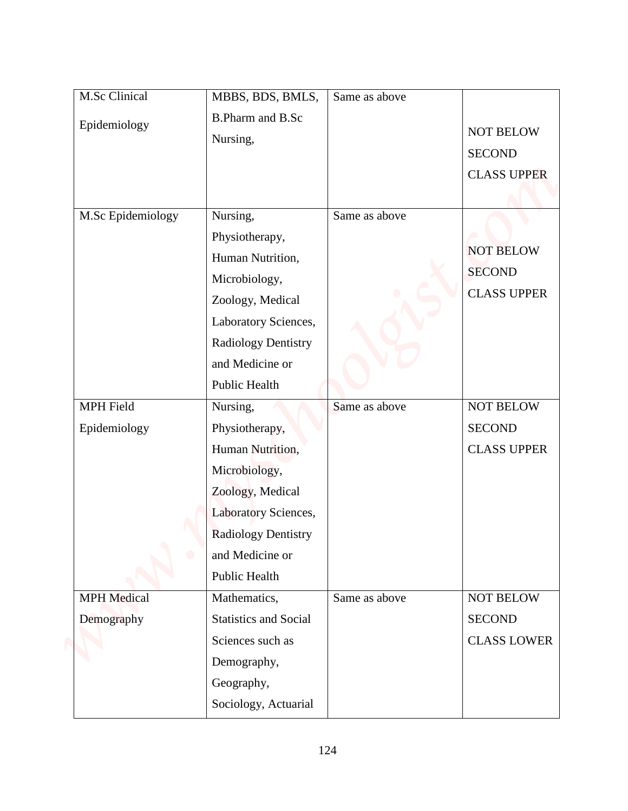| M.Sc Clinical                          | MBBS, BDS, BMLS,                                                                                                                                                       | Same as above |                                                         |
|----------------------------------------|------------------------------------------------------------------------------------------------------------------------------------------------------------------------|---------------|---------------------------------------------------------|
| Epidemiology                           | <b>B.Pharm and B.Sc</b><br>Nursing,                                                                                                                                    |               | <b>NOT BELOW</b><br><b>SECOND</b><br><b>CLASS UPPER</b> |
| M.Sc Epidemiology                      | Nursing,<br>Physiotherapy,<br>Human Nutrition,<br>Microbiology,<br>Zoology, Medical<br>Laboratory Sciences,<br>Radiology Dentistry<br>and Medicine or<br>Public Health | Same as above | <b>NOT BELOW</b><br><b>SECOND</b><br><b>CLASS UPPER</b> |
| MPH Field<br>Epidemiology<br>$\bullet$ | Nursing,<br>Physiotherapy,<br>Human Nutrition,<br>Microbiology,<br>Zoology, Medical<br>Laboratory Sciences,<br>Radiology Dentistry<br>and Medicine or<br>Public Health | Same as above | NOT BELOW<br><b>SECOND</b><br><b>CLASS UPPER</b>        |
| <b>MPH</b> Medical<br>Demography       | Mathematics,<br>Statistics and Social<br>Sciences such as<br>Demography,<br>Geography,<br>Sociology, Actuarial                                                         | Same as above | NOT BELOW<br><b>SECOND</b><br><b>CLASS LOWER</b>        |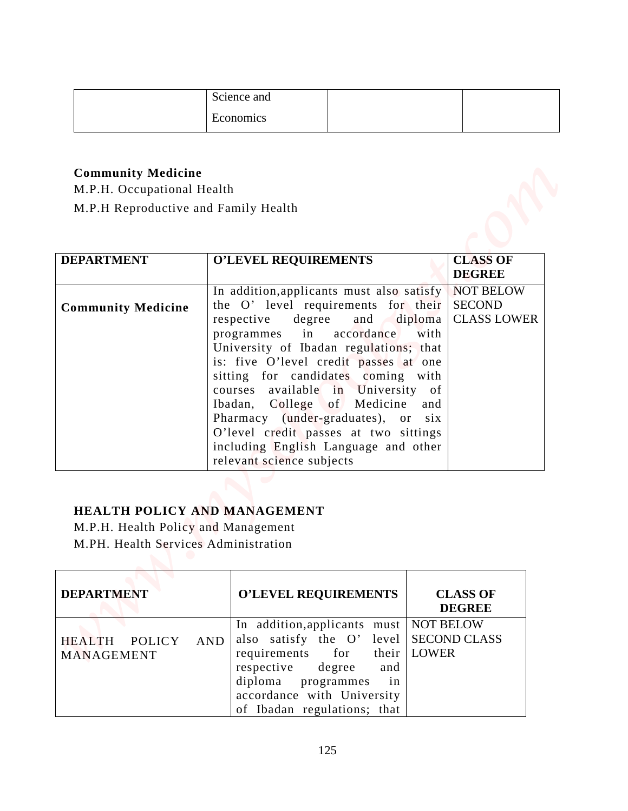| Science and |  |
|-------------|--|
| Economics   |  |

### **Community Medicine**

|                                                                                                                                  | Science and                                                                                                                                                                                                                                                                                                                                                                                                                                                                                             |                                                                            |
|----------------------------------------------------------------------------------------------------------------------------------|---------------------------------------------------------------------------------------------------------------------------------------------------------------------------------------------------------------------------------------------------------------------------------------------------------------------------------------------------------------------------------------------------------------------------------------------------------------------------------------------------------|----------------------------------------------------------------------------|
|                                                                                                                                  | Economics                                                                                                                                                                                                                                                                                                                                                                                                                                                                                               |                                                                            |
| <b>Community Medicine</b><br>M.P.H. Occupational Health<br>M.P.H Reproductive and Family Health                                  |                                                                                                                                                                                                                                                                                                                                                                                                                                                                                                         |                                                                            |
| <b>DEPARTMENT</b>                                                                                                                | <b>O'LEVEL REQUIREMENTS</b>                                                                                                                                                                                                                                                                                                                                                                                                                                                                             | <b>CLASS OF</b><br><b>DEGREE</b>                                           |
| <b>Community Medicine</b>                                                                                                        | In addition, applicants must also satisfy<br>the O' level requirements for their<br>respective<br>degree<br>and<br>in<br>accordance<br>programmes<br>University of Ibadan regulations; that<br>is: five O'level credit passes at one<br>sitting for candidates coming with<br>courses available in University of<br>Ibadan, College of Medicine and<br>Pharmacy (under-graduates), or six<br>O'level credit passes at two sittings<br>including English Language and other<br>relevant science subjects | <b>NOT BELOW</b><br><b>SECOND</b><br><b>CLASS LOWER</b><br>diploma<br>with |
| HEALTH POLICY AND MANAGEMENT<br>M.P.H. Health Policy and Management<br>M.PH. Health Services Administration<br><b>DEPARTMENT</b> | <b>O'LEVEL REQUIREMENTS</b>                                                                                                                                                                                                                                                                                                                                                                                                                                                                             | <b>CLASS OF</b><br><b>DEGREE</b>                                           |
|                                                                                                                                  |                                                                                                                                                                                                                                                                                                                                                                                                                                                                                                         |                                                                            |

### **HEALTH POLICY AND MANAGEMENT**

| <b>DEPARTMENT</b> | <b>O'LEVEL REQUIREMENTS</b>                                                                                                                 | <b>CLASS OF</b><br><b>DEGREE</b> |
|-------------------|---------------------------------------------------------------------------------------------------------------------------------------------|----------------------------------|
| HEALTH POLICY AND | In addition, applicants must NOT BELOW<br>also satisfy the O' level   SECOND CLASS                                                          |                                  |
| MANAGEMENT        | requirements for their LOWER<br>respective degree and<br>diploma programmes in<br>accordance with University<br>of Ibadan regulations; that |                                  |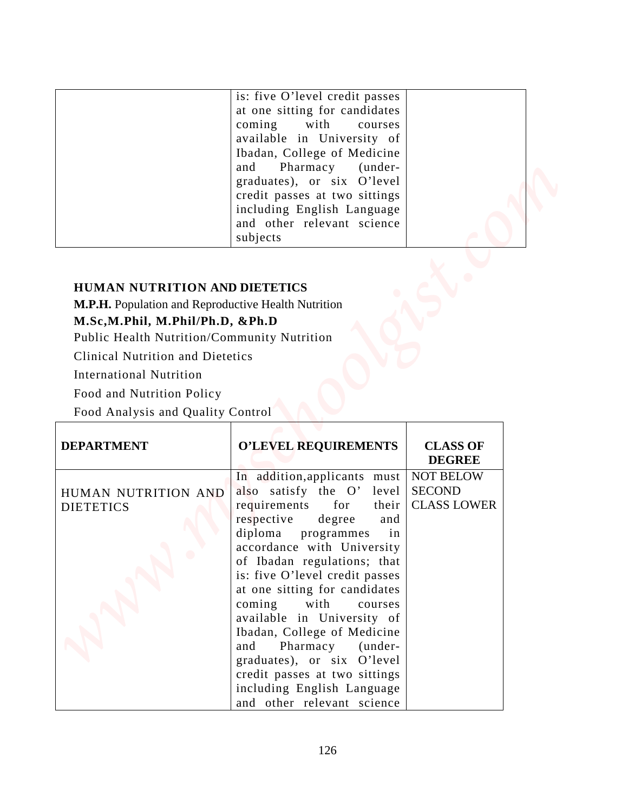| is: five O'level credit passes<br>at one sitting for candidates<br>coming with courses<br>available in University of<br>Ibadan, College of Medicine<br>and Pharmacy (under-<br>graduates), or six O'level<br>credit passes at two sittings<br>including English Language<br>and other relevant science |  |
|--------------------------------------------------------------------------------------------------------------------------------------------------------------------------------------------------------------------------------------------------------------------------------------------------------|--|
| subjects                                                                                                                                                                                                                                                                                               |  |

#### **HUMAN NUTRITION AND DIETETICS**

#### **M.Sc,M.Phil, M.Phil/Ph.D, &Ph.D**

|                                                     | is: five O'level credit passes                              |                                     |  |
|-----------------------------------------------------|-------------------------------------------------------------|-------------------------------------|--|
|                                                     | at one sitting for candidates                               |                                     |  |
|                                                     | coming<br>with<br>courses                                   |                                     |  |
|                                                     | available in University of<br>Ibadan, College of Medicine   |                                     |  |
|                                                     | and<br>Pharmacy<br>(under-                                  |                                     |  |
|                                                     | graduates), or six O'level                                  |                                     |  |
|                                                     | credit passes at two sittings                               |                                     |  |
|                                                     | including English Language                                  |                                     |  |
|                                                     | and other relevant science<br>subjects                      |                                     |  |
|                                                     |                                                             |                                     |  |
|                                                     |                                                             |                                     |  |
| <b>HUMAN NUTRITION AND DIETETICS</b>                |                                                             |                                     |  |
| M.P.H. Population and Reproductive Health Nutrition |                                                             |                                     |  |
| M.Sc,M.Phil, M.Phil/Ph.D, &Ph.D                     |                                                             |                                     |  |
| Public Health Nutrition/Community Nutrition         |                                                             |                                     |  |
| <b>Clinical Nutrition and Dietetics</b>             |                                                             |                                     |  |
| <b>International Nutrition</b>                      |                                                             |                                     |  |
| Food and Nutrition Policy                           |                                                             |                                     |  |
| Food Analysis and Quality Control                   |                                                             |                                     |  |
|                                                     |                                                             |                                     |  |
| <b>DEPARTMENT</b>                                   | <b>O'LEVEL REQUIREMENTS</b>                                 | <b>CLASS OF</b><br><b>DEGREE</b>    |  |
|                                                     | In addition, applicants must                                | <b>NOT BELOW</b>                    |  |
| HUMAN NUTRITION AND                                 | also satisfy the O' level<br>requirements<br>for<br>their   | <b>SECOND</b><br><b>CLASS LOWER</b> |  |
|                                                     |                                                             |                                     |  |
| <b>DIETETICS</b>                                    |                                                             |                                     |  |
|                                                     | respective<br>degree<br>and<br>in                           |                                     |  |
|                                                     | diploma programmes<br>accordance with University            |                                     |  |
|                                                     | of Ibadan regulations; that                                 |                                     |  |
|                                                     | is: five O'level credit passes                              |                                     |  |
|                                                     | at one sitting for candidates                               |                                     |  |
|                                                     | coming<br>with<br>courses                                   |                                     |  |
|                                                     | available in University of                                  |                                     |  |
|                                                     | Ibadan, College of Medicine<br>Pharmacy (under-<br>and      |                                     |  |
|                                                     | graduates), or six O'level                                  |                                     |  |
|                                                     | credit passes at two sittings<br>including English Language |                                     |  |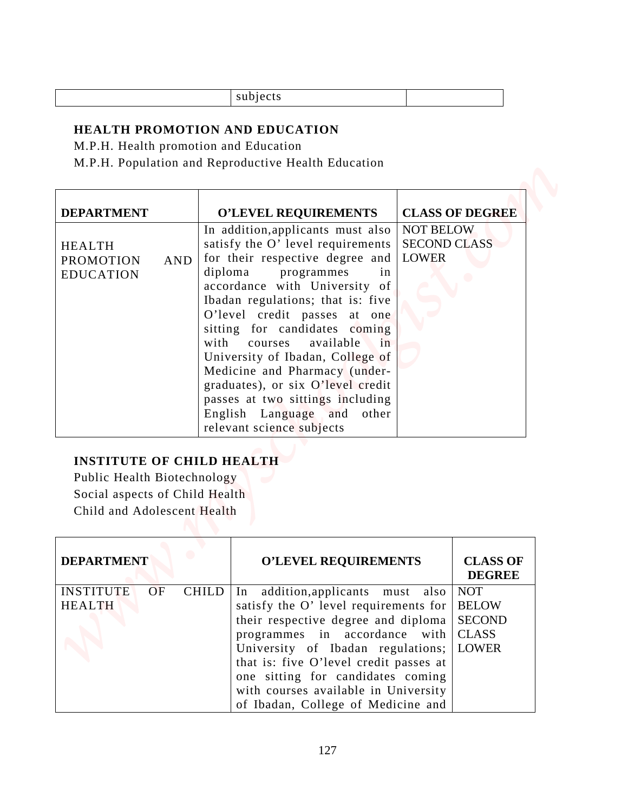| subjects |  |
|----------|--|
|          |  |

#### **HEALTH PROMOTION AND EDUCATION**

| <b>HEALTH PROMOTION AND EDUCATION</b>                                                                                                                                                            |                                                         |                                                                                                                                                                                                                                                                                                                                                                                                                                                                                                    |                                                         |                                                                                                                 |
|--------------------------------------------------------------------------------------------------------------------------------------------------------------------------------------------------|---------------------------------------------------------|----------------------------------------------------------------------------------------------------------------------------------------------------------------------------------------------------------------------------------------------------------------------------------------------------------------------------------------------------------------------------------------------------------------------------------------------------------------------------------------------------|---------------------------------------------------------|-----------------------------------------------------------------------------------------------------------------|
| M.P.H. Population and Reproductive Health Education                                                                                                                                              | M.P.H. Health promotion and Education                   |                                                                                                                                                                                                                                                                                                                                                                                                                                                                                                    |                                                         |                                                                                                                 |
| <b>DEPARTMENT</b><br><b>HEALTH</b><br><b>PROMOTION</b><br><b>AND</b><br><b>EDUCATION</b>                                                                                                         | diploma<br>with<br>courses<br>relevant science subjects | <b>O'LEVEL REQUIREMENTS</b><br>In addition, applicants must also<br>satisfy the O' level requirements<br>for their respective degree and<br>programmes<br>in<br>accordance with University of<br>Ibadan regulations; that is: five<br>O'level credit passes at one<br>sitting for candidates coming<br>available<br>in<br>University of Ibadan, College of<br>Medicine and Pharmacy (under-<br>graduates), or six O'level credit<br>passes at two sittings including<br>English Language and other | <b>NOT BELOW</b><br><b>SECOND CLASS</b><br><b>LOWER</b> | <b>CLASS OF DEGREE</b>                                                                                          |
| <b>INSTITUTE OF CHILD HEALTH</b><br>Public Health Biotechnology<br>Social aspects of Child Health<br>Child and Adolescent Health<br><b>DEPARTMENT</b><br><b>INSTITUTE</b><br>OF<br><b>HEALTH</b> | <b>CHILD</b><br>In                                      | <b>O'LEVEL REQUIREMENTS</b><br>addition, applicants must also<br>satisfy the O' level requirements for<br>their respective degree and diploma<br>programmes in accordance with<br>University of Ibadan regulations;                                                                                                                                                                                                                                                                                |                                                         | <b>CLASS OF</b><br><b>DEGREE</b><br><b>NOT</b><br><b>BELOW</b><br><b>SECOND</b><br><b>CLASS</b><br><b>LOWER</b> |

### **INSTITUTE OF CHILD HEALTH**

| <b>DEPARTMENT</b> |           |              | <b>O'LEVEL REQUIREMENTS</b>            | <b>CLASS OF</b><br><b>DEGREE</b> |
|-------------------|-----------|--------------|----------------------------------------|----------------------------------|
| <b>INSTITUTE</b>  | <b>OF</b> | <b>CHILD</b> | In addition, applicants must also      | <b>NOT</b>                       |
| <b>HEALTH</b>     |           |              | satisfy the O' level requirements for  | <b>BELOW</b>                     |
|                   |           |              | their respective degree and diploma    | <b>SECOND</b>                    |
|                   |           |              | programmes in accordance with          | <b>CLASS</b>                     |
|                   |           |              | University of Ibadan regulations;      | <b>LOWER</b>                     |
|                   |           |              | that is: five O'level credit passes at |                                  |
|                   |           |              | one sitting for candidates coming      |                                  |
|                   |           |              | with courses available in University   |                                  |
|                   |           |              | of Ibadan, College of Medicine and     |                                  |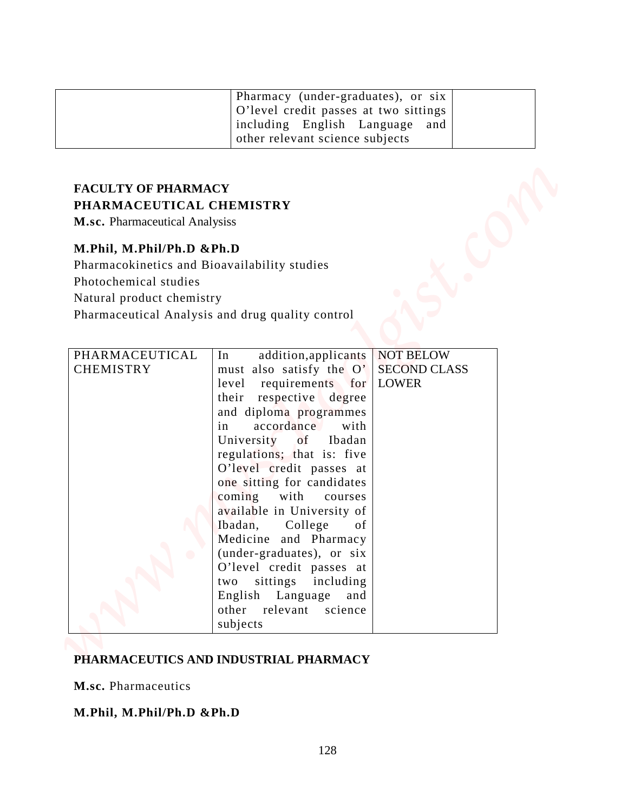| Pharmacy (under-graduates), or six<br>O'level credit passes at two sittings<br>including English Language and<br>other relevant science subjects |  |
|--------------------------------------------------------------------------------------------------------------------------------------------------|--|
|                                                                                                                                                  |  |

# **FACULTY OF PHARMACY PHARMACEUTICAL CHEMISTRY**

#### **M.Phil, M.Phil/Ph.D &Ph.D**

|                                                                                                                                                                                                                             | Pharmacy (under-graduates), or six                                                                                                                                                                                                                                                                                                                                                                                                                                                                                                                             |                                                         |  |
|-----------------------------------------------------------------------------------------------------------------------------------------------------------------------------------------------------------------------------|----------------------------------------------------------------------------------------------------------------------------------------------------------------------------------------------------------------------------------------------------------------------------------------------------------------------------------------------------------------------------------------------------------------------------------------------------------------------------------------------------------------------------------------------------------------|---------------------------------------------------------|--|
|                                                                                                                                                                                                                             | O'level credit passes at two sittings<br>including English Language<br>other relevant science subjects                                                                                                                                                                                                                                                                                                                                                                                                                                                         | and                                                     |  |
| <b>FACULTY OF PHARMACY</b><br>PHARMACEUTICAL CHEMISTRY<br>M.sc. Pharmaceutical Analysiss<br>M.Phil, M.Phil/Ph.D &Ph.D<br>Pharmacokinetics and Bioavailability studies<br>Photochemical studies<br>Natural product chemistry | Pharmaceutical Analysis and drug quality control                                                                                                                                                                                                                                                                                                                                                                                                                                                                                                               |                                                         |  |
| PHARMACEUTICAL<br><b>CHEMISTRY</b>                                                                                                                                                                                          | addition, applicants<br>In<br>must also satisfy the O'<br>requirements for<br>level<br>respective degree<br>their<br>and diploma programmes<br>in<br>accordance<br>with<br>University<br>Ibadan<br>of<br>regulations; that is: five<br>O'level credit passes at<br>one sitting for candidates<br>coming with courses<br>available in University of<br>Ibadan,<br>College<br>of<br>Medicine and Pharmacy<br>(under-graduates), or six<br>O'level credit passes at<br>sittings<br>including<br>two<br>English Language and<br>other relevant science<br>subjects | <b>NOT BELOW</b><br><b>SECOND CLASS</b><br><b>LOWER</b> |  |

#### **PHARMACEUTICS AND INDUSTRIAL PHARMACY**

**M.sc.** Pharmaceutics

#### **M.Phil, M.Phil/Ph.D &Ph.D**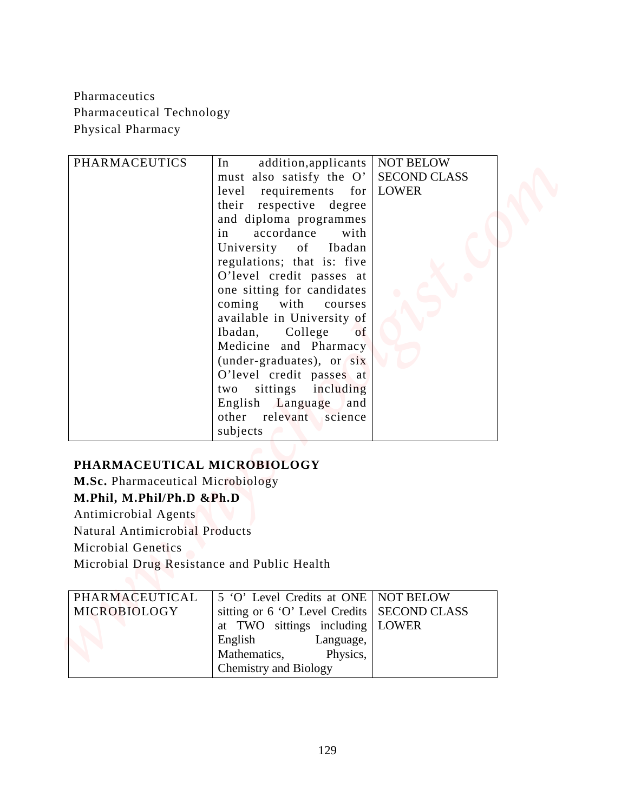| Pharmaceutics<br>Pharmaceutical Technology<br>Physical Pharmacy                                                                                                                                                                                                              |                                                                                                                                                                                                                                                                                                                                                                                                                                                                                                                                                                            |                                                         |  |
|------------------------------------------------------------------------------------------------------------------------------------------------------------------------------------------------------------------------------------------------------------------------------|----------------------------------------------------------------------------------------------------------------------------------------------------------------------------------------------------------------------------------------------------------------------------------------------------------------------------------------------------------------------------------------------------------------------------------------------------------------------------------------------------------------------------------------------------------------------------|---------------------------------------------------------|--|
| <b>PHARMACEUTICS</b>                                                                                                                                                                                                                                                         | In<br>addition, applicants<br>must also satisfy the O'<br>requirements for LOWER<br>level<br>their<br>respective degree<br>and diploma programmes<br>in<br>accordance<br>with<br>University<br>Ibadan<br>of<br>regulations; that is: five<br>O'level credit passes at<br>one sitting for candidates<br>coming<br>with<br>courses<br>available in University of<br>of<br>Ibadan,<br>College<br>Medicine and Pharmacy<br>(under-graduates), or six<br>O'level credit passes at<br>sittings including<br>two<br>English Language<br>and<br>other relevant science<br>subjects | <b>NOT BELOW</b><br><b>SECOND CLASS</b>                 |  |
| PHARMACEUTICAL MICROBIOLOGY<br>M.Sc. Pharmaceutical Microbiology<br>M.Phil, M.Phil/Ph.D &Ph.D<br>Antimicrobial Agents<br><b>Natural Antimicrobial Products</b><br><b>Microbial Genetics</b><br>Microbial Drug Resistance and Public Health<br>PHARMACEUTICAL<br>MICROBIOLOGY | 5 'O' Level Credits at ONE<br>sitting or 6 'O' Level Credits<br>at TWO sittings including<br>English<br>Language,<br>Mathematics,<br>Physics,                                                                                                                                                                                                                                                                                                                                                                                                                              | <b>NOT BELOW</b><br><b>SECOND CLASS</b><br><b>LOWER</b> |  |

### **PHARMACEUTICAL MICROBIOLOGY**

| PHARMACEUTICAL | 5 'O' Level Credits at ONE   NOT BELOW        |  |
|----------------|-----------------------------------------------|--|
| MICROBIOLOGY   | sitting or 6 'O' Level Credits   SECOND CLASS |  |
|                | at TWO sittings including   LOWER             |  |
|                | English Language,                             |  |
|                | Mathematics, Physics,                         |  |
|                | <b>Chemistry and Biology</b>                  |  |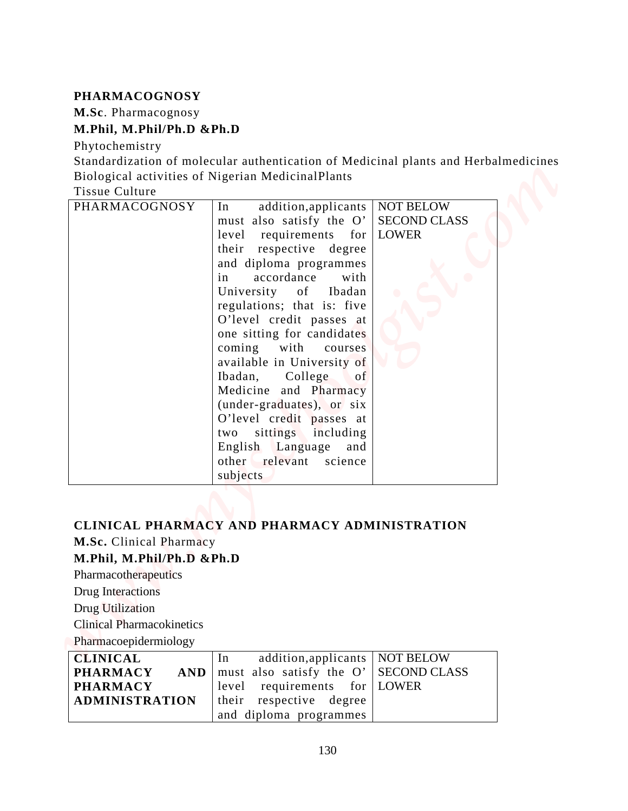#### **PHARMACOGNOSY**

#### **M.Phil, M.Phil/Ph.D &Ph.D**

| <b>PHARMACOGNOSY</b>             |                                                                                     |                     |  |
|----------------------------------|-------------------------------------------------------------------------------------|---------------------|--|
| M.Sc. Pharmacognosy              |                                                                                     |                     |  |
| M.Phil, M.Phil/Ph.D &Ph.D        |                                                                                     |                     |  |
| Phytochemistry                   |                                                                                     |                     |  |
|                                  | Standardization of molecular authentication of Medicinal plants and Herbalmedicines |                     |  |
| <b>Tissue Culture</b>            | Biological activities of Nigerian MedicinalPlants                                   |                     |  |
| PHARMACOGNOSY                    | addition, applicants   NOT BELOW<br>In                                              |                     |  |
|                                  | must also satisfy the O'                                                            | <b>SECOND CLASS</b> |  |
|                                  | requirements for LOWER<br>level                                                     |                     |  |
|                                  | respective degree<br>their                                                          |                     |  |
|                                  | and diploma programmes                                                              |                     |  |
|                                  | accordance<br>with<br>in                                                            |                     |  |
|                                  | University<br>Ibadan<br>of                                                          |                     |  |
|                                  | regulations; that is: five<br>O'level credit passes at                              |                     |  |
|                                  | one sitting for candidates                                                          |                     |  |
|                                  | coming<br>with<br>courses                                                           |                     |  |
|                                  | available in University of                                                          |                     |  |
|                                  | Ibadan,<br>College<br>of                                                            |                     |  |
|                                  | Medicine and Pharmacy                                                               |                     |  |
|                                  | (under-graduates), or six<br>O'level credit passes at                               |                     |  |
|                                  | sittings including<br>two                                                           |                     |  |
|                                  | English Language<br>and                                                             |                     |  |
|                                  | other relevant science                                                              |                     |  |
|                                  | subjects                                                                            |                     |  |
|                                  |                                                                                     |                     |  |
|                                  |                                                                                     |                     |  |
|                                  | CLINICAL PHARMACY AND PHARMACY ADMINISTRATION                                       |                     |  |
| M.Sc. Clinical Pharmacy          |                                                                                     |                     |  |
| M.Phil, M.Phil/Ph.D &Ph.D        |                                                                                     |                     |  |
| Pharmacotherapeutics             |                                                                                     |                     |  |
| <b>Drug Interactions</b>         |                                                                                     |                     |  |
| Drug Utilization                 |                                                                                     |                     |  |
| <b>Clinical Pharmacokinetics</b> |                                                                                     |                     |  |
| Pharmacoepidermiology            |                                                                                     |                     |  |
| <b>CLINICAL</b>                  | In<br>addition, applicants                                                          | <b>NOT BELOW</b>    |  |
| <b>PHARMACY</b>                  | must also satisfy the O'<br><b>AND</b>                                              | <b>SECOND CLASS</b> |  |

# **CLINICAL PHARMACY AND PHARMACY ADMINISTRATION M.Sc.** Clinical Pharmacy

### **M.Phil, M.Phil/Ph.D &Ph.D**

| <b>CLINICAL</b>       | addition, applicants   NOT BELOW<br>$\ln$       |  |
|-----------------------|-------------------------------------------------|--|
| <b>PHARMACY</b>       | $AND$   must also satisfy the O'   SECOND CLASS |  |
| <b>PHARMACY</b>       | level requirements for LOWER                    |  |
| <b>ADMINISTRATION</b> | their respective degree                         |  |
|                       | and diploma programmes                          |  |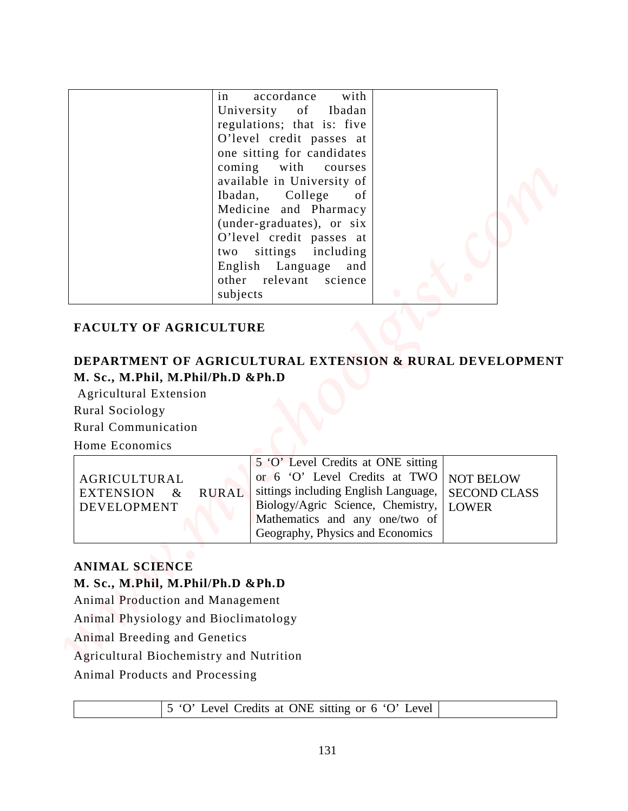|                                                                                                                                                                                                                   | in<br>University<br>coming<br>Ibadan,<br>two | with<br>accordance<br>of<br>Ibadan<br>regulations; that is: five<br>O'level credit passes at<br>one sitting for candidates<br>with<br>courses<br>available in University of<br>College<br>of<br>Medicine and Pharmacy<br>(under-graduates), or six<br>O'level credit passes at<br>sittings including |                                                         |  |
|-------------------------------------------------------------------------------------------------------------------------------------------------------------------------------------------------------------------|----------------------------------------------|------------------------------------------------------------------------------------------------------------------------------------------------------------------------------------------------------------------------------------------------------------------------------------------------------|---------------------------------------------------------|--|
|                                                                                                                                                                                                                   |                                              | English Language<br>and                                                                                                                                                                                                                                                                              |                                                         |  |
|                                                                                                                                                                                                                   |                                              | other relevant<br>science                                                                                                                                                                                                                                                                            |                                                         |  |
|                                                                                                                                                                                                                   |                                              |                                                                                                                                                                                                                                                                                                      |                                                         |  |
|                                                                                                                                                                                                                   |                                              | DEPARTMENT OF AGRICULTURAL EXTENSION & RURAL DEVELOPMENT                                                                                                                                                                                                                                             |                                                         |  |
|                                                                                                                                                                                                                   |                                              |                                                                                                                                                                                                                                                                                                      |                                                         |  |
| M. Sc., M.Phil, M.Phil/Ph.D & Ph.D<br>Agricultural Extension<br>Rural Sociology<br><b>Rural Communication</b><br>Home Economics                                                                                   |                                              |                                                                                                                                                                                                                                                                                                      |                                                         |  |
| AGRICULTURAL<br><b>EXTENSION</b><br>$\&$<br><b>DEVELOPMENT</b>                                                                                                                                                    | <b>RURAL</b>                                 | 5 'O' Level Credits at ONE sitting<br>or 6 'O' Level Credits at TWO<br>sittings including English Language,<br>Biology/Agric Science, Chemistry,<br>Mathematics and any one/two of<br>Geography, Physics and Economics                                                                               | <b>NOT BELOW</b><br><b>SECOND CLASS</b><br><b>LOWER</b> |  |
|                                                                                                                                                                                                                   |                                              |                                                                                                                                                                                                                                                                                                      |                                                         |  |
|                                                                                                                                                                                                                   |                                              |                                                                                                                                                                                                                                                                                                      |                                                         |  |
|                                                                                                                                                                                                                   |                                              |                                                                                                                                                                                                                                                                                                      |                                                         |  |
|                                                                                                                                                                                                                   |                                              |                                                                                                                                                                                                                                                                                                      |                                                         |  |
| <b>ANIMAL SCIENCE</b><br>M. Sc., M.Phil, M.Phil/Ph.D &Ph.D<br>Animal Production and Management<br>Animal Physiology and Bioclimatology<br>Animal Breeding and Genetics<br>Agricultural Biochemistry and Nutrition |                                              |                                                                                                                                                                                                                                                                                                      |                                                         |  |

#### **FACULTY OF AGRICULTURE**

## **DEPARTMENT OF AGRICULTURAL EXTENSION & RURAL DEVELOPMENT M. Sc., M.Phil, M.Phil/Ph.D &Ph.D**

|                |              | 5 'O' Level Credits at ONE sitting                  |  |
|----------------|--------------|-----------------------------------------------------|--|
| AGRICULTURAL   |              | or $6$ 'O' Level Credits at TWO NOT BELOW           |  |
| EXTENSION $\&$ | <b>RURAL</b> | sittings including English Language,   SECOND CLASS |  |
| DEVELOPMENT    |              | Biology/Agric Science, Chemistry,   LOWER           |  |
|                |              | Mathematics and any one/two of                      |  |
|                |              | Geography, Physics and Economics                    |  |

#### **ANIMAL SCIENCE**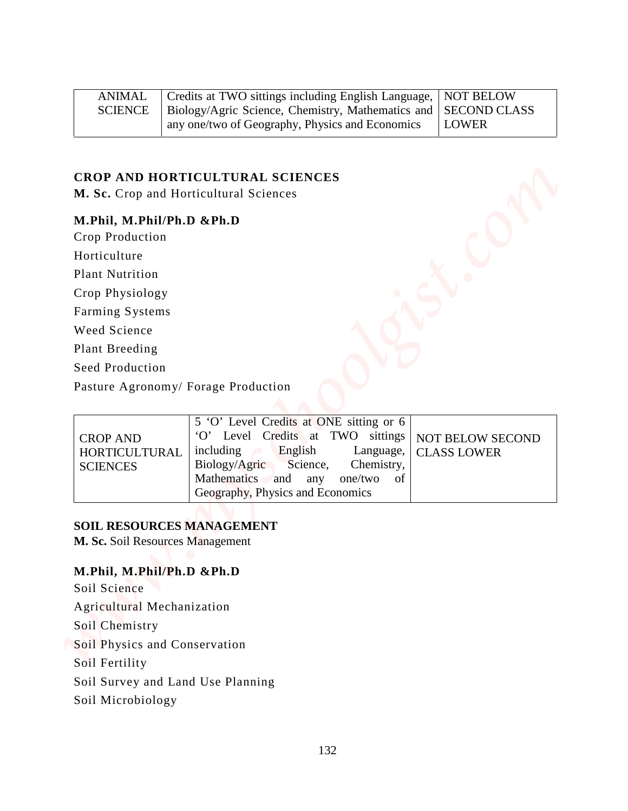| ANIMAL | Credits at TWO sittings including English Language, NOT BELOW              |              |
|--------|----------------------------------------------------------------------------|--------------|
|        | SCIENCE   Biology/Agric Science, Chemistry, Mathematics and   SECOND CLASS |              |
|        | any one/two of Geography, Physics and Economics                            | <b>LOWER</b> |

#### **CROP AND HORTICULTURAL SCIENCES**

#### **M.Phil, M.Phil/Ph.D &Ph.D**

| <b>ANIMAL</b>                                                                                                                                                 | Credits at TWO sittings including English Language,                                                                                                                                                                                | <b>NOT BELOW</b>                       |  |  |  |
|---------------------------------------------------------------------------------------------------------------------------------------------------------------|------------------------------------------------------------------------------------------------------------------------------------------------------------------------------------------------------------------------------------|----------------------------------------|--|--|--|
| Biology/Agric Science, Chemistry, Mathematics and<br><b>SCIENCE</b><br><b>SECOND CLASS</b><br>any one/two of Geography, Physics and Economics<br><b>LOWER</b> |                                                                                                                                                                                                                                    |                                        |  |  |  |
|                                                                                                                                                               | CROP AND HORTICULTURAL SCIENCES                                                                                                                                                                                                    |                                        |  |  |  |
|                                                                                                                                                               | M. Sc. Crop and Horticultural Sciences                                                                                                                                                                                             |                                        |  |  |  |
| M.Phil, M.Phil/Ph.D &Ph.D                                                                                                                                     |                                                                                                                                                                                                                                    |                                        |  |  |  |
| Crop Production                                                                                                                                               |                                                                                                                                                                                                                                    |                                        |  |  |  |
| Horticulture                                                                                                                                                  |                                                                                                                                                                                                                                    |                                        |  |  |  |
| <b>Plant Nutrition</b>                                                                                                                                        |                                                                                                                                                                                                                                    |                                        |  |  |  |
| Crop Physiology                                                                                                                                               |                                                                                                                                                                                                                                    |                                        |  |  |  |
| Farming Systems                                                                                                                                               |                                                                                                                                                                                                                                    |                                        |  |  |  |
| Weed Science                                                                                                                                                  |                                                                                                                                                                                                                                    |                                        |  |  |  |
| Plant Breeding                                                                                                                                                |                                                                                                                                                                                                                                    |                                        |  |  |  |
| Seed Production                                                                                                                                               |                                                                                                                                                                                                                                    |                                        |  |  |  |
|                                                                                                                                                               | Pasture Agronomy/ Forage Production                                                                                                                                                                                                |                                        |  |  |  |
| <b>CROP AND</b><br>HORTICULTURAL<br><b>SCIENCES</b>                                                                                                           | 5 'O' Level Credits at ONE sitting or 6<br>'O' Level Credits at TWO sittings<br>English<br>including<br>Language,<br>Biology/Agric<br>Science,<br>Chemistry,<br>Mathematics and any one/two of<br>Geography, Physics and Economics | NOT BELOW SECOND<br><b>CLASS LOWER</b> |  |  |  |
|                                                                                                                                                               | <b>SOIL RESOURCES MANAGEMENT</b><br>M. Sc. Soil Resources Management                                                                                                                                                               |                                        |  |  |  |
| M.Phil, M.Phil/Ph.D &Ph.D<br>Soil Science                                                                                                                     |                                                                                                                                                                                                                                    |                                        |  |  |  |
| Agricultural Mechanization                                                                                                                                    |                                                                                                                                                                                                                                    |                                        |  |  |  |
| Soil Chemistry                                                                                                                                                |                                                                                                                                                                                                                                    |                                        |  |  |  |
| Soil Physics and Conservation                                                                                                                                 |                                                                                                                                                                                                                                    |                                        |  |  |  |
| Soil Fertility                                                                                                                                                |                                                                                                                                                                                                                                    |                                        |  |  |  |
|                                                                                                                                                               | Soil Survey and Land Use Planning                                                                                                                                                                                                  |                                        |  |  |  |
|                                                                                                                                                               |                                                                                                                                                                                                                                    |                                        |  |  |  |

#### **SOIL RESOURCES MANAGEMENT**

#### **M.Phil, M.Phil/Ph.D &Ph.D**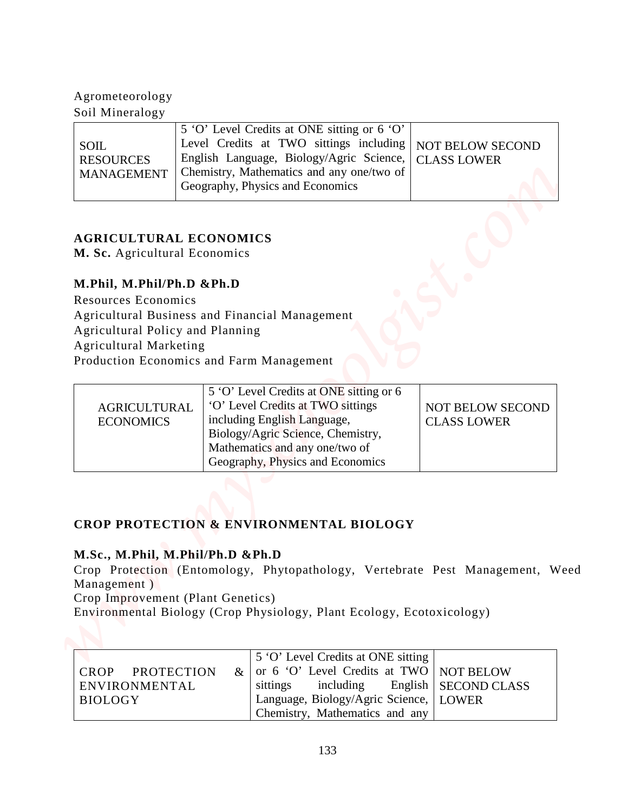# Agrometeorology

| <b>SOIL</b><br><b>RESOURCES</b><br>MANAGEMENT |
|-----------------------------------------------|
|-----------------------------------------------|

### **AGRICULTURAL ECONOMICS**

### **M.Phil, M.Phil/Ph.D &Ph.D**

| Agrometeorology<br>Soil Mineralogy                                                   |      |                                                                                                               |                                         |
|--------------------------------------------------------------------------------------|------|---------------------------------------------------------------------------------------------------------------|-----------------------------------------|
|                                                                                      |      | 5 'O' Level Credits at ONE sitting or 6 'O'                                                                   |                                         |
| <b>SOIL</b>                                                                          |      | Level Credits at TWO sittings including                                                                       | <b>NOT BELOW SECOND</b>                 |
| <b>RESOURCES</b><br><b>MANAGEMENT</b>                                                |      | English Language, Biology/Agric Science,<br>Chemistry, Mathematics and any one/two of                         | <b>CLASS LOWER</b>                      |
|                                                                                      |      | Geography, Physics and Economics                                                                              |                                         |
| <b>AGRICULTURAL ECONOMICS</b><br>M. Sc. Agricultural Economics                       |      |                                                                                                               |                                         |
| M.Phil, M.Phil/Ph.D &Ph.D                                                            |      |                                                                                                               |                                         |
| Resources Economics                                                                  |      |                                                                                                               |                                         |
|                                                                                      |      | Agricultural Business and Financial Management                                                                |                                         |
| Agricultural Policy and Planning<br><b>Agricultural Marketing</b>                    |      |                                                                                                               |                                         |
| Production Economics and Farm Management                                             |      |                                                                                                               |                                         |
|                                                                                      |      | 5 'O' Level Credits at ONE sitting or 6                                                                       |                                         |
| <b>AGRICULTURAL</b>                                                                  |      | 'O' Level Credits at TWO sittings                                                                             | <b>NOT BELOW SECOND</b>                 |
| <b>ECONOMICS</b>                                                                     |      | including English Language,<br>Biology/Agric Science, Chemistry,                                              | <b>CLASS LOWER</b>                      |
|                                                                                      |      | Mathematics and any one/two of                                                                                |                                         |
|                                                                                      |      | Geography, Physics and Economics                                                                              |                                         |
|                                                                                      |      |                                                                                                               |                                         |
|                                                                                      |      | <b>CROP PROTECTION &amp; ENVIRONMENTAL BIOLOGY</b>                                                            |                                         |
|                                                                                      |      |                                                                                                               |                                         |
|                                                                                      |      |                                                                                                               |                                         |
|                                                                                      |      |                                                                                                               |                                         |
|                                                                                      |      | Crop Protection (Entomology, Phytopathology, Vertebrate Pest Management, Weed                                 |                                         |
|                                                                                      |      |                                                                                                               |                                         |
|                                                                                      |      | Environmental Biology (Crop Physiology, Plant Ecology, Ecotoxicology)                                         |                                         |
| M.Sc., M.Phil, M.Phil/Ph.D &Ph.D<br>Management)<br>Crop Improvement (Plant Genetics) |      |                                                                                                               |                                         |
|                                                                                      |      | 5 'O' Level Credits at ONE sitting                                                                            |                                         |
| <b>CROP</b><br><b>PROTECTION</b><br>ENVIRONMENTAL<br><b>BIOLOGY</b>                  | $\&$ | or 6 'O' Level Credits at TWO<br>including<br>sittings<br>English<br>Language, Biology/Agric Science,   LOWER | <b>NOT BELOW</b><br><b>SECOND CLASS</b> |

### **CROP PROTECTION & ENVIRONMENTAL BIOLOGY**

### **M.Sc., M.Phil, M.Phil/Ph.D &Ph.D**

|                 | 5 'O' Level Credits at ONE sitting           |  |
|-----------------|----------------------------------------------|--|
| CROP PROTECTION | $\&$ or 6 'O' Level Credits at TWO NOT BELOW |  |
| ENVIRONMENTAL   | sittings including English   SECOND CLASS    |  |
| <b>BIOLOGY</b>  | Language, Biology/Agric Science, LOWER       |  |
|                 | Chemistry, Mathematics and any               |  |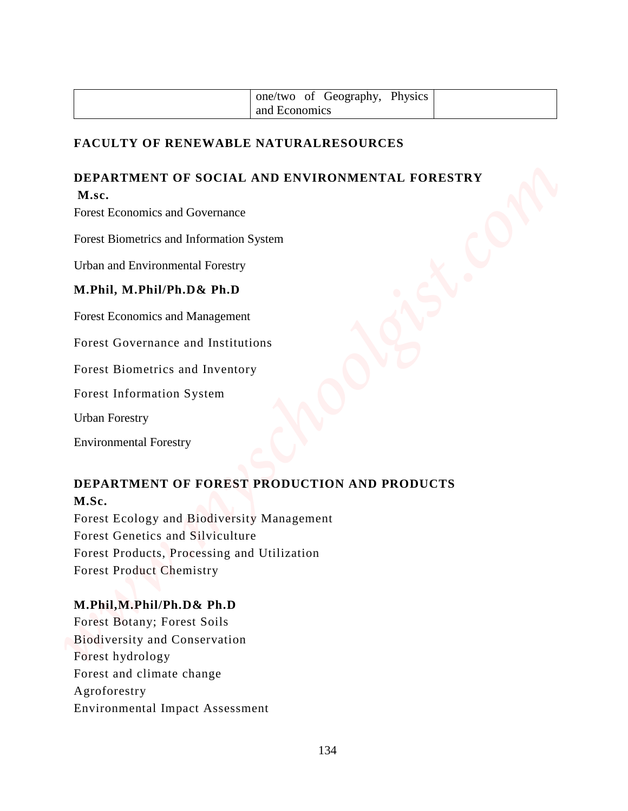| one/two of Geography, Physics |  |
|-------------------------------|--|
| and Economics                 |  |

#### **FACULTY OF RENEWABLE NATURALRESOURCES**

### **DEPARTMENT OF SOCIAL AND ENVIRONMENTAL FORESTRY M.sc.**

Forest Economics and Governance

Forest Biometrics and Information System

Urban and Environmental Forestry

#### **M.Phil, M.Phil/Ph.D& Ph.D**

Forest Economics and Management

Forest Governance and Institutions

Forest Biometrics and Inventory

Forest Information System

Urban Forestry

Environmental Forestry

### **DEPARTMENT OF FOREST PRODUCTION AND PRODUCTS M.Sc.**

Forest Ecology and Biodiversity Management Forest Genetics and Silviculture Forest Products, Processing and Utilization Forest Product Chemistry

#### **M.Phil,M.Phil/Ph.D& Ph.D**

Forest Botany; Forest Soils Biodiversity and Conservation Forest hydrology Forest and climate change Agroforestry encive of Geography. Physics<br> **ENCULTY OF RENEWABLE NATURALRESOURCES**<br> **ENVIRONMENTAL FORESTRY**<br> **ENVIRONMENTAL FORCIAL AND ENVIRONMENTAL FORESTRY**<br> **ENVIRONMENTAL INTERFERENCES**<br> **ENVIRONMENTAL INTERFERENCES**<br> **ENVIRONMEN**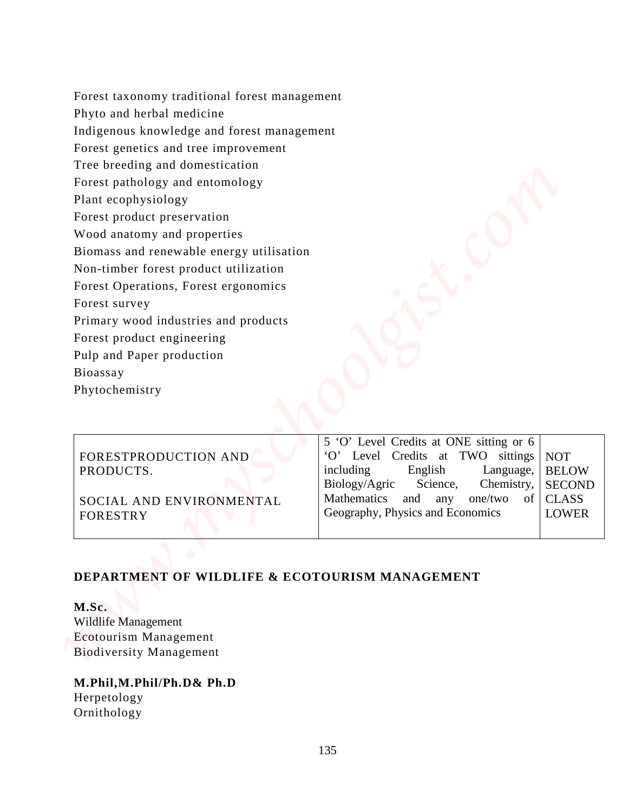Forest taxonomy traditional forest management Phyto and herbal medicine Indigenous knowledge and forest management Forest genetics and tree improvement Tree breeding and domestication Forest pathology and entomology Plant ecophysiology Forest product preservation Wood anatomy and properties Biomass and renewable energy utilisation Non-timber forest product utilization Forest Operations, Forest ergonomics Forest survey Primary wood industries and products Forest product engineering Pulp and Paper production Forey taxonomy raditional forest management<br>
Enligences knowledge and dorest nanagement<br>
Foreign and domestication<br>
The breaking and domestication<br>
The breaking and domestication<br>
Universe production<br>
Plane accepts/voltagy

Bioassay

Phytochemistry

|                          | 5 'O' Level Credits at ONE sitting or 6  |              |
|--------------------------|------------------------------------------|--------------|
| FORESTPRODUCTION AND     | 'O' Level Credits at TWO sittings NOT    |              |
| PRODUCTS.                | including English Language,              | <b>BELOW</b> |
|                          | Biology/Agric Science, Chemistry, SECOND |              |
| SOCIAL AND ENVIRONMENTAL | Mathematics and any one/two of CLASS     |              |
| <b>FORESTRY</b>          | Geography, Physics and Economics         | <b>LOWER</b> |
|                          |                                          |              |

### **DEPARTMENT OF WILDLIFE & ECOTOURISM MANAGEMENT**

**M.Sc.** Wildlife Management Ecotourism Management Biodiversity Management

**M.Phil,M.Phil/Ph.D& Ph.D** Herpetology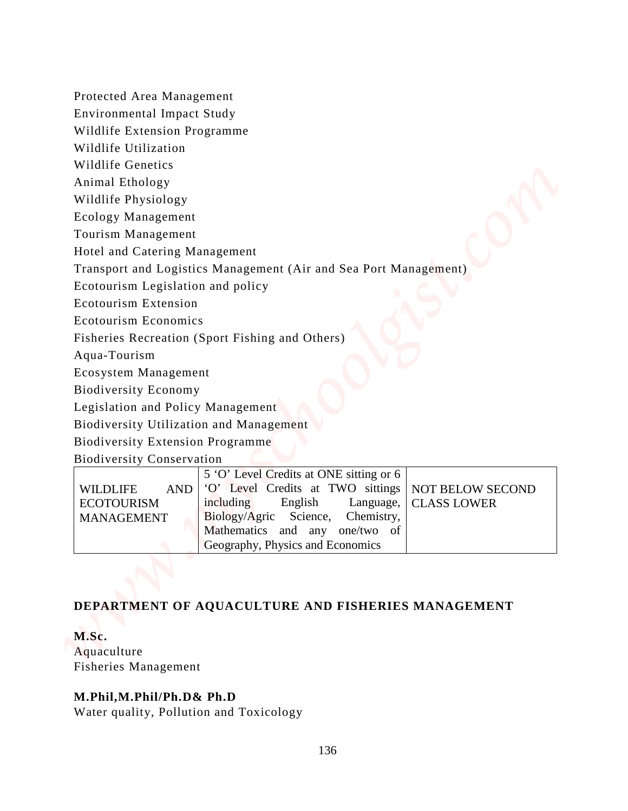|  |  | Protected Area Management |
|--|--|---------------------------|
|--|--|---------------------------|

- Wildlife Utilization
- Wildlife Genetics
- Animal Ethology
- Wildlife Physiology

| Protected Area Management                                               |                                                                                                                                                                                                                                                                           |
|-------------------------------------------------------------------------|---------------------------------------------------------------------------------------------------------------------------------------------------------------------------------------------------------------------------------------------------------------------------|
| <b>Environmental Impact Study</b>                                       |                                                                                                                                                                                                                                                                           |
| Wildlife Extension Programme                                            |                                                                                                                                                                                                                                                                           |
| Wildlife Utilization                                                    |                                                                                                                                                                                                                                                                           |
| <b>Wildlife Genetics</b>                                                |                                                                                                                                                                                                                                                                           |
| Animal Ethology                                                         |                                                                                                                                                                                                                                                                           |
| Wildlife Physiology                                                     |                                                                                                                                                                                                                                                                           |
| <b>Ecology Management</b>                                               |                                                                                                                                                                                                                                                                           |
| Tourism Management                                                      |                                                                                                                                                                                                                                                                           |
| Hotel and Catering Management                                           |                                                                                                                                                                                                                                                                           |
|                                                                         | Transport and Logistics Management (Air and Sea Port Management)                                                                                                                                                                                                          |
| Ecotourism Legislation and policy                                       |                                                                                                                                                                                                                                                                           |
| <b>Ecotourism Extension</b>                                             |                                                                                                                                                                                                                                                                           |
| <b>Ecotourism Economics</b>                                             |                                                                                                                                                                                                                                                                           |
|                                                                         | Fisheries Recreation (Sport Fishing and Others)                                                                                                                                                                                                                           |
| Aqua-Tourism                                                            |                                                                                                                                                                                                                                                                           |
| Ecosystem Management                                                    |                                                                                                                                                                                                                                                                           |
| <b>Biodiversity Economy</b>                                             |                                                                                                                                                                                                                                                                           |
| Legislation and Policy Management                                       |                                                                                                                                                                                                                                                                           |
| Biodiversity Utilization and Management                                 |                                                                                                                                                                                                                                                                           |
| <b>Biodiversity Extension Programme</b>                                 |                                                                                                                                                                                                                                                                           |
| <b>Biodiversity Conservation</b>                                        |                                                                                                                                                                                                                                                                           |
| <b>AND</b><br><b>WILDLIFE</b><br><b>ECOTOURISM</b><br><b>MANAGEMENT</b> | 5 'O' Level Credits at ONE sitting or 6<br>'O' Level Credits at TWO sittings<br>NOT BELOW SECOND<br>including<br>English<br>Language,<br><b>CLASS LOWER</b><br>Biology/Agric Science,<br>Chemistry,<br>Mathematics and any one/two of<br>Geography, Physics and Economics |

### **DEPARTMENT OF AQUACULTURE AND FISHERIES MANAGEMENT**

### **M.Sc.**

### **M.Phil,M.Phil/Ph.D& Ph.D**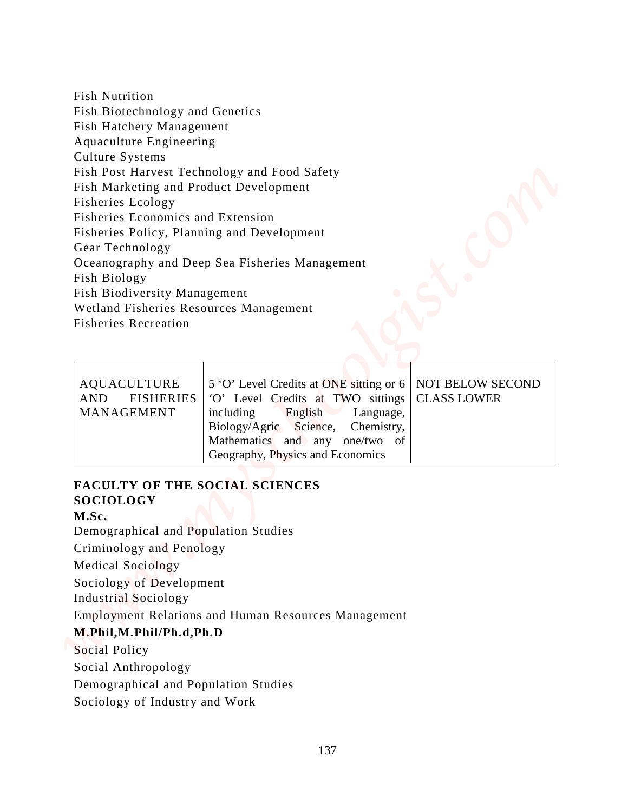| <b>Fish Nutrition</b>                                                                                                                                                                                                                                                                                           |                                                                           |                    |
|-----------------------------------------------------------------------------------------------------------------------------------------------------------------------------------------------------------------------------------------------------------------------------------------------------------------|---------------------------------------------------------------------------|--------------------|
| Fish Biotechnology and Genetics                                                                                                                                                                                                                                                                                 |                                                                           |                    |
| Fish Hatchery Management                                                                                                                                                                                                                                                                                        |                                                                           |                    |
| Aquaculture Engineering                                                                                                                                                                                                                                                                                         |                                                                           |                    |
| Culture Systems                                                                                                                                                                                                                                                                                                 |                                                                           |                    |
|                                                                                                                                                                                                                                                                                                                 | Fish Post Harvest Technology and Food Safety                              |                    |
| Fish Marketing and Product Development<br>Fisheries Ecology                                                                                                                                                                                                                                                     |                                                                           |                    |
| Fisheries Economics and Extension                                                                                                                                                                                                                                                                               |                                                                           |                    |
| Fisheries Policy, Planning and Development                                                                                                                                                                                                                                                                      |                                                                           |                    |
| Gear Technology                                                                                                                                                                                                                                                                                                 |                                                                           |                    |
|                                                                                                                                                                                                                                                                                                                 | Oceanography and Deep Sea Fisheries Management                            |                    |
| Fish Biology                                                                                                                                                                                                                                                                                                    |                                                                           |                    |
| Fish Biodiversity Management<br>Wetland Fisheries Resources Management                                                                                                                                                                                                                                          |                                                                           |                    |
| <b>Fisheries Recreation</b>                                                                                                                                                                                                                                                                                     |                                                                           |                    |
|                                                                                                                                                                                                                                                                                                                 |                                                                           |                    |
| <b>AQUACULTURE</b>                                                                                                                                                                                                                                                                                              | 5 'O' Level Credits at ONE sitting or 6                                   | NOT BELOW SECOND   |
| <b>FISHERIES</b><br><b>AND</b>                                                                                                                                                                                                                                                                                  | 'O' Level Credits at TWO sittings                                         | <b>CLASS LOWER</b> |
| <b>MANAGEMENT</b>                                                                                                                                                                                                                                                                                               | including<br>English<br>Language,                                         |                    |
|                                                                                                                                                                                                                                                                                                                 | Biology/Agric<br>Science,<br>Chemistry,<br>Mathematics and any one/two of |                    |
|                                                                                                                                                                                                                                                                                                                 | Geography, Physics and Economics                                          |                    |
|                                                                                                                                                                                                                                                                                                                 |                                                                           |                    |
|                                                                                                                                                                                                                                                                                                                 |                                                                           |                    |
| <b>FACULTY OF THE SOCIAL SCIENCES</b><br><b>SOCIOLOGY</b>                                                                                                                                                                                                                                                       |                                                                           |                    |
|                                                                                                                                                                                                                                                                                                                 |                                                                           |                    |
|                                                                                                                                                                                                                                                                                                                 |                                                                           |                    |
|                                                                                                                                                                                                                                                                                                                 |                                                                           |                    |
|                                                                                                                                                                                                                                                                                                                 |                                                                           |                    |
|                                                                                                                                                                                                                                                                                                                 |                                                                           |                    |
|                                                                                                                                                                                                                                                                                                                 |                                                                           |                    |
|                                                                                                                                                                                                                                                                                                                 | <b>Employment Relations and Human Resources Management</b>                |                    |
|                                                                                                                                                                                                                                                                                                                 |                                                                           |                    |
|                                                                                                                                                                                                                                                                                                                 |                                                                           |                    |
|                                                                                                                                                                                                                                                                                                                 |                                                                           |                    |
| M.Sc.<br>Demographical and Population Studies<br>Criminology and Penology<br><b>Medical Sociology</b><br>Sociology of Development<br><b>Industrial Sociology</b><br>M.Phil, M.Phil/Ph.d, Ph.D<br>Social Policy<br>Social Anthropology<br>Demographical and Population Studies<br>Sociology of Industry and Work |                                                                           |                    |

| AQUACULTURE | 5 'O' Level Credits at ONE sitting or 6   NOT BELOW SECOND      |
|-------------|-----------------------------------------------------------------|
|             | AND FISHERIES   'O' Level Credits at TWO sittings   CLASS LOWER |
| MANAGEMENT  | including English Language,                                     |
|             | Biology/Agric Science, Chemistry,                               |
|             | Mathematics and any one/two of                                  |
|             | Geography, Physics and Economics                                |

# **FACULTY OF THE SOCIAL SCIENCES SOCIOLOGY**

#### **M.Sc.**

### **M.Phil,M.Phil/Ph.d,Ph.D**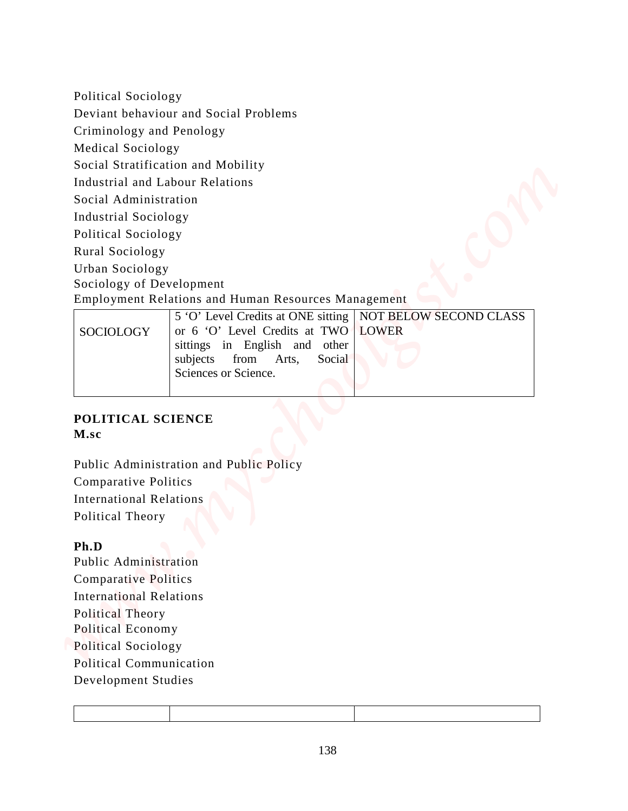Political Sociology Deviant behaviour and Social Problems Criminology and Penology Medical Sociology Social Stratification and Mobility Industrial and Labour Relations Social Administration Industrial Sociology Political Sociology Rural Sociology Urban Sociology Sociology of Development Employment Relations and Human Resources Management 5 'O' Level Credits at ONE sitting NOT BELOW SECOND CLASS Pointiesal Societiony<br>
Deviate Studies (and Social Problems<br>
Criminology and Proviling<br>
Medial Studies<br>
Meantal Animitations and Mebritiy<br>
Industrial Animitations<br>
Industrial Societiony<br>
Development Relations and Human Rec

|           | 5 O Level Credits at ONE sitting   NOT BELOW SECOND CLASS |  |
|-----------|-----------------------------------------------------------|--|
| SOCIOLOGY | or 6 'O' Level Credits at TWO LOWER                       |  |
|           | sittings in English and other                             |  |
|           | subjects from Arts, Social                                |  |
|           | Sciences or Science.                                      |  |
|           |                                                           |  |

### **POLITICAL SCIENCE M.sc**

Public Administration and Public Policy Comparative Politics International Relations Political Theory

#### **Ph.D**

Public Administration Comparative Politics International Relations Political Theory Political Economy Political Sociology Political Communication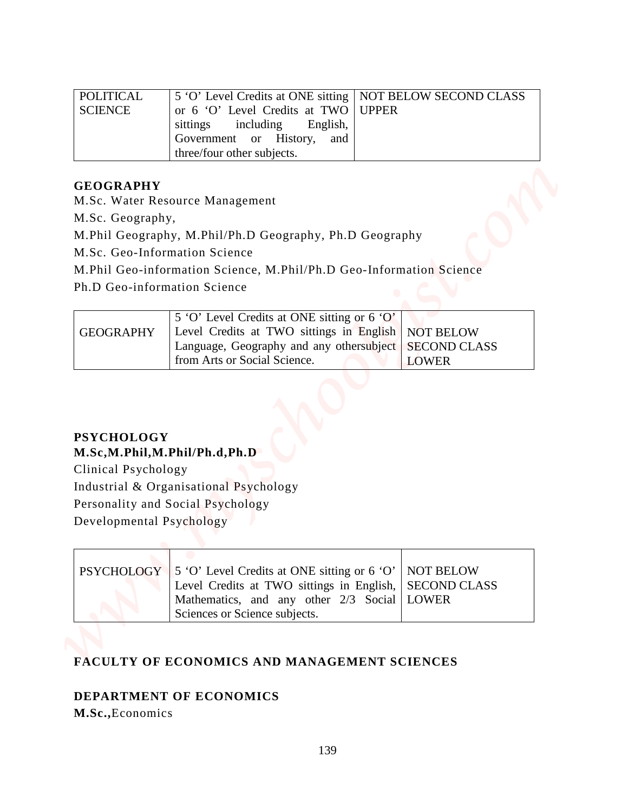| <b>POLITICAL</b>                         | 5 'O' Level Credits at ONE sitting                                                                                                |              | NOT BELOW SECOND CLASS                                  |
|------------------------------------------|-----------------------------------------------------------------------------------------------------------------------------------|--------------|---------------------------------------------------------|
| <b>SCIENCE</b>                           | or 6 'O' Level Credits at TWO<br>sittings<br>including<br>English,<br>Government or History,<br>and<br>three/four other subjects. | <b>UPPER</b> |                                                         |
| <b>GEOGRAPHY</b>                         |                                                                                                                                   |              |                                                         |
|                                          | M.Sc. Water Resource Management                                                                                                   |              |                                                         |
| M.Sc. Geography,                         |                                                                                                                                   |              |                                                         |
|                                          | M.Phil Geography, M.Phil/Ph.D Geography, Ph.D Geography<br>M.Sc. Geo-Information Science                                          |              |                                                         |
|                                          | M.Phil Geo-information Science, M.Phil/Ph.D Geo-Information Science                                                               |              |                                                         |
| Ph.D Geo-information Science             |                                                                                                                                   |              |                                                         |
|                                          | 5 'O' Level Credits at ONE sitting or 6 'O'                                                                                       |              |                                                         |
| <b>GEOGRAPHY</b>                         | Level Credits at TWO sittings in English<br>Language, Geography and any othersubject<br>from Arts or Social Science.              |              | <b>NOT BELOW</b><br><b>SECOND CLASS</b><br><b>LOWER</b> |
|                                          |                                                                                                                                   |              |                                                         |
| <b>PSYCHOLOGY</b><br>Clinical Psychology | M.Sc,M.Phil,M.Phil/Ph.d,Ph.D<br>Industrial & Organisational Psychology<br>Personality and Social Psychology                       |              |                                                         |
| Developmental Psychology                 |                                                                                                                                   |              |                                                         |

#### **GEOGRAPHY**

|                  | 5 'O' Level Credits at ONE sitting or 6 'O'.             |              |
|------------------|----------------------------------------------------------|--------------|
| <b>GEOGRAPHY</b> | Level Credits at TWO sittings in English   NOT BELOW     |              |
|                  | Language, Geography and any other subject   SECOND CLASS |              |
|                  | from Arts or Social Science.                             | <b>LOWER</b> |

### **PSYCHOLOGY M.Sc,M.Phil,M.Phil/Ph.d,Ph.D**

| PSYCHOLOGY 5 'O' Level Credits at ONE sitting or 6 'O'   NOT BELOW |  |
|--------------------------------------------------------------------|--|
| Level Credits at TWO sittings in English, SECOND CLASS             |  |
| Mathematics, and any other 2/3 Social LOWER                        |  |
| Sciences or Science subjects.                                      |  |

### **FACULTY OF ECONOMICS AND MANAGEMENT SCIENCES**

### **DEPARTMENT OF ECONOMICS**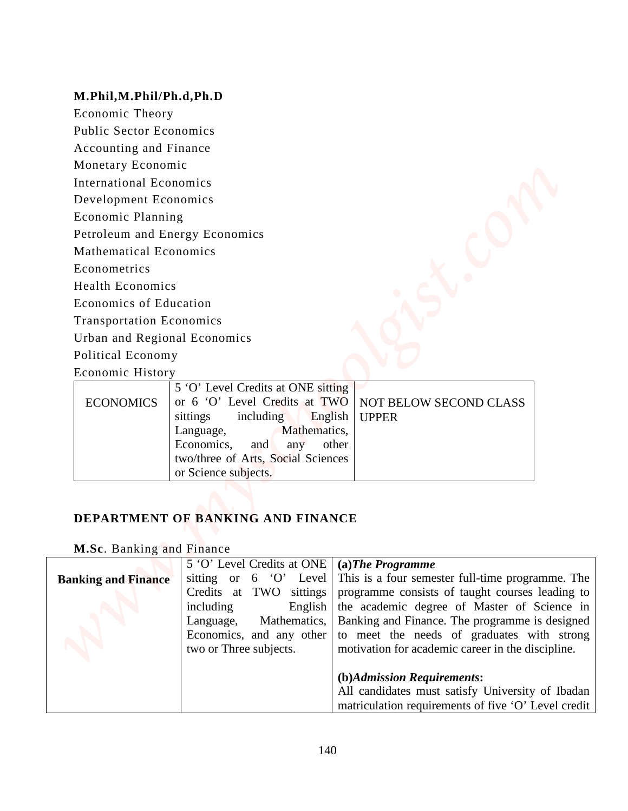#### **M.Phil,M.Phil/Ph.d,Ph.D**

- Public Sector Economics
- Accounting and Finance
- Monetary Economic
- International Economics
- Development Economics
- Economic Planning
- Petroleum and Energy Economics
- Mathematical Economics
- Econometrics
- Health Economics
- Economics of Education
- Transportation Economics
- Urban and Regional Economics
- Political Economy
- Economic History

|                  | 5 'O' Level Credits at ONE sitting                     |
|------------------|--------------------------------------------------------|
| <b>ECONOMICS</b> | or 6 'O' Level Credits at TWO   NOT BELOW SECOND CLASS |
|                  | sittings including English UPPER                       |
|                  | Language, Mathematics,                                 |
|                  | Economics, and any other                               |
|                  | two/three of Arts, Social Sciences                     |
|                  | or Science subjects.                                   |

### **DEPARTMENT OF BANKING AND FINANCE**

### **M.Sc**. Banking and Finance

| M.Phil, M.Phil/Ph.d, Ph.D       |                                                   |                                                                                                     |
|---------------------------------|---------------------------------------------------|-----------------------------------------------------------------------------------------------------|
| Economic Theory                 |                                                   |                                                                                                     |
| <b>Public Sector Economics</b>  |                                                   |                                                                                                     |
| Accounting and Finance          |                                                   |                                                                                                     |
| Monetary Economic               |                                                   |                                                                                                     |
| <b>International Economics</b>  |                                                   |                                                                                                     |
| Development Economics           |                                                   |                                                                                                     |
| <b>Economic Planning</b>        |                                                   |                                                                                                     |
| Petroleum and Energy Economics  |                                                   |                                                                                                     |
| <b>Mathematical Economics</b>   |                                                   |                                                                                                     |
| Econometrics                    |                                                   |                                                                                                     |
| <b>Health Economics</b>         |                                                   |                                                                                                     |
| <b>Economics of Education</b>   |                                                   |                                                                                                     |
| <b>Transportation Economics</b> |                                                   |                                                                                                     |
| Urban and Regional Economics    |                                                   |                                                                                                     |
| Political Economy               |                                                   |                                                                                                     |
| Economic History                |                                                   |                                                                                                     |
|                                 | 5 'O' Level Credits at ONE sitting                |                                                                                                     |
| <b>ECONOMICS</b>                | or 6 'O' Level Credits at TWO<br>including        | NOT BELOW SECOND CLASS<br><b>UPPER</b>                                                              |
|                                 | English<br>sittings<br>Mathematics,<br>Language,  |                                                                                                     |
|                                 | Economics,<br>and<br>any                          | other                                                                                               |
|                                 | two/three of Arts, Social Sciences                |                                                                                                     |
|                                 | or Science subjects.                              |                                                                                                     |
|                                 |                                                   |                                                                                                     |
|                                 | DEPARTMENT OF BANKING AND FINANCE                 |                                                                                                     |
|                                 |                                                   |                                                                                                     |
| M.Sc. Banking and Finance       |                                                   |                                                                                                     |
|                                 | 5 'O' Level Credits at ONE                        | $(a)$ The Programme                                                                                 |
| <b>Banking and Finance</b>      | sitting or 6 'O' Level<br>Credits at TWO sittings | This is a four semester full-time programme. The<br>programme consists of taught courses leading to |
|                                 | including<br>English                              | the academic degree of Master of Science in                                                         |
|                                 | Language,<br>Mathematics,                         | Banking and Finance. The programme is designed                                                      |
|                                 | Economics, and any other                          | to meet the needs of graduates with strong                                                          |
|                                 | two or Three subjects.                            | motivation for academic career in the discipline.                                                   |
|                                 |                                                   | (b)Admission Requirements:                                                                          |
|                                 |                                                   | All candidates must satisfy University of Ibadan                                                    |
|                                 |                                                   | matriculation requirements of five 'O' Level credit                                                 |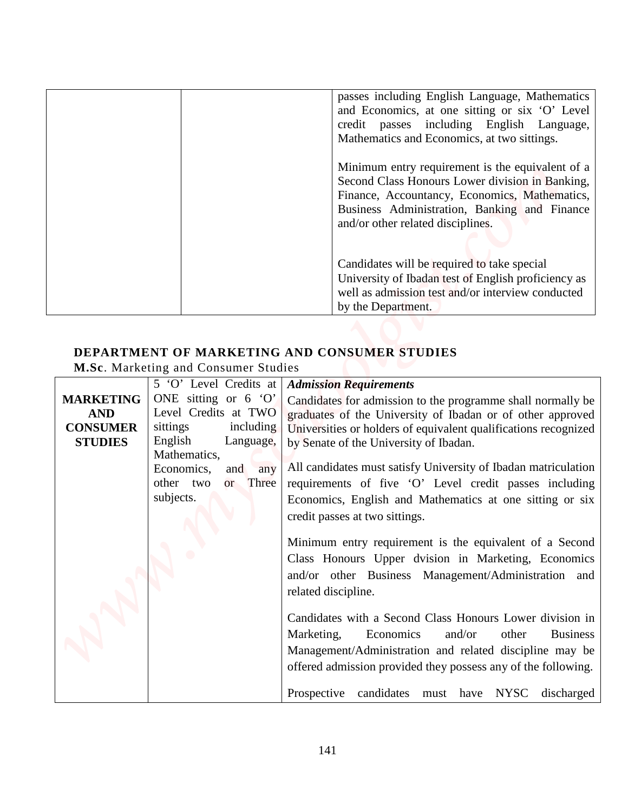| passes including English Language, Mathematics<br>and Economics, at one sitting or six 'O' Level<br>credit passes including English Language,<br>Mathematics and Economics, at two sittings.                                              |
|-------------------------------------------------------------------------------------------------------------------------------------------------------------------------------------------------------------------------------------------|
| Minimum entry requirement is the equivalent of a<br>Second Class Honours Lower division in Banking,<br>Finance, Accountancy, Economics, Mathematics,<br>Business Administration, Banking and Finance<br>and/or other related disciplines. |
| Candidates will be required to take special<br>University of Ibadan test of English proficiency as<br>well as admission test and/or interview conducted<br>by the Department.                                                             |

# **DEPARTMENT OF MARKETING AND CONSUMER STUDIES**

|                                   |                                                                | passes including English Language, Mathematics                                                                                                                                                                                                                                                                                                                                                                                                                                                                                                                           |
|-----------------------------------|----------------------------------------------------------------|--------------------------------------------------------------------------------------------------------------------------------------------------------------------------------------------------------------------------------------------------------------------------------------------------------------------------------------------------------------------------------------------------------------------------------------------------------------------------------------------------------------------------------------------------------------------------|
|                                   |                                                                | and Economics, at one sitting or six 'O' Level<br>credit passes including English Language,<br>Mathematics and Economics, at two sittings.                                                                                                                                                                                                                                                                                                                                                                                                                               |
|                                   |                                                                | Minimum entry requirement is the equivalent of a<br>Second Class Honours Lower division in Banking,<br>Finance, Accountancy, Economics, Mathematics,<br>Business Administration, Banking and Finance<br>and/or other related disciplines.                                                                                                                                                                                                                                                                                                                                |
|                                   |                                                                | Candidates will be required to take special<br>University of Ibadan test of English proficiency as<br>well as admission test and/or interview conducted<br>by the Department.                                                                                                                                                                                                                                                                                                                                                                                            |
|                                   | M.Sc. Marketing and Consumer Studies<br>5 'O' Level Credits at | DEPARTMENT OF MARKETING AND CONSUMER STUDIES<br><b>Admission Requirements</b>                                                                                                                                                                                                                                                                                                                                                                                                                                                                                            |
| <b>MARKETING</b>                  | ONE sitting or $6'$ O'                                         | Candidates for admission to the programme shall normally be                                                                                                                                                                                                                                                                                                                                                                                                                                                                                                              |
| <b>AND</b>                        | Level Credits at TWO<br>sittings<br>including                  | graduates of the University of Ibadan or of other approved                                                                                                                                                                                                                                                                                                                                                                                                                                                                                                               |
| <b>CONSUMER</b><br><b>STUDIES</b> | English<br>Language,                                           | Universities or holders of equivalent qualifications recognized<br>by Senate of the University of Ibadan.                                                                                                                                                                                                                                                                                                                                                                                                                                                                |
|                                   |                                                                |                                                                                                                                                                                                                                                                                                                                                                                                                                                                                                                                                                          |
|                                   | Mathematics,                                                   |                                                                                                                                                                                                                                                                                                                                                                                                                                                                                                                                                                          |
|                                   | Economics,<br>and<br>any<br>other two<br>Three<br>or           |                                                                                                                                                                                                                                                                                                                                                                                                                                                                                                                                                                          |
|                                   | subjects.                                                      | credit passes at two sittings.                                                                                                                                                                                                                                                                                                                                                                                                                                                                                                                                           |
|                                   |                                                                |                                                                                                                                                                                                                                                                                                                                                                                                                                                                                                                                                                          |
|                                   |                                                                |                                                                                                                                                                                                                                                                                                                                                                                                                                                                                                                                                                          |
|                                   |                                                                | related discipline.                                                                                                                                                                                                                                                                                                                                                                                                                                                                                                                                                      |
|                                   |                                                                |                                                                                                                                                                                                                                                                                                                                                                                                                                                                                                                                                                          |
|                                   |                                                                | Marketing,<br>Economics<br>and/or<br>other                                                                                                                                                                                                                                                                                                                                                                                                                                                                                                                               |
|                                   |                                                                | All candidates must satisfy University of Ibadan matriculation<br>requirements of five 'O' Level credit passes including<br>Economics, English and Mathematics at one sitting or six<br>Minimum entry requirement is the equivalent of a Second<br>Class Honours Upper dvision in Marketing, Economics<br>and/or other Business Management/Administration and<br>Candidates with a Second Class Honours Lower division in<br><b>Business</b><br>Management/Administration and related discipline may be<br>offered admission provided they possess any of the following. |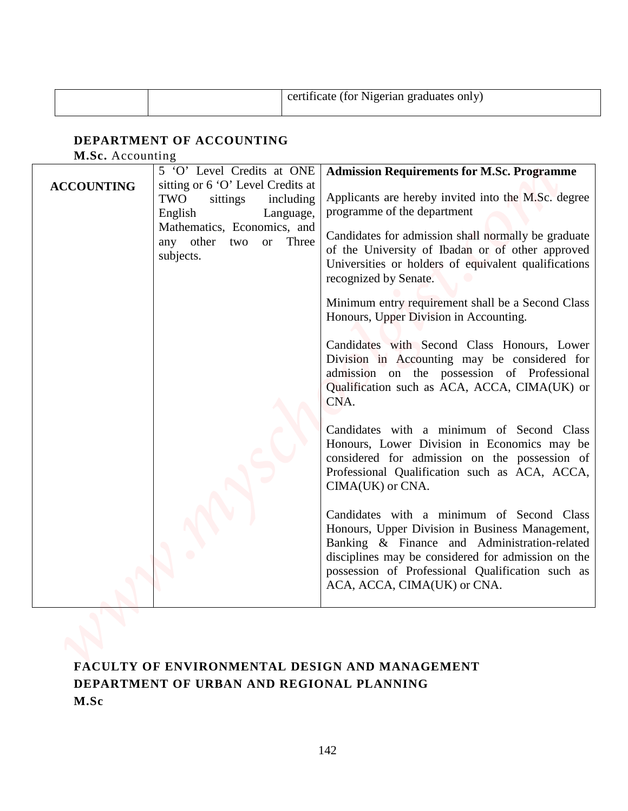|  | certificate (for Nigerian graduates only) |
|--|-------------------------------------------|
|--|-------------------------------------------|

### **DEPARTMENT OF ACCOUNTING**

|                                              |                                                                                           | certificate (for Nigerian graduates only)                                                                                                                                                                                                                                             |  |  |
|----------------------------------------------|-------------------------------------------------------------------------------------------|---------------------------------------------------------------------------------------------------------------------------------------------------------------------------------------------------------------------------------------------------------------------------------------|--|--|
| DEPARTMENT OF ACCOUNTING<br>M.Sc. Accounting |                                                                                           |                                                                                                                                                                                                                                                                                       |  |  |
|                                              | 5 'O' Level Credits at ONE                                                                | <b>Admission Requirements for M.Sc. Programme</b>                                                                                                                                                                                                                                     |  |  |
| <b>ACCOUNTING</b>                            | sitting or 6 'O' Level Credits at<br>TWO<br>sittings<br>including<br>English<br>Language, | Applicants are hereby invited into the M.Sc. degree<br>programme of the department                                                                                                                                                                                                    |  |  |
|                                              | Mathematics, Economics, and<br>any other two<br>Three<br><b>or</b><br>subjects.           | Candidates for admission shall normally be graduate<br>of the University of Ibadan or of other approved<br>Universities or holders of equivalent qualifications<br>recognized by Senate.                                                                                              |  |  |
|                                              |                                                                                           | Minimum entry requirement shall be a Second Class<br>Honours, Upper Division in Accounting.                                                                                                                                                                                           |  |  |
|                                              |                                                                                           | Candidates with Second Class Honours, Lower<br>Division in Accounting may be considered for<br>admission on the possession of Professional<br>Qualification such as ACA, ACCA, CIMA(UK) or<br>CNA.                                                                                    |  |  |
|                                              |                                                                                           | Candidates with a minimum of Second Class<br>Honours, Lower Division in Economics may be<br>considered for admission on the possession of<br>Professional Qualification such as ACA, ACCA,<br>CIMA(UK) or CNA.                                                                        |  |  |
|                                              |                                                                                           | Candidates with a minimum of Second Class<br>Honours, Upper Division in Business Management,<br>Banking & Finance and Administration-related<br>disciplines may be considered for admission on the<br>possession of Professional Qualification such as<br>ACA, ACCA, CIMA(UK) or CNA. |  |  |

# **FACULTY OF ENVIRONMENTAL DESIGN AND MANAGEMENT DEPARTMENT OF URBAN AND REGIONAL PLANNING M.Sc**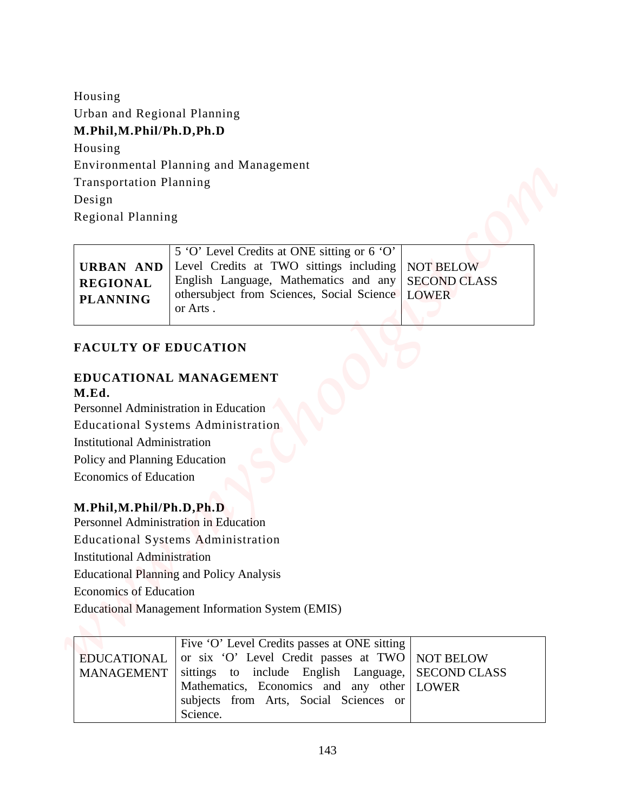| Housing                             |                                                                                                            |
|-------------------------------------|------------------------------------------------------------------------------------------------------------|
| Urban and Regional Planning         |                                                                                                            |
| M.Phil, M.Phil/Ph.D, Ph.D           |                                                                                                            |
| Housing                             |                                                                                                            |
|                                     | Environmental Planning and Management                                                                      |
| <b>Transportation Planning</b>      |                                                                                                            |
| Design                              |                                                                                                            |
| Regional Planning                   |                                                                                                            |
|                                     | 5 'O' Level Credits at ONE sitting or 6 'O'                                                                |
| <b>URBAN AND</b>                    | Level Credits at TWO sittings including<br><b>NOT BELOW</b>                                                |
| <b>REGIONAL</b>                     | English Language, Mathematics and any<br><b>SECOND CLASS</b><br>othersubject from Sciences, Social Science |
| <b>PLANNING</b>                     | <b>LOWER</b><br>or Arts.                                                                                   |
|                                     |                                                                                                            |
| <b>FACULTY OF EDUCATION</b>         |                                                                                                            |
|                                     | EDUCATIONAL MANAGEMENT                                                                                     |
| M.Ed.                               |                                                                                                            |
|                                     | Personnel Administration in Education                                                                      |
|                                     | <b>Educational Systems Administration</b>                                                                  |
| <b>Institutional Administration</b> |                                                                                                            |
| Policy and Planning Education       |                                                                                                            |
|                                     |                                                                                                            |
| <b>Economics of Education</b>       |                                                                                                            |
|                                     |                                                                                                            |
| M.Phil, M.Phil/Ph.D, Ph.D           |                                                                                                            |
|                                     | Personnel Administration in Education                                                                      |
|                                     | <b>Educational Systems Administration</b>                                                                  |
| <b>Institutional Administration</b> |                                                                                                            |
|                                     | <b>Educational Planning and Policy Analysis</b>                                                            |
| <b>Economics of Education</b>       |                                                                                                            |
|                                     | <b>Educational Management Information System (EMIS)</b>                                                    |
|                                     |                                                                                                            |
| <b>EDUCATIONAL</b>                  | Five 'O' Level Credits passes at ONE sitting<br>or six 'O' Level Credit passes at TWO<br><b>NOT BELOW</b>  |

#### **FACULTY OF EDUCATION**

#### **EDUCATIONAL MANAGEMENT M.Ed.**

#### **M.Phil,M.Phil/Ph.D,Ph.D**

| Five 'O' Level Credits passes at ONE sitting                        |  |
|---------------------------------------------------------------------|--|
| EDUCATIONAL $\vert$ or six 'O' Level Credit passes at TWO NOT BELOW |  |
| MANAGEMENT sittings to include English Language, SECOND CLASS       |  |
| Mathematics, Economics and any other LOWER                          |  |
| subjects from Arts, Social Sciences or                              |  |
| Science.                                                            |  |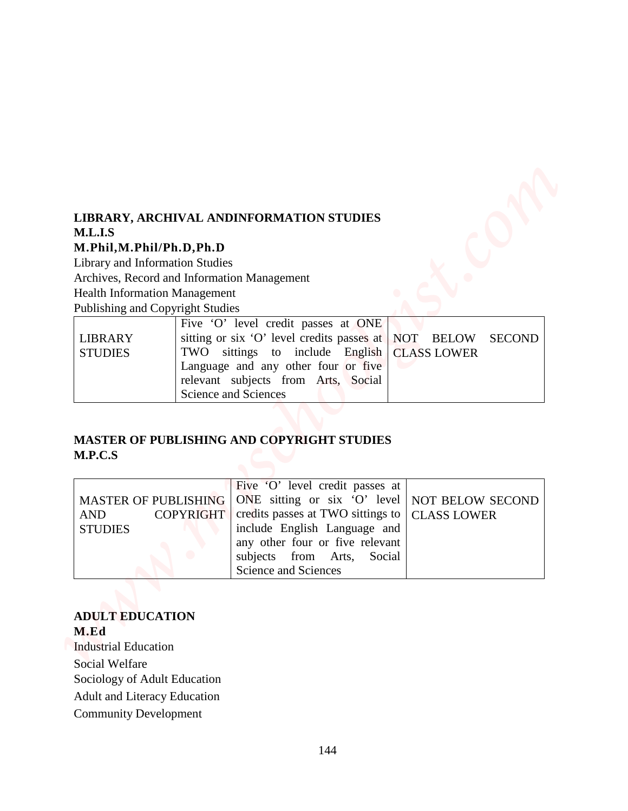# **LIBRARY, ARCHIVAL ANDINFORMATION STUDIES M.L.I.S**

#### **M.Phil,M.Phil/Ph.D,Ph.D**

### **MASTER OF PUBLISHING AND COPYRIGHT STUDIES M.P.C.S**

|                                                              | LIBRARY, ARCHIVAL ANDINFORMATION STUDIES                                                                                         |
|--------------------------------------------------------------|----------------------------------------------------------------------------------------------------------------------------------|
| M.L.I.S                                                      |                                                                                                                                  |
| M.Phil, M.Phil/Ph.D, Ph.D<br>Library and Information Studies |                                                                                                                                  |
|                                                              | Archives, Record and Information Management                                                                                      |
| <b>Health Information Management</b>                         |                                                                                                                                  |
| Publishing and Copyright Studies                             |                                                                                                                                  |
| <b>LIBRARY</b>                                               | Five 'O' level credit passes at ONE<br>sitting or six 'O' level credits passes at<br><b>NOT</b><br><b>BELOW</b><br><b>SECOND</b> |
| <b>STUDIES</b>                                               | TWO<br>sittings to include English<br><b>CLASS LOWER</b>                                                                         |
|                                                              | Language and any other four or five                                                                                              |
|                                                              | relevant subjects from Arts, Social                                                                                              |
|                                                              | Science and Sciences                                                                                                             |
|                                                              |                                                                                                                                  |
|                                                              | <b>MASTER OF PUBLISHING AND COPYRIGHT STUDIES</b>                                                                                |
| M.P.C.S                                                      |                                                                                                                                  |
|                                                              | Five 'O' level credit passes at                                                                                                  |
| <b>MASTER OF PUBLISHING</b>                                  | ONE sitting or six 'O' level $\vert$<br>NOT BELOW SECOND                                                                         |
| <b>AND</b>                                                   | credits passes at TWO sittings to<br><b>COPYRIGHT</b><br><b>CLASS LOWER</b>                                                      |
| <b>STUDIES</b>                                               | include English Language and<br>any other four or five relevant                                                                  |
|                                                              | subjects from Arts,<br>Social                                                                                                    |
|                                                              | Science and Sciences                                                                                                             |
|                                                              |                                                                                                                                  |
| <b>ADULT EDUCATION</b>                                       |                                                                                                                                  |
| M.Ed                                                         |                                                                                                                                  |
|                                                              |                                                                                                                                  |
| <b>Industrial Education</b>                                  |                                                                                                                                  |
| <b>Social Welfare</b>                                        |                                                                                                                                  |
| Sociology of Adult Education                                 |                                                                                                                                  |
| <b>Adult and Literacy Education</b>                          |                                                                                                                                  |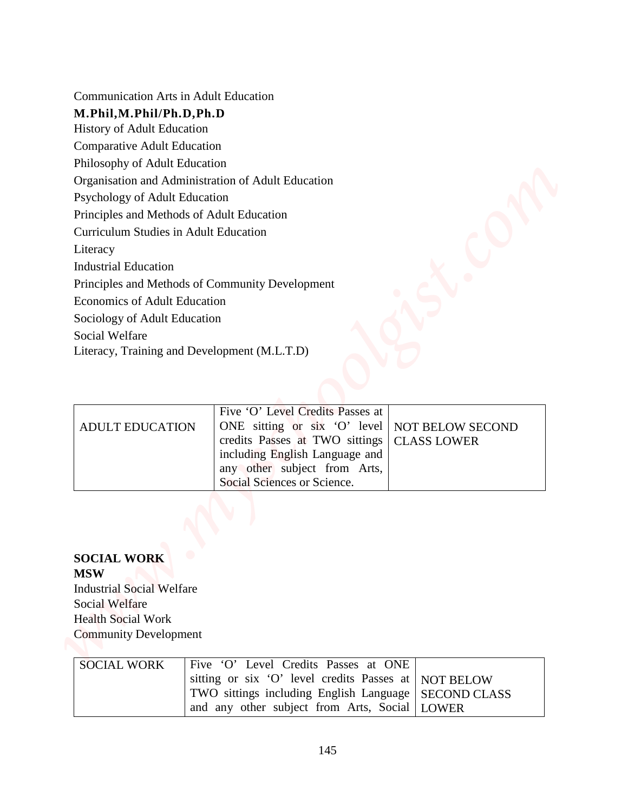| <b>Communication Arts in Adult Education</b>                                                                                                               |                                                                                            |                     |  |
|------------------------------------------------------------------------------------------------------------------------------------------------------------|--------------------------------------------------------------------------------------------|---------------------|--|
| M.Phil, M.Phil/Ph.D, Ph.D<br>History of Adult Education                                                                                                    |                                                                                            |                     |  |
| <b>Comparative Adult Education</b>                                                                                                                         |                                                                                            |                     |  |
| Philosophy of Adult Education                                                                                                                              |                                                                                            |                     |  |
|                                                                                                                                                            | Organisation and Administration of Adult Education                                         |                     |  |
| Psychology of Adult Education                                                                                                                              |                                                                                            |                     |  |
| Principles and Methods of Adult Education                                                                                                                  |                                                                                            |                     |  |
| <b>Curriculum Studies in Adult Education</b>                                                                                                               |                                                                                            |                     |  |
| Literacy                                                                                                                                                   |                                                                                            |                     |  |
| <b>Industrial Education</b>                                                                                                                                |                                                                                            |                     |  |
|                                                                                                                                                            | Principles and Methods of Community Development                                            |                     |  |
| Economics of Adult Education                                                                                                                               |                                                                                            |                     |  |
| Sociology of Adult Education                                                                                                                               |                                                                                            |                     |  |
| Social Welfare                                                                                                                                             | Literacy, Training and Development (M.L.T.D)                                               |                     |  |
|                                                                                                                                                            |                                                                                            |                     |  |
|                                                                                                                                                            |                                                                                            |                     |  |
|                                                                                                                                                            | Five 'O' Level Credits Passes at                                                           |                     |  |
| <b>ADULT EDUCATION</b>                                                                                                                                     | ONE sitting or six 'O' level   NOT BELOW SECOND                                            |                     |  |
|                                                                                                                                                            | credits Passes at TWO sittings                                                             | <b>CLASS LOWER</b>  |  |
|                                                                                                                                                            | including English Language and                                                             |                     |  |
|                                                                                                                                                            | any other subject from Arts,<br>Social Sciences or Science.                                |                     |  |
|                                                                                                                                                            |                                                                                            |                     |  |
|                                                                                                                                                            |                                                                                            |                     |  |
|                                                                                                                                                            |                                                                                            |                     |  |
|                                                                                                                                                            |                                                                                            |                     |  |
|                                                                                                                                                            |                                                                                            |                     |  |
|                                                                                                                                                            |                                                                                            |                     |  |
|                                                                                                                                                            |                                                                                            |                     |  |
|                                                                                                                                                            |                                                                                            |                     |  |
|                                                                                                                                                            |                                                                                            |                     |  |
|                                                                                                                                                            |                                                                                            |                     |  |
| <b>SOCIAL WORK</b><br><b>MSW</b><br><b>Industrial Social Welfare</b><br><b>Social Welfare</b><br><b>Health Social Work</b><br><b>Community Development</b> |                                                                                            |                     |  |
| <b>SOCIAL WORK</b>                                                                                                                                         | Five 'O' Level Credits Passes at ONE<br>sitting or six 'O' level credits Passes at         | <b>NOT BELOW</b>    |  |
|                                                                                                                                                            | TWO sittings including English Language<br>and any other subject from Arts, Social   LOWER | <b>SECOND CLASS</b> |  |

| <b>ADULT EDUCATION</b> | Five 'O' Level Credits Passes at<br>ONE sitting or six 'O' level   NOT BELOW SECOND<br>credits Passes at TWO sittings   CLASS LOWER<br>including English Language and<br>any other subject from Arts,<br>Social Sciences or Science. |  |
|------------------------|--------------------------------------------------------------------------------------------------------------------------------------------------------------------------------------------------------------------------------------|--|

## **SOCIAL WORK MSW**

| <b>SOCIAL WORK</b> | Five 'O' Level Credits Passes at ONE                   |  |
|--------------------|--------------------------------------------------------|--|
|                    | sitting or six 'O' level credits Passes at NOT BELOW   |  |
|                    | TWO sittings including English Language   SECOND CLASS |  |
|                    | and any other subject from Arts, Social   LOWER        |  |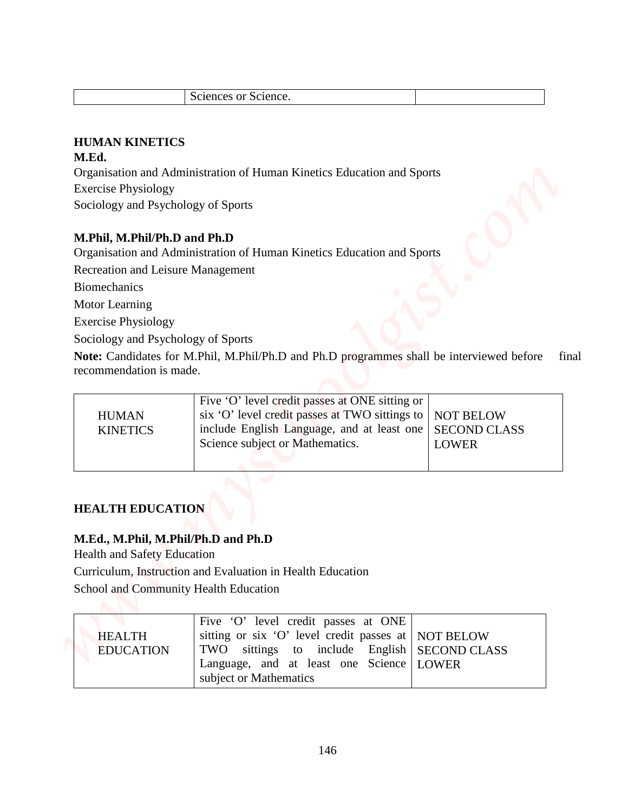| $\sim$<br>Science.<br>or :<br>ciences<br>ЭC. |  |
|----------------------------------------------|--|
|----------------------------------------------|--|

## **HUMAN KINETICS**

### **M.Ed.**

### **M.Phil, M.Phil/Ph.D and Ph.D**

|                                       | Sciences or Science.                                                                     |                                         |
|---------------------------------------|------------------------------------------------------------------------------------------|-----------------------------------------|
|                                       |                                                                                          |                                         |
| <b>HUMAN KINETICS</b>                 |                                                                                          |                                         |
| M.Ed.                                 |                                                                                          |                                         |
|                                       | Organisation and Administration of Human Kinetics Education and Sports                   |                                         |
| <b>Exercise Physiology</b>            |                                                                                          |                                         |
| Sociology and Psychology of Sports    |                                                                                          |                                         |
|                                       |                                                                                          |                                         |
| M.Phil, M.Phil/Ph.D and Ph.D          |                                                                                          |                                         |
|                                       | Organisation and Administration of Human Kinetics Education and Sports                   |                                         |
| Recreation and Leisure Management     |                                                                                          |                                         |
| <b>Biomechanics</b>                   |                                                                                          |                                         |
| Motor Learning                        |                                                                                          |                                         |
| <b>Exercise Physiology</b>            |                                                                                          |                                         |
| Sociology and Psychology of Sports    |                                                                                          |                                         |
|                                       | Note: Candidates for M.Phil, M.Phil/Ph.D and Ph.D programmes shall be interviewed before |                                         |
| recommendation is made.               |                                                                                          |                                         |
|                                       | Five 'O' level credit passes at ONE sitting or                                           |                                         |
| <b>HUMAN</b>                          | six 'O' level credit passes at TWO sittings to $\vert$                                   | <b>NOT BELOW</b>                        |
| <b>KINETICS</b>                       | include English Language, and at least one                                               | SECOND CLASS                            |
|                                       | Science subject or Mathematics.                                                          | <b>LOWER</b>                            |
|                                       |                                                                                          |                                         |
|                                       |                                                                                          |                                         |
|                                       |                                                                                          |                                         |
|                                       |                                                                                          |                                         |
|                                       |                                                                                          |                                         |
| <b>HEALTH EDUCATION</b>               |                                                                                          |                                         |
| M.Ed., M.Phil, M.Phil/Ph.D and Ph.D   |                                                                                          |                                         |
| <b>Health and Safety Education</b>    |                                                                                          |                                         |
|                                       | Curriculum, Instruction and Evaluation in Health Education                               |                                         |
| School and Community Health Education |                                                                                          |                                         |
|                                       |                                                                                          |                                         |
|                                       | Five 'O' level credit passes at ONE                                                      |                                         |
| <b>HEALTH</b><br><b>EDUCATION</b>     | sitting or six 'O' level credit passes at<br>TWO sittings to include English             | <b>NOT BELOW</b><br><b>SECOND CLASS</b> |

## **HEALTH EDUCATION**

### **M.Ed., M.Phil, M.Phil/Ph.D and Ph.D**

|                  | Five 'O' level credit passes at ONE                 |  |
|------------------|-----------------------------------------------------|--|
| <b>HEALTH</b>    | sitting or six 'O' level credit passes at NOT BELOW |  |
| <b>EDUCATION</b> | TWO sittings to include English   SECOND CLASS      |  |
|                  | Language, and at least one Science LOWER            |  |
|                  | subject or Mathematics                              |  |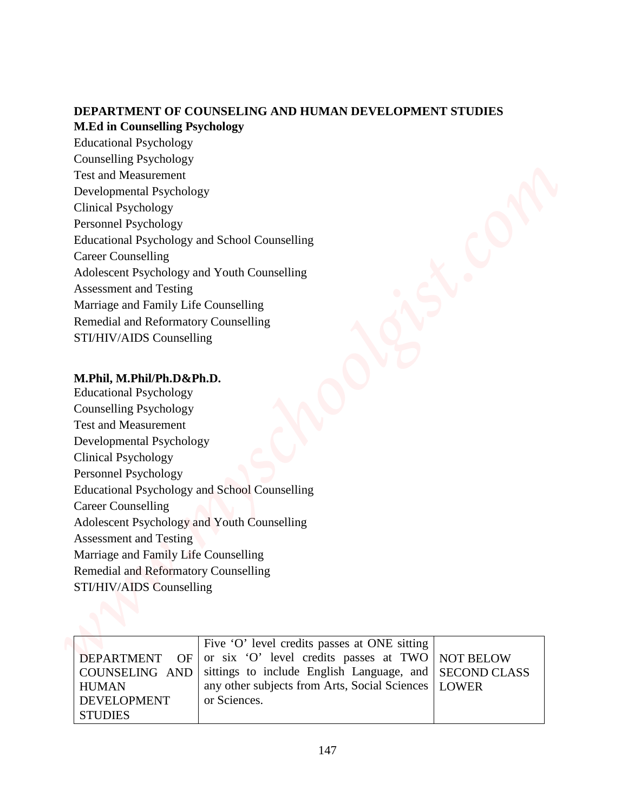### **DEPARTMENT OF COUNSELING AND HUMAN DEVELOPMENT STUDIES M.Ed in Counselling Psychology**

Educational Psychology Counselling Psychology Test and Measurement Developmental Psychology Clinical Psychology Personnel Psychology Educational Psychology and School Counselling Career Counselling Adolescent Psychology and Youth Counselling Assessment and Testing Marriage and Family Life Counselling Remedial and Reformatory Counselling STI/HIV/AIDS Counselling **DEPARTMENT OF COUNSELING AND HUMAN DEVELOPMENT STUDES**<br>
Makinin Compactling Psychology<br>
Hustanional Focyclosing<br>
Tor Granach Mechanical Psychology<br>
Tor Granach Mechanical Psychology<br>
Clarical Psychology<br>
Clarical Hydrodog

#### **M.Phil, M.Phil/Ph.D&Ph.D.**

Educational Psychology Counselling Psychology Test and Measurement Developmental Psychology Clinical Psychology Personnel Psychology Educational Psychology and School Counselling Career Counselling Adolescent Psychology and Youth Counselling Assessment and Testing Marriage and Family Life Counselling Remedial and Reformatory Counselling STI/HIV/AIDS Counselling

|                | Five 'O' level credits passes at ONE sitting                          |  |
|----------------|-----------------------------------------------------------------------|--|
|                | <b>DEPARTMENT</b> OF or six 'O' level credits passes at TWO NOT BELOW |  |
|                | COUNSELING AND sittings to include English Language, and SECOND CLASS |  |
| <b>HUMAN</b>   | any other subjects from Arts, Social Sciences   LOWER                 |  |
| DEVELOPMENT    | or Sciences.                                                          |  |
| <b>STUDIES</b> |                                                                       |  |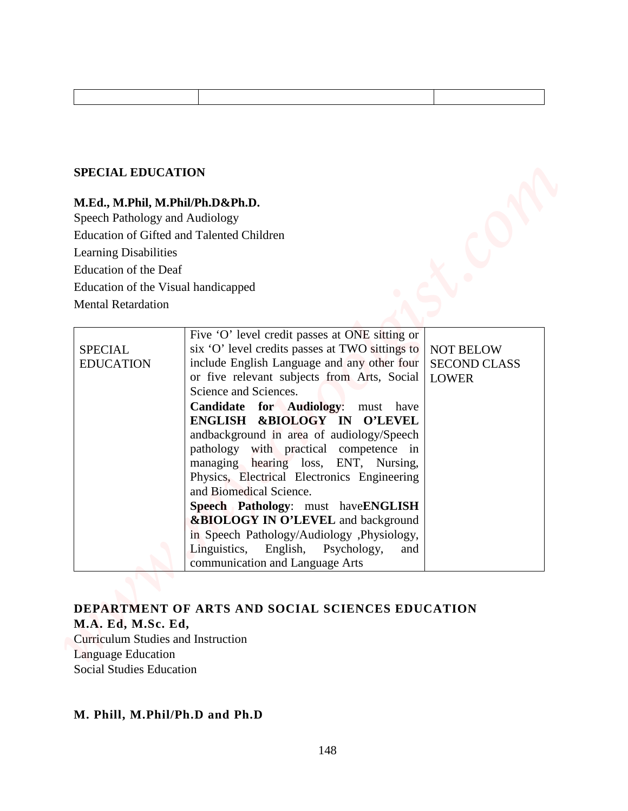#### **SPECIAL EDUCATION**

## **M.Ed., M.Phil, M.Phil/Ph.D&Ph.D.**

| <b>SPECIAL EDUCATION</b>            |                                                                                                |                                         |
|-------------------------------------|------------------------------------------------------------------------------------------------|-----------------------------------------|
|                                     | M.Ed., M.Phil, M.Phil/Ph.D&Ph.D.                                                               |                                         |
| Speech Pathology and Audiology      | Education of Gifted and Talented Children                                                      |                                         |
| <b>Learning Disabilities</b>        |                                                                                                |                                         |
| <b>Education of the Deaf</b>        |                                                                                                |                                         |
| Education of the Visual handicapped |                                                                                                |                                         |
| <b>Mental Retardation</b>           |                                                                                                |                                         |
|                                     |                                                                                                |                                         |
|                                     | Five 'O' level credit passes at ONE sitting or                                                 |                                         |
| <b>SPECIAL</b><br><b>EDUCATION</b>  | six 'O' level credits passes at TWO sittings to<br>include English Language and any other four | <b>NOT BELOW</b><br><b>SECOND CLASS</b> |
|                                     | or five relevant subjects from Arts, Social                                                    | <b>LOWER</b>                            |
|                                     | Science and Sciences.                                                                          |                                         |
|                                     | <b>Candidate for Audiology:</b><br>must have<br>ENGLISH &BIOLOGY IN<br><b>O'LEVEL</b>          |                                         |
|                                     | andbackground in area of audiology/Speech                                                      |                                         |
|                                     | pathology with practical competence in                                                         |                                         |
|                                     | managing hearing loss, ENT, Nursing,                                                           |                                         |
|                                     | Physics, Electrical Electronics Engineering<br>and Biomedical Science.                         |                                         |
|                                     | Speech Pathology: must haveENGLISH                                                             |                                         |
|                                     | <b>&amp;BIOLOGY IN O'LEVEL</b> and background                                                  |                                         |
|                                     | in Speech Pathology/Audiology ,Physiology,                                                     |                                         |
|                                     | Linguistics, English, Psychology,<br>and<br>communication and Language Arts                    |                                         |
|                                     |                                                                                                |                                         |

## **DEPARTMENT OF ARTS AND SOCIAL SCIENCES EDUCATION**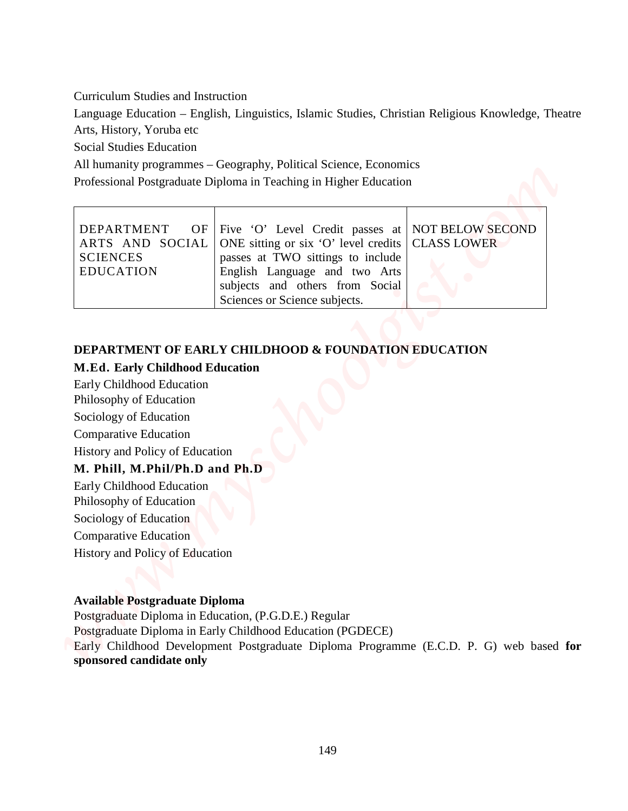| <b>Curriculum Studies and Instruction</b>                                                                                                                                                                                                                                                                       |                                                                                                                     |
|-----------------------------------------------------------------------------------------------------------------------------------------------------------------------------------------------------------------------------------------------------------------------------------------------------------------|---------------------------------------------------------------------------------------------------------------------|
|                                                                                                                                                                                                                                                                                                                 | Language Education – English, Linguistics, Islamic Studies, Christian Religious Knowledge, Theatre                  |
| Arts, History, Yoruba etc                                                                                                                                                                                                                                                                                       |                                                                                                                     |
| <b>Social Studies Education</b>                                                                                                                                                                                                                                                                                 |                                                                                                                     |
|                                                                                                                                                                                                                                                                                                                 | All humanity programmes – Geography, Political Science, Economics                                                   |
|                                                                                                                                                                                                                                                                                                                 | Professional Postgraduate Diploma in Teaching in Higher Education                                                   |
|                                                                                                                                                                                                                                                                                                                 |                                                                                                                     |
| DEPARTMENT<br>OF                                                                                                                                                                                                                                                                                                | <b>NOT BELOW SECOND</b><br>Five 'O' Level Credit passes at                                                          |
| ARTS AND SOCIAL<br><b>SCIENCES</b>                                                                                                                                                                                                                                                                              | ONE sitting or six 'O' level credits<br><b>CLASS LOWER</b>                                                          |
| <b>EDUCATION</b>                                                                                                                                                                                                                                                                                                | passes at TWO sittings to include<br>English Language and two Arts                                                  |
|                                                                                                                                                                                                                                                                                                                 | subjects and others from Social                                                                                     |
|                                                                                                                                                                                                                                                                                                                 | Sciences or Science subjects.                                                                                       |
|                                                                                                                                                                                                                                                                                                                 | <b>DEPARTMENT OF EARLY CHILDHOOD &amp; FOUNDATION EDUCATION</b>                                                     |
| <b>M.Ed. Early Childhood Education</b><br>Early Childhood Education<br>Philosophy of Education<br>Sociology of Education<br><b>Comparative Education</b><br>History and Policy of Education<br>M. Phill, M.Phil/Ph.D and Ph.D<br>Early Childhood Education<br>Philosophy of Education<br>Sociology of Education |                                                                                                                     |
|                                                                                                                                                                                                                                                                                                                 |                                                                                                                     |
| <b>Comparative Education</b><br><b>History and Policy of Education</b>                                                                                                                                                                                                                                          |                                                                                                                     |
|                                                                                                                                                                                                                                                                                                                 |                                                                                                                     |
|                                                                                                                                                                                                                                                                                                                 |                                                                                                                     |
| <b>Available Postgraduate Diploma</b>                                                                                                                                                                                                                                                                           |                                                                                                                     |
|                                                                                                                                                                                                                                                                                                                 | Postgraduate Diploma in Education, (P.G.D.E.) Regular<br>Postgraduate Diploma in Early Childhood Education (PGDECE) |
| sponsored candidate only                                                                                                                                                                                                                                                                                        | Early Childhood Development Postgraduate Diploma Programme (E.C.D. P. G) web based for                              |

## **DEPARTMENT OF EARLY CHILDHOOD & FOUNDATION EDUCATION**

## **M.Ed. Early Childhood Education**

## **M. Phill, M.Phil/Ph.D and Ph.D**

### **Available Postgraduate Diploma**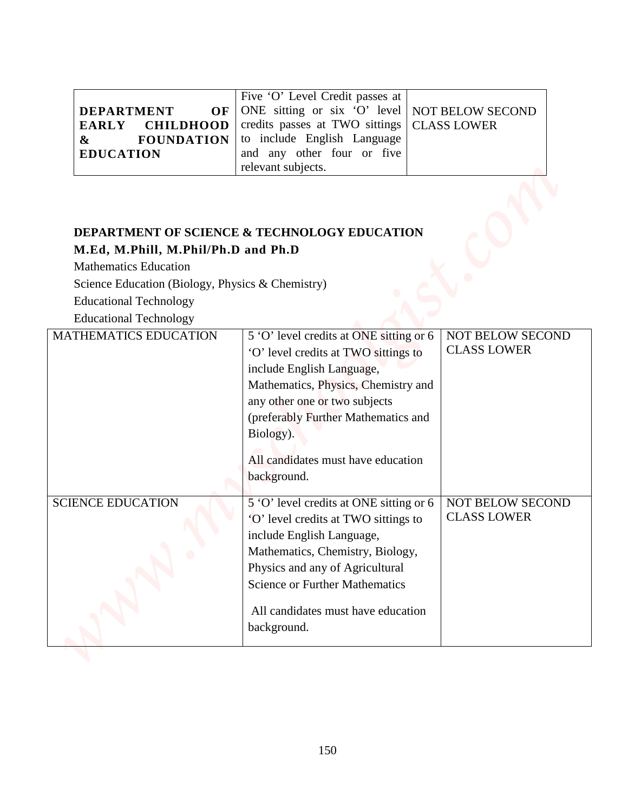|                  | Five 'O' Level Credit passes at                                    |  |
|------------------|--------------------------------------------------------------------|--|
|                  | <b>DEPARTMENT</b> OF ONE sitting or six 'O' level NOT BELOW SECOND |  |
|                  | <b>EARLY</b> CHILDHOOD credits passes at TWO sittings CLASS LOWER  |  |
| $\&$             | <b>FOUNDATION</b> to include English Language                      |  |
| <b>EDUCATION</b> | and any other four or five                                         |  |
|                  | relevant subjects.                                                 |  |

## **DEPARTMENT OF SCIENCE & TECHNOLOGY EDUCATION M.Ed, M.Phill, M.Phil/Ph.D and Ph.D**

| <b>DEPARTMENT</b><br>$OF \mid$<br><b>CHILDHOOD</b><br><b>EARLY</b><br><b>FOUNDATION</b><br>$\boldsymbol{\&}$<br><b>EDUCATION</b>                         | Five 'O' Level Credit passes at<br>ONE sitting or six 'O' level $\vert$<br>credits passes at TWO sittings<br>to include English Language<br>and any other four or five<br>relevant subjects.                                                                                                  | <b>NOT BELOW SECOND</b><br><b>CLASS LOWER</b> |
|----------------------------------------------------------------------------------------------------------------------------------------------------------|-----------------------------------------------------------------------------------------------------------------------------------------------------------------------------------------------------------------------------------------------------------------------------------------------|-----------------------------------------------|
| M.Ed, M.Phill, M.Phil/Ph.D and Ph.D<br><b>Mathematics Education</b><br>Science Education (Biology, Physics & Chemistry)<br><b>Educational Technology</b> | <b>DEPARTMENT OF SCIENCE &amp; TECHNOLOGY EDUCATION</b>                                                                                                                                                                                                                                       |                                               |
| <b>Educational Technology</b><br><b>MATHEMATICS EDUCATION</b>                                                                                            | 5 'O' level credits at ONE sitting or 6<br>'O' level credits at TWO sittings to<br>include English Language,<br>Mathematics, Physics, Chemistry and<br>any other one or two subjects<br>(preferably Further Mathematics and<br>Biology).<br>All candidates must have education<br>background. | NOT BELOW SECOND<br><b>CLASS LOWER</b>        |
| <b>SCIENCE EDUCATION</b>                                                                                                                                 | 5 'O' level credits at ONE sitting or 6<br>'O' level credits at TWO sittings to<br>include English Language,<br>Mathematics, Chemistry, Biology,<br>Physics and any of Agricultural<br><b>Science or Further Mathematics</b><br>All candidates must have education<br>background.             | NOT BELOW SECOND<br><b>CLASS LOWER</b>        |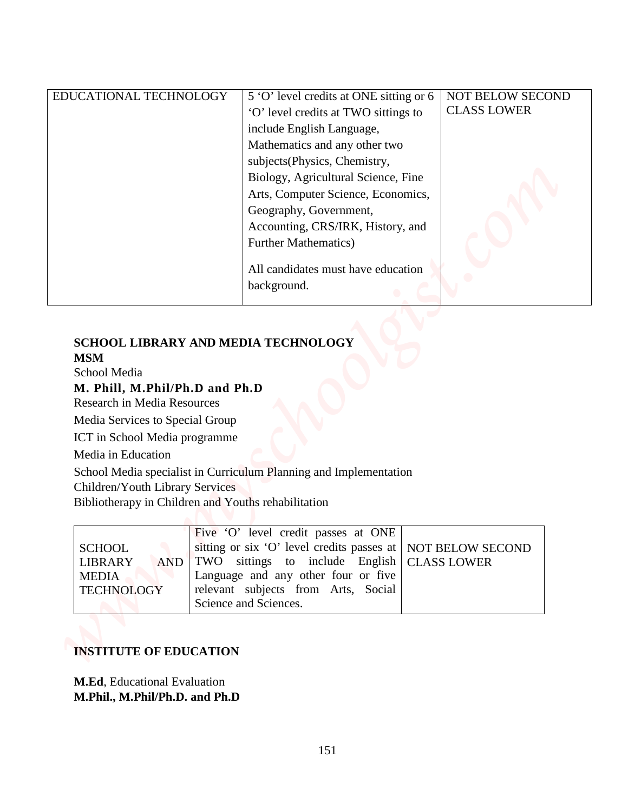|                                                                                                                                       | EDUCATIONAL TECHNOLOGY<br>5 'O' level credits at ONE sitting or 6<br><b>NOT BELOW SECOND</b><br><b>CLASS LOWER</b><br>'O' level credits at TWO sittings to<br>include English Language,<br>Mathematics and any other two<br>subjects(Physics, Chemistry,<br>Biology, Agricultural Science, Fine |
|---------------------------------------------------------------------------------------------------------------------------------------|-------------------------------------------------------------------------------------------------------------------------------------------------------------------------------------------------------------------------------------------------------------------------------------------------|
|                                                                                                                                       | Arts, Computer Science, Economics,<br>Geography, Government,<br>Accounting, CRS/IRK, History, and<br><b>Further Mathematics)</b><br>All candidates must have education<br>background.                                                                                                           |
| <b>MSM</b><br>School Media<br>M. Phill, M.Phil/Ph.D and Ph.D<br><b>Research in Media Resources</b><br>Media Services to Special Group | SCHOOL LIBRARY AND MEDIA TECHNOLOGY                                                                                                                                                                                                                                                             |
| ICT in School Media programme                                                                                                         |                                                                                                                                                                                                                                                                                                 |
|                                                                                                                                       | School Media specialist in Curriculum Planning and Implementation                                                                                                                                                                                                                               |
| Media in Education<br><b>Children/Youth Library Services</b>                                                                          | Bibliotherapy in Children and Youths rehabilitation                                                                                                                                                                                                                                             |

# **SCHOOL LIBRARY AND MEDIA TECHNOLOGY**

## **MSM**

### **M. Phill, M.Phil/Ph.D and Ph.D**

|                   | Five 'O' level credit passes at ONE                           |  |
|-------------------|---------------------------------------------------------------|--|
| <b>SCHOOL</b>     | sitting or six 'O' level credits passes at   NOT BELOW SECOND |  |
| LIBRARY           | AND TWO sittings to include English CLASS LOWER               |  |
| MEDIA             | Language and any other four or five                           |  |
| <b>TECHNOLOGY</b> | relevant subjects from Arts, Social                           |  |
|                   | Science and Sciences.                                         |  |

## **INSTITUTE OF EDUCATION**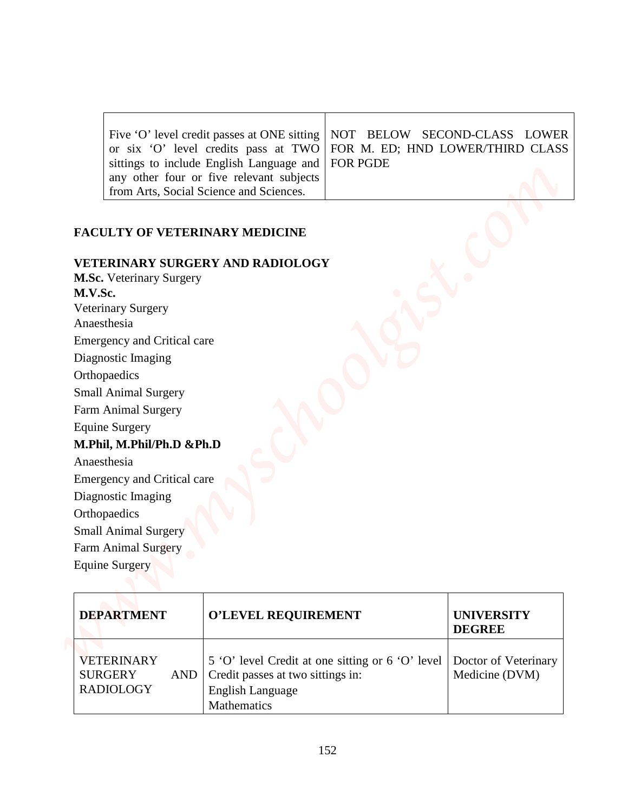|                                                   | Five 'O' level credit passes at ONE sitting   NOT BELOW SECOND-CLASS LOWER |
|---------------------------------------------------|----------------------------------------------------------------------------|
|                                                   | or six 'O' level credits pass at TWO FOR M. ED; HND LOWER/THIRD CLASS      |
| sittings to include English Language and FOR PGDE |                                                                            |
| any other four or five relevant subjects          |                                                                            |
| from Arts, Social Science and Sciences.           |                                                                            |

### **FACULTY OF VETERINARY MEDICINE**

#### **VETERINARY SURGERY AND RADIOLOGY**

**M.Sc.** Veterinary Surgery **M.V.Sc.**  Veterinary Surgery Anaesthesia Emergency and Critical care Diagnostic Imaging **Orthopaedics** Small Animal Surgery Farm Animal Surgery Equine Surgery **M.Phil, M.Phil/Ph.D &Ph.D** Anaesthesia Emergency and Critical care Diagnostic Imaging **Orthopaedics** Small Animal Surgery Farm Animal Surgery Equine Surgery *www.myschoolgist.com*

| <b>DEPARTMENT</b>                                              | <b>O'LEVEL REQUIREMENT</b>                                                                                                                           | <b>UNIVERSITY</b><br><b>DEGREE</b> |
|----------------------------------------------------------------|------------------------------------------------------------------------------------------------------------------------------------------------------|------------------------------------|
| <b>VETERINARY</b><br><b>SURGERY</b><br>AND<br><b>RADIOLOGY</b> | 5 'O' level Credit at one sitting or 6 'O' level Doctor of Veterinary<br>Credit passes at two sittings in:<br><b>English Language</b><br>Mathematics | Medicine (DVM)                     |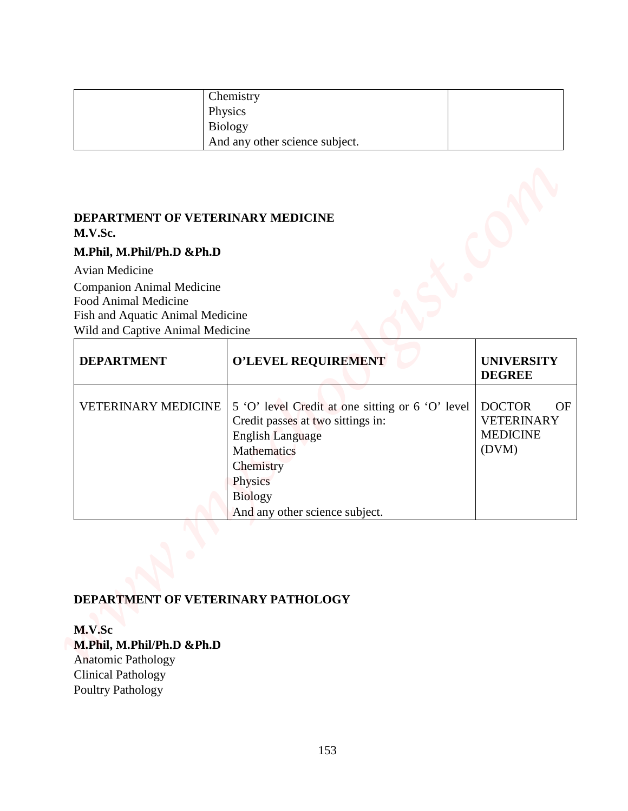| Chemistry                      |  |
|--------------------------------|--|
| Physics                        |  |
| Biology                        |  |
| And any other science subject. |  |

## **DEPARTMENT OF VETERINARY MEDICINE M.V.Sc.**

#### **M.Phil, M.Phil/Ph.D &Ph.D**

|                                                                                                                                                                                                    | Chemistry<br>Physics                                                                                                                                                                                        |                                                                      |
|----------------------------------------------------------------------------------------------------------------------------------------------------------------------------------------------------|-------------------------------------------------------------------------------------------------------------------------------------------------------------------------------------------------------------|----------------------------------------------------------------------|
|                                                                                                                                                                                                    | <b>Biology</b><br>And any other science subject.                                                                                                                                                            |                                                                      |
| DEPARTMENT OF VETERINARY MEDICINE<br>M.V.Sc.<br>M.Phil, M.Phil/Ph.D &Ph.D<br><b>Avian Medicine</b><br><b>Companion Animal Medicine</b><br>Food Animal Medicine<br>Fish and Aquatic Animal Medicine |                                                                                                                                                                                                             |                                                                      |
| Wild and Captive Animal Medicine<br><b>DEPARTMENT</b>                                                                                                                                              | O'LEVEL REQUIREMENT                                                                                                                                                                                         | <b>UNIVERSITY</b><br><b>DEGREE</b>                                   |
| <b>VETERINARY MEDICINE</b>                                                                                                                                                                         | 5 'O' level Credit at one sitting or 6 'O' level<br>Credit passes at two sittings in:<br><b>English Language</b><br>Mathematics<br>Chemistry<br>Physics<br><b>Biology</b><br>And any other science subject. | <b>DOCTOR</b><br>OF<br><b>VETERINARY</b><br><b>MEDICINE</b><br>(DVM) |
| M.V.Sc<br>M.Phil, M.Phil/Ph.D &Ph.D<br><b>Anatomic Pathology</b>                                                                                                                                   | DEPARTMENT OF VETERINARY PATHOLOGY                                                                                                                                                                          |                                                                      |

## **DEPARTMENT OF VETERINARY PATHOLOGY**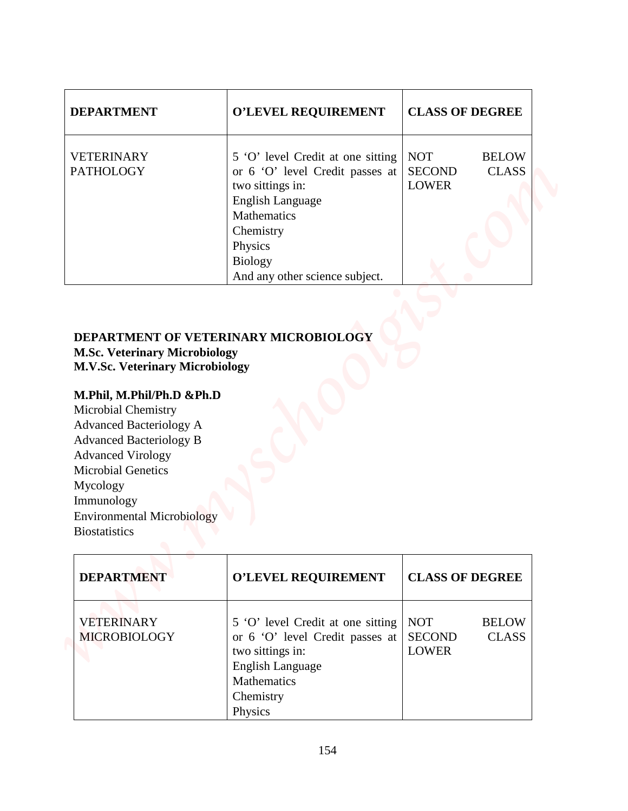| <b>DEPARTMENT</b>                                                                                                                                                                                                                                                                                              | <b>O'LEVEL REQUIREMENT</b>                                                                                                                                                                                     | <b>CLASS OF DEGREE</b>                                                      |
|----------------------------------------------------------------------------------------------------------------------------------------------------------------------------------------------------------------------------------------------------------------------------------------------------------------|----------------------------------------------------------------------------------------------------------------------------------------------------------------------------------------------------------------|-----------------------------------------------------------------------------|
| <b>VETERINARY</b><br><b>PATHOLOGY</b>                                                                                                                                                                                                                                                                          | 5 'O' level Credit at one sitting<br>or 6 'O' level Credit passes at<br>two sittings in:<br><b>English Language</b><br>Mathematics<br>Chemistry<br>Physics<br><b>Biology</b><br>And any other science subject. | <b>NOT</b><br><b>BELOW</b><br><b>SECOND</b><br><b>CLASS</b><br><b>LOWER</b> |
| <b>M.V.Sc. Veterinary Microbiology</b><br>M.Phil, M.Phil/Ph.D &Ph.D<br>Microbial Chemistry<br><b>Advanced Bacteriology A</b><br><b>Advanced Bacteriology B</b><br><b>Advanced Virology</b><br><b>Microbial Genetics</b><br>Mycology<br>Immunology<br><b>Environmental Microbiology</b><br><b>Biostatistics</b> |                                                                                                                                                                                                                |                                                                             |
| <b>DEPARTMENT</b>                                                                                                                                                                                                                                                                                              | O'LEVEL REQUIREMENT                                                                                                                                                                                            | <b>CLASS OF DEGREE</b>                                                      |
| <b>VETERINARY</b><br>MICROBIOLOGY                                                                                                                                                                                                                                                                              | 5 'O' level Credit at one sitting<br>or 6 'O' level Credit passes at                                                                                                                                           | <b>NOT</b><br><b>BELOW</b><br><b>SECOND</b><br><b>CLASS</b>                 |

## **DEPARTMENT OF VETERINARY MICROBIOLOGY**

## **M.Phil, M.Phil/Ph.D &Ph.D**

| <b>DEPARTMENT</b>                        | <b>O'LEVEL REQUIREMENT</b>                                                                                                                                        | <b>CLASS OF DEGREE</b>                                                      |
|------------------------------------------|-------------------------------------------------------------------------------------------------------------------------------------------------------------------|-----------------------------------------------------------------------------|
| <b>VETERINARY</b><br><b>MICROBIOLOGY</b> | 5 'O' level Credit at one sitting<br>or 6 'O' level Credit passes at<br>two sittings in:<br><b>English Language</b><br><b>Mathematics</b><br>Chemistry<br>Physics | <b>NOT</b><br><b>BELOW</b><br><b>SECOND</b><br><b>CLASS</b><br><b>LOWER</b> |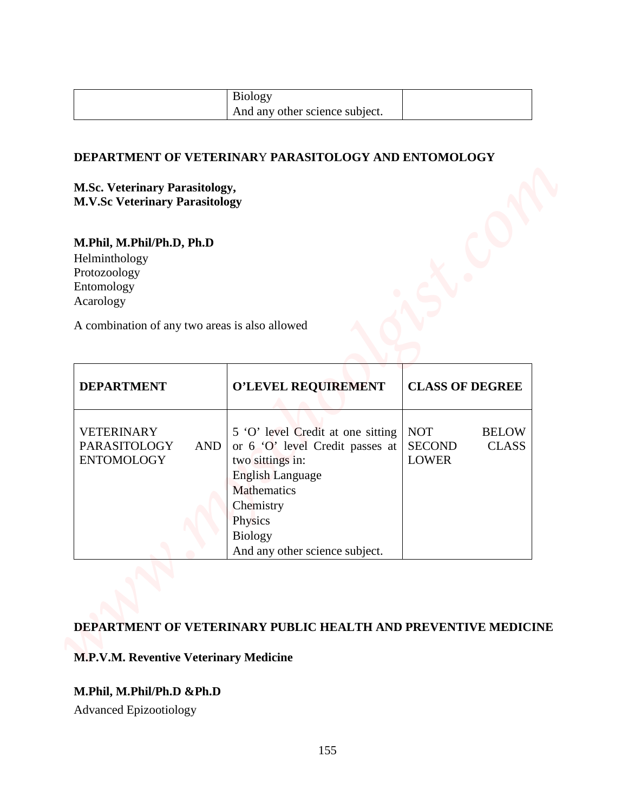| <b>Biology</b>                 |  |
|--------------------------------|--|
| And any other science subject. |  |

#### **DEPARTMENT OF VETERINAR**Y **PARASITOLOGY AND ENTOMOLOGY**

#### **M.Sc. Veterinary Parasitology, M.V.Sc Veterinary Parasitology**

# **M.Phil, M.Phil/Ph.D, Ph.D**

| And any other science subject.<br>DEPARTMENT OF VETERINARY PARASITOLOGY AND ENTOMOLOGY<br><b>O'LEVEL REQUIREMENT</b><br><b>CLASS OF DEGREE</b><br><b>DEPARTMENT</b><br>VETERINARY<br><b>NOT</b><br><b>BELOW</b><br>5 'O' level Credit at one sitting<br>PARASITOLOGY<br>or 6 'O' level Credit passes at<br><b>AND</b><br><b>SECOND</b><br><b>CLASS</b><br><b>ENTOMOLOGY</b><br>two sittings in:<br><b>LOWER</b><br><b>English Language</b><br><b>Mathematics</b><br>Chemistry<br>Physics<br><b>Biology</b><br>And any other science subject. |                                               |                                                                |
|----------------------------------------------------------------------------------------------------------------------------------------------------------------------------------------------------------------------------------------------------------------------------------------------------------------------------------------------------------------------------------------------------------------------------------------------------------------------------------------------------------------------------------------------|-----------------------------------------------|----------------------------------------------------------------|
|                                                                                                                                                                                                                                                                                                                                                                                                                                                                                                                                              |                                               |                                                                |
| <b>M.Sc. Veterinary Parasitology,</b><br><b>M.V.Sc Veterinary Parasitology</b>                                                                                                                                                                                                                                                                                                                                                                                                                                                               |                                               |                                                                |
| M.Phil, M.Phil/Ph.D, Ph.D                                                                                                                                                                                                                                                                                                                                                                                                                                                                                                                    |                                               |                                                                |
| Helminthology<br>Protozoology<br>Entomology<br>Acarology<br>A combination of any two areas is also allowed                                                                                                                                                                                                                                                                                                                                                                                                                                   |                                               |                                                                |
|                                                                                                                                                                                                                                                                                                                                                                                                                                                                                                                                              |                                               |                                                                |
|                                                                                                                                                                                                                                                                                                                                                                                                                                                                                                                                              |                                               |                                                                |
|                                                                                                                                                                                                                                                                                                                                                                                                                                                                                                                                              |                                               |                                                                |
|                                                                                                                                                                                                                                                                                                                                                                                                                                                                                                                                              |                                               |                                                                |
|                                                                                                                                                                                                                                                                                                                                                                                                                                                                                                                                              |                                               |                                                                |
|                                                                                                                                                                                                                                                                                                                                                                                                                                                                                                                                              |                                               |                                                                |
|                                                                                                                                                                                                                                                                                                                                                                                                                                                                                                                                              |                                               |                                                                |
|                                                                                                                                                                                                                                                                                                                                                                                                                                                                                                                                              |                                               |                                                                |
|                                                                                                                                                                                                                                                                                                                                                                                                                                                                                                                                              |                                               |                                                                |
|                                                                                                                                                                                                                                                                                                                                                                                                                                                                                                                                              |                                               |                                                                |
|                                                                                                                                                                                                                                                                                                                                                                                                                                                                                                                                              |                                               |                                                                |
|                                                                                                                                                                                                                                                                                                                                                                                                                                                                                                                                              |                                               |                                                                |
|                                                                                                                                                                                                                                                                                                                                                                                                                                                                                                                                              |                                               |                                                                |
|                                                                                                                                                                                                                                                                                                                                                                                                                                                                                                                                              |                                               |                                                                |
|                                                                                                                                                                                                                                                                                                                                                                                                                                                                                                                                              |                                               |                                                                |
|                                                                                                                                                                                                                                                                                                                                                                                                                                                                                                                                              |                                               |                                                                |
|                                                                                                                                                                                                                                                                                                                                                                                                                                                                                                                                              |                                               |                                                                |
|                                                                                                                                                                                                                                                                                                                                                                                                                                                                                                                                              | <b>M.P.V.M. Reventive Veterinary Medicine</b> | DEPARTMENT OF VETERINARY PUBLIC HEALTH AND PREVENTIVE MEDICINE |

### **DEPARTMENT OF VETERINARY PUBLIC HEALTH AND PREVENTIVE MEDICINE**

### **M.P.V.M. Reventive Veterinary Medicine**

### **M.Phil, M.Phil/Ph.D &Ph.D**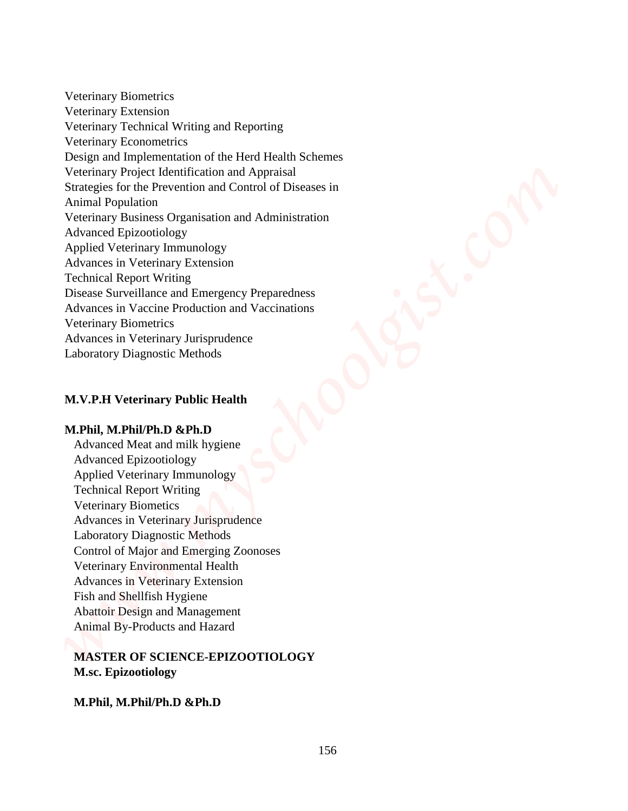Veterinary Biometrics Veterinary Extension Veterinary Technical Writing and Reporting Veterinary Econometrics Design and Implementation of the Herd Health Schemes Veterinary Project Identification and Appraisal Strategies for the Prevention and Control of Diseases in Animal Population Veterinary Business Organisation and Administration Advanced Epizootiology Applied Veterinary Immunology Advances in Veterinary Extension Technical Report Writing Disease Surveillance and Emergency Preparedness Advances in Vaccine Production and Vaccinations Veterinary Biometrics Advances in Veterinary Jurisprudence Laboratory Diagnostic Methods **Meximizy Bionectrics**<br> **Meximizy Technical Writing and Reporting Actional Method Schemes Method Schemes Method Schemes Mexican Method Schemes Mexican Schemes Seguentiation and Application and Application and Application a** 

#### **M.V.P.H Veterinary Public Health**

#### **M.Phil, M.Phil/Ph.D &Ph.D**

Advanced Meat and milk hygiene Advanced Epizootiology Applied Veterinary Immunology Technical Report Writing Veterinary Biometics Advances in Veterinary Jurisprudence Laboratory Diagnostic Methods Control of Major and Emerging Zoonoses Veterinary Environmental Health Advances in Veterinary Extension Fish and Shellfish Hygiene Abattoir Design and Management Animal By-Products and Hazard

#### **MASTER OF SCIENCE-EPIZOOTIOLOGY M.sc. Epizootiology**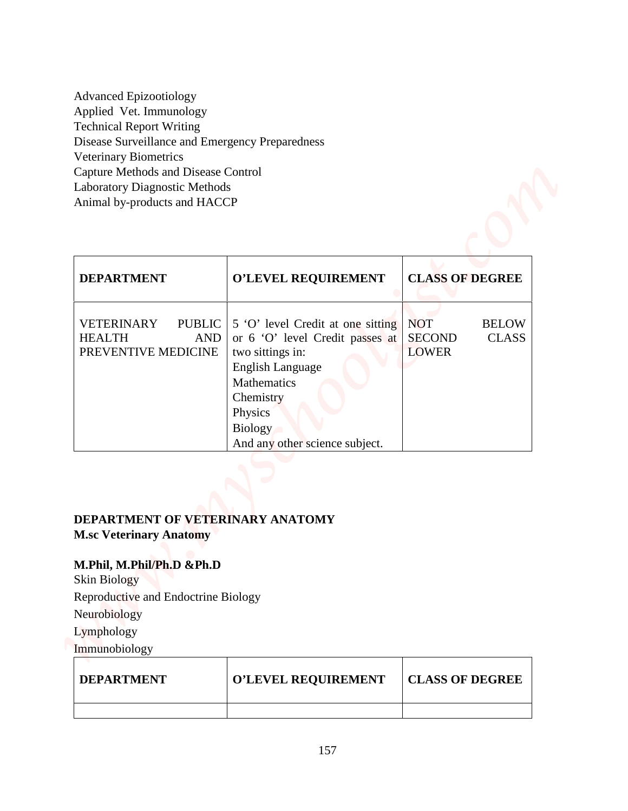| <b>Advanced Epizootiology</b>                   |
|-------------------------------------------------|
| Applied Vet. Immunology                         |
| <b>Technical Report Writing</b>                 |
| Disease Surveillance and Emergency Preparedness |
| <b>Veterinary Biometrics</b>                    |
| Capture Methods and Disease Control             |
| <b>Laboratory Diagnostic Methods</b>            |
| Animal by-products and HACCP                    |

| <b>Advanced Epizootiology</b><br>Applied Vet. Immunology                          |                                                                                                                                                                                                                |                                                                             |
|-----------------------------------------------------------------------------------|----------------------------------------------------------------------------------------------------------------------------------------------------------------------------------------------------------------|-----------------------------------------------------------------------------|
| <b>Technical Report Writing</b>                                                   |                                                                                                                                                                                                                |                                                                             |
| Disease Surveillance and Emergency Preparedness                                   |                                                                                                                                                                                                                |                                                                             |
| Veterinary Biometrics                                                             |                                                                                                                                                                                                                |                                                                             |
| <b>Capture Methods and Disease Control</b>                                        |                                                                                                                                                                                                                |                                                                             |
| Laboratory Diagnostic Methods<br>Animal by-products and HACCP                     |                                                                                                                                                                                                                |                                                                             |
|                                                                                   |                                                                                                                                                                                                                |                                                                             |
| <b>DEPARTMENT</b>                                                                 | O'LEVEL REQUIREMENT                                                                                                                                                                                            | <b>CLASS OF DEGREE</b>                                                      |
| <b>VETERINARY</b><br><b>PUBLIC</b><br><b>HEALTH</b><br>AND<br>PREVENTIVE MEDICINE | 5 'O' level Credit at one sitting<br>or 6 'O' level Credit passes at<br>two sittings in:<br><b>English Language</b><br>Mathematics<br>Chemistry<br>Physics<br><b>Biology</b><br>And any other science subject. | <b>NOT</b><br><b>BELOW</b><br><b>SECOND</b><br><b>CLASS</b><br><b>LOWER</b> |
| DEPARTMENT OF VETERINARY ANATOMY<br><b>M.sc Veterinary Anatomy</b>                |                                                                                                                                                                                                                |                                                                             |
| M.Phil, M.Phil/Ph.D &Ph.D<br><b>Skin Biology</b>                                  |                                                                                                                                                                                                                |                                                                             |
| Reproductive and Endoctrine Biology                                               |                                                                                                                                                                                                                |                                                                             |
| Neurobiology                                                                      |                                                                                                                                                                                                                |                                                                             |
| Lymphology                                                                        |                                                                                                                                                                                                                |                                                                             |
| Immunobiology                                                                     |                                                                                                                                                                                                                |                                                                             |
| <b>DEPARTMENT</b>                                                                 | O'LEVEL REQUIREMENT                                                                                                                                                                                            | <b>CLASS OF DEGREE</b>                                                      |

## **DEPARTMENT OF VETERINARY ANATOMY**

## **M.Phil, M.Phil/Ph.D &Ph.D**

| <b>DEPARTMENT</b> | <b>O'LEVEL REQUIREMENT</b> | <b>CLASS OF DEGREE</b> |
|-------------------|----------------------------|------------------------|
|                   |                            |                        |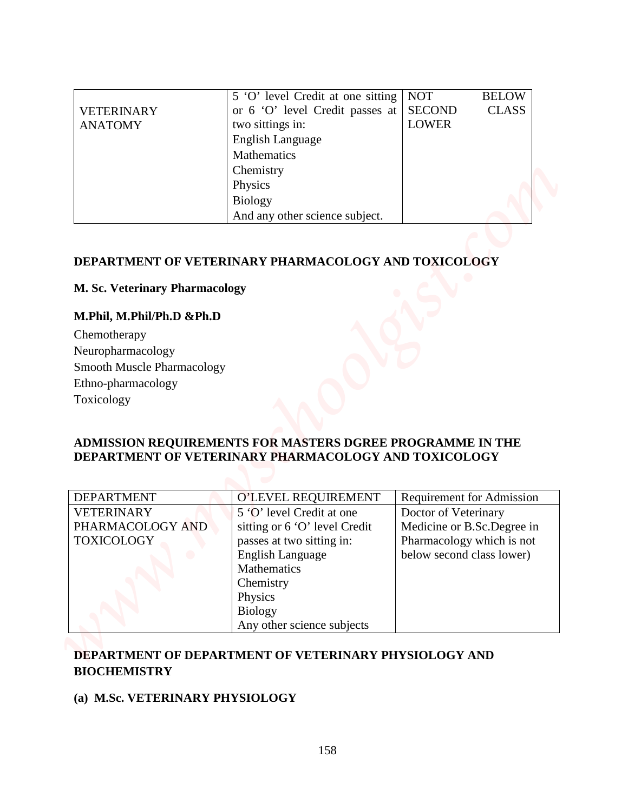|                   | 5 'O' level Credit at one sitting | <b>NOT</b>    | <b>BELOW</b> |
|-------------------|-----------------------------------|---------------|--------------|
| <b>VETERINARY</b> | or 6 'O' level Credit passes at   | <b>SECOND</b> | <b>CLASS</b> |
| <b>ANATOMY</b>    | two sittings in:                  | <b>LOWER</b>  |              |
|                   | <b>English Language</b>           |               |              |
|                   | Mathematics                       |               |              |
|                   | Chemistry                         |               |              |
|                   | Physics                           |               |              |
|                   | <b>Biology</b>                    |               |              |
|                   | And any other science subject.    |               |              |

### **DEPARTMENT OF VETERINARY PHARMACOLOGY AND TOXICOLOGY**

#### **M. Sc. Veterinary Pharmacology**

#### **M.Phil, M.Phil/Ph.D &Ph.D**

| Chemotherapy                      |
|-----------------------------------|
| Neuropharmacology                 |
| <b>Smooth Muscle Pharmacology</b> |
| Ethno-pharmacology                |
| Toxicology                        |

#### **ADMISSION REQUIREMENTS FOR MASTERS DGREE PROGRAMME IN THE DEPARTMENT OF VETERINARY PHARMACOLOGY AND TOXICOLOGY**

|                                  | 5 'O' level Credit at one sitting                                                                                 | <b>NOT</b>                    | <b>BELOW</b>                     |
|----------------------------------|-------------------------------------------------------------------------------------------------------------------|-------------------------------|----------------------------------|
| <b>VETERINARY</b>                | or 6 'O' level Credit passes at                                                                                   | <b>SECOND</b><br><b>LOWER</b> | <b>CLASS</b>                     |
| <b>ANATOMY</b>                   | two sittings in:<br>English Language                                                                              |                               |                                  |
|                                  | <b>Mathematics</b>                                                                                                |                               |                                  |
|                                  | Chemistry                                                                                                         |                               |                                  |
|                                  | Physics                                                                                                           |                               |                                  |
|                                  | <b>Biology</b>                                                                                                    |                               |                                  |
|                                  | And any other science subject.                                                                                    |                               |                                  |
|                                  |                                                                                                                   |                               |                                  |
|                                  | DEPARTMENT OF VETERINARY PHARMACOLOGY AND TOXICOLOGY                                                              |                               |                                  |
|                                  |                                                                                                                   |                               |                                  |
| M. Sc. Veterinary Pharmacology   |                                                                                                                   |                               |                                  |
| M.Phil, M.Phil/Ph.D &Ph.D        |                                                                                                                   |                               |                                  |
| Chemotherapy                     |                                                                                                                   |                               |                                  |
| Neuropharmacology                |                                                                                                                   |                               |                                  |
| Smooth Muscle Pharmacology       |                                                                                                                   |                               |                                  |
|                                  |                                                                                                                   |                               |                                  |
|                                  |                                                                                                                   |                               |                                  |
|                                  |                                                                                                                   |                               |                                  |
|                                  |                                                                                                                   |                               |                                  |
| Ethno-pharmacology<br>Toxicology | ADMISSION REQUIREMENTS FOR MASTERS DGREE PROGRAMME IN THE<br>DEPARTMENT OF VETERINARY PHARMACOLOGY AND TOXICOLOGY |                               |                                  |
| <b>DEPARTMENT</b>                |                                                                                                                   |                               |                                  |
| <b>VETERINARY</b>                | O'LEVEL REQUIREMENT<br>5 'O' level Credit at one                                                                  | Doctor of Veterinary          | <b>Requirement for Admission</b> |
| PHARMACOLOGY AND                 | sitting or 6 'O' level Credit                                                                                     |                               | Medicine or B.Sc.Degree in       |
|                                  | passes at two sitting in:                                                                                         |                               | Pharmacology which is not        |
|                                  | English Language                                                                                                  | below second class lower)     |                                  |
|                                  | Mathematics                                                                                                       |                               |                                  |
|                                  | Chemistry<br>Physics                                                                                              |                               |                                  |
| <b>TOXICOLOGY</b>                | <b>Biology</b><br>Any other science subjects                                                                      |                               |                                  |

## **DEPARTMENT OF DEPARTMENT OF VETERINARY PHYSIOLOGY AND BIOCHEMISTRY**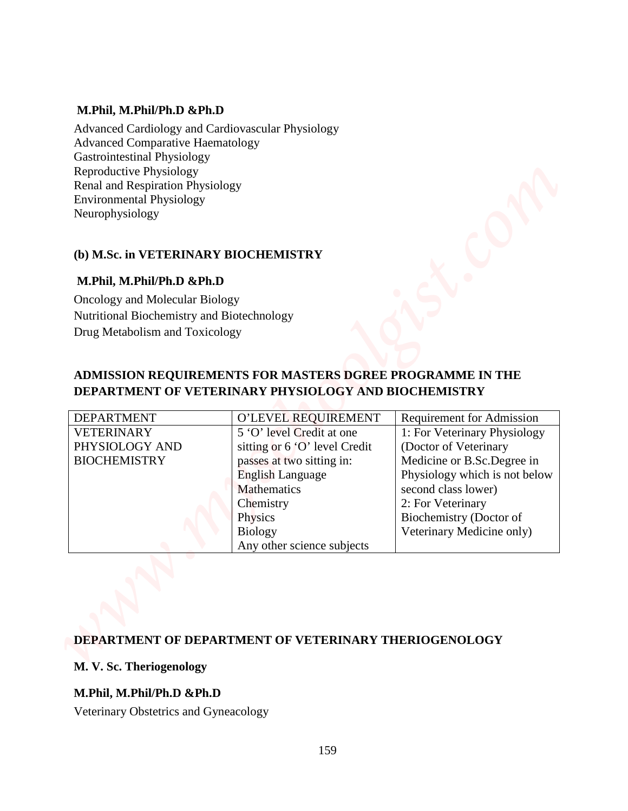#### **M.Phil, M.Phil/Ph.D &Ph.D**

#### **(b) M.Sc. in VETERINARY BIOCHEMISTRY**

#### **M.Phil, M.Phil/Ph.D &Ph.D**

## **ADMISSION REQUIREMENTS FOR MASTERS DGREE PROGRAMME IN THE DEPARTMENT OF VETERINARY PHYSIOLOGY AND BIOCHEMISTRY**

| M.Phil, M.Phil/Ph.D &Ph.D<br>Advanced Cardiology and Cardiovascular Physiology<br><b>Advanced Comparative Haematology</b><br><b>Gastrointestinal Physiology</b><br>Reproductive Physiology<br>Renal and Respiration Physiology<br><b>Environmental Physiology</b><br>Neurophysiology<br>(b) M.Sc. in VETERINARY BIOCHEMISTRY<br>M.Phil, M.Phil/Ph.D &Ph.D<br>Oncology and Molecular Biology<br>Nutritional Biochemistry and Biotechnology<br>Drug Metabolism and Toxicology<br>ADMISSION REQUIREMENTS FOR MASTERS DGREE PROGRAMME IN THE<br>DEPARTMENT OF VETERINARY PHYSIOLOGY AND BIOCHEMISTRY<br><b>DEPARTMENT</b><br>O'LEVEL REQUIREMENT<br><b>Requirement for Admission</b><br>5 O' level Credit at one<br>1: For Veterinary Physiology<br>VETERINARY<br>PHYSIOLOGY AND<br>sitting or $6'0'$ level Credit<br>(Doctor of Veterinary<br><b>BIOCHEMISTRY</b><br>passes at two sitting in:<br>Medicine or B.Sc.Degree in<br><b>English Language</b><br>Physiology which is not below<br><b>Mathematics</b><br>second class lower)<br>Chemistry<br>2: For Veterinary<br>Physics |  |                         |
|---------------------------------------------------------------------------------------------------------------------------------------------------------------------------------------------------------------------------------------------------------------------------------------------------------------------------------------------------------------------------------------------------------------------------------------------------------------------------------------------------------------------------------------------------------------------------------------------------------------------------------------------------------------------------------------------------------------------------------------------------------------------------------------------------------------------------------------------------------------------------------------------------------------------------------------------------------------------------------------------------------------------------------------------------------------------------------|--|-------------------------|
|                                                                                                                                                                                                                                                                                                                                                                                                                                                                                                                                                                                                                                                                                                                                                                                                                                                                                                                                                                                                                                                                                 |  |                         |
|                                                                                                                                                                                                                                                                                                                                                                                                                                                                                                                                                                                                                                                                                                                                                                                                                                                                                                                                                                                                                                                                                 |  |                         |
|                                                                                                                                                                                                                                                                                                                                                                                                                                                                                                                                                                                                                                                                                                                                                                                                                                                                                                                                                                                                                                                                                 |  |                         |
|                                                                                                                                                                                                                                                                                                                                                                                                                                                                                                                                                                                                                                                                                                                                                                                                                                                                                                                                                                                                                                                                                 |  |                         |
|                                                                                                                                                                                                                                                                                                                                                                                                                                                                                                                                                                                                                                                                                                                                                                                                                                                                                                                                                                                                                                                                                 |  |                         |
|                                                                                                                                                                                                                                                                                                                                                                                                                                                                                                                                                                                                                                                                                                                                                                                                                                                                                                                                                                                                                                                                                 |  |                         |
|                                                                                                                                                                                                                                                                                                                                                                                                                                                                                                                                                                                                                                                                                                                                                                                                                                                                                                                                                                                                                                                                                 |  |                         |
|                                                                                                                                                                                                                                                                                                                                                                                                                                                                                                                                                                                                                                                                                                                                                                                                                                                                                                                                                                                                                                                                                 |  |                         |
|                                                                                                                                                                                                                                                                                                                                                                                                                                                                                                                                                                                                                                                                                                                                                                                                                                                                                                                                                                                                                                                                                 |  |                         |
|                                                                                                                                                                                                                                                                                                                                                                                                                                                                                                                                                                                                                                                                                                                                                                                                                                                                                                                                                                                                                                                                                 |  |                         |
|                                                                                                                                                                                                                                                                                                                                                                                                                                                                                                                                                                                                                                                                                                                                                                                                                                                                                                                                                                                                                                                                                 |  |                         |
|                                                                                                                                                                                                                                                                                                                                                                                                                                                                                                                                                                                                                                                                                                                                                                                                                                                                                                                                                                                                                                                                                 |  |                         |
|                                                                                                                                                                                                                                                                                                                                                                                                                                                                                                                                                                                                                                                                                                                                                                                                                                                                                                                                                                                                                                                                                 |  |                         |
|                                                                                                                                                                                                                                                                                                                                                                                                                                                                                                                                                                                                                                                                                                                                                                                                                                                                                                                                                                                                                                                                                 |  |                         |
|                                                                                                                                                                                                                                                                                                                                                                                                                                                                                                                                                                                                                                                                                                                                                                                                                                                                                                                                                                                                                                                                                 |  |                         |
| Veterinary Medicine only)<br><b>Biology</b><br>Any other science subjects                                                                                                                                                                                                                                                                                                                                                                                                                                                                                                                                                                                                                                                                                                                                                                                                                                                                                                                                                                                                       |  | Biochemistry (Doctor of |
|                                                                                                                                                                                                                                                                                                                                                                                                                                                                                                                                                                                                                                                                                                                                                                                                                                                                                                                                                                                                                                                                                 |  |                         |
| <b>DEPARTMENT OF DEPARTMENT OF VETERINARY THERIOGENOLOGY</b>                                                                                                                                                                                                                                                                                                                                                                                                                                                                                                                                                                                                                                                                                                                                                                                                                                                                                                                                                                                                                    |  |                         |
| M. V. Sc. Theriogenology                                                                                                                                                                                                                                                                                                                                                                                                                                                                                                                                                                                                                                                                                                                                                                                                                                                                                                                                                                                                                                                        |  |                         |

### **DEPARTMENT OF DEPARTMENT OF VETERINARY THERIOGENOLOGY**

#### **M. V. Sc. Theriogenology**

### **M.Phil, M.Phil/Ph.D &Ph.D**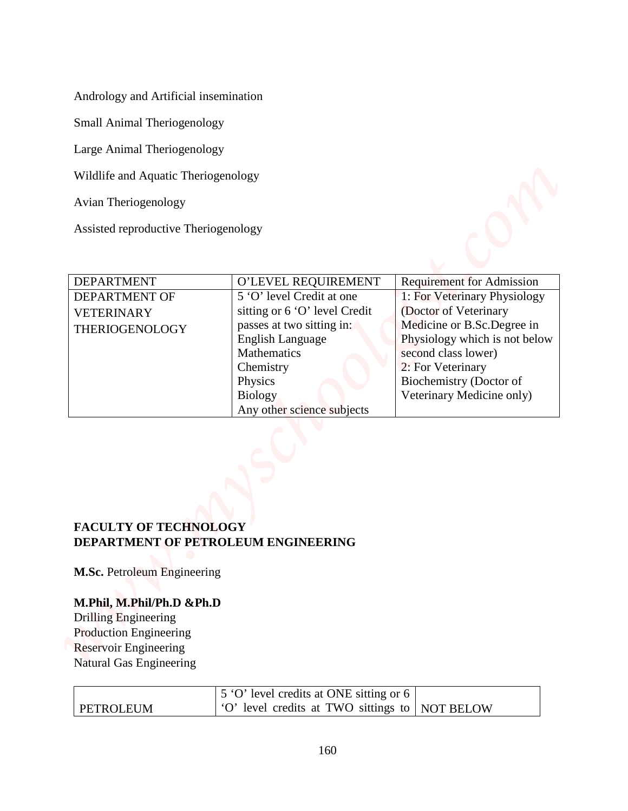| Andrology and Artificial insemination<br>Small Animal Theriogenology<br>Large Animal Theriogenology<br>Wildlife and Aquatic Theriogenology |  |
|--------------------------------------------------------------------------------------------------------------------------------------------|--|
|                                                                                                                                            |  |
|                                                                                                                                            |  |
|                                                                                                                                            |  |
|                                                                                                                                            |  |
|                                                                                                                                            |  |
|                                                                                                                                            |  |
| Avian Theriogenology                                                                                                                       |  |
| Assisted reproductive Theriogenology                                                                                                       |  |
| <b>DEPARTMENT</b><br>O'LEVEL REQUIREMENT<br><b>Requirement for Admission</b>                                                               |  |
| 5 'O' level Credit at one<br><b>DEPARTMENT OF</b><br>1: For Veterinary Physiology                                                          |  |
| (Doctor of Veterinary<br>sitting or 6 'O' level Credit<br><b>VETERINARY</b>                                                                |  |
| Medicine or B.Sc.Degree in<br>passes at two sitting in:<br>THERIOGENOLOGY                                                                  |  |
| <b>English Language</b><br>Physiology which is not below<br>Mathematics<br>second class lower)                                             |  |
| 2: For Veterinary<br>Chemistry                                                                                                             |  |
| Biochemistry (Doctor of<br>Physics                                                                                                         |  |
| Veterinary Medicine only)<br><b>Biology</b>                                                                                                |  |
| Any other science subjects                                                                                                                 |  |
| <b>FACULTY OF TECHNOLOGY</b><br>DEPARTMENT OF PETROLEUM ENGINEERING                                                                        |  |
| M.Sc. Petroleum Engineering                                                                                                                |  |
| M.Phil, M.Phil/Ph.D &Ph.D                                                                                                                  |  |
| Drilling Engineering                                                                                                                       |  |
| <b>Production Engineering</b>                                                                                                              |  |
| <b>Reservoir Engineering</b>                                                                                                               |  |
| Natural Gas Engineering                                                                                                                    |  |
| 5 'O' level credits at ONE sitting or 6                                                                                                    |  |
| 'O' level credits at TWO sittings to   NOT BELOW<br><b>PETROLEUM</b>                                                                       |  |

## **FACULTY OF TECHNOLOGY DEPARTMENT OF PETROLEUM ENGINEERING**

#### **M.Phil, M.Phil/Ph.D &Ph.D**

|                  | $\vert$ 5 'O' level credits at ONE sitting or 6 $\vert$        |  |
|------------------|----------------------------------------------------------------|--|
| <b>PETROLEUM</b> | $\vert$ 'O' level credits at TWO sittings to $\vert$ NOT BELOW |  |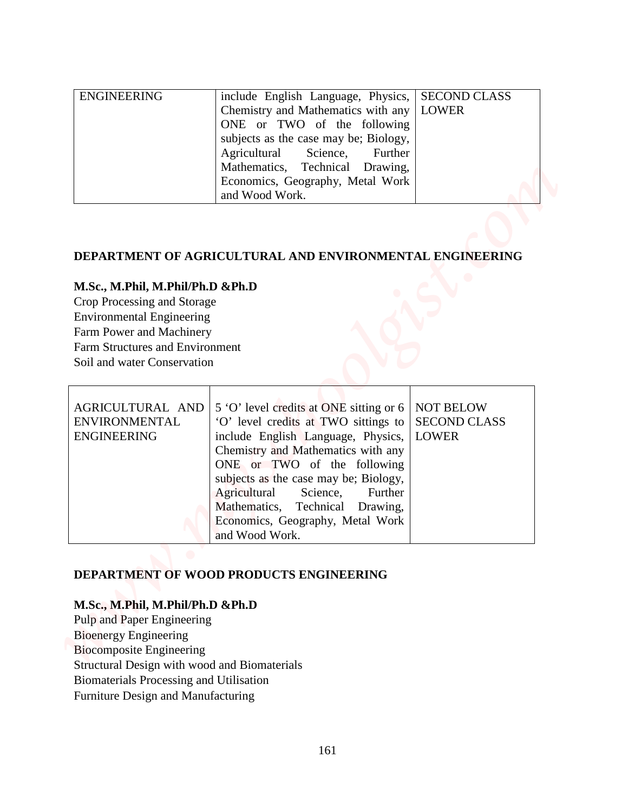| <b>ENGINEERING</b> | include English Language, Physics,   SECOND CLASS |  |
|--------------------|---------------------------------------------------|--|
|                    | Chemistry and Mathematics with any   LOWER        |  |
|                    | ONE or TWO of the following                       |  |
|                    | subjects as the case may be; Biology,             |  |
|                    | Agricultural Science, Further                     |  |
|                    | Mathematics, Technical Drawing,                   |  |
|                    | Economics, Geography, Metal Work                  |  |
|                    | and Wood Work.                                    |  |

#### **DEPARTMENT OF AGRICULTURAL AND ENVIRONMENTAL ENGINEERING**

#### **M.Sc., M.Phil, M.Phil/Ph.D &Ph.D**

|                                                                                                                                                                                                          | ONE or TWO of the following<br>subjects as the case may be; Biology,<br>Agricultural<br>Science,<br>Further<br>Technical<br>Mathematics,<br>Drawing,<br>Economics, Geography, Metal Work<br>and Wood Work.                                                                                                                                        |                                                         |
|----------------------------------------------------------------------------------------------------------------------------------------------------------------------------------------------------------|---------------------------------------------------------------------------------------------------------------------------------------------------------------------------------------------------------------------------------------------------------------------------------------------------------------------------------------------------|---------------------------------------------------------|
| M.Sc., M.Phil, M.Phil/Ph.D &Ph.D<br>Crop Processing and Storage<br><b>Environmental Engineering</b><br>Farm Power and Machinery<br><b>Farm Structures and Environment</b><br>Soil and water Conservation | DEPARTMENT OF AGRICULTURAL AND ENVIRONMENTAL ENGINEERING                                                                                                                                                                                                                                                                                          |                                                         |
| AGRICULTURAL AND<br><b>ENVIRONMENTAL</b><br><b>ENGINEERING</b>                                                                                                                                           | 5 'O' level credits at ONE sitting or 6<br>'O' level credits at TWO sittings to<br>include English Language, Physics,<br>Chemistry and Mathematics with any<br>ONE or TWO of the following<br>subjects as the case may be; Biology,<br>Agricultural<br>Science,<br>Further<br>Mathematics, Technical Drawing,<br>Economics, Geography, Metal Work | <b>NOT BELOW</b><br><b>SECOND CLASS</b><br><b>LOWER</b> |

### **DEPARTMENT OF WOOD PRODUCTS ENGINEERING**

#### **M.Sc., M.Phil, M.Phil/Ph.D &Ph.D**

Pulp and Paper Engineering Bioenergy Engineering Biocomposite Engineering Structural Design with wood and Biomaterials Biomaterials Processing and Utilisation Furniture Design and Manufacturing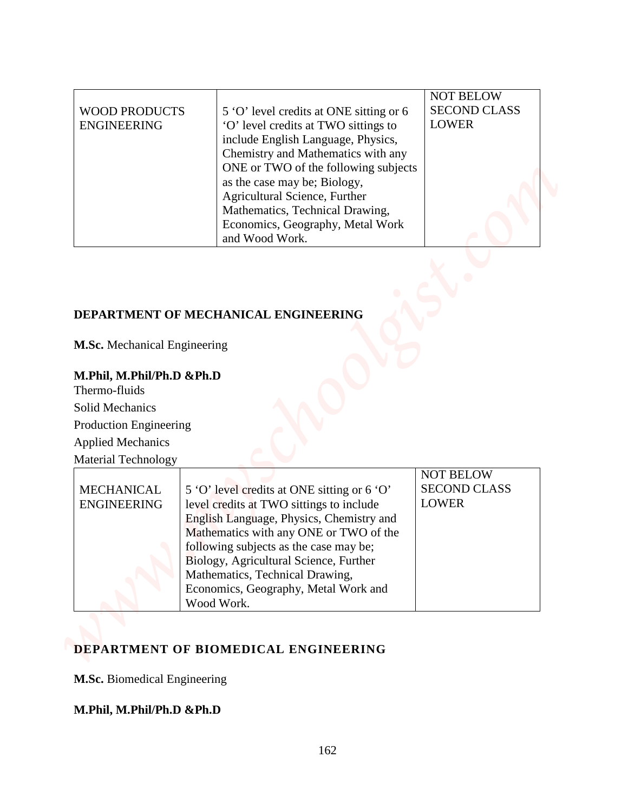| <b>WOOD PRODUCTS</b><br><b>ENGINEERING</b>                                                                                                                                                                                                 | 5 'O' level credits at ONE sitting or 6<br>'O' level credits at TWO sittings to<br>include English Language, Physics,<br>Chemistry and Mathematics with any                                                                                                                                          | <b>NOT BELOW</b><br><b>SECOND CLASS</b><br><b>LOWER</b> |
|--------------------------------------------------------------------------------------------------------------------------------------------------------------------------------------------------------------------------------------------|------------------------------------------------------------------------------------------------------------------------------------------------------------------------------------------------------------------------------------------------------------------------------------------------------|---------------------------------------------------------|
|                                                                                                                                                                                                                                            | ONE or TWO of the following subjects<br>as the case may be; Biology,<br>Agricultural Science, Further<br>Mathematics, Technical Drawing,<br>Economics, Geography, Metal Work<br>and Wood Work.                                                                                                       |                                                         |
|                                                                                                                                                                                                                                            | DEPARTMENT OF MECHANICAL ENGINEERING                                                                                                                                                                                                                                                                 |                                                         |
|                                                                                                                                                                                                                                            |                                                                                                                                                                                                                                                                                                      |                                                         |
| <b>M.Sc.</b> Mechanical Engineering<br>M.Phil, M.Phil/Ph.D &Ph.D<br>Thermo-fluids<br><b>Solid Mechanics</b><br><b>Production Engineering</b><br><b>Applied Mechanics</b><br><b>Material Technology</b><br>MECHANICAL<br><b>ENGINEERING</b> | 5 'O' level credits at ONE sitting or 6 'O'<br>level credits at TWO sittings to include<br>English Language, Physics, Chemistry and<br>Mathematics with any ONE or TWO of the<br>following subjects as the case may be;<br>Biology, Agricultural Science, Further<br>Mathematics, Technical Drawing, | <b>NOT BELOW</b><br><b>SECOND CLASS</b><br><b>LOWER</b> |

## **DEPARTMENT OF MECHANICAL ENGINEERING**

## **M.Phil, M.Phil/Ph.D &Ph.D**

|                    |                                             | <b>NOT BELOW</b>    |
|--------------------|---------------------------------------------|---------------------|
| <b>MECHANICAL</b>  | 5 'O' level credits at ONE sitting or 6 'O' | <b>SECOND CLASS</b> |
| <b>ENGINEERING</b> | level credits at TWO sittings to include    | <b>LOWER</b>        |
|                    | English Language, Physics, Chemistry and    |                     |
|                    | Mathematics with any ONE or TWO of the      |                     |
|                    | following subjects as the case may be;      |                     |
|                    | Biology, Agricultural Science, Further      |                     |
|                    | Mathematics, Technical Drawing,             |                     |
|                    | Economics, Geography, Metal Work and        |                     |
|                    | Wood Work.                                  |                     |

## **DEPARTMENT OF BIOMEDICAL ENGINEERING**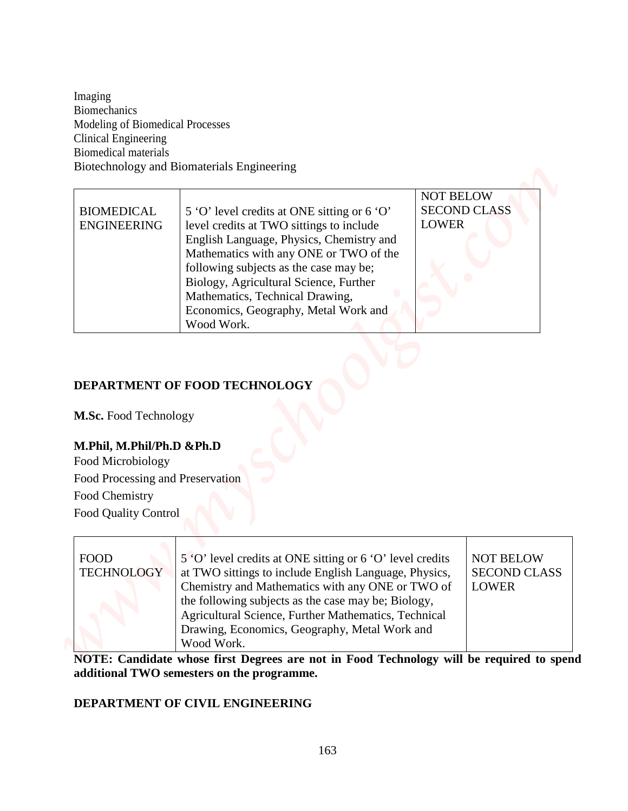| Imaging<br><b>Biomechanics</b><br>Modeling of Biomedical Processes                                                                                           |                                                                                                                    |                                         |  |
|--------------------------------------------------------------------------------------------------------------------------------------------------------------|--------------------------------------------------------------------------------------------------------------------|-----------------------------------------|--|
|                                                                                                                                                              |                                                                                                                    |                                         |  |
|                                                                                                                                                              |                                                                                                                    |                                         |  |
| <b>Clinical Engineering</b>                                                                                                                                  |                                                                                                                    |                                         |  |
| <b>Biomedical materials</b>                                                                                                                                  | Biotechnology and Biomaterials Engineering                                                                         |                                         |  |
|                                                                                                                                                              |                                                                                                                    |                                         |  |
| <b>BIOMEDICAL</b>                                                                                                                                            |                                                                                                                    | <b>NOT BELOW</b><br><b>SECOND CLASS</b> |  |
| <b>ENGINEERING</b>                                                                                                                                           | 5 'O' level credits at ONE sitting or 6 'O'<br><b>LOWER</b><br>level credits at TWO sittings to include            |                                         |  |
|                                                                                                                                                              | English Language, Physics, Chemistry and                                                                           |                                         |  |
|                                                                                                                                                              | Mathematics with any ONE or TWO of the<br>following subjects as the case may be;                                   |                                         |  |
|                                                                                                                                                              | Biology, Agricultural Science, Further                                                                             |                                         |  |
|                                                                                                                                                              | Mathematics, Technical Drawing,<br>Economics, Geography, Metal Work and                                            |                                         |  |
|                                                                                                                                                              |                                                                                                                    |                                         |  |
|                                                                                                                                                              | Wood Work.                                                                                                         |                                         |  |
|                                                                                                                                                              | DEPARTMENT OF FOOD TECHNOLOGY                                                                                      |                                         |  |
|                                                                                                                                                              |                                                                                                                    |                                         |  |
|                                                                                                                                                              |                                                                                                                    |                                         |  |
|                                                                                                                                                              |                                                                                                                    |                                         |  |
|                                                                                                                                                              |                                                                                                                    |                                         |  |
|                                                                                                                                                              |                                                                                                                    |                                         |  |
|                                                                                                                                                              |                                                                                                                    |                                         |  |
| M.Sc. Food Technology<br>M.Phil, M.Phil/Ph.D &Ph.D<br>Food Microbiology<br>Food Processing and Preservation<br>Food Chemistry<br><b>Food Quality Control</b> |                                                                                                                    |                                         |  |
| <b>FOOD</b><br><b>TECHNOLOGY</b>                                                                                                                             | 5 'O' level credits at ONE sitting or 6 'O' level credits<br>at TWO sittings to include English Language, Physics, | <b>NOT BELOW</b><br><b>SECOND CLASS</b> |  |
|                                                                                                                                                              | Chemistry and Mathematics with any ONE or TWO of                                                                   | <b>LOWER</b>                            |  |
|                                                                                                                                                              | the following subjects as the case may be; Biology,                                                                |                                         |  |
|                                                                                                                                                              | Agricultural Science, Further Mathematics, Technical<br>Drawing, Economics, Geography, Metal Work and              |                                         |  |

## **DEPARTMENT OF FOOD TECHNOLOGY**

## **M.Phil, M.Phil/Ph.D &Ph.D**

| <b>NOT BELOW</b><br>5 'O' level credits at ONE sitting or 6 'O' level credits<br><b>FOOD</b><br><b>TECHNOLOGY</b><br><b>SECOND CLASS</b><br>at TWO sittings to include English Language, Physics,<br>Chemistry and Mathematics with any ONE or TWO of<br><b>LOWER</b><br>the following subjects as the case may be; Biology,<br>Agricultural Science, Further Mathematics, Technical<br>Drawing, Economics, Geography, Metal Work and<br>Wood Work. |
|-----------------------------------------------------------------------------------------------------------------------------------------------------------------------------------------------------------------------------------------------------------------------------------------------------------------------------------------------------------------------------------------------------------------------------------------------------|
|-----------------------------------------------------------------------------------------------------------------------------------------------------------------------------------------------------------------------------------------------------------------------------------------------------------------------------------------------------------------------------------------------------------------------------------------------------|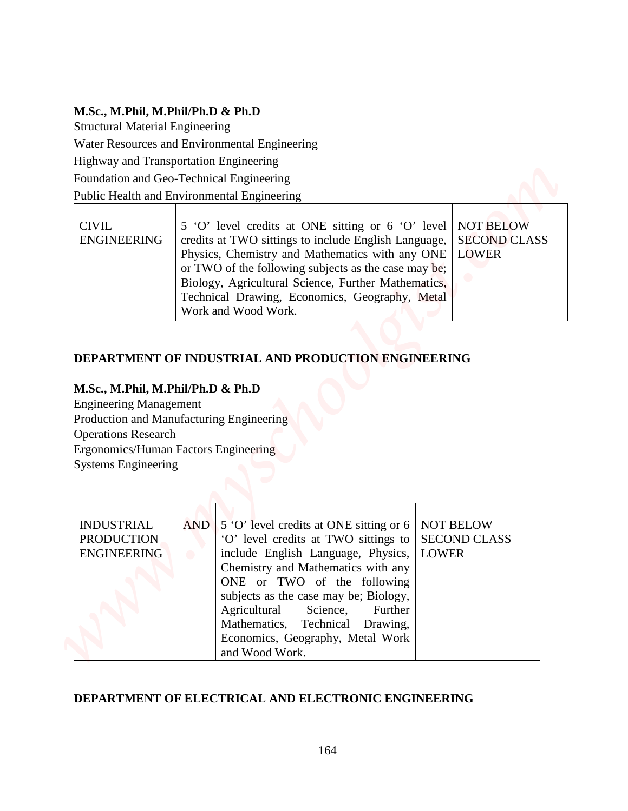## **M.Sc., M.Phil, M.Phil/Ph.D & Ph.D**

| <b>CIVIL</b>       | 5 'O' level credits at ONE sitting or 6 'O' level   NOT BELOW     |  |
|--------------------|-------------------------------------------------------------------|--|
| <b>ENGINEERING</b> | credits at TWO sittings to include English Language, SECOND CLASS |  |
|                    | Physics, Chemistry and Mathematics with any ONE   LOWER           |  |
|                    | or TWO of the following subjects as the case may be;              |  |
|                    | Biology, Agricultural Science, Further Mathematics,               |  |
|                    | Technical Drawing, Economics, Geography, Metal                    |  |
|                    | Work and Wood Work.                                               |  |

## **DEPARTMENT OF INDUSTRIAL AND PRODUCTION ENGINEERING**

### **M.Sc., M.Phil, M.Phil/Ph.D & Ph.D**

| M.Sc., M.Phil, M.Phil/Ph.D & Ph.D                                                                                                                                                                                  |                  |                                                                                                                                                                                                                                                                             |                                                         |
|--------------------------------------------------------------------------------------------------------------------------------------------------------------------------------------------------------------------|------------------|-----------------------------------------------------------------------------------------------------------------------------------------------------------------------------------------------------------------------------------------------------------------------------|---------------------------------------------------------|
| <b>Structural Material Engineering</b>                                                                                                                                                                             |                  |                                                                                                                                                                                                                                                                             |                                                         |
|                                                                                                                                                                                                                    |                  | Water Resources and Environmental Engineering                                                                                                                                                                                                                               |                                                         |
| Highway and Transportation Engineering                                                                                                                                                                             |                  |                                                                                                                                                                                                                                                                             |                                                         |
| Foundation and Geo-Technical Engineering                                                                                                                                                                           |                  |                                                                                                                                                                                                                                                                             |                                                         |
| Public Health and Environmental Engineering                                                                                                                                                                        |                  |                                                                                                                                                                                                                                                                             |                                                         |
| <b>CIVIL</b><br><b>ENGINEERING</b>                                                                                                                                                                                 |                  | 5 'O' level credits at ONE sitting or 6 'O' level<br>credits at TWO sittings to include English Language,<br>Physics, Chemistry and Mathematics with any ONE<br>or TWO of the following subjects as the case may be;<br>Biology, Agricultural Science, Further Mathematics, | <b>NOT BELOW</b><br><b>SECOND CLASS</b><br><b>LOWER</b> |
|                                                                                                                                                                                                                    |                  | Technical Drawing, Economics, Geography, Metal<br>Work and Wood Work.<br>DEPARTMENT OF INDUSTRIAL AND PRODUCTION ENGINEERING                                                                                                                                                |                                                         |
| M.Sc., M.Phil, M.Phil/Ph.D & Ph.D<br><b>Engineering Management</b><br>Production and Manufacturing Engineering<br><b>Operations Research</b><br>Ergonomics/Human Factors Engineering<br><b>Systems Engineering</b> |                  |                                                                                                                                                                                                                                                                             |                                                         |
|                                                                                                                                                                                                                    |                  |                                                                                                                                                                                                                                                                             |                                                         |
| <b>INDUSTRIAL</b><br><b>PRODUCTION</b><br><b>ENGINEERING</b>                                                                                                                                                       | AND<br>$\bullet$ | 5 °O' level credits at ONE sitting or 6<br>'O' level credits at TWO sittings to<br>include English Language, Physics,<br>Chemistry and Mathematics with any<br>ONE or TWO of the following<br>subjects as the case may be; Biology,<br>Agricultural<br>Science,<br>Further  | <b>NOT BELOW</b><br><b>SECOND CLASS</b><br><b>LOWER</b> |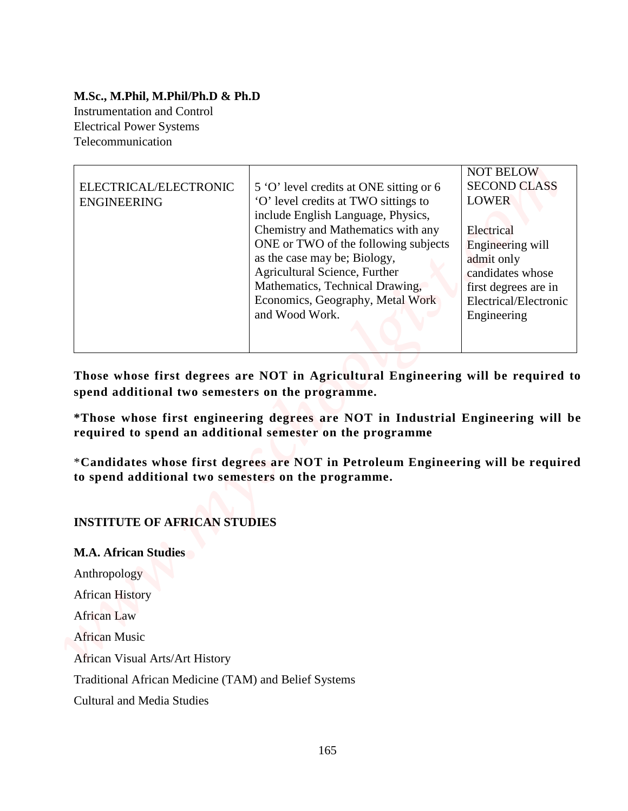### **M.Sc., M.Phil, M.Phil/Ph.D & Ph.D**  Instrumentation and Control Electrical Power Systems Telecommunication

| M.Sc., M.Phil, M.Phil/Ph.D & Ph.D                                                                                                       |                                                                                                                                                                                                     |                                                                                                                    |
|-----------------------------------------------------------------------------------------------------------------------------------------|-----------------------------------------------------------------------------------------------------------------------------------------------------------------------------------------------------|--------------------------------------------------------------------------------------------------------------------|
| <b>Instrumentation and Control</b>                                                                                                      |                                                                                                                                                                                                     |                                                                                                                    |
| <b>Electrical Power Systems</b><br>Telecommunication                                                                                    |                                                                                                                                                                                                     |                                                                                                                    |
|                                                                                                                                         |                                                                                                                                                                                                     |                                                                                                                    |
| ELECTRICAL/ELECTRONIC<br><b>ENGINEERING</b>                                                                                             | 5 'O' level credits at ONE sitting or 6<br>'O' level credits at TWO sittings to<br>include English Language, Physics,<br>Chemistry and Mathematics with any<br>ONE or TWO of the following subjects | <b>NOT BELOW</b><br><b>SECOND CLASS</b><br><b>LOWER</b><br>Electrical                                              |
|                                                                                                                                         | as the case may be; Biology,<br>Agricultural Science, Further<br>Mathematics, Technical Drawing,<br>Economics, Geography, Metal Work<br>and Wood Work.                                              | Engineering will<br>admit only<br>candidates whose<br>first degrees are in<br>Electrical/Electronic<br>Engineering |
|                                                                                                                                         | Those whose first degrees are NOT in Agricultural Engineering will be required to                                                                                                                   |                                                                                                                    |
| spend additional two semesters on the programme.                                                                                        |                                                                                                                                                                                                     |                                                                                                                    |
|                                                                                                                                         |                                                                                                                                                                                                     |                                                                                                                    |
|                                                                                                                                         | required to spend an additional semester on the programme                                                                                                                                           |                                                                                                                    |
| *Those whose first engineering degrees are NOT in Industrial Engineering will be<br>to spend additional two semesters on the programme. | *Candidates whose first degrees are NOT in Petroleum Engineering will be required                                                                                                                   |                                                                                                                    |
|                                                                                                                                         |                                                                                                                                                                                                     |                                                                                                                    |
| <b>INSTITUTE OF AFRICAN STUDIES</b>                                                                                                     |                                                                                                                                                                                                     |                                                                                                                    |
| <b>M.A. African Studies</b>                                                                                                             |                                                                                                                                                                                                     |                                                                                                                    |
| Anthropology                                                                                                                            |                                                                                                                                                                                                     |                                                                                                                    |
| <b>African History</b>                                                                                                                  |                                                                                                                                                                                                     |                                                                                                                    |
|                                                                                                                                         |                                                                                                                                                                                                     |                                                                                                                    |
|                                                                                                                                         |                                                                                                                                                                                                     |                                                                                                                    |
| <b>African Law</b><br><b>African Music</b><br><b>African Visual Arts/Art History</b>                                                    |                                                                                                                                                                                                     |                                                                                                                    |
| Traditional African Medicine (TAM) and Belief Systems                                                                                   |                                                                                                                                                                                                     |                                                                                                                    |

### **INSTITUTE OF AFRICAN STUDIES**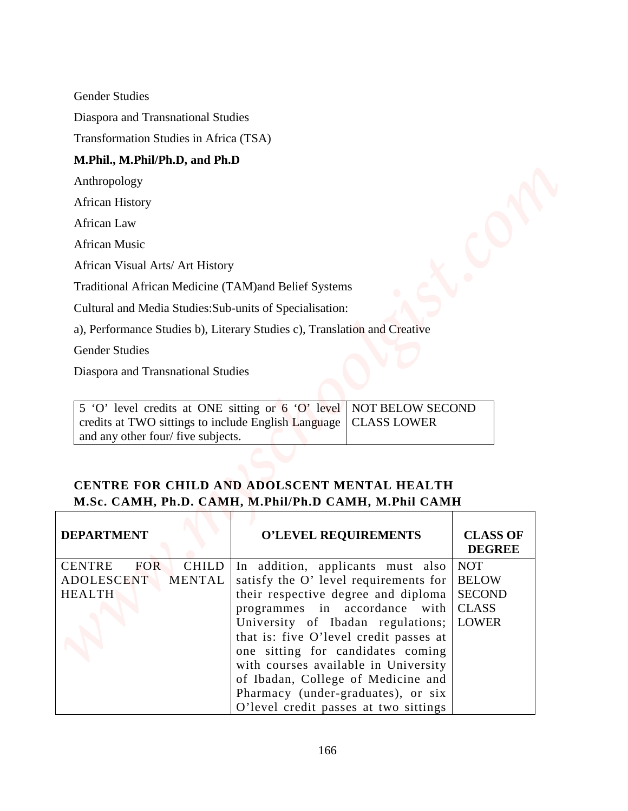#### **M.Phil., M.Phil/Ph.D, and Ph.D**

| 5 'O' level credits at ONE sitting or 6 'O' level   NOT BELOW SECOND |  |
|----------------------------------------------------------------------|--|
| credits at TWO sittings to include English Language   CLASS LOWER    |  |
| and any other four/ five subjects.                                   |  |

## **CENTRE FOR CHILD AND ADOLSCENT MENTAL HEALTH M.Sc. CAMH, Ph.D. CAMH, M.Phil/Ph.D CAMH, M.Phil CAMH**

| <b>Gender Studies</b><br>Diaspora and Transnational Studies<br>Transformation Studies in Africa (TSA)<br>M.Phil., M.Phil/Ph.D, and Ph.D<br>Anthropology<br><b>African History</b><br>African Law<br><b>African Music</b><br>African Visual Arts/ Art History<br>Traditional African Medicine (TAM)and Belief Systems<br>Cultural and Media Studies: Sub-units of Specialisation:<br>a), Performance Studies b), Literary Studies c), Translation and Creative<br><b>Gender Studies</b><br>Diaspora and Transnational Studies<br>5 'O' level credits at ONE sitting or 6 'O' level<br>NOT BELOW SECOND<br>credits at TWO sittings to include English Language<br><b>CLASS LOWER</b><br>and any other four/ five subjects.<br>CENTRE FOR CHILD AND ADOLSCENT MENTAL HEALTH<br>M.Sc. CAMH, Ph.D. CAMH, M.Phil/Ph.D CAMH, M.Phil CAMH<br><b>DEPARTMENT</b><br><b>O'LEVEL REQUIREMENTS</b><br><b>CLASS OF</b><br><b>DEGREE</b><br><b>CHILD</b><br><b>CENTRE</b><br><b>FOR</b><br>In addition, applicants must also<br><b>NOT</b><br><b>ADOLESCENT</b><br>satisfy the O' level requirements for<br><b>BELOW</b><br><b>MENTAL</b><br>their respective degree and diploma<br><b>SECOND</b><br><b>HEALTH</b><br><b>CLASS</b><br>programmes in accordance with<br>University of Ibadan regulations;<br><b>LOWER</b><br>that is: five O'level credit passes at<br>one sitting for candidates coming<br>with courses available in University |  |  |  |  |  |  |
|----------------------------------------------------------------------------------------------------------------------------------------------------------------------------------------------------------------------------------------------------------------------------------------------------------------------------------------------------------------------------------------------------------------------------------------------------------------------------------------------------------------------------------------------------------------------------------------------------------------------------------------------------------------------------------------------------------------------------------------------------------------------------------------------------------------------------------------------------------------------------------------------------------------------------------------------------------------------------------------------------------------------------------------------------------------------------------------------------------------------------------------------------------------------------------------------------------------------------------------------------------------------------------------------------------------------------------------------------------------------------------------------------------------------------------|--|--|--|--|--|--|
|                                                                                                                                                                                                                                                                                                                                                                                                                                                                                                                                                                                                                                                                                                                                                                                                                                                                                                                                                                                                                                                                                                                                                                                                                                                                                                                                                                                                                                  |  |  |  |  |  |  |
|                                                                                                                                                                                                                                                                                                                                                                                                                                                                                                                                                                                                                                                                                                                                                                                                                                                                                                                                                                                                                                                                                                                                                                                                                                                                                                                                                                                                                                  |  |  |  |  |  |  |
|                                                                                                                                                                                                                                                                                                                                                                                                                                                                                                                                                                                                                                                                                                                                                                                                                                                                                                                                                                                                                                                                                                                                                                                                                                                                                                                                                                                                                                  |  |  |  |  |  |  |
|                                                                                                                                                                                                                                                                                                                                                                                                                                                                                                                                                                                                                                                                                                                                                                                                                                                                                                                                                                                                                                                                                                                                                                                                                                                                                                                                                                                                                                  |  |  |  |  |  |  |
|                                                                                                                                                                                                                                                                                                                                                                                                                                                                                                                                                                                                                                                                                                                                                                                                                                                                                                                                                                                                                                                                                                                                                                                                                                                                                                                                                                                                                                  |  |  |  |  |  |  |
|                                                                                                                                                                                                                                                                                                                                                                                                                                                                                                                                                                                                                                                                                                                                                                                                                                                                                                                                                                                                                                                                                                                                                                                                                                                                                                                                                                                                                                  |  |  |  |  |  |  |
|                                                                                                                                                                                                                                                                                                                                                                                                                                                                                                                                                                                                                                                                                                                                                                                                                                                                                                                                                                                                                                                                                                                                                                                                                                                                                                                                                                                                                                  |  |  |  |  |  |  |
|                                                                                                                                                                                                                                                                                                                                                                                                                                                                                                                                                                                                                                                                                                                                                                                                                                                                                                                                                                                                                                                                                                                                                                                                                                                                                                                                                                                                                                  |  |  |  |  |  |  |
|                                                                                                                                                                                                                                                                                                                                                                                                                                                                                                                                                                                                                                                                                                                                                                                                                                                                                                                                                                                                                                                                                                                                                                                                                                                                                                                                                                                                                                  |  |  |  |  |  |  |
|                                                                                                                                                                                                                                                                                                                                                                                                                                                                                                                                                                                                                                                                                                                                                                                                                                                                                                                                                                                                                                                                                                                                                                                                                                                                                                                                                                                                                                  |  |  |  |  |  |  |
|                                                                                                                                                                                                                                                                                                                                                                                                                                                                                                                                                                                                                                                                                                                                                                                                                                                                                                                                                                                                                                                                                                                                                                                                                                                                                                                                                                                                                                  |  |  |  |  |  |  |
|                                                                                                                                                                                                                                                                                                                                                                                                                                                                                                                                                                                                                                                                                                                                                                                                                                                                                                                                                                                                                                                                                                                                                                                                                                                                                                                                                                                                                                  |  |  |  |  |  |  |
|                                                                                                                                                                                                                                                                                                                                                                                                                                                                                                                                                                                                                                                                                                                                                                                                                                                                                                                                                                                                                                                                                                                                                                                                                                                                                                                                                                                                                                  |  |  |  |  |  |  |
|                                                                                                                                                                                                                                                                                                                                                                                                                                                                                                                                                                                                                                                                                                                                                                                                                                                                                                                                                                                                                                                                                                                                                                                                                                                                                                                                                                                                                                  |  |  |  |  |  |  |
|                                                                                                                                                                                                                                                                                                                                                                                                                                                                                                                                                                                                                                                                                                                                                                                                                                                                                                                                                                                                                                                                                                                                                                                                                                                                                                                                                                                                                                  |  |  |  |  |  |  |
|                                                                                                                                                                                                                                                                                                                                                                                                                                                                                                                                                                                                                                                                                                                                                                                                                                                                                                                                                                                                                                                                                                                                                                                                                                                                                                                                                                                                                                  |  |  |  |  |  |  |
|                                                                                                                                                                                                                                                                                                                                                                                                                                                                                                                                                                                                                                                                                                                                                                                                                                                                                                                                                                                                                                                                                                                                                                                                                                                                                                                                                                                                                                  |  |  |  |  |  |  |
|                                                                                                                                                                                                                                                                                                                                                                                                                                                                                                                                                                                                                                                                                                                                                                                                                                                                                                                                                                                                                                                                                                                                                                                                                                                                                                                                                                                                                                  |  |  |  |  |  |  |
|                                                                                                                                                                                                                                                                                                                                                                                                                                                                                                                                                                                                                                                                                                                                                                                                                                                                                                                                                                                                                                                                                                                                                                                                                                                                                                                                                                                                                                  |  |  |  |  |  |  |
|                                                                                                                                                                                                                                                                                                                                                                                                                                                                                                                                                                                                                                                                                                                                                                                                                                                                                                                                                                                                                                                                                                                                                                                                                                                                                                                                                                                                                                  |  |  |  |  |  |  |
|                                                                                                                                                                                                                                                                                                                                                                                                                                                                                                                                                                                                                                                                                                                                                                                                                                                                                                                                                                                                                                                                                                                                                                                                                                                                                                                                                                                                                                  |  |  |  |  |  |  |
|                                                                                                                                                                                                                                                                                                                                                                                                                                                                                                                                                                                                                                                                                                                                                                                                                                                                                                                                                                                                                                                                                                                                                                                                                                                                                                                                                                                                                                  |  |  |  |  |  |  |
|                                                                                                                                                                                                                                                                                                                                                                                                                                                                                                                                                                                                                                                                                                                                                                                                                                                                                                                                                                                                                                                                                                                                                                                                                                                                                                                                                                                                                                  |  |  |  |  |  |  |
|                                                                                                                                                                                                                                                                                                                                                                                                                                                                                                                                                                                                                                                                                                                                                                                                                                                                                                                                                                                                                                                                                                                                                                                                                                                                                                                                                                                                                                  |  |  |  |  |  |  |
| of Ibadan, College of Medicine and<br>Pharmacy (under-graduates), or six                                                                                                                                                                                                                                                                                                                                                                                                                                                                                                                                                                                                                                                                                                                                                                                                                                                                                                                                                                                                                                                                                                                                                                                                                                                                                                                                                         |  |  |  |  |  |  |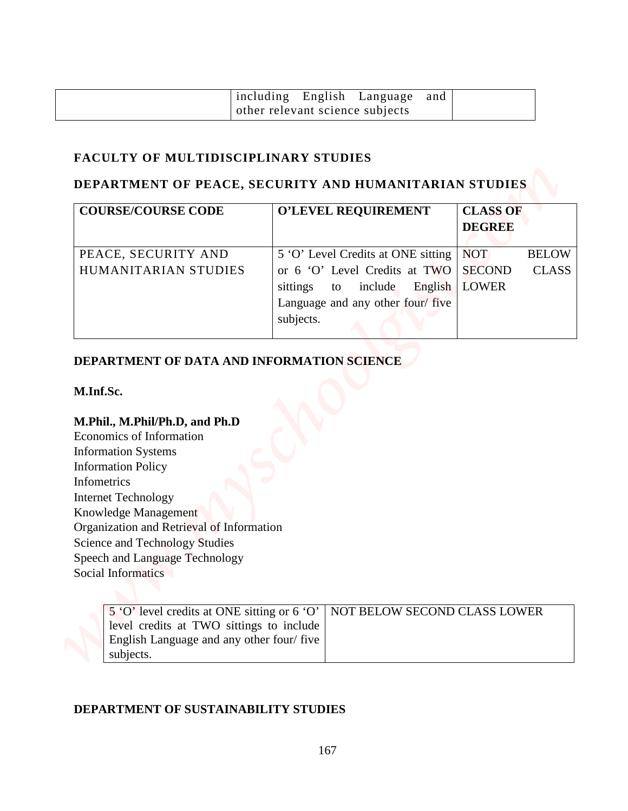|                                 | including English Language and |  |
|---------------------------------|--------------------------------|--|
| other relevant science subjects |                                |  |

## **FACULTY OF MULTIDISCIPLINARY STUDIES**

## **DEPARTMENT OF PEACE, SECURITY AND HUMANITARIAN STUDIES**

|                                                                                                                                                                                                                                                                                                                                                                                                                   | including English Language<br>and                                     |                                  |              |
|-------------------------------------------------------------------------------------------------------------------------------------------------------------------------------------------------------------------------------------------------------------------------------------------------------------------------------------------------------------------------------------------------------------------|-----------------------------------------------------------------------|----------------------------------|--------------|
|                                                                                                                                                                                                                                                                                                                                                                                                                   | other relevant science subjects                                       |                                  |              |
| <b>FACULTY OF MULTIDISCIPLINARY STUDIES</b>                                                                                                                                                                                                                                                                                                                                                                       |                                                                       |                                  |              |
|                                                                                                                                                                                                                                                                                                                                                                                                                   | DEPARTMENT OF PEACE, SECURITY AND HUMANITARIAN STUDIES                |                                  |              |
| <b>COURSE/COURSE CODE</b>                                                                                                                                                                                                                                                                                                                                                                                         | <b>O'LEVEL REQUIREMENT</b>                                            | <b>CLASS OF</b><br><b>DEGREE</b> |              |
| PEACE, SECURITY AND                                                                                                                                                                                                                                                                                                                                                                                               | 5 'O' Level Credits at ONE sitting                                    | <b>NOT</b>                       | <b>BELOW</b> |
| HUMANITARIAN STUDIES                                                                                                                                                                                                                                                                                                                                                                                              | or 6 'O' Level Credits at TWO<br>sittings<br>include<br>English<br>to | <b>SECOND</b><br><b>LOWER</b>    | <b>CLASS</b> |
|                                                                                                                                                                                                                                                                                                                                                                                                                   | Language and any other four/ five                                     |                                  |              |
|                                                                                                                                                                                                                                                                                                                                                                                                                   | subjects.                                                             |                                  |              |
|                                                                                                                                                                                                                                                                                                                                                                                                                   |                                                                       |                                  |              |
|                                                                                                                                                                                                                                                                                                                                                                                                                   |                                                                       |                                  |              |
|                                                                                                                                                                                                                                                                                                                                                                                                                   |                                                                       |                                  |              |
|                                                                                                                                                                                                                                                                                                                                                                                                                   |                                                                       |                                  |              |
|                                                                                                                                                                                                                                                                                                                                                                                                                   |                                                                       |                                  |              |
|                                                                                                                                                                                                                                                                                                                                                                                                                   |                                                                       |                                  |              |
|                                                                                                                                                                                                                                                                                                                                                                                                                   |                                                                       |                                  |              |
|                                                                                                                                                                                                                                                                                                                                                                                                                   |                                                                       |                                  |              |
|                                                                                                                                                                                                                                                                                                                                                                                                                   |                                                                       |                                  |              |
|                                                                                                                                                                                                                                                                                                                                                                                                                   |                                                                       |                                  |              |
|                                                                                                                                                                                                                                                                                                                                                                                                                   |                                                                       |                                  |              |
|                                                                                                                                                                                                                                                                                                                                                                                                                   |                                                                       |                                  |              |
|                                                                                                                                                                                                                                                                                                                                                                                                                   |                                                                       |                                  |              |
| DEPARTMENT OF DATA AND INFORMATION SCIENCE<br>M.Inf.Sc.<br>M.Phil., M.Phil/Ph.D, and Ph.D<br>Economics of Information<br><b>Information Systems</b><br><b>Information Policy</b><br><b>Infometrics</b><br><b>Internet Technology</b><br>Knowledge Management<br>Organization and Retrieval of Information<br><b>Science and Technology Studies</b><br>Speech and Language Technology<br><b>Social Informatics</b> |                                                                       |                                  |              |
| 5 'O' level credits at ONE sitting or 6 'O'                                                                                                                                                                                                                                                                                                                                                                       | NOT BELOW SECOND CLASS LOWER                                          |                                  |              |
| level credits at TWO sittings to include<br>English Language and any other four/five                                                                                                                                                                                                                                                                                                                              |                                                                       |                                  |              |

### **DEPARTMENT OF DATA AND INFORMATION SCIENCE**

#### **M.Inf.Sc.**

### **M.Phil., M.Phil/Ph.D, and Ph.D**

|                                          | 5 'O' level credits at ONE sitting or 6 'O'   NOT BELOW SECOND CLASS LOWER |
|------------------------------------------|----------------------------------------------------------------------------|
| level credits at TWO sittings to include |                                                                            |
| English Language and any other four/five |                                                                            |
| subjects.                                |                                                                            |

### **DEPARTMENT OF SUSTAINABILITY STUDIES**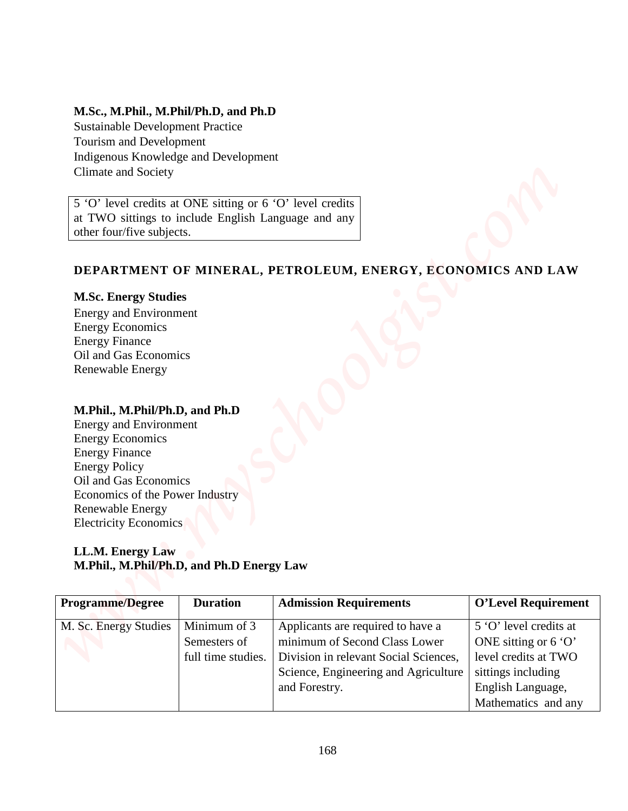## **M.Sc., M.Phil., M.Phil/Ph.D, and Ph.D**

## **DEPARTMENT OF MINERAL, PETROLEUM, ENERGY, ECONOMICS AND LAW**

#### **M.Sc. Energy Studies**

#### **M.Phil., M.Phil/Ph.D, and Ph.D**

#### **LL.M. Energy Law M.Phil., M.Phil/Ph.D, and Ph.D Energy Law**

| M.Sc., M.Phil., M.Phil/Ph.D, and Ph.D<br><b>Sustainable Development Practice</b><br>Tourism and Development<br>Indigenous Knowledge and Development<br>Climate and Society |                    |                                                                    |                                                       |
|----------------------------------------------------------------------------------------------------------------------------------------------------------------------------|--------------------|--------------------------------------------------------------------|-------------------------------------------------------|
| 5 'O' level credits at ONE sitting or 6 'O' level credits<br>at TWO sittings to include English Language and any                                                           |                    |                                                                    |                                                       |
| other four/five subjects.                                                                                                                                                  |                    |                                                                    |                                                       |
|                                                                                                                                                                            |                    |                                                                    |                                                       |
|                                                                                                                                                                            |                    | DEPARTMENT OF MINERAL, PETROLEUM, ENERGY, ECONOMICS AND LAW        |                                                       |
| <b>M.Sc. Energy Studies</b>                                                                                                                                                |                    |                                                                    |                                                       |
| <b>Energy and Environment</b>                                                                                                                                              |                    |                                                                    |                                                       |
| <b>Energy Economics</b>                                                                                                                                                    |                    |                                                                    |                                                       |
| <b>Energy Finance</b>                                                                                                                                                      |                    |                                                                    |                                                       |
| Oil and Gas Economics                                                                                                                                                      |                    |                                                                    |                                                       |
| <b>Renewable Energy</b>                                                                                                                                                    |                    |                                                                    |                                                       |
|                                                                                                                                                                            |                    |                                                                    |                                                       |
|                                                                                                                                                                            |                    |                                                                    |                                                       |
|                                                                                                                                                                            |                    |                                                                    |                                                       |
| M.Phil., M.Phil/Ph.D, and Ph.D                                                                                                                                             |                    |                                                                    |                                                       |
| <b>Energy and Environment</b><br><b>Energy Economics</b>                                                                                                                   |                    |                                                                    |                                                       |
| <b>Energy Finance</b>                                                                                                                                                      |                    |                                                                    |                                                       |
| <b>Energy Policy</b>                                                                                                                                                       |                    |                                                                    |                                                       |
| Oil and Gas Economics                                                                                                                                                      |                    |                                                                    |                                                       |
| Economics of the Power Industry                                                                                                                                            |                    |                                                                    |                                                       |
| Renewable Energy                                                                                                                                                           |                    |                                                                    |                                                       |
| <b>Electricity Economics</b>                                                                                                                                               |                    |                                                                    |                                                       |
|                                                                                                                                                                            |                    |                                                                    |                                                       |
| LL.M. Energy Law                                                                                                                                                           |                    |                                                                    |                                                       |
| M.Phil., M.Phil/Ph.D, and Ph.D Energy Law                                                                                                                                  |                    |                                                                    |                                                       |
|                                                                                                                                                                            |                    |                                                                    |                                                       |
| <b>Programme/Degree</b>                                                                                                                                                    | <b>Duration</b>    | <b>Admission Requirements</b>                                      | <b>O'Level Requirement</b>                            |
|                                                                                                                                                                            | Minimum of 3       |                                                                    | 5 'O' level credits at                                |
| M. Sc. Energy Studies                                                                                                                                                      | Semesters of       | Applicants are required to have a<br>minimum of Second Class Lower |                                                       |
|                                                                                                                                                                            |                    |                                                                    | ONE sitting or $6^{\circ}$ O'<br>level credits at TWO |
|                                                                                                                                                                            | full time studies. | Division in relevant Social Sciences,                              |                                                       |
|                                                                                                                                                                            |                    | Science, Engineering and Agriculture<br>and Forestry.              | sittings including<br>English Language,               |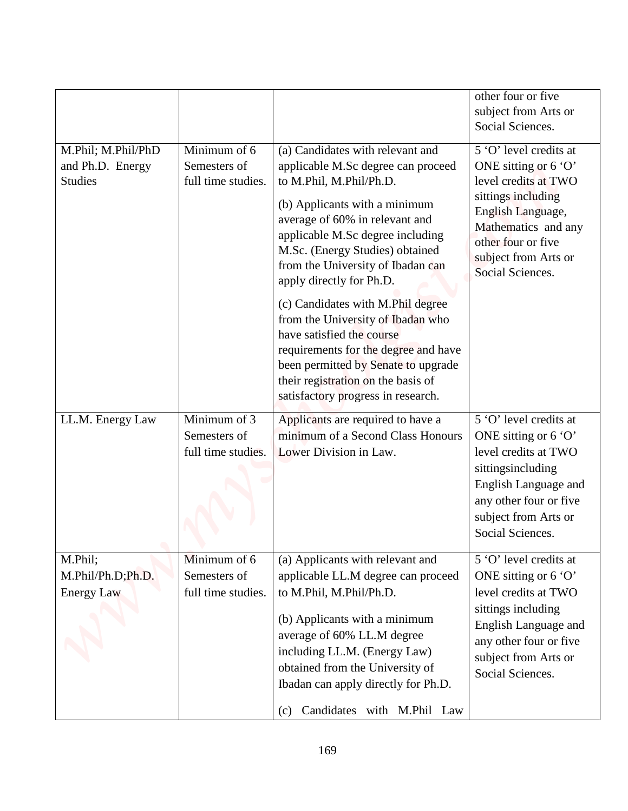|                                                          |                                                    |                                                                                                                                                                                                                                                                                                                                                                                                                                                                                                                                                                                | other four or five<br>subject from Arts or<br>Social Sciences.                                                                                                                                             |
|----------------------------------------------------------|----------------------------------------------------|--------------------------------------------------------------------------------------------------------------------------------------------------------------------------------------------------------------------------------------------------------------------------------------------------------------------------------------------------------------------------------------------------------------------------------------------------------------------------------------------------------------------------------------------------------------------------------|------------------------------------------------------------------------------------------------------------------------------------------------------------------------------------------------------------|
| M.Phil; M.Phil/PhD<br>and Ph.D. Energy<br><b>Studies</b> | Minimum of 6<br>Semesters of<br>full time studies. | (a) Candidates with relevant and<br>applicable M.Sc degree can proceed<br>to M.Phil, M.Phil/Ph.D.<br>(b) Applicants with a minimum<br>average of 60% in relevant and<br>applicable M.Sc degree including<br>M.Sc. (Energy Studies) obtained<br>from the University of Ibadan can<br>apply directly for Ph.D.<br>(c) Candidates with M.Phil degree<br>from the University of Ibadan who<br>have satisfied the course<br>requirements for the degree and have<br>been permitted by Senate to upgrade<br>their registration on the basis of<br>satisfactory progress in research. | 5 'O' level credits at<br>ONE sitting or 6 'O'<br>level credits at TWO<br>sittings including<br>English Language,<br>Mathematics and any<br>other four or five<br>subject from Arts or<br>Social Sciences. |
| LL.M. Energy Law                                         | Minimum of 3<br>Semesters of<br>full time studies. | Applicants are required to have a<br>minimum of a Second Class Honours<br>Lower Division in Law.                                                                                                                                                                                                                                                                                                                                                                                                                                                                               | 5 'O' level credits at<br>ONE sitting or 6 'O'<br>level credits at TWO<br>sittingsincluding<br>English Language and<br>any other four or five<br>subject from Arts or<br>Social Sciences.                  |
| M.Phil;<br>M.Phil/Ph.D;Ph.D.<br><b>Energy Law</b>        | Minimum of 6<br>Semesters of<br>full time studies. | (a) Applicants with relevant and<br>applicable LL.M degree can proceed<br>to M.Phil, M.Phil/Ph.D.<br>(b) Applicants with a minimum<br>average of 60% LL.M degree<br>including LL.M. (Energy Law)<br>obtained from the University of<br>Ibadan can apply directly for Ph.D.                                                                                                                                                                                                                                                                                                     | 5 'O' level credits at<br>ONE sitting or 6 'O'<br>level credits at TWO<br>sittings including<br>English Language and<br>any other four or five<br>subject from Arts or<br>Social Sciences.                 |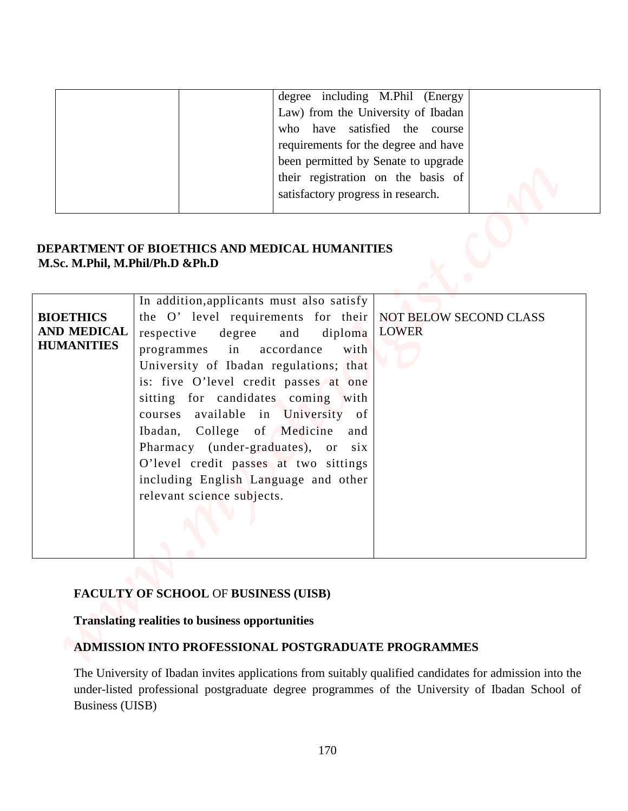| degree including M.Phil (Energy      |
|--------------------------------------|
| Law) from the University of Ibadan   |
| who have satisfied the course        |
| requirements for the degree and have |
| been permitted by Senate to upgrade  |
| their registration on the basis of   |
| satisfactory progress in research.   |
|                                      |

## **DEPARTMENT OF BIOETHICS AND MEDICAL HUMANITIES M.Sc. M.Phil, M.Phil/Ph.D &Ph.D**

| M.Sc. M.Phil, M.Phil/Ph.D &Ph.D<br>In addition, applicants must also satisfy<br>the O' level requirements for their<br>NOT BELOW SECOND CLASS<br><b>LOWER</b><br>degree<br>respective<br>diploma<br>and<br>in<br>accordance<br>programmes<br>with<br>University of Ibadan regulations; that<br>is: five O'level credit passes at one<br>sitting for candidates coming with<br>courses available in University of<br>Ibadan, College of Medicine and<br>Pharmacy (under-graduates), or six<br>O'level credit passes at two sittings |                                                             | degree including M.Phil (Energy<br>Law) from the University of Ibadan<br>who have satisfied the course<br>requirements for the degree and have<br>been permitted by Senate to upgrade<br>their registration on the basis of<br>satisfactory progress in research.<br>DEPARTMENT OF BIOETHICS AND MEDICAL HUMANITIES |
|------------------------------------------------------------------------------------------------------------------------------------------------------------------------------------------------------------------------------------------------------------------------------------------------------------------------------------------------------------------------------------------------------------------------------------------------------------------------------------------------------------------------------------|-------------------------------------------------------------|---------------------------------------------------------------------------------------------------------------------------------------------------------------------------------------------------------------------------------------------------------------------------------------------------------------------|
| relevant science subjects.                                                                                                                                                                                                                                                                                                                                                                                                                                                                                                         | <b>BIOETHICS</b><br><b>AND MEDICAL</b><br><b>HUMANITIES</b> | including English Language and other                                                                                                                                                                                                                                                                                |

## **FACULTY OF SCHOOL** OF **BUSINESS (UISB)**

#### **Translating realities to business opportunities**

#### **ADMISSION INTO PROFESSIONAL POSTGRADUATE PROGRAMMES**

The University of Ibadan invites applications from suitably qualified candidates for admission into the under-listed professional postgraduate degree programmes of the University of Ibadan School of Business (UISB)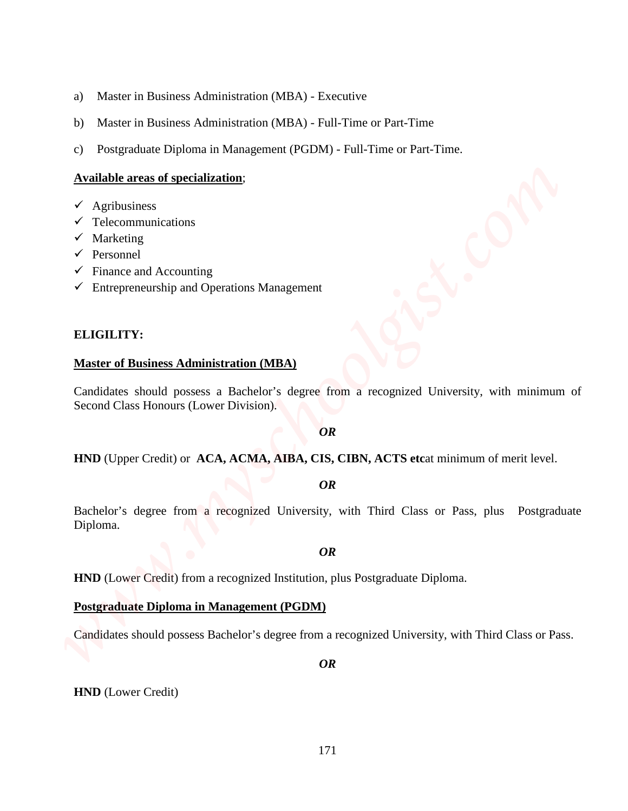- a) Master in Business Administration (MBA) Executive
- b) Master in Business Administration (MBA) Full-Time or Part-Time
- c) Postgraduate Diploma in Management (PGDM) Full-Time or Part-Time.

#### **Available areas of specialization**;

- $\checkmark$  Agribusiness
- $\checkmark$  Telecommunications
- $\checkmark$  Marketing
- $\checkmark$  Personnel
- $\checkmark$  Finance and Accounting
- $\checkmark$  Entrepreneurship and Operations Management

#### **ELIGILITY:**

#### **Master of Business Administration (MBA)**

Candidates should possess a Bachelor's degree from a recognized University, with minimum of Second Class Honours (Lower Division).

#### *OR*

**HND** (Upper Credit) or **ACA, ACMA, AIBA, CIS, CIBN, ACTS etc**at minimum of merit level.

#### *OR*

Bachelor's degree from a recognized University, with Third Class or Pass, plus Postgraduate Diploma. AD Moster in Business Administration (MBA) - Executive<br>
HD Master in Business Administration (MBA) - Full-Time or Part-Time<br>
CD Postgraduate Diploma in Management (PODM) - Full-Time or Part-Time,<br> **Angle interest of Busine** 

#### *OR*

**HND** (Lower Credit) from a recognized Institution, plus Postgraduate Diploma.

#### **Postgraduate Diploma in Management (PGDM)**

Candidates should possess Bachelor's degree from a recognized University, with Third Class or Pass.

*OR*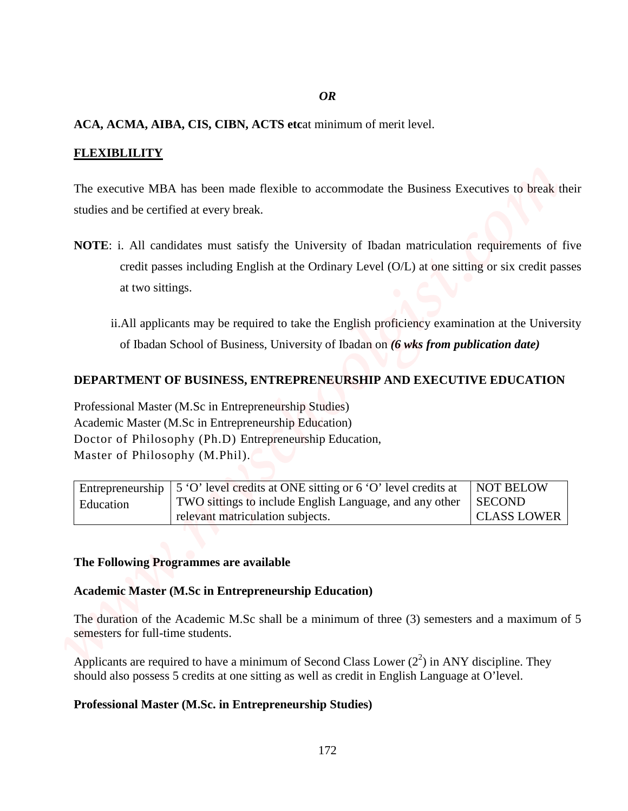#### *OR*

#### **ACA, ACMA, AIBA, CIS, CIBN, ACTS etc**at minimum of merit level.

#### **FLEXIBLILITY**

The executive MBA has been made flexible to accommodate the Business Executives to break their studies and be certified at every break.

- **NOTE**: i. All candidates must satisfy the University of Ibadan matriculation requirements of five credit passes including English at the Ordinary Level (O/L) at one sitting or six credit passes at two sittings. **PROFESSION CONSTRANT CONSTRANT CONSTRANT CONSTRANT CONSTRANT CONSTRANT CONSTRANT CONSTRANT CONSTRANT CONSTRANT CONSTRANT CONSTRANT CONSTRANT CONSTRANT CONSTRANT CONSTRANT CONSTRANT CONSTRANT CONSTRANT CONSTRANT CONSTRANT** 
	- ii.All applicants may be required to take the English proficiency examination at the University of Ibadan School of Business, University of Ibadan on *(6 wks from publication date)*

#### **DEPARTMENT OF BUSINESS, ENTREPRENEURSHIP AND EXECUTIVE EDUCATION**

Professional Master (M.Sc in Entrepreneurship Studies) Academic Master (M.Sc in Entrepreneurship Education) Doctor of Philosophy (Ph.D) Entrepreneurship Education, Master of Philosophy (M.Phil).

|           | Entrepreneurship $\vert$ 5 'O' level credits at ONE sitting or 6 'O' level credits at | NOT BELOW          |
|-----------|---------------------------------------------------------------------------------------|--------------------|
| Education | TWO sittings to include English Language, and any other                               | <b>SECOND</b>      |
|           | relevant matriculation subjects.                                                      | <b>CLASS LOWER</b> |

#### **The Following Programmes are available**

#### **Academic Master (M.Sc in Entrepreneurship Education)**

The duration of the Academic M.Sc shall be a minimum of three (3) semesters and a maximum of 5 semesters for full-time students.

Applicants are required to have a minimum of Second Class Lower  $(2^2)$  in ANY discipline. They should also possess 5 credits at one sitting as well as credit in English Language at O'level.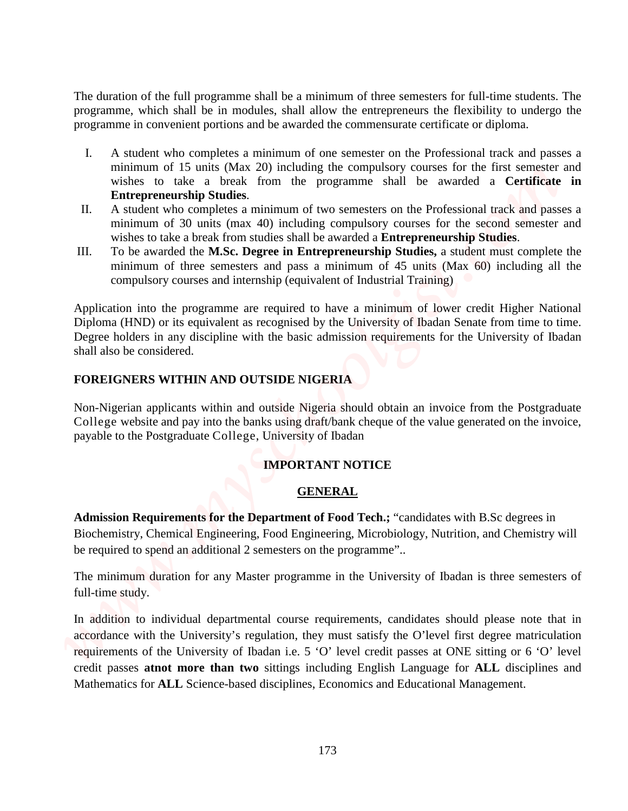The duration of the full programme shall be a minimum of three semesters for full-time students. The programme, which shall be in modules, shall allow the entrepreneurs the flexibility to undergo the programme in convenient portions and be awarded the commensurate certificate or diploma.

- I. A student who completes a minimum of one semester on the Professional track and passes a minimum of 15 units (Max 20) including the compulsory courses for the first semester and wishes to take a break from the programme shall be awarded a **Certificate in Entrepreneurship Studies**.
- II. A student who completes a minimum of two semesters on the Professional track and passes a minimum of 30 units (max 40) including compulsory courses for the second semester and wishes to take a break from studies shall be awarded a **Entrepreneurship Studies**.
- III. To be awarded the **M.Sc. Degree in Entrepreneurship Studies,** a student must complete the minimum of three semesters and pass a minimum of 45 units (Max 60) including all the compulsory courses and internship (equivalent of Industrial Training)

Application into the programme are required to have a minimum of lower credit Higher National Diploma (HND) or its equivalent as recognised by the University of Ibadan Senate from time to time. Degree holders in any discipline with the basic admission requirements for the University of Ibadan shall also be considered.

#### **FOREIGNERS WITHIN AND OUTSIDE NIGERIA**

Non-Nigerian applicants within and outside Nigeria should obtain an invoice from the Postgraduate College website and pay into the banks using draft/bank cheque of the value generated on the invoice, payable to the Postgraduate College, University of Ibadan

### **IMPORTANT NOTICE**

#### **GENERAL**

**Admission Requirements for the Department of Food Tech.;** "candidates with B.Sc degrees in Biochemistry, Chemical Engineering, Food Engineering, Microbiology, Nutrition, and Chemistry will be required to spend an additional 2 semesters on the programme"..

The minimum duration for any Master programme in the University of Ibadan is three semesters of full-time study.

In addition to individual departmental course requirements, candidates should please note that in accordance with the University's regulation, they must satisfy the O'level first degree matriculation requirements of the University of Ibadan i.e. 5 'O' level credit passes at ONE sitting or 6 'O' level credit passes **atnot more than two** sittings including English Language for **ALL** disciplines and The domains of the full programme shall be a minimum of three sensestes for full-time sudeas. The programme in consideration is allowed disc commensurate confidence of floatility by todested unches a minimum of (3 units (